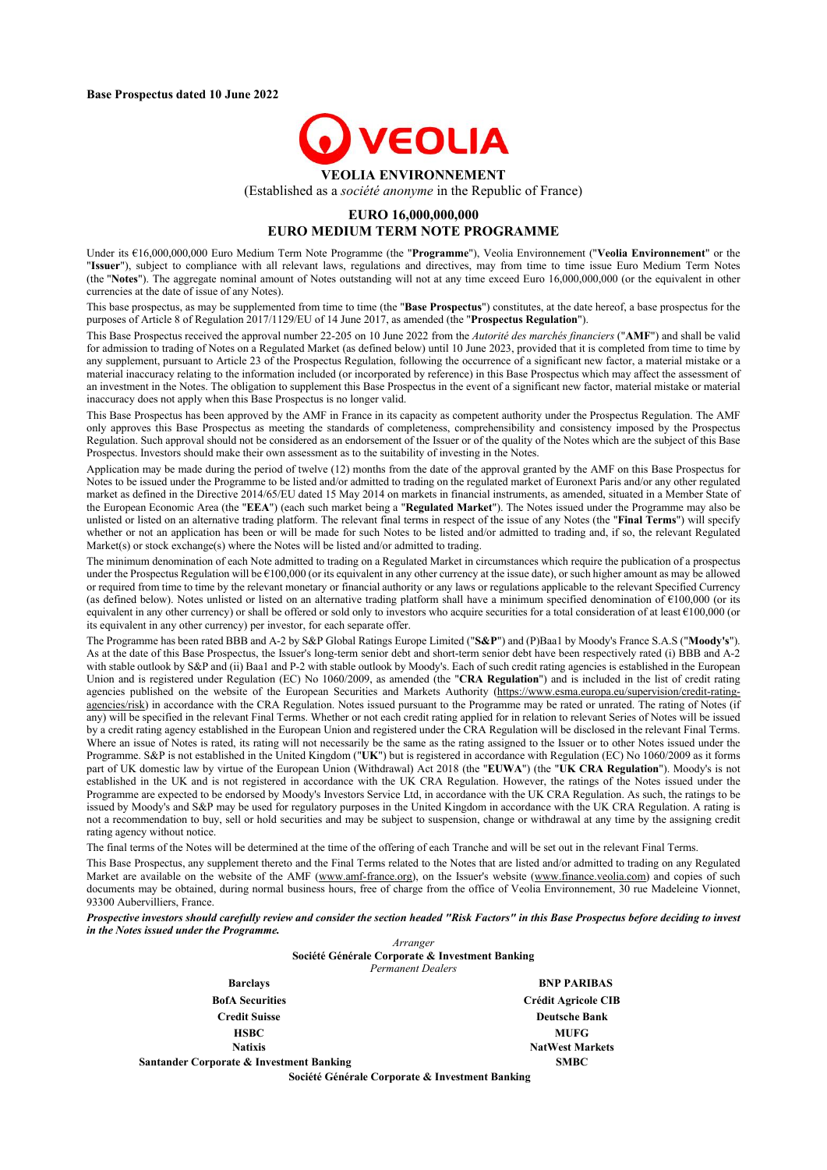

(Established as a *société anonyme* in the Republic of France)

### **EURO 16,000,000,000 EURO MEDIUM TERM NOTE PROGRAMME**

Under its €16,000,000,000 Euro Medium Term Note Programme (the "**Programme**"), Veolia Environnement ("**Veolia Environnement**" or the "**Issuer**"), subject to compliance with all relevant laws, regulations and directives, may from time to time issue Euro Medium Term Notes (the "**Notes**"). The aggregate nominal amount of Notes outstanding will not at any time exceed Euro 16,000,000,000 (or the equivalent in other currencies at the date of issue of any Notes).

This base prospectus, as may be supplemented from time to time (the "**Base Prospectus**") constitutes, at the date hereof, a base prospectus for the purposes of Article 8 of Regulation 2017/1129/EU of 14 June 2017, as amended (the "**Prospectus Regulation**").

This Base Prospectus received the approval number 22-205 on 10 June 2022 from the *Autorité des marchés financiers* ("**AMF**") and shall be valid for admission to trading of Notes on a Regulated Market (as defined below) until 10 June 2023, provided that it is completed from time to time by any supplement, pursuant to Article 23 of the Prospectus Regulation, following the occurrence of a significant new factor, a material mistake or a material inaccuracy relating to the information included (or incorporated by reference) in this Base Prospectus which may affect the assessment of an investment in the Notes. The obligation to supplement this Base Prospectus in the event of a significant new factor, material mistake or material inaccuracy does not apply when this Base Prospectus is no longer valid.

This Base Prospectus has been approved by the AMF in France in its capacity as competent authority under the Prospectus Regulation. The AMF only approves this Base Prospectus as meeting the standards of completeness, comprehensibility and consistency imposed by the Prospectus Regulation. Such approval should not be considered as an endorsement of the Issuer or of the quality of the Notes which are the subject of this Base Prospectus. Investors should make their own assessment as to the suitability of investing in the Notes.

Application may be made during the period of twelve (12) months from the date of the approval granted by the AMF on this Base Prospectus for Notes to be issued under the Programme to be listed and/or admitted to trading on the regulated market of Euronext Paris and/or any other regulated market as defined in the Directive 2014/65/EU dated 15 May 2014 on markets in financial instruments, as amended, situated in a Member State of the European Economic Area (the "**EEA**") (each such market being a "**Regulated Market**"). The Notes issued under the Programme may also be unlisted or listed on an alternative trading platform. The relevant final terms in respect of the issue of any Notes (the "**Final Terms**") will specify whether or not an application has been or will be made for such Notes to be listed and/or admitted to trading and, if so, the relevant Regulated Market(s) or stock exchange(s) where the Notes will be listed and/or admitted to trading.

The minimum denomination of each Note admitted to trading on a Regulated Market in circumstances which require the publication of a prospectus under the Prospectus Regulation will be  $\epsilon$ 100,000 (or its equivalent in any other currency at the issue date), or such higher amount as may be allowed or required from time to time by the relevant monetary or financial authority or any laws or regulations applicable to the relevant Specified Currency (as defined below). Notes unlisted or listed on an alternative trading platform shall have a minimum specified denomination of €100,000 (or its equivalent in any other currency) or shall be offered or sold only to investors who acquire securities for a total consideration of at least  $€100,000$  (or its equivalent in any other currency) per investor, for each separate offer.

The Programme has been rated BBB and A-2 by S&P Global Ratings Europe Limited ("**S&P**") and (P)Baa1 by Moody's France S.A.S ("**Moody's**"). As at the date of this Base Prospectus, the Issuer's long-term senior debt and short-term senior debt have been respectively rated (i) BBB and A-2 with stable outlook by S&P and (ii) Baa1 and P-2 with stable outlook by Moody's. Each of such credit rating agencies is established in the European Union and is registered under Regulation (EC) No 1060/2009, as amended (the "**CRA Regulation**") and is included in the list of credit rating agencies published on the website of the European Securities and Markets Authority (https://www.esma.europa.eu/supervision/credit-rating[agencies/risk\) in accordance with the CRA Regulation. Notes issued pursuant to the Programme may be rated or unrated. The rating of Notes \(i](https://www.esma.europa.eu/supervision/credit-rating-agencies/risk)f any) will be specified in the relevant Final Terms. Whether or not each credit rating applied for in relation to relevant Series of Notes will be issued by a credit rating agency established in the European Union and registered under the CRA Regulation will be disclosed in the relevant Final Terms. Where an issue of Notes is rated, its rating will not necessarily be the same as the rating assigned to the Issuer or to other Notes issued under the Programme. S&P is not established in the United Kingdom ("**UK**") but is registered in accordance with Regulation (EC) No 1060/2009 as it forms part of UK domestic law by virtue of the European Union (Withdrawal) Act 2018 (the "**EUWA**") (the "**UK CRA Regulation**"). Moody's is not established in the UK and is not registered in accordance with the UK CRA Regulation. However, the ratings of the Notes issued under the Programme are expected to be endorsed by Moody's Investors Service Ltd, in accordance with the UK CRA Regulation. As such, the ratings to be issued by Moody's and S&P may be used for regulatory purposes in the United Kingdom in accordance with the UK CRA Regulation. A rating is not a recommendation to buy, sell or hold securities and may be subject to suspension, change or withdrawal at any time by the assigning credit rating agency without notice.

The final terms of the Notes will be determined at the time of the offering of each Tranche and will be set out in the relevant Final Terms.

This Base Prospectus, any supplement thereto and the Final Terms related to the Notes that are listed and/or admitted to trading on any Regulated Market are available on the website of the AMF ([www.amf-france.org\)](http://www.amf-france.org/), on the Issuer's website ([www.finance.veolia.com](https://www.veolia.com/en/veolia-group/finance)) and copies of such documents may be obtained, during normal business hours, free of charge from the office of Veolia Environnement, 30 rue Madeleine Vionnet, 93300 Aubervilliers, France.

*Prospective investors should carefully review and consider the section headed "Risk Factors" in this Base Prospectus before deciding to invest in the Notes issued under the Programme.*

> *Arranger* **Société Générale Corporate & Investment Banking** *Permanent Dealers*

| <b>Barclays</b>                          | <b>BNP PARIBAS</b>         |
|------------------------------------------|----------------------------|
| <b>BofA</b> Securities                   | <b>Crédit Agricole CIB</b> |
| <b>Credit Suisse</b>                     | <b>Deutsche Bank</b>       |
| <b>HSBC</b>                              | <b>MUFG</b>                |
| <b>Natixis</b>                           | <b>NatWest Markets</b>     |
| Santander Corporate & Investment Banking | <b>SMBC</b>                |
|                                          |                            |

**Société Générale Corporate & Investment Banking**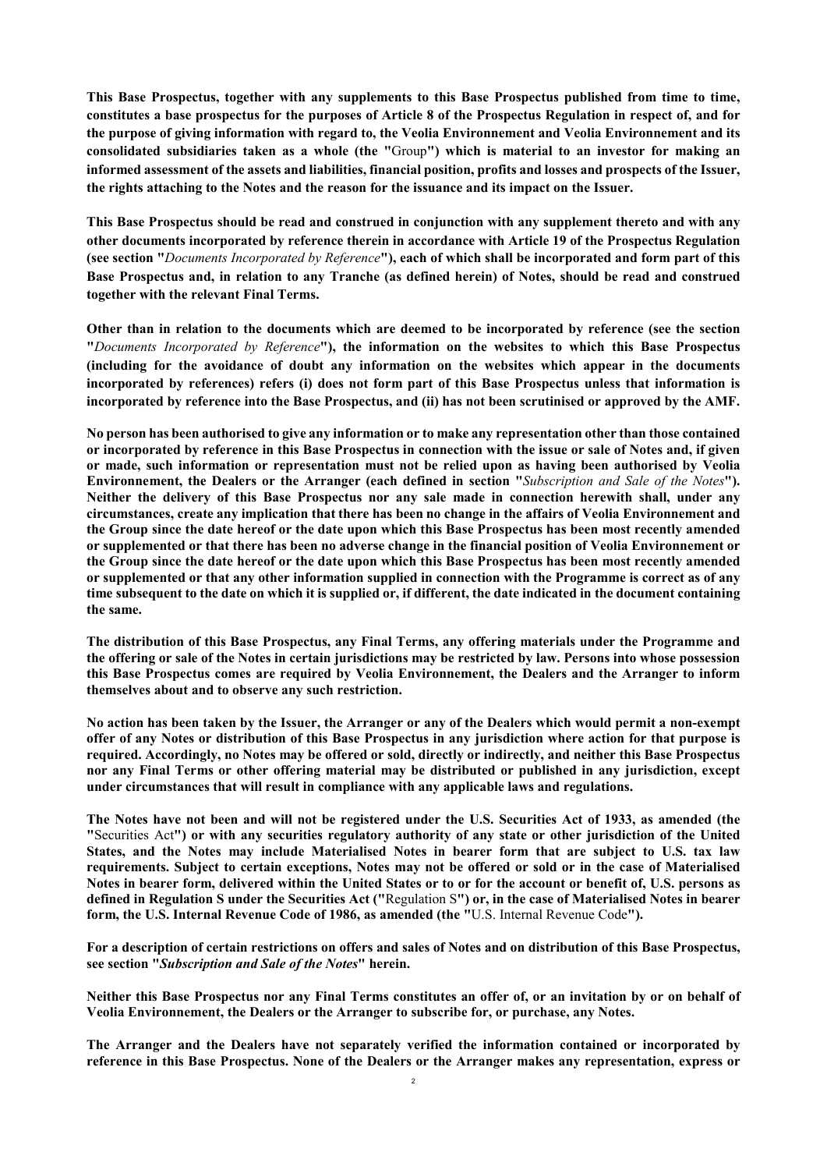**This Base Prospectus, together with any supplements to this Base Prospectus published from time to time, constitutes a base prospectus for the purposes of Article 8 of the Prospectus Regulation in respect of, and for the purpose of giving information with regard to, the Veolia Environnement and Veolia Environnement and its consolidated subsidiaries taken as a whole (the "**Group**") which is material to an investor for making an informed assessment of the assets and liabilities, financial position, profits and losses and prospects of the Issuer, the rights attaching to the Notes and the reason for the issuance and its impact on the Issuer.**

**This Base Prospectus should be read and construed in conjunction with any supplement thereto and with any other documents incorporated by reference therein in accordance with Article 19 of the Prospectus Regulation (see section "***Documents Incorporated by Reference***"), each of which shall be incorporated and form part of this Base Prospectus and, in relation to any Tranche (as defined herein) of Notes, should be read and construed together with the relevant Final Terms.**

**Other than in relation to the documents which are deemed to be incorporated by reference (see the section "***Documents Incorporated by Reference***"), the information on the websites to which this Base Prospectus (including for the avoidance of doubt any information on the websites which appear in the documents incorporated by references) refers (i) does not form part of this Base Prospectus unless that information is incorporated by reference into the Base Prospectus, and (ii) has not been scrutinised or approved by the AMF.**

**No person has been authorised to give any information or to make any representation other than those contained or incorporated by reference in this Base Prospectus in connection with the issue or sale of Notes and, if given or made, such information or representation must not be relied upon as having been authorised by Veolia Environnement, the Dealers or the Arranger (each defined in section "***Subscription and Sale of the Notes***"). Neither the delivery of this Base Prospectus nor any sale made in connection herewith shall, under any circumstances, create any implication that there has been no change in the affairs of Veolia Environnement and the Group since the date hereof or the date upon which this Base Prospectus has been most recently amended or supplemented or that there has been no adverse change in the financial position of Veolia Environnement or the Group since the date hereof or the date upon which this Base Prospectus has been most recently amended or supplemented or that any other information supplied in connection with the Programme is correct as of any time subsequent to the date on which it is supplied or, if different, the date indicated in the document containing the same.**

**The distribution of this Base Prospectus, any Final Terms, any offering materials under the Programme and the offering or sale of the Notes in certain jurisdictions may be restricted by law. Persons into whose possession this Base Prospectus comes are required by Veolia Environnement, the Dealers and the Arranger to inform themselves about and to observe any such restriction.**

**No action has been taken by the Issuer, the Arranger or any of the Dealers which would permit a non-exempt offer of any Notes or distribution of this Base Prospectus in any jurisdiction where action for that purpose is required. Accordingly, no Notes may be offered or sold, directly or indirectly, and neither this Base Prospectus nor any Final Terms or other offering material may be distributed or published in any jurisdiction, except under circumstances that will result in compliance with any applicable laws and regulations.**

**The Notes have not been and will not be registered under the U.S. Securities Act of 1933, as amended (the "**Securities Act**") or with any securities regulatory authority of any state or other jurisdiction of the United States, and the Notes may include Materialised Notes in bearer form that are subject to U.S. tax law requirements. Subject to certain exceptions, Notes may not be offered or sold or in the case of Materialised Notes in bearer form, delivered within the United States or to or for the account or benefit of, U.S. persons as defined in Regulation S under the Securities Act ("**Regulation S**") or, in the case of Materialised Notes in bearer form, the U.S. Internal Revenue Code of 1986, as amended (the "**U.S. Internal Revenue Code**").**

**For a description of certain restrictions on offers and sales of Notes and on distribution of this Base Prospectus, see section "***Subscription and Sale of the Notes***" herein.**

**Neither this Base Prospectus nor any Final Terms constitutes an offer of, or an invitation by or on behalf of Veolia Environnement, the Dealers or the Arranger to subscribe for, or purchase, any Notes.**

**The Arranger and the Dealers have not separately verified the information contained or incorporated by reference in this Base Prospectus. None of the Dealers or the Arranger makes any representation, express or**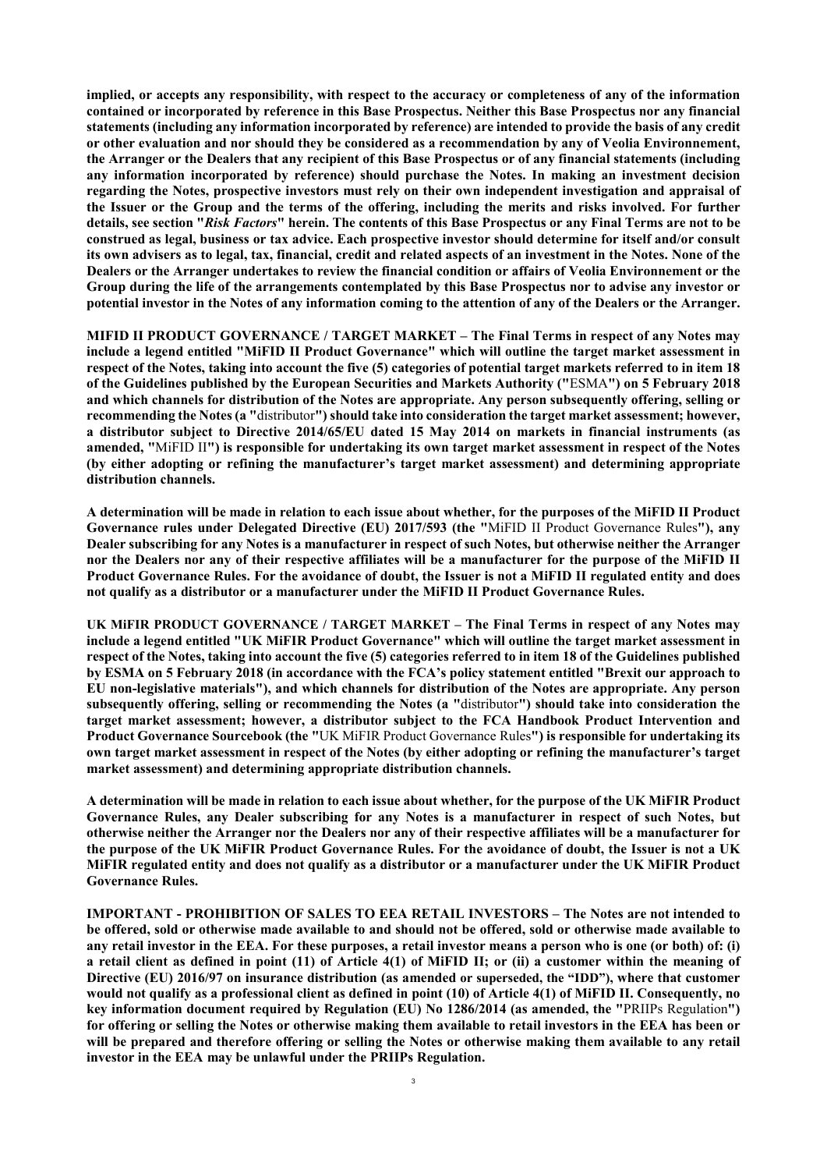**implied, or accepts any responsibility, with respect to the accuracy or completeness of any of the information contained or incorporated by reference in this Base Prospectus. Neither this Base Prospectus nor any financial statements (including any information incorporated by reference) are intended to provide the basis of any credit or other evaluation and nor should they be considered as a recommendation by any of Veolia Environnement, the Arranger or the Dealers that any recipient of this Base Prospectus or of any financial statements (including any information incorporated by reference) should purchase the Notes. In making an investment decision regarding the Notes, prospective investors must rely on their own independent investigation and appraisal of the Issuer or the Group and the terms of the offering, including the merits and risks involved. For further details, see section "***Risk Factors***" herein. The contents of this Base Prospectus or any Final Terms are not to be construed as legal, business or tax advice. Each prospective investor should determine for itself and/or consult its own advisers as to legal, tax, financial, credit and related aspects of an investment in the Notes. None of the Dealers or the Arranger undertakes to review the financial condition or affairs of Veolia Environnement or the Group during the life of the arrangements contemplated by this Base Prospectus nor to advise any investor or potential investor in the Notes of any information coming to the attention of any of the Dealers or the Arranger.**

**MIFID II PRODUCT GOVERNANCE / TARGET MARKET – The Final Terms in respect of any Notes may include a legend entitled "MiFID II Product Governance" which will outline the target market assessment in respect of the Notes, taking into account the five (5) categories of potential target markets referred to in item 18 of the Guidelines published by the European Securities and Markets Authority ("**ESMA**") on 5 February 2018 and which channels for distribution of the Notes are appropriate. Any person subsequently offering, selling or recommending the Notes (a "**distributor**") should take into consideration the target market assessment; however, a distributor subject to Directive 2014/65/EU dated 15 May 2014 on markets in financial instruments (as amended, "**MiFID II**") is responsible for undertaking its own target market assessment in respect of the Notes (by either adopting or refining the manufacturer's target market assessment) and determining appropriate distribution channels.**

**A determination will be made in relation to each issue about whether, for the purposes of the MiFID II Product Governance rules under Delegated Directive (EU) 2017/593 (the "**MiFID II Product Governance Rules**"), any Dealer subscribing for any Notes is a manufacturer in respect of such Notes, but otherwise neither the Arranger nor the Dealers nor any of their respective affiliates will be a manufacturer for the purpose of the MiFID II Product Governance Rules. For the avoidance of doubt, the Issuer is not a MiFID II regulated entity and does not qualify as a distributor or a manufacturer under the MiFID II Product Governance Rules.**

**UK MiFIR PRODUCT GOVERNANCE / TARGET MARKET – The Final Terms in respect of any Notes may include a legend entitled "UK MiFIR Product Governance" which will outline the target market assessment in respect of the Notes, taking into account the five (5) categories referred to in item 18 of the Guidelines published by ESMA on 5 February 2018 (in accordance with the FCA's policy statement entitled "Brexit our approach to EU non-legislative materials"), and which channels for distribution of the Notes are appropriate. Any person subsequently offering, selling or recommending the Notes (a "**distributor**") should take into consideration the target market assessment; however, a distributor subject to the FCA Handbook Product Intervention and Product Governance Sourcebook (the "**UK MiFIR Product Governance Rules**") is responsible for undertaking its own target market assessment in respect of the Notes (by either adopting or refining the manufacturer's target market assessment) and determining appropriate distribution channels.**

**A determination will be made in relation to each issue about whether, for the purpose of the UK MiFIR Product Governance Rules, any Dealer subscribing for any Notes is a manufacturer in respect of such Notes, but otherwise neither the Arranger nor the Dealers nor any of their respective affiliates will be a manufacturer for the purpose of the UK MiFIR Product Governance Rules. For the avoidance of doubt, the Issuer is not a UK MiFIR regulated entity and does not qualify as a distributor or a manufacturer under the UK MiFIR Product Governance Rules.**

**IMPORTANT - PROHIBITION OF SALES TO EEA RETAIL INVESTORS – The Notes are not intended to be offered, sold or otherwise made available to and should not be offered, sold or otherwise made available to any retail investor in the EEA. For these purposes, a retail investor means a person who is one (or both) of: (i) a retail client as defined in point (11) of Article 4(1) of MiFID II; or (ii) a customer within the meaning of Directive (EU) 2016/97 on insurance distribution (as amended or superseded, the "IDD"), where that customer would not qualify as a professional client as defined in point (10) of Article 4(1) of MiFID II. Consequently, no key information document required by Regulation (EU) No 1286/2014 (as amended, the "**PRIIPs Regulation**") for offering or selling the Notes or otherwise making them available to retail investors in the EEA has been or will be prepared and therefore offering or selling the Notes or otherwise making them available to any retail investor in the EEA may be unlawful under the PRIIPs Regulation.**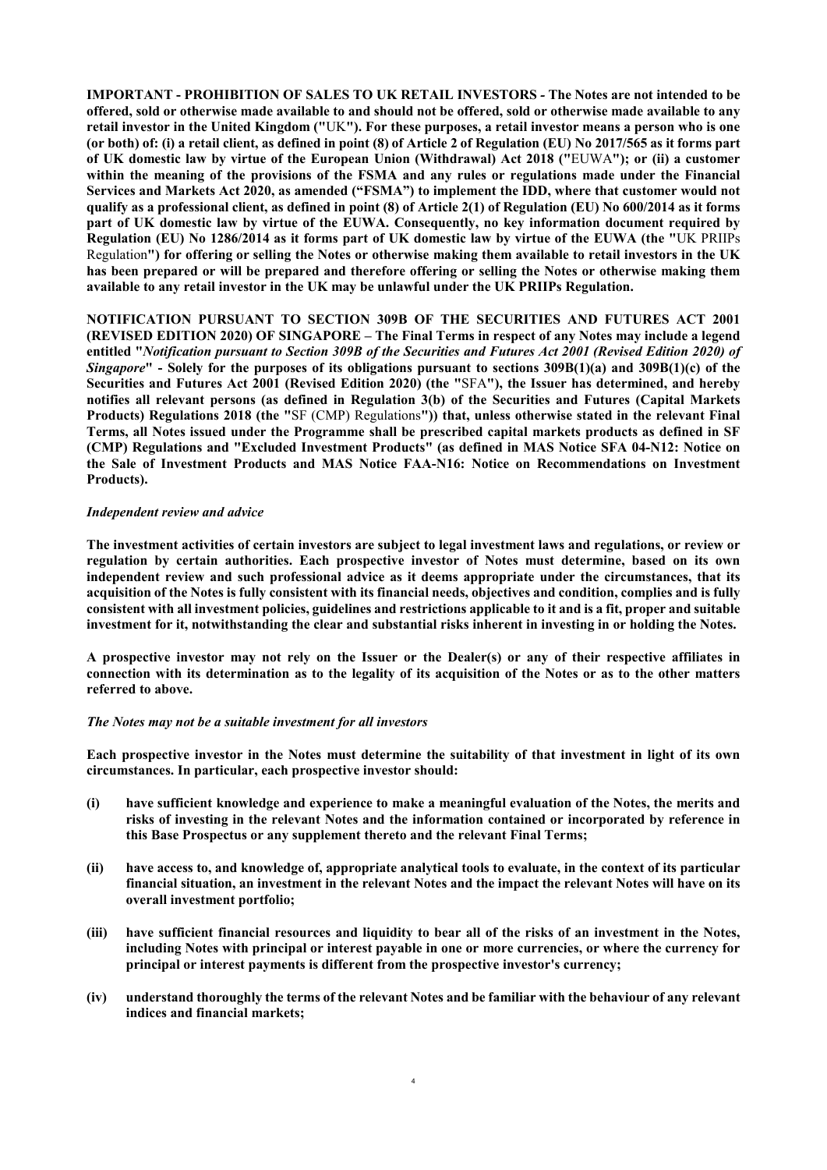**IMPORTANT - PROHIBITION OF SALES TO UK RETAIL INVESTORS** *-* **The Notes are not intended to be offered, sold or otherwise made available to and should not be offered, sold or otherwise made available to any retail investor in the United Kingdom ("**UK**"). For these purposes, a retail investor means a person who is one (or both) of: (i) a retail client, as defined in point (8) of Article 2 of Regulation (EU) No 2017/565 as it forms part of UK domestic law by virtue of the European Union (Withdrawal) Act 2018 ("**EUWA**"); or (ii) a customer within the meaning of the provisions of the FSMA and any rules or regulations made under the Financial Services and Markets Act 2020, as amended ("FSMA") to implement the IDD, where that customer would not qualify as a professional client, as defined in point (8) of Article 2(1) of Regulation (EU) No 600/2014 as it forms part of UK domestic law by virtue of the EUWA. Consequently, no key information document required by Regulation (EU) No 1286/2014 as it forms part of UK domestic law by virtue of the EUWA (the "**UK PRIIPs Regulation**") for offering or selling the Notes or otherwise making them available to retail investors in the UK has been prepared or will be prepared and therefore offering or selling the Notes or otherwise making them available to any retail investor in the UK may be unlawful under the UK PRIIPs Regulation.**

**NOTIFICATION PURSUANT TO SECTION 309B OF THE SECURITIES AND FUTURES ACT 2001 (REVISED EDITION 2020) OF SINGAPORE – The Final Terms in respect of any Notes may include a legend entitled "***Notification pursuant to Section 309B of the Securities and Futures Act 2001 (Revised Edition 2020) of Singapore***" - Solely for the purposes of its obligations pursuant to sections 309B(1)(a) and 309B(1)(c) of the Securities and Futures Act 2001 (Revised Edition 2020) (the "**SFA**"), the Issuer has determined, and hereby notifies all relevant persons (as defined in Regulation 3(b) of the Securities and Futures (Capital Markets Products) Regulations 2018 (the "**SF (CMP) Regulations**")) that, unless otherwise stated in the relevant Final Terms, all Notes issued under the Programme shall be prescribed capital markets products as defined in SF (CMP) Regulations and "Excluded Investment Products" (as defined in MAS Notice SFA 04-N12: Notice on the Sale of Investment Products and MAS Notice FAA-N16: Notice on Recommendations on Investment Products).**

### *Independent review and advice*

**The investment activities of certain investors are subject to legal investment laws and regulations, or review or regulation by certain authorities. Each prospective investor of Notes must determine, based on its own independent review and such professional advice as it deems appropriate under the circumstances, that its acquisition of the Notes is fully consistent with its financial needs, objectives and condition, complies and is fully consistent with all investment policies, guidelines and restrictions applicable to it and is a fit, proper and suitable investment for it, notwithstanding the clear and substantial risks inherent in investing in or holding the Notes.**

**A prospective investor may not rely on the Issuer or the Dealer(s) or any of their respective affiliates in connection with its determination as to the legality of its acquisition of the Notes or as to the other matters referred to above.**

### *The Notes may not be a suitable investment for all investors*

**Each prospective investor in the Notes must determine the suitability of that investment in light of its own circumstances. In particular, each prospective investor should:**

- **(i) have sufficient knowledge and experience to make a meaningful evaluation of the Notes, the merits and risks of investing in the relevant Notes and the information contained or incorporated by reference in this Base Prospectus or any supplement thereto and the relevant Final Terms;**
- **(ii) have access to, and knowledge of, appropriate analytical tools to evaluate, in the context of its particular financial situation, an investment in the relevant Notes and the impact the relevant Notes will have on its overall investment portfolio;**
- **(iii) have sufficient financial resources and liquidity to bear all of the risks of an investment in the Notes, including Notes with principal or interest payable in one or more currencies, or where the currency for principal or interest payments is different from the prospective investor's currency;**
- **(iv) understand thoroughly the terms of the relevant Notes and be familiar with the behaviour of any relevant indices and financial markets;**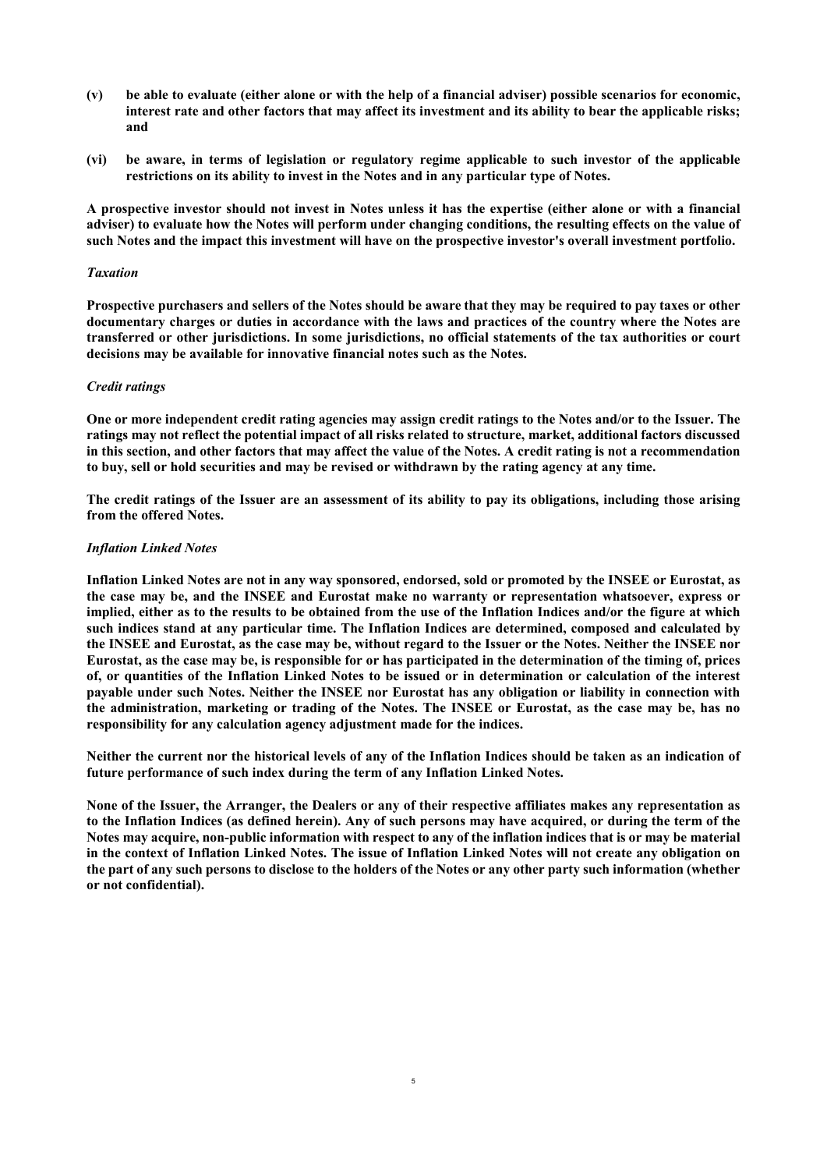- **(v) be able to evaluate (either alone or with the help of a financial adviser) possible scenarios for economic, interest rate and other factors that may affect its investment and its ability to bear the applicable risks; and**
- **(vi) be aware, in terms of legislation or regulatory regime applicable to such investor of the applicable restrictions on its ability to invest in the Notes and in any particular type of Notes.**

**A prospective investor should not invest in Notes unless it has the expertise (either alone or with a financial adviser) to evaluate how the Notes will perform under changing conditions, the resulting effects on the value of such Notes and the impact this investment will have on the prospective investor's overall investment portfolio.**

### *Taxation*

**Prospective purchasers and sellers of the Notes should be aware that they may be required to pay taxes or other documentary charges or duties in accordance with the laws and practices of the country where the Notes are transferred or other jurisdictions. In some jurisdictions, no official statements of the tax authorities or court decisions may be available for innovative financial notes such as the Notes.** 

### *Credit ratings*

**One or more independent credit rating agencies may assign credit ratings to the Notes and/or to the Issuer. The ratings may not reflect the potential impact of all risks related to structure, market, additional factors discussed in this section, and other factors that may affect the value of the Notes. A credit rating is not a recommendation to buy, sell or hold securities and may be revised or withdrawn by the rating agency at any time.**

**The credit ratings of the Issuer are an assessment of its ability to pay its obligations, including those arising from the offered Notes.** 

#### *Inflation Linked Notes*

**Inflation Linked Notes are not in any way sponsored, endorsed, sold or promoted by the INSEE or Eurostat, as the case may be, and the INSEE and Eurostat make no warranty or representation whatsoever, express or implied, either as to the results to be obtained from the use of the Inflation Indices and/or the figure at which such indices stand at any particular time. The Inflation Indices are determined, composed and calculated by the INSEE and Eurostat, as the case may be, without regard to the Issuer or the Notes. Neither the INSEE nor Eurostat, as the case may be, is responsible for or has participated in the determination of the timing of, prices of, or quantities of the Inflation Linked Notes to be issued or in determination or calculation of the interest payable under such Notes. Neither the INSEE nor Eurostat has any obligation or liability in connection with the administration, marketing or trading of the Notes. The INSEE or Eurostat, as the case may be, has no responsibility for any calculation agency adjustment made for the indices.** 

**Neither the current nor the historical levels of any of the Inflation Indices should be taken as an indication of future performance of such index during the term of any Inflation Linked Notes.**

**None of the Issuer, the Arranger, the Dealers or any of their respective affiliates makes any representation as to the Inflation Indices (as defined herein). Any of such persons may have acquired, or during the term of the Notes may acquire, non-public information with respect to any of the inflation indices that is or may be material in the context of Inflation Linked Notes. The issue of Inflation Linked Notes will not create any obligation on the part of any such persons to disclose to the holders of the Notes or any other party such information (whether or not confidential).**

5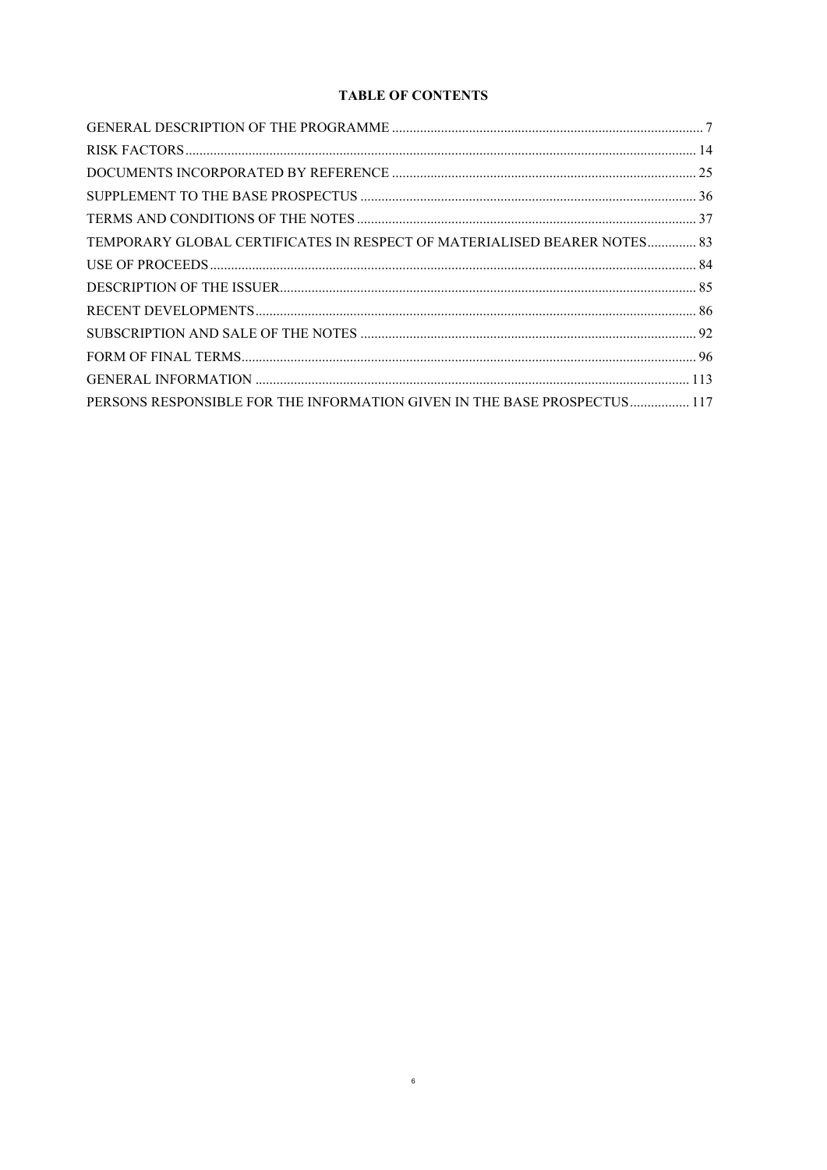# **TABLE OF CONTENTS**

| TEMPORARY GLOBAL CERTIFICATES IN RESPECT OF MATERIALISED BEARER NOTES 83 |  |
|--------------------------------------------------------------------------|--|
|                                                                          |  |
|                                                                          |  |
|                                                                          |  |
|                                                                          |  |
|                                                                          |  |
|                                                                          |  |
| PERSONS RESPONSIBLE FOR THE INFORMATION GIVEN IN THE BASE PROSPECTUS 117 |  |

 $6\overline{6}$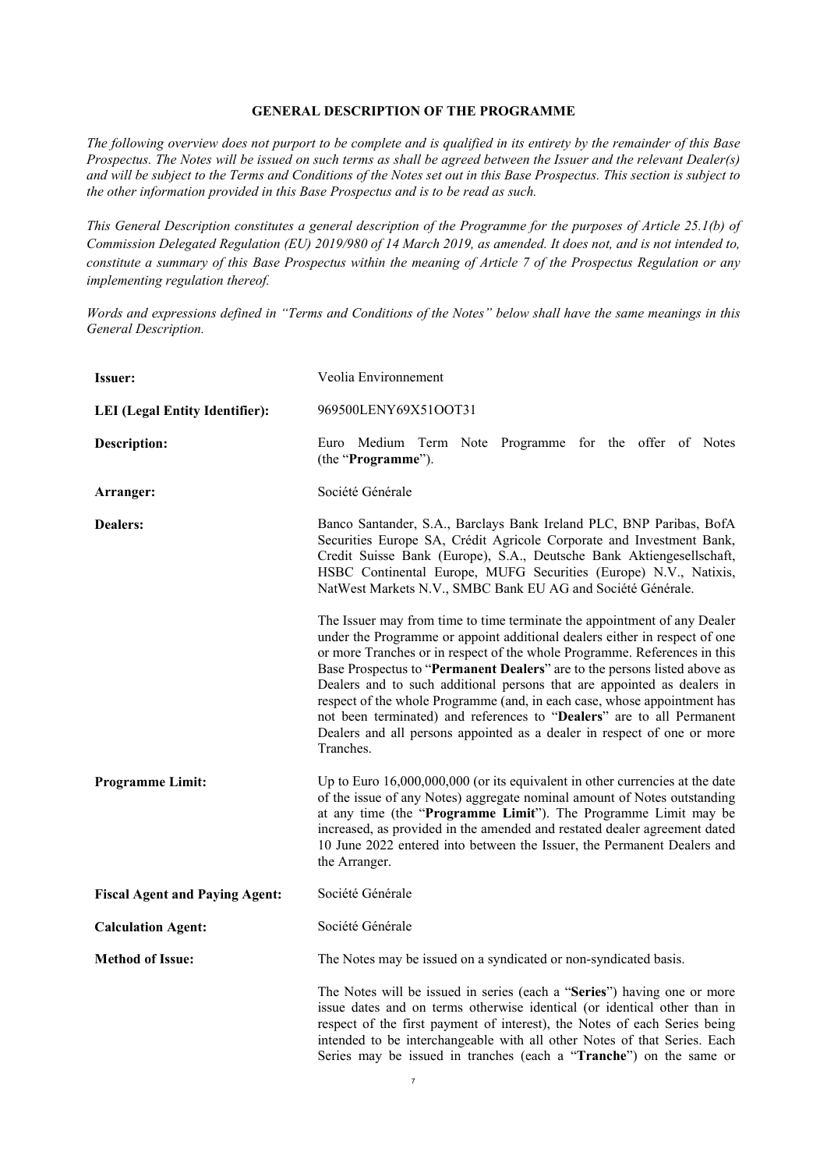### **GENERAL DESCRIPTION OF THE PROGRAMME**

<span id="page-6-0"></span>*The following overview does not purport to be complete and is qualified in its entirety by the remainder of this Base Prospectus. The Notes will be issued on such terms as shall be agreed between the Issuer and the relevant Dealer(s) and will be subject to the Terms and Conditions of the Notes set out in this Base Prospectus. This section is subject to the other information provided in this Base Prospectus and is to be read as such.*

*This General Description constitutes a general description of the Programme for the purposes of Article 25.1(b) of Commission Delegated Regulation (EU) 2019/980 of 14 March 2019, as amended. It does not, and is not intended to, constitute a summary of this Base Prospectus within the meaning of Article 7 of the Prospectus Regulation or any implementing regulation thereof.*

*Words and expressions defined in "Terms and Conditions of the Notes" below shall have the same meanings in this General Description.*

| <b>Issuer:</b>                        | Veolia Environnement                                                                                                                                                                                                                                                                                                                                                                                                                                                                                                                                                                                                                     |  |  |  |  |
|---------------------------------------|------------------------------------------------------------------------------------------------------------------------------------------------------------------------------------------------------------------------------------------------------------------------------------------------------------------------------------------------------------------------------------------------------------------------------------------------------------------------------------------------------------------------------------------------------------------------------------------------------------------------------------------|--|--|--|--|
| <b>LEI</b> (Legal Entity Identifier): | 969500LENY69X51OOT31                                                                                                                                                                                                                                                                                                                                                                                                                                                                                                                                                                                                                     |  |  |  |  |
| <b>Description:</b>                   | Euro Medium Term Note Programme for the offer of Notes<br>(the "Programme").                                                                                                                                                                                                                                                                                                                                                                                                                                                                                                                                                             |  |  |  |  |
| Arranger:                             | Société Générale                                                                                                                                                                                                                                                                                                                                                                                                                                                                                                                                                                                                                         |  |  |  |  |
| <b>Dealers:</b>                       | Banco Santander, S.A., Barclays Bank Ireland PLC, BNP Paribas, BofA<br>Securities Europe SA, Crédit Agricole Corporate and Investment Bank,<br>Credit Suisse Bank (Europe), S.A., Deutsche Bank Aktiengesellschaft,<br>HSBC Continental Europe, MUFG Securities (Europe) N.V., Natixis,<br>NatWest Markets N.V., SMBC Bank EU AG and Société Générale.                                                                                                                                                                                                                                                                                   |  |  |  |  |
|                                       | The Issuer may from time to time terminate the appointment of any Dealer<br>under the Programme or appoint additional dealers either in respect of one<br>or more Tranches or in respect of the whole Programme. References in this<br>Base Prospectus to "Permanent Dealers" are to the persons listed above as<br>Dealers and to such additional persons that are appointed as dealers in<br>respect of the whole Programme (and, in each case, whose appointment has<br>not been terminated) and references to "Dealers" are to all Permanent<br>Dealers and all persons appointed as a dealer in respect of one or more<br>Tranches. |  |  |  |  |
| <b>Programme Limit:</b>               | Up to Euro 16,000,000,000 (or its equivalent in other currencies at the date<br>of the issue of any Notes) aggregate nominal amount of Notes outstanding<br>at any time (the "Programme Limit"). The Programme Limit may be<br>increased, as provided in the amended and restated dealer agreement dated<br>10 June 2022 entered into between the Issuer, the Permanent Dealers and<br>the Arranger.                                                                                                                                                                                                                                     |  |  |  |  |
| <b>Fiscal Agent and Paying Agent:</b> | Société Générale                                                                                                                                                                                                                                                                                                                                                                                                                                                                                                                                                                                                                         |  |  |  |  |
| <b>Calculation Agent:</b>             | Société Générale                                                                                                                                                                                                                                                                                                                                                                                                                                                                                                                                                                                                                         |  |  |  |  |
| <b>Method of Issue:</b>               | The Notes may be issued on a syndicated or non-syndicated basis.                                                                                                                                                                                                                                                                                                                                                                                                                                                                                                                                                                         |  |  |  |  |
|                                       | The Notes will be issued in series (each a "Series") having one or more<br>issue dates and on terms otherwise identical (or identical other than in<br>respect of the first payment of interest), the Notes of each Series being<br>intended to be interchangeable with all other Notes of that Series. Each<br>Series may be issued in tranches (each a "Tranche") on the same or                                                                                                                                                                                                                                                       |  |  |  |  |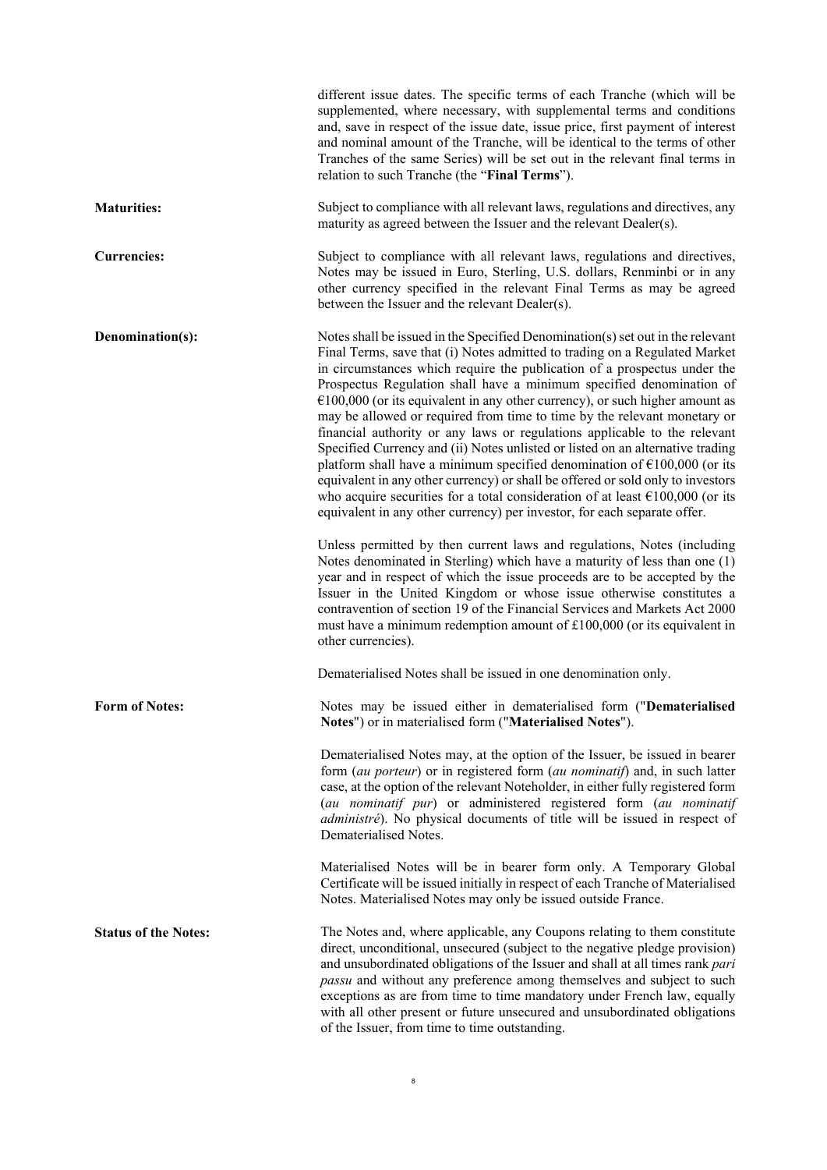|                             | different issue dates. The specific terms of each Tranche (which will be<br>supplemented, where necessary, with supplemental terms and conditions<br>and, save in respect of the issue date, issue price, first payment of interest<br>and nominal amount of the Tranche, will be identical to the terms of other<br>Tranches of the same Series) will be set out in the relevant final terms in<br>relation to such Tranche (the "Final Terms").                                                                                                                                                                                                                                                                                                                                                                                                                                                                                                                                                                                                                                                                                                                                                                                                                                                                                                                                                                                                                                                                                                            |
|-----------------------------|--------------------------------------------------------------------------------------------------------------------------------------------------------------------------------------------------------------------------------------------------------------------------------------------------------------------------------------------------------------------------------------------------------------------------------------------------------------------------------------------------------------------------------------------------------------------------------------------------------------------------------------------------------------------------------------------------------------------------------------------------------------------------------------------------------------------------------------------------------------------------------------------------------------------------------------------------------------------------------------------------------------------------------------------------------------------------------------------------------------------------------------------------------------------------------------------------------------------------------------------------------------------------------------------------------------------------------------------------------------------------------------------------------------------------------------------------------------------------------------------------------------------------------------------------------------|
| <b>Maturities:</b>          | Subject to compliance with all relevant laws, regulations and directives, any<br>maturity as agreed between the Issuer and the relevant Dealer(s).                                                                                                                                                                                                                                                                                                                                                                                                                                                                                                                                                                                                                                                                                                                                                                                                                                                                                                                                                                                                                                                                                                                                                                                                                                                                                                                                                                                                           |
| <b>Currencies:</b>          | Subject to compliance with all relevant laws, regulations and directives,<br>Notes may be issued in Euro, Sterling, U.S. dollars, Renminbi or in any<br>other currency specified in the relevant Final Terms as may be agreed<br>between the Issuer and the relevant Dealer(s).                                                                                                                                                                                                                                                                                                                                                                                                                                                                                                                                                                                                                                                                                                                                                                                                                                                                                                                                                                                                                                                                                                                                                                                                                                                                              |
| Denomination(s):            | Notes shall be issued in the Specified Denomination(s) set out in the relevant<br>Final Terms, save that (i) Notes admitted to trading on a Regulated Market<br>in circumstances which require the publication of a prospectus under the<br>Prospectus Regulation shall have a minimum specified denomination of<br>$€100,000$ (or its equivalent in any other currency), or such higher amount as<br>may be allowed or required from time to time by the relevant monetary or<br>financial authority or any laws or regulations applicable to the relevant<br>Specified Currency and (ii) Notes unlisted or listed on an alternative trading<br>platform shall have a minimum specified denomination of $\epsilon$ 100,000 (or its<br>equivalent in any other currency) or shall be offered or sold only to investors<br>who acquire securities for a total consideration of at least $\epsilon$ 100,000 (or its<br>equivalent in any other currency) per investor, for each separate offer.<br>Unless permitted by then current laws and regulations, Notes (including<br>Notes denominated in Sterling) which have a maturity of less than one (1)<br>year and in respect of which the issue proceeds are to be accepted by the<br>Issuer in the United Kingdom or whose issue otherwise constitutes a<br>contravention of section 19 of the Financial Services and Markets Act 2000<br>must have a minimum redemption amount of $£100,000$ (or its equivalent in<br>other currencies).<br>Dematerialised Notes shall be issued in one denomination only. |
| <b>Form of Notes:</b>       | Notes may be issued either in dematerialised form ("Dematerialised<br>Notes") or in materialised form ("Materialised Notes").                                                                                                                                                                                                                                                                                                                                                                                                                                                                                                                                                                                                                                                                                                                                                                                                                                                                                                                                                                                                                                                                                                                                                                                                                                                                                                                                                                                                                                |
|                             | Dematerialised Notes may, at the option of the Issuer, be issued in bearer<br>form (au porteur) or in registered form (au nominatif) and, in such latter<br>case, at the option of the relevant Noteholder, in either fully registered form<br>(au nominatif pur) or administered registered form (au nominatif<br>administré). No physical documents of title will be issued in respect of<br>Dematerialised Notes.                                                                                                                                                                                                                                                                                                                                                                                                                                                                                                                                                                                                                                                                                                                                                                                                                                                                                                                                                                                                                                                                                                                                         |
|                             | Materialised Notes will be in bearer form only. A Temporary Global<br>Certificate will be issued initially in respect of each Tranche of Materialised<br>Notes. Materialised Notes may only be issued outside France.                                                                                                                                                                                                                                                                                                                                                                                                                                                                                                                                                                                                                                                                                                                                                                                                                                                                                                                                                                                                                                                                                                                                                                                                                                                                                                                                        |
| <b>Status of the Notes:</b> | The Notes and, where applicable, any Coupons relating to them constitute<br>direct, unconditional, unsecured (subject to the negative pledge provision)<br>and unsubordinated obligations of the Issuer and shall at all times rank pari<br>passu and without any preference among themselves and subject to such<br>exceptions as are from time to time mandatory under French law, equally<br>with all other present or future unsecured and unsubordinated obligations<br>of the Issuer, from time to time outstanding.                                                                                                                                                                                                                                                                                                                                                                                                                                                                                                                                                                                                                                                                                                                                                                                                                                                                                                                                                                                                                                   |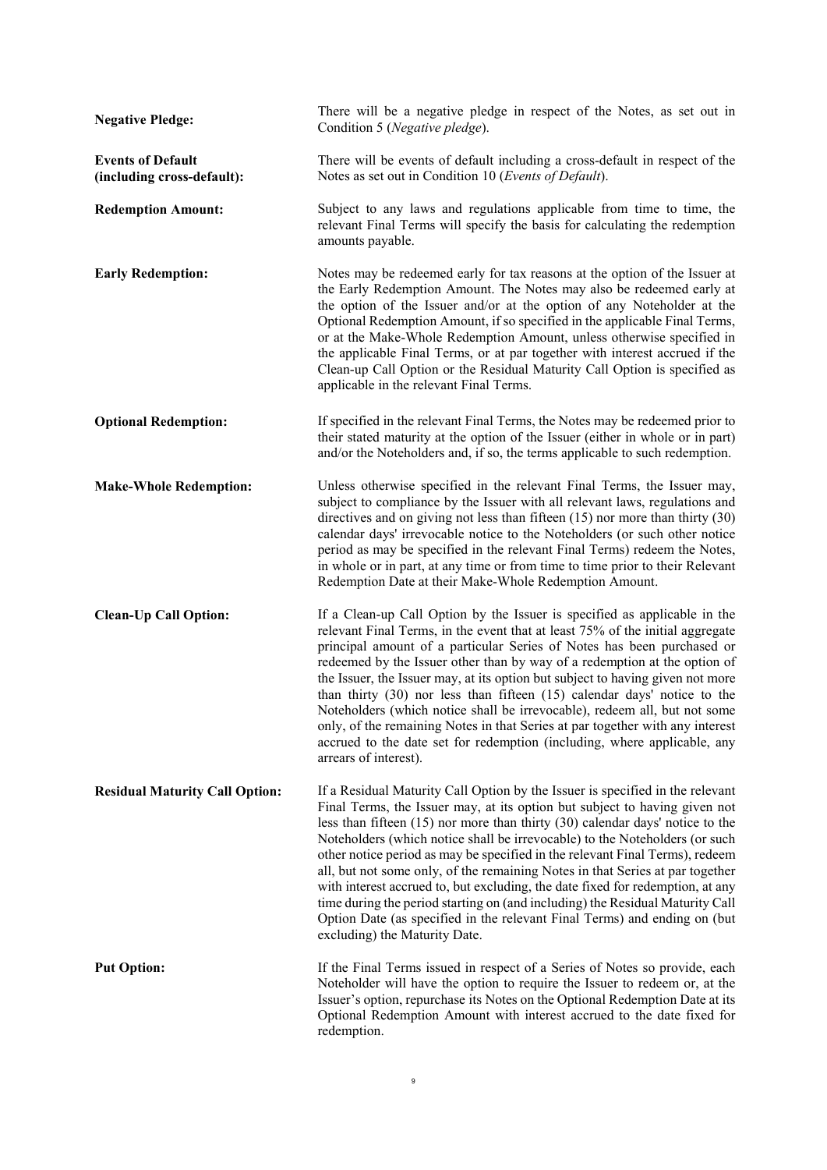| <b>Negative Pledge:</b>                                | There will be a negative pledge in respect of the Notes, as set out in<br>Condition 5 (Negative pledge).                                                                                                                                                                                                                                                                                                                                                                                                                                                                                                                                                                                                                                                                          |
|--------------------------------------------------------|-----------------------------------------------------------------------------------------------------------------------------------------------------------------------------------------------------------------------------------------------------------------------------------------------------------------------------------------------------------------------------------------------------------------------------------------------------------------------------------------------------------------------------------------------------------------------------------------------------------------------------------------------------------------------------------------------------------------------------------------------------------------------------------|
| <b>Events of Default</b><br>(including cross-default): | There will be events of default including a cross-default in respect of the<br>Notes as set out in Condition 10 (Events of Default).                                                                                                                                                                                                                                                                                                                                                                                                                                                                                                                                                                                                                                              |
| <b>Redemption Amount:</b>                              | Subject to any laws and regulations applicable from time to time, the<br>relevant Final Terms will specify the basis for calculating the redemption<br>amounts payable.                                                                                                                                                                                                                                                                                                                                                                                                                                                                                                                                                                                                           |
| <b>Early Redemption:</b>                               | Notes may be redeemed early for tax reasons at the option of the Issuer at<br>the Early Redemption Amount. The Notes may also be redeemed early at<br>the option of the Issuer and/or at the option of any Noteholder at the<br>Optional Redemption Amount, if so specified in the applicable Final Terms,<br>or at the Make-Whole Redemption Amount, unless otherwise specified in<br>the applicable Final Terms, or at par together with interest accrued if the<br>Clean-up Call Option or the Residual Maturity Call Option is specified as<br>applicable in the relevant Final Terms.                                                                                                                                                                                        |
| <b>Optional Redemption:</b>                            | If specified in the relevant Final Terms, the Notes may be redeemed prior to<br>their stated maturity at the option of the Issuer (either in whole or in part)<br>and/or the Noteholders and, if so, the terms applicable to such redemption.                                                                                                                                                                                                                                                                                                                                                                                                                                                                                                                                     |
| <b>Make-Whole Redemption:</b>                          | Unless otherwise specified in the relevant Final Terms, the Issuer may,<br>subject to compliance by the Issuer with all relevant laws, regulations and<br>directives and on giving not less than fifteen $(15)$ nor more than thirty $(30)$<br>calendar days' irrevocable notice to the Noteholders (or such other notice<br>period as may be specified in the relevant Final Terms) redeem the Notes,<br>in whole or in part, at any time or from time to time prior to their Relevant<br>Redemption Date at their Make-Whole Redemption Amount.                                                                                                                                                                                                                                 |
| <b>Clean-Up Call Option:</b>                           | If a Clean-up Call Option by the Issuer is specified as applicable in the<br>relevant Final Terms, in the event that at least 75% of the initial aggregate<br>principal amount of a particular Series of Notes has been purchased or<br>redeemed by the Issuer other than by way of a redemption at the option of<br>the Issuer, the Issuer may, at its option but subject to having given not more<br>than thirty (30) nor less than fifteen (15) calendar days' notice to the<br>Noteholders (which notice shall be irrevocable), redeem all, but not some<br>only, of the remaining Notes in that Series at par together with any interest<br>accrued to the date set for redemption (including, where applicable, any<br>arrears of interest).                                |
| <b>Residual Maturity Call Option:</b>                  | If a Residual Maturity Call Option by the Issuer is specified in the relevant<br>Final Terms, the Issuer may, at its option but subject to having given not<br>less than fifteen $(15)$ nor more than thirty $(30)$ calendar days' notice to the<br>Noteholders (which notice shall be irrevocable) to the Noteholders (or such<br>other notice period as may be specified in the relevant Final Terms), redeem<br>all, but not some only, of the remaining Notes in that Series at par together<br>with interest accrued to, but excluding, the date fixed for redemption, at any<br>time during the period starting on (and including) the Residual Maturity Call<br>Option Date (as specified in the relevant Final Terms) and ending on (but<br>excluding) the Maturity Date. |
| <b>Put Option:</b>                                     | If the Final Terms issued in respect of a Series of Notes so provide, each<br>Noteholder will have the option to require the Issuer to redeem or, at the<br>Issuer's option, repurchase its Notes on the Optional Redemption Date at its<br>Optional Redemption Amount with interest accrued to the date fixed for<br>redemption.                                                                                                                                                                                                                                                                                                                                                                                                                                                 |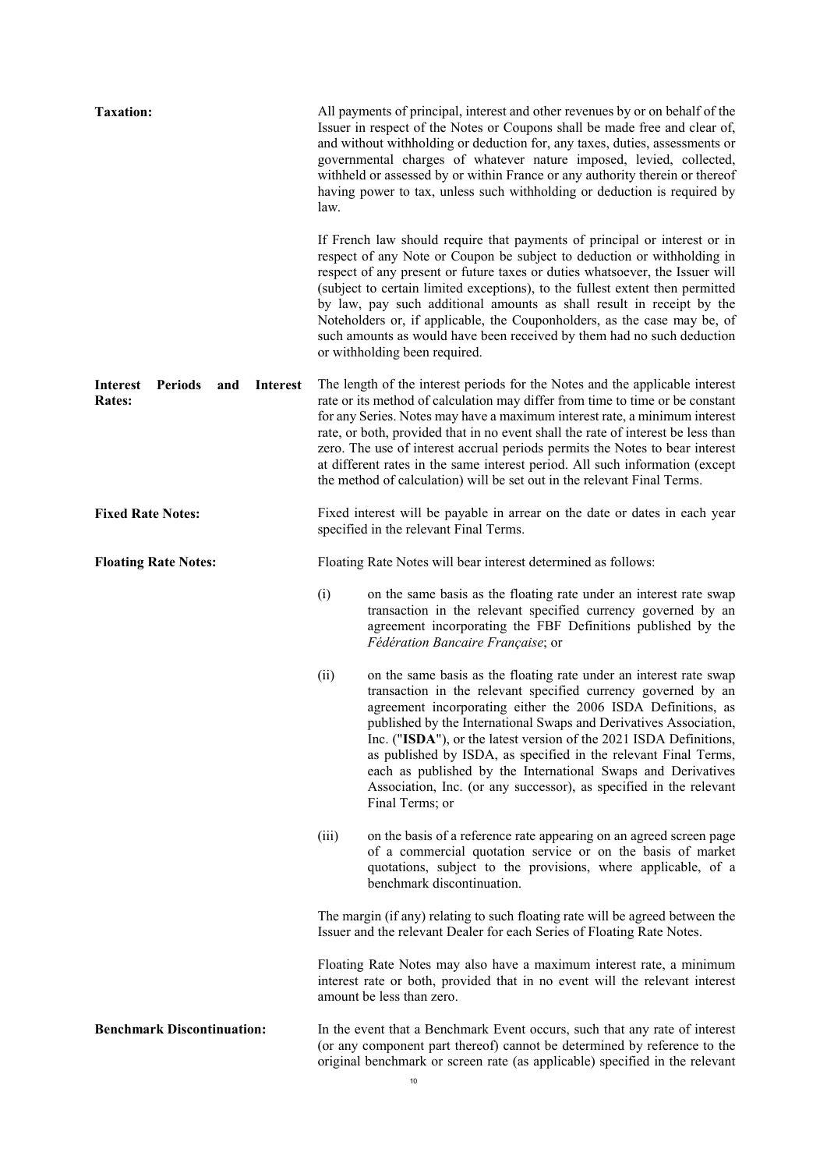| <b>Taxation:</b>                                                             | All payments of principal, interest and other revenues by or on behalf of the<br>Issuer in respect of the Notes or Coupons shall be made free and clear of,<br>and without withholding or deduction for, any taxes, duties, assessments or<br>governmental charges of whatever nature imposed, levied, collected,<br>withheld or assessed by or within France or any authority therein or thereof<br>having power to tax, unless such withholding or deduction is required by<br>law.                                                                                                 |  |  |  |
|------------------------------------------------------------------------------|---------------------------------------------------------------------------------------------------------------------------------------------------------------------------------------------------------------------------------------------------------------------------------------------------------------------------------------------------------------------------------------------------------------------------------------------------------------------------------------------------------------------------------------------------------------------------------------|--|--|--|
|                                                                              | If French law should require that payments of principal or interest or in<br>respect of any Note or Coupon be subject to deduction or withholding in<br>respect of any present or future taxes or duties whatsoever, the Issuer will<br>(subject to certain limited exceptions), to the fullest extent then permitted<br>by law, pay such additional amounts as shall result in receipt by the<br>Noteholders or, if applicable, the Couponholders, as the case may be, of<br>such amounts as would have been received by them had no such deduction<br>or withholding been required. |  |  |  |
| <b>Periods</b><br><b>Interest</b><br>and<br><b>Interest</b><br><b>Rates:</b> | The length of the interest periods for the Notes and the applicable interest<br>rate or its method of calculation may differ from time to time or be constant<br>for any Series. Notes may have a maximum interest rate, a minimum interest<br>rate, or both, provided that in no event shall the rate of interest be less than<br>zero. The use of interest accrual periods permits the Notes to bear interest<br>at different rates in the same interest period. All such information (except<br>the method of calculation) will be set out in the relevant Final Terms.            |  |  |  |
| <b>Fixed Rate Notes:</b>                                                     | Fixed interest will be payable in arrear on the date or dates in each year<br>specified in the relevant Final Terms.                                                                                                                                                                                                                                                                                                                                                                                                                                                                  |  |  |  |
| <b>Floating Rate Notes:</b>                                                  | Floating Rate Notes will bear interest determined as follows:                                                                                                                                                                                                                                                                                                                                                                                                                                                                                                                         |  |  |  |
|                                                                              | (i)<br>on the same basis as the floating rate under an interest rate swap<br>transaction in the relevant specified currency governed by an<br>agreement incorporating the FBF Definitions published by the<br>Fédération Bancaire Française; or                                                                                                                                                                                                                                                                                                                                       |  |  |  |
|                                                                              | (ii)<br>on the same basis as the floating rate under an interest rate swap<br>transaction in the relevant specified currency governed by an<br>agreement incorporating either the 2006 ISDA Definitions, as<br>published by the International Swaps and Derivatives Association,<br>Inc. ("ISDA"), or the latest version of the 2021 ISDA Definitions,<br>as published by ISDA, as specified in the relevant Final Terms,<br>each as published by the International Swaps and Derivatives<br>Association, Inc. (or any successor), as specified in the relevant<br>Final Terms; or    |  |  |  |
|                                                                              | (iii)<br>on the basis of a reference rate appearing on an agreed screen page<br>of a commercial quotation service or on the basis of market<br>quotations, subject to the provisions, where applicable, of a<br>benchmark discontinuation.                                                                                                                                                                                                                                                                                                                                            |  |  |  |
|                                                                              | The margin (if any) relating to such floating rate will be agreed between the<br>Issuer and the relevant Dealer for each Series of Floating Rate Notes.                                                                                                                                                                                                                                                                                                                                                                                                                               |  |  |  |
|                                                                              | Floating Rate Notes may also have a maximum interest rate, a minimum<br>interest rate or both, provided that in no event will the relevant interest<br>amount be less than zero.                                                                                                                                                                                                                                                                                                                                                                                                      |  |  |  |
| <b>Benchmark Discontinuation:</b>                                            | In the event that a Benchmark Event occurs, such that any rate of interest<br>(or any component part thereof) cannot be determined by reference to the<br>original benchmark or screen rate (as applicable) specified in the relevant                                                                                                                                                                                                                                                                                                                                                 |  |  |  |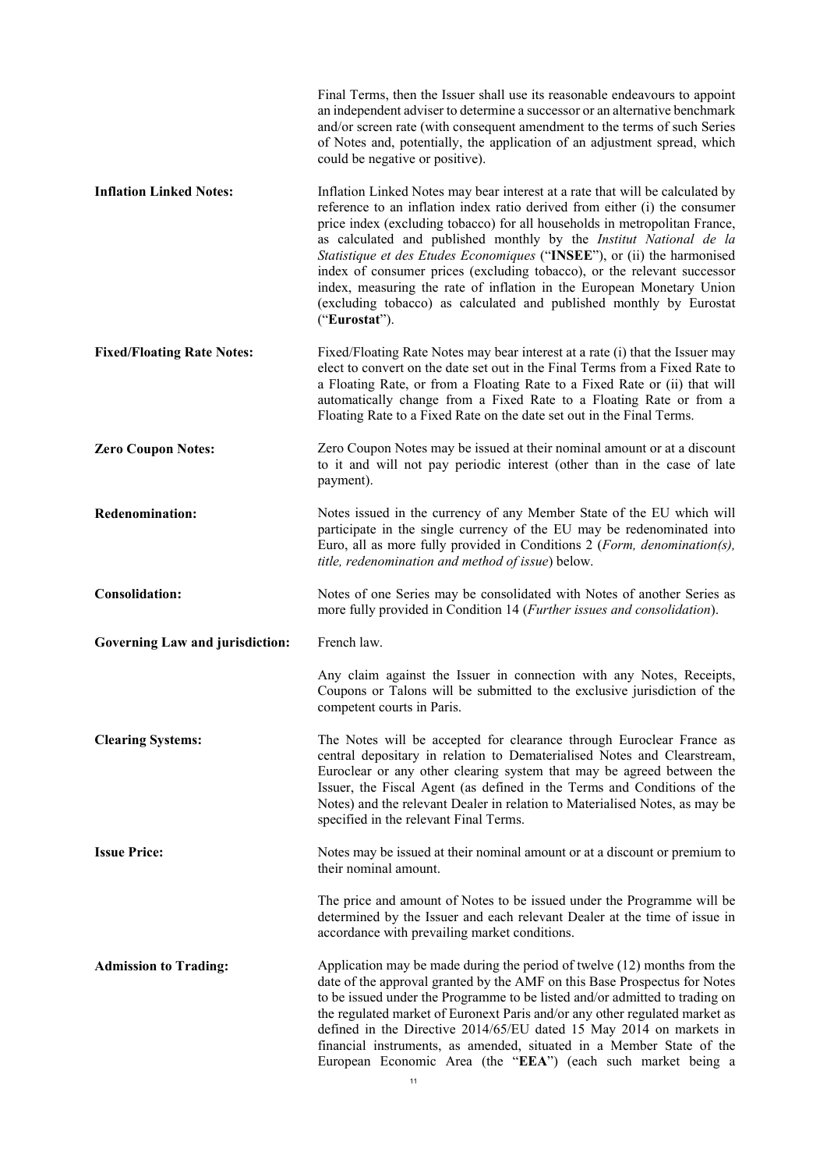|                                        | Final Terms, then the Issuer shall use its reasonable endeavours to appoint<br>an independent adviser to determine a successor or an alternative benchmark<br>and/or screen rate (with consequent amendment to the terms of such Series<br>of Notes and, potentially, the application of an adjustment spread, which<br>could be negative or positive).                                                                                                                                                                                                                                                                                |
|----------------------------------------|----------------------------------------------------------------------------------------------------------------------------------------------------------------------------------------------------------------------------------------------------------------------------------------------------------------------------------------------------------------------------------------------------------------------------------------------------------------------------------------------------------------------------------------------------------------------------------------------------------------------------------------|
| <b>Inflation Linked Notes:</b>         | Inflation Linked Notes may bear interest at a rate that will be calculated by<br>reference to an inflation index ratio derived from either (i) the consumer<br>price index (excluding tobacco) for all households in metropolitan France,<br>as calculated and published monthly by the Institut National de la<br>Statistique et des Etudes Economiques ("INSEE"), or (ii) the harmonised<br>index of consumer prices (excluding tobacco), or the relevant successor<br>index, measuring the rate of inflation in the European Monetary Union<br>(excluding tobacco) as calculated and published monthly by Eurostat<br>("Eurostat"). |
| <b>Fixed/Floating Rate Notes:</b>      | Fixed/Floating Rate Notes may bear interest at a rate (i) that the Issuer may<br>elect to convert on the date set out in the Final Terms from a Fixed Rate to<br>a Floating Rate, or from a Floating Rate to a Fixed Rate or (ii) that will<br>automatically change from a Fixed Rate to a Floating Rate or from a<br>Floating Rate to a Fixed Rate on the date set out in the Final Terms.                                                                                                                                                                                                                                            |
| <b>Zero Coupon Notes:</b>              | Zero Coupon Notes may be issued at their nominal amount or at a discount<br>to it and will not pay periodic interest (other than in the case of late<br>payment).                                                                                                                                                                                                                                                                                                                                                                                                                                                                      |
| <b>Redenomination:</b>                 | Notes issued in the currency of any Member State of the EU which will<br>participate in the single currency of the EU may be redenominated into<br>Euro, all as more fully provided in Conditions 2 (Form, denomination(s),<br>title, redenomination and method of issue) below.                                                                                                                                                                                                                                                                                                                                                       |
| <b>Consolidation:</b>                  | Notes of one Series may be consolidated with Notes of another Series as<br>more fully provided in Condition 14 (Further issues and consolidation).                                                                                                                                                                                                                                                                                                                                                                                                                                                                                     |
| <b>Governing Law and jurisdiction:</b> | French law.                                                                                                                                                                                                                                                                                                                                                                                                                                                                                                                                                                                                                            |
|                                        | Any claim against the Issuer in connection with any Notes, Receipts,<br>Coupons or Talons will be submitted to the exclusive jurisdiction of the<br>competent courts in Paris.                                                                                                                                                                                                                                                                                                                                                                                                                                                         |
| <b>Clearing Systems:</b>               | The Notes will be accepted for clearance through Euroclear France as<br>central depositary in relation to Dematerialised Notes and Clearstream,<br>Euroclear or any other clearing system that may be agreed between the<br>Issuer, the Fiscal Agent (as defined in the Terms and Conditions of the<br>Notes) and the relevant Dealer in relation to Materialised Notes, as may be<br>specified in the relevant Final Terms.                                                                                                                                                                                                           |
| <b>Issue Price:</b>                    | Notes may be issued at their nominal amount or at a discount or premium to<br>their nominal amount.                                                                                                                                                                                                                                                                                                                                                                                                                                                                                                                                    |
|                                        | The price and amount of Notes to be issued under the Programme will be<br>determined by the Issuer and each relevant Dealer at the time of issue in<br>accordance with prevailing market conditions.                                                                                                                                                                                                                                                                                                                                                                                                                                   |
| <b>Admission to Trading:</b>           | Application may be made during the period of twelve $(12)$ months from the<br>date of the approval granted by the AMF on this Base Prospectus for Notes<br>to be issued under the Programme to be listed and/or admitted to trading on<br>the regulated market of Euronext Paris and/or any other regulated market as<br>defined in the Directive 2014/65/EU dated 15 May 2014 on markets in<br>financial instruments, as amended, situated in a Member State of the<br>European Economic Area (the "EEA") (each such market being a                                                                                                   |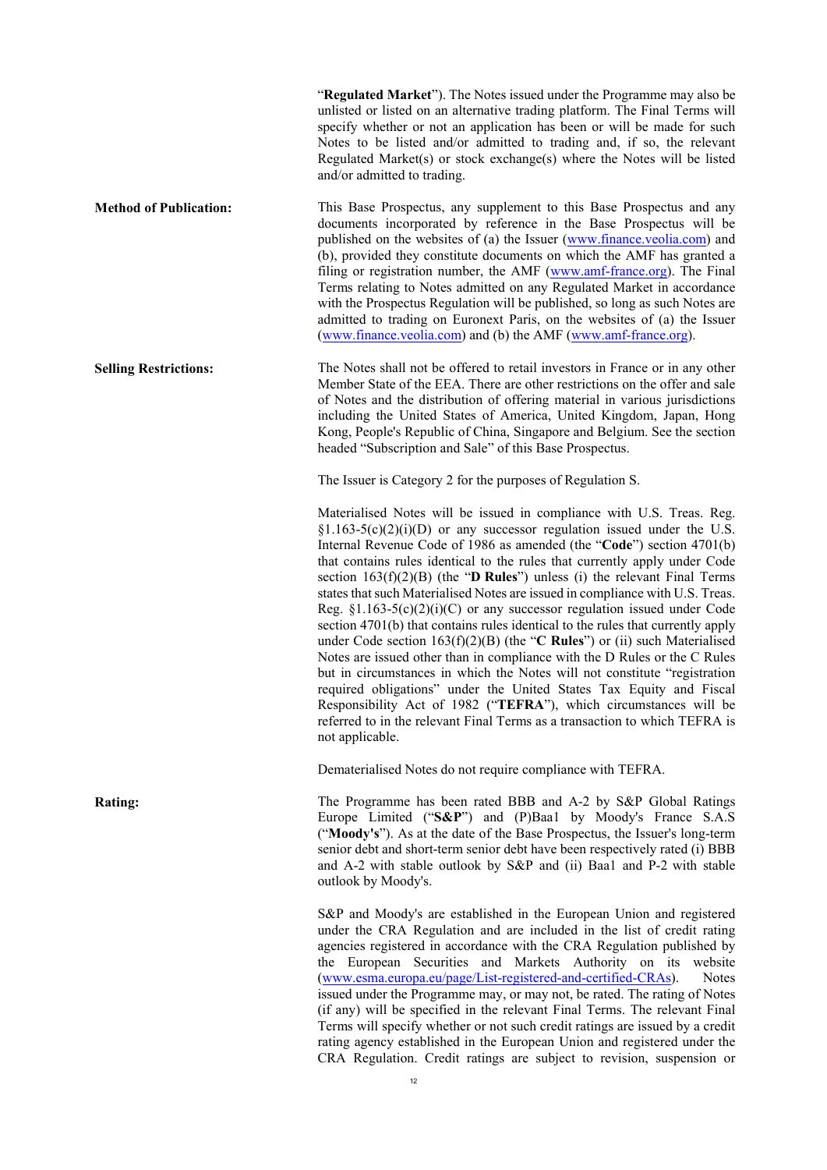"**Regulated Market**"). The Notes issued under the Programme may also be unlisted or listed on an alternative trading platform. The Final Terms will specify whether or not an application has been or will be made for such Notes to be listed and/or admitted to trading and, if so, the relevant Regulated Market(s) or stock exchange(s) where the Notes will be listed and/or admitted to trading.

**Method of Publication:** This Base Prospectus, any supplement to this Base Prospectus and any documents incorporated by reference in the Base Prospectus will be published on the websites of (a) the Issuer (www.finance.veolia.com) and (b), provided they constitute documents on which the AMF has granted a filing or registration number, the AMF [\(www.amf-france.org](http://www.amf-france.org/)). The Final Terms relating to Notes admitted on any Regulated Market in accordance with the Prospectus Regulation will be published, so long as such Notes are admitted to trading on Euronext Paris, on the websites of (a) the Issuer [\(www.finance.veolia.com](http://www.finance.veolia.com/)) and (b) the AMF [\(www.amf-france.org](http://www.amf-france.org/)).

**Selling Restrictions:** The Notes shall not be offered to retail investors in France or in any other Member State of the EEA. There are other restrictions on the offer and sale of Notes and the distribution of offering material in various jurisdictions including the United States of America, United Kingdom, Japan, Hong Kong, People's Republic of China, Singapore and Belgium. See the section headed "Subscription and Sale" of this Base Prospectus.

The Issuer is Category 2 for the purposes of Regulation S.

Materialised Notes will be issued in compliance with U.S. Treas. Reg.  $§1.163-5(c)(2)(i)(D)$  or any successor regulation issued under the U.S. Internal Revenue Code of 1986 as amended (the "**Code**") section 4701(b) that contains rules identical to the rules that currently apply under Code section 163(f)(2)(B) (the "**D Rules**") unless (i) the relevant Final Terms states that such Materialised Notes are issued in compliance with U.S. Treas. Reg.  $\S1.163-5(c)(2)(i)(C)$  or any successor regulation issued under Code section 4701(b) that contains rules identical to the rules that currently apply under Code section 163(f)(2)(B) (the "**C Rules**") or (ii) such Materialised Notes are issued other than in compliance with the D Rules or the C Rules but in circumstances in which the Notes will not constitute "registration required obligations" under the United States Tax Equity and Fiscal Responsibility Act of 1982 ("**TEFRA**"), which circumstances will be referred to in the relevant Final Terms as a transaction to which TEFRA is not applicable.

Dematerialised Notes do not require compliance with TEFRA.

**Rating:** The Programme has been rated BBB and A-2 by S&P Global Ratings Europe Limited ("**S&P**") and (P)Baa1 by Moody's France S.A.S ("**Moody's**"). As at the date of the Base Prospectus, the Issuer's long-term senior debt and short-term senior debt have been respectively rated (i) BBB and A-2 with stable outlook by S&P and (ii) Baa1 and P-2 with stable outlook by Moody's.

> S&P and Moody's are established in the European Union and registered under the CRA Regulation and are included in the list of credit rating agencies registered in accordance with the CRA Regulation published by the European Securities and Markets Authority on its website (www.esma.europa.eu/page/List-registered-and-certified-CRAs). Notes issued under the Programme may, or may not, be rated. The rating of Notes (if any) will be specified in the relevant Final Terms. The relevant Final Terms will specify whether or not such credit ratings are issued by a credit rating agency established in the European Union and registered under the CRA Regulation. Credit ratings are subject to revision, suspension or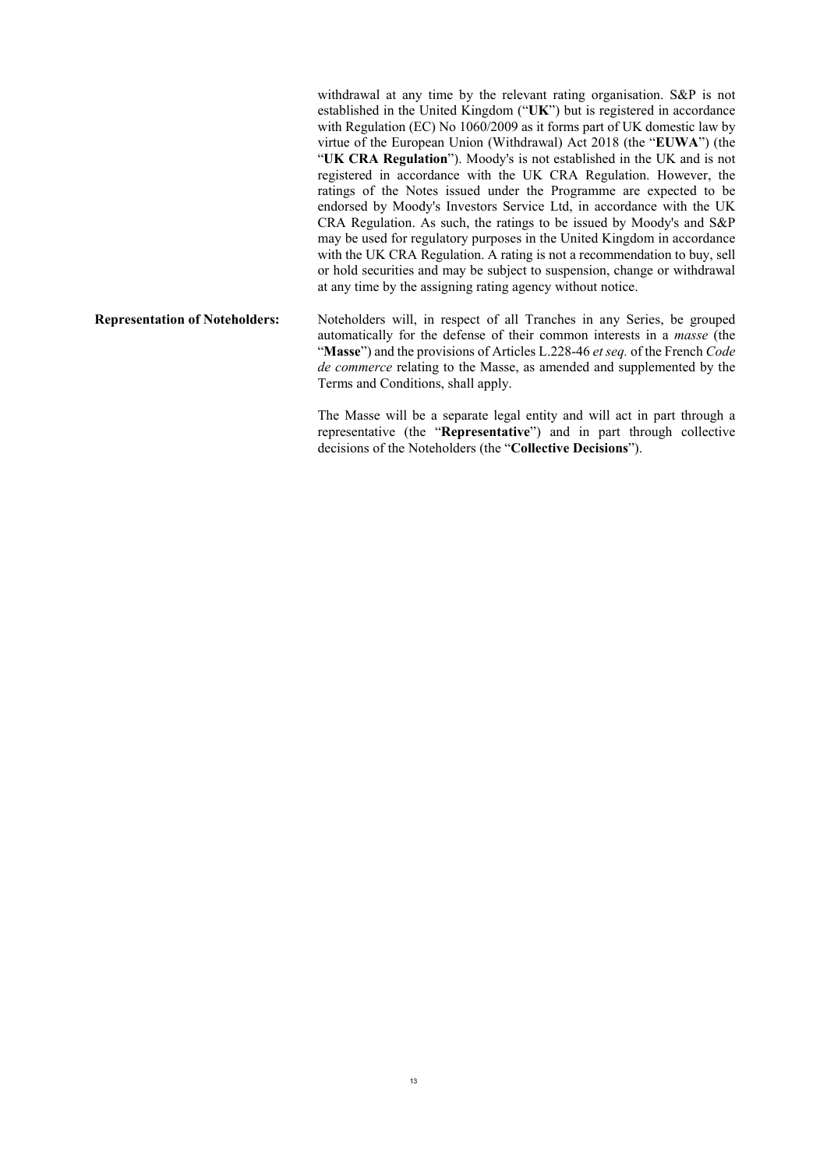withdrawal at any time by the relevant rating organisation. S&P is not established in the United Kingdom ("**UK**") but is registered in accordance with Regulation (EC) No 1060/2009 as it forms part of UK domestic law by virtue of the European Union (Withdrawal) Act 2018 (the "**EUWA**") (the "**UK CRA Regulation**"). Moody's is not established in the UK and is not registered in accordance with the UK CRA Regulation. However, the ratings of the Notes issued under the Programme are expected to be endorsed by Moody's Investors Service Ltd, in accordance with the UK CRA Regulation. As such, the ratings to be issued by Moody's and S&P may be used for regulatory purposes in the United Kingdom in accordance with the UK CRA Regulation. A rating is not a recommendation to buy, sell or hold securities and may be subject to suspension, change or withdrawal at any time by the assigning rating agency without notice.

**Representation of Noteholders:** Noteholders will, in respect of all Tranches in any Series, be grouped automatically for the defense of their common interests in a *masse* (the "**Masse**") and the provisions of Articles L.228-46 *et seq.* of the French *Code de commerce* relating to the Masse, as amended and supplemented by the Terms and Conditions, shall apply.

> The Masse will be a separate legal entity and will act in part through a representative (the "**Representative**") and in part through collective decisions of the Noteholders (the "**Collective Decisions**").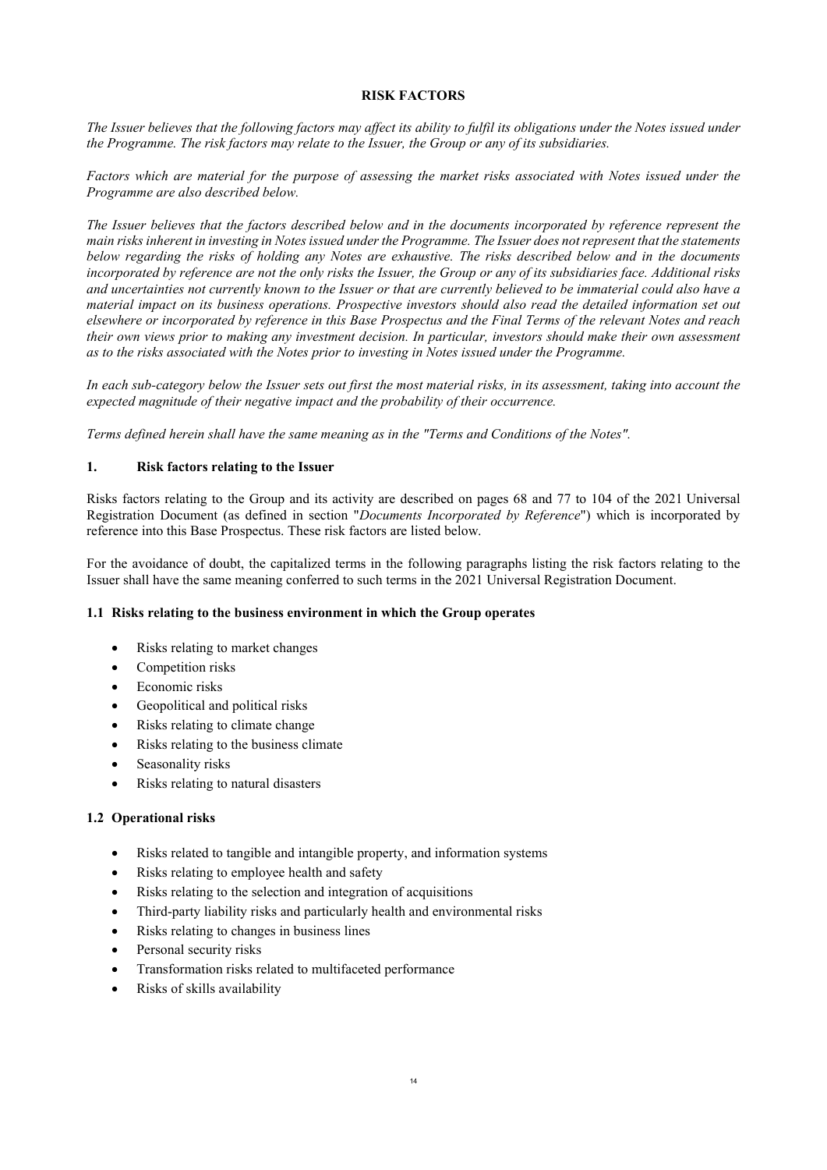### **RISK FACTORS**

<span id="page-13-0"></span>*The Issuer believes that the following factors may affect its ability to fulfil its obligations under the Notes issued under the Programme. The risk factors may relate to the Issuer, the Group or any of its subsidiaries.*

*Factors which are material for the purpose of assessing the market risks associated with Notes issued under the Programme are also described below.*

*The Issuer believes that the factors described below and in the documents incorporated by reference represent the main risks inherent in investing in Notes issued under the Programme. The Issuer does not represent that the statements below regarding the risks of holding any Notes are exhaustive. The risks described below and in the documents incorporated by reference are not the only risks the Issuer, the Group or any of its subsidiaries face. Additional risks and uncertainties not currently known to the Issuer or that are currently believed to be immaterial could also have a material impact on its business operations. Prospective investors should also read the detailed information set out elsewhere or incorporated by reference in this Base Prospectus and the Final Terms of the relevant Notes and reach their own views prior to making any investment decision. In particular, investors should make their own assessment as to the risks associated with the Notes prior to investing in Notes issued under the Programme.*

*In each sub-category below the Issuer sets out first the most material risks, in its assessment, taking into account the expected magnitude of their negative impact and the probability of their occurrence.* 

*Terms defined herein shall have the same meaning as in the "Terms and Conditions of the Notes".*

### **1. Risk factors relating to the Issuer**

Risks factors relating to the Group and its activity are described on pages 68 and 77 to 104 of the 2021 Universal Registration Document (as defined in section "*Documents Incorporated by Reference*") which is incorporated by reference into this Base Prospectus. These risk factors are listed below.

For the avoidance of doubt, the capitalized terms in the following paragraphs listing the risk factors relating to the Issuer shall have the same meaning conferred to such terms in the 2021 Universal Registration Document.

### **1.1 Risks relating to the business environment in which the Group operates**

- Risks relating to market changes
- Competition risks
- Economic risks
- Geopolitical and political risks
- Risks relating to climate change
- Risks relating to the business climate
- Seasonality risks
- Risks relating to natural disasters

### **1.2 Operational risks**

- Risks related to tangible and intangible property, and information systems
- Risks relating to employee health and safety
- Risks relating to the selection and integration of acquisitions
- Third-party liability risks and particularly health and environmental risks
- Risks relating to changes in business lines
- Personal security risks
- Transformation risks related to multifaceted performance
- Risks of skills availability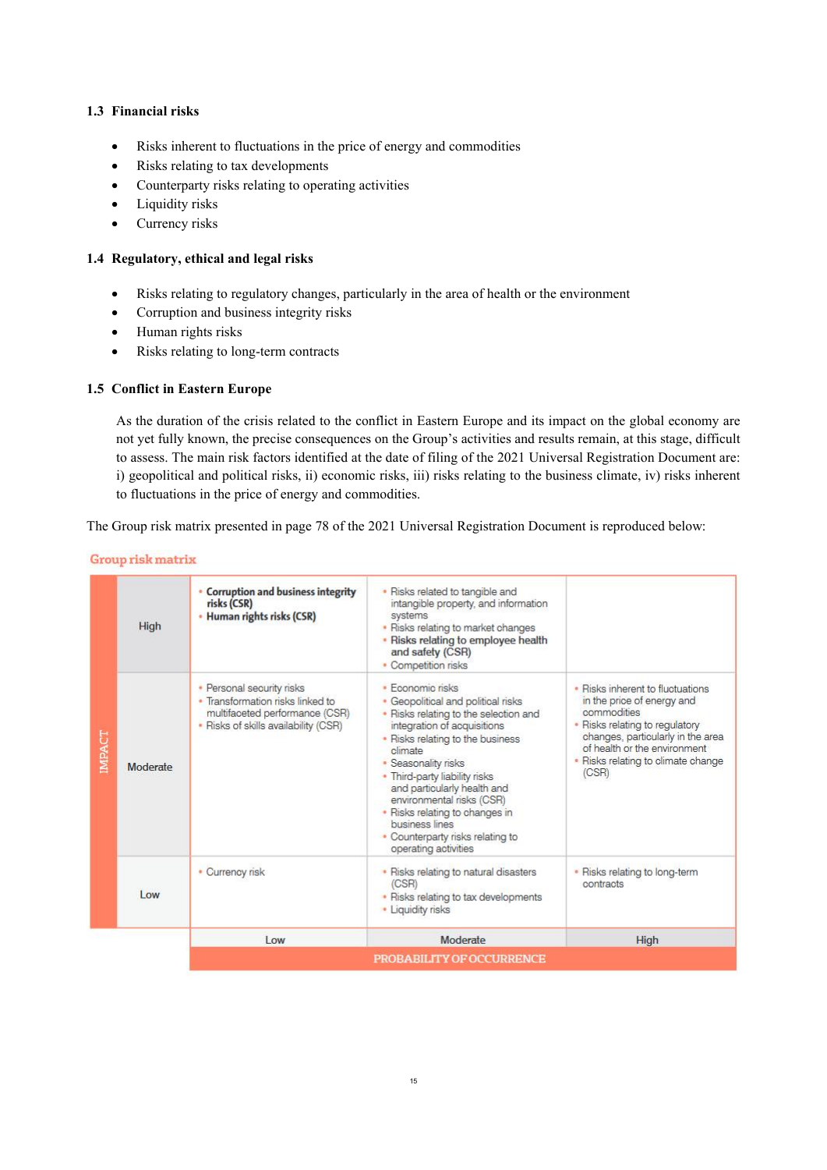# **1.3 Financial risks**

- Risks inherent to fluctuations in the price of energy and commodities
- Risks relating to tax developments
- Counterparty risks relating to operating activities
- Liquidity risks
- Currency risks

### **1.4 Regulatory, ethical and legal risks**

- Risks relating to regulatory changes, particularly in the area of health or the environment
- Corruption and business integrity risks
- Human rights risks
- Risks relating to long-term contracts

# **1.5 Conflict in Eastern Europe**

As the duration of the crisis related to the conflict in Eastern Europe and its impact on the global economy are not yet fully known, the precise consequences on the Group's activities and results remain, at this stage, difficult to assess. The main risk factors identified at the date of filing of the 2021 Universal Registration Document are: i) geopolitical and political risks, ii) economic risks, iii) risks relating to the business climate, iv) risks inherent to fluctuations in the price of energy and commodities.

The Group risk matrix presented in page 78 of the 2021 Universal Registration Document is reproduced below:

| Group risk matrix |  |  |  |  |
|-------------------|--|--|--|--|
|                   |  |  |  |  |

|              | High     | <b>Corruption and business integrity</b><br>risks (CSR)<br>• Human rights risks (CSR)                                                   | • Risks related to tangible and<br>intangible property, and information<br>systems<br>• Risks relating to market changes<br>. Risks relating to employee health<br>and safety (CSR)<br>• Competition risks                                                                                                                                                                                                      |                                                                                                                                                                                                                                     |  |
|--------------|----------|-----------------------------------------------------------------------------------------------------------------------------------------|-----------------------------------------------------------------------------------------------------------------------------------------------------------------------------------------------------------------------------------------------------------------------------------------------------------------------------------------------------------------------------------------------------------------|-------------------------------------------------------------------------------------------------------------------------------------------------------------------------------------------------------------------------------------|--|
| <b>MPACT</b> | Moderate | • Personal security risks<br>• Transformation risks linked to<br>multifaceted performance (CSR)<br>• Risks of skills availability (CSR) | · Fconomic risks<br>Geopolitical and political risks<br>• Risks relating to the selection and<br>integration of acquisitions<br>• Risks relating to the business<br>climate<br>· Seasonality risks<br>. Third-party liability risks<br>and particularly health and<br>environmental risks (CSR)<br>• Risks relating to changes in<br>business lines<br>• Counterparty risks relating to<br>operating activities | · Risks inherent to fluctuations<br>in the price of energy and<br>commodities<br>• Risks relating to regulatory<br>changes, particularly in the area<br>of health or the environment<br>· Risks relating to climate change<br>(CSR) |  |
|              | Low      | • Currency risk                                                                                                                         | • Risks relating to natural disasters<br>(CSR)<br>• Risks relating to tax developments<br>• Liquidity risks                                                                                                                                                                                                                                                                                                     | · Risks relating to long-term<br>contracts                                                                                                                                                                                          |  |
|              |          | $_{low}$                                                                                                                                | Moderate                                                                                                                                                                                                                                                                                                                                                                                                        | High                                                                                                                                                                                                                                |  |
|              |          | <b>PROBABILITY OF OCCURRENCE</b>                                                                                                        |                                                                                                                                                                                                                                                                                                                                                                                                                 |                                                                                                                                                                                                                                     |  |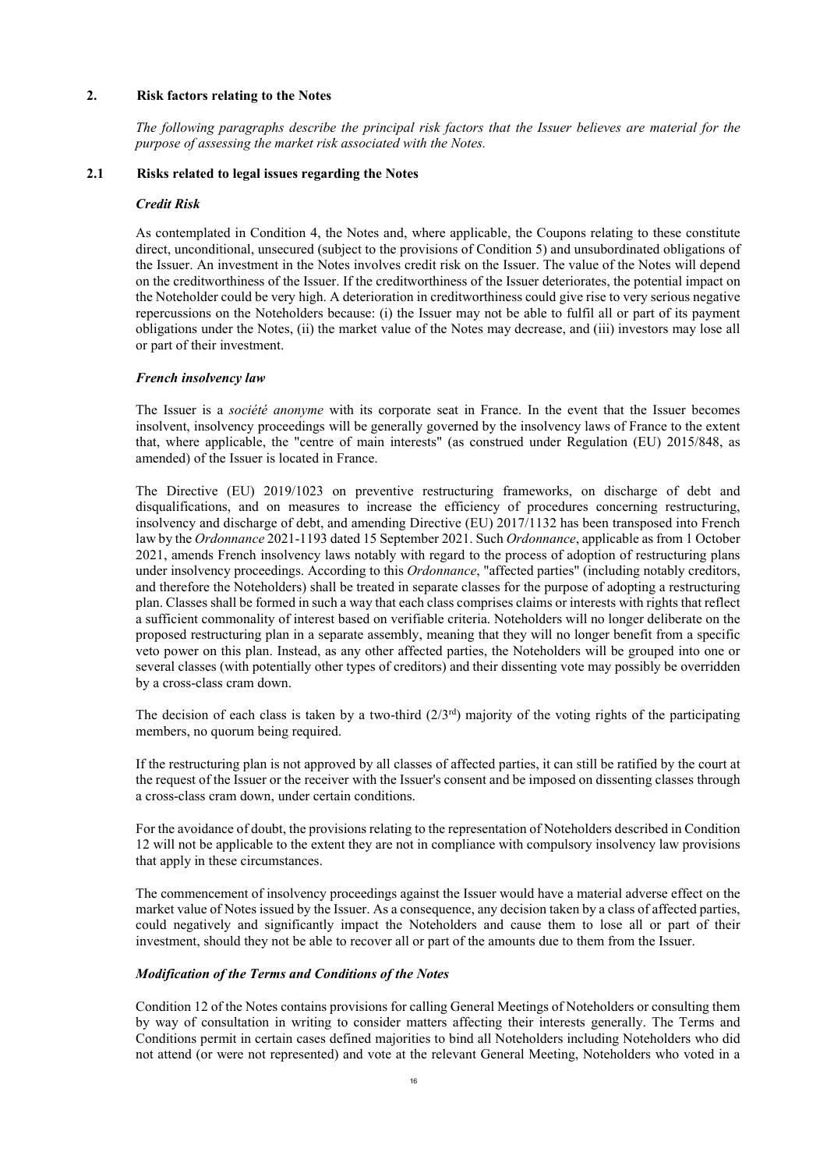### **2. Risk factors relating to the Notes**

*The following paragraphs describe the principal risk factors that the Issuer believes are material for the purpose of assessing the market risk associated with the Notes.* 

### **2.1 Risks related to legal issues regarding the Notes**

### *Credit Risk*

As contemplated in Condition 4, the Notes and, where applicable, the Coupons relating to these constitute direct, unconditional, unsecured (subject to the provisions of Condition 5) and unsubordinated obligations of the Issuer. An investment in the Notes involves credit risk on the Issuer. The value of the Notes will depend on the creditworthiness of the Issuer. If the creditworthiness of the Issuer deteriorates, the potential impact on the Noteholder could be very high. A deterioration in creditworthiness could give rise to very serious negative repercussions on the Noteholders because: (i) the Issuer may not be able to fulfil all or part of its payment obligations under the Notes, (ii) the market value of the Notes may decrease, and (iii) investors may lose all or part of their investment.

### *French insolvency law*

The Issuer is a *société anonyme* with its corporate seat in France. In the event that the Issuer becomes insolvent, insolvency proceedings will be generally governed by the insolvency laws of France to the extent that, where applicable, the "centre of main interests" (as construed under Regulation (EU) 2015/848, as amended) of the Issuer is located in France.

The Directive (EU) 2019/1023 on preventive restructuring frameworks, on discharge of debt and disqualifications, and on measures to increase the efficiency of procedures concerning restructuring, insolvency and discharge of debt, and amending Directive (EU) 2017/1132 has been transposed into French law by the *Ordonnance* 2021-1193 dated 15 September 2021. Such *Ordonnance*, applicable as from 1 October 2021, amends French insolvency laws notably with regard to the process of adoption of restructuring plans under insolvency proceedings. According to this *Ordonnance*, "affected parties" (including notably creditors, and therefore the Noteholders) shall be treated in separate classes for the purpose of adopting a restructuring plan. Classes shall be formed in such a way that each class comprises claims or interests with rights that reflect a sufficient commonality of interest based on verifiable criteria. Noteholders will no longer deliberate on the proposed restructuring plan in a separate assembly, meaning that they will no longer benefit from a specific veto power on this plan. Instead, as any other affected parties, the Noteholders will be grouped into one or several classes (with potentially other types of creditors) and their dissenting vote may possibly be overridden by a cross-class cram down.

The decision of each class is taken by a two-third  $(2/3<sup>rd</sup>)$  majority of the voting rights of the participating members, no quorum being required.

If the restructuring plan is not approved by all classes of affected parties, it can still be ratified by the court at the request of the Issuer or the receiver with the Issuer's consent and be imposed on dissenting classes through a cross-class cram down, under certain conditions.

For the avoidance of doubt, the provisions relating to the representation of Noteholders described in Condition 12 will not be applicable to the extent they are not in compliance with compulsory insolvency law provisions that apply in these circumstances.

The commencement of insolvency proceedings against the Issuer would have a material adverse effect on the market value of Notes issued by the Issuer. As a consequence, any decision taken by a class of affected parties, could negatively and significantly impact the Noteholders and cause them to lose all or part of their investment, should they not be able to recover all or part of the amounts due to them from the Issuer.

### *Modification of the Terms and Conditions of the Notes*

Condition 12 of the Notes contains provisions for calling General Meetings of Noteholders or consulting them by way of consultation in writing to consider matters affecting their interests generally. The Terms and Conditions permit in certain cases defined majorities to bind all Noteholders including Noteholders who did not attend (or were not represented) and vote at the relevant General Meeting, Noteholders who voted in a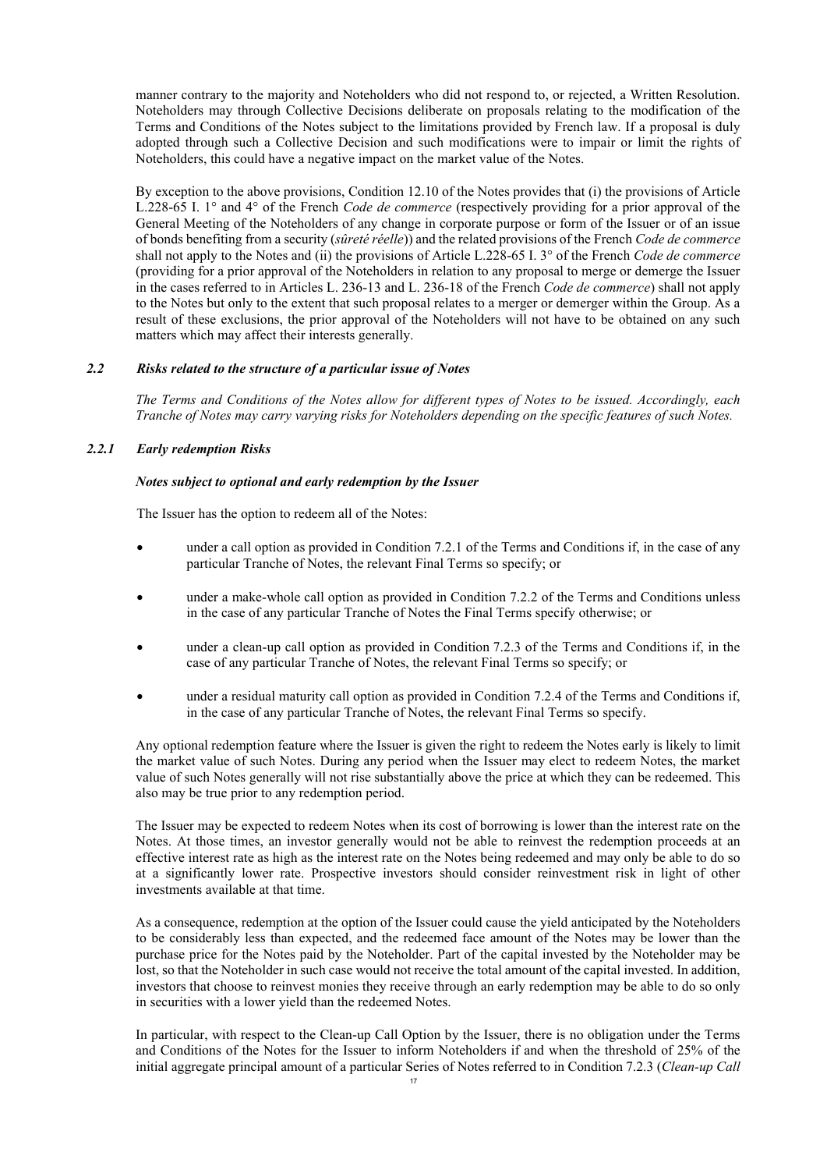manner contrary to the majority and Noteholders who did not respond to, or rejected, a Written Resolution. Noteholders may through Collective Decisions deliberate on proposals relating to the modification of the Terms and Conditions of the Notes subject to the limitations provided by French law. If a proposal is duly adopted through such a Collective Decision and such modifications were to impair or limit the rights of Noteholders, this could have a negative impact on the market value of the Notes.

By exception to the above provisions, Condition 12.10 of the Notes provides that (i) the provisions of Article L.228-65 I. 1° and 4° of the French *Code de commerce* (respectively providing for a prior approval of the General Meeting of the Noteholders of any change in corporate purpose or form of the Issuer or of an issue of bonds benefiting from a security (*sûreté réelle*)) and the related provisions of the French *Code de commerce* shall not apply to the Notes and (ii) the provisions of Article L.228-65 I. 3° of the French *Code de commerce* (providing for a prior approval of the Noteholders in relation to any proposal to merge or demerge the Issuer in the cases referred to in Articles L. 236-13 and L. 236-18 of the French *Code de commerce*) shall not apply to the Notes but only to the extent that such proposal relates to a merger or demerger within the Group. As a result of these exclusions, the prior approval of the Noteholders will not have to be obtained on any such matters which may affect their interests generally.

### *2.2 Risks related to the structure of a particular issue of Notes*

*The Terms and Conditions of the Notes allow for different types of Notes to be issued. Accordingly, each Tranche of Notes may carry varying risks for Noteholders depending on the specific features of such Notes.*

# *2.2.1 Early redemption Risks*

#### *Notes subject to optional and early redemption by the Issuer*

The Issuer has the option to redeem all of the Notes:

- under a call option as provided in Condition [7.2.1](#page-68-0) of the Terms and Conditions if, in the case of any particular Tranche of Notes, the relevant Final Terms so specify; or
- under a make-whole call option as provided in Condition [7.2.2](#page-68-1) of the Terms and Conditions unless in the case of any particular Tranche of Notes the Final Terms specify otherwise; or
- under a clean-up call option as provided in Condition 7.2.3 of the Terms and Conditions if, in the case of any particular Tranche of Notes, the relevant Final Terms so specify; or
- under a residual maturity call option as provided in Condition 7.2.4 of the Terms and Conditions if, in the case of any particular Tranche of Notes, the relevant Final Terms so specify.

Any optional redemption feature where the Issuer is given the right to redeem the Notes early is likely to limit the market value of such Notes. During any period when the Issuer may elect to redeem Notes, the market value of such Notes generally will not rise substantially above the price at which they can be redeemed. This also may be true prior to any redemption period.

The Issuer may be expected to redeem Notes when its cost of borrowing is lower than the interest rate on the Notes. At those times, an investor generally would not be able to reinvest the redemption proceeds at an effective interest rate as high as the interest rate on the Notes being redeemed and may only be able to do so at a significantly lower rate. Prospective investors should consider reinvestment risk in light of other investments available at that time.

As a consequence, redemption at the option of the Issuer could cause the yield anticipated by the Noteholders to be considerably less than expected, and the redeemed face amount of the Notes may be lower than the purchase price for the Notes paid by the Noteholder. Part of the capital invested by the Noteholder may be lost, so that the Noteholder in such case would not receive the total amount of the capital invested. In addition, investors that choose to reinvest monies they receive through an early redemption may be able to do so only in securities with a lower yield than the redeemed Notes.

In particular, with respect to the Clean-up Call Option by the Issuer, there is no obligation under the Terms and Conditions of the Notes for the Issuer to inform Noteholders if and when the threshold of 25% of the initial aggregate principal amount of a particular Series of Notes referred to in Condition 7.2.3 (*Clean-up Call*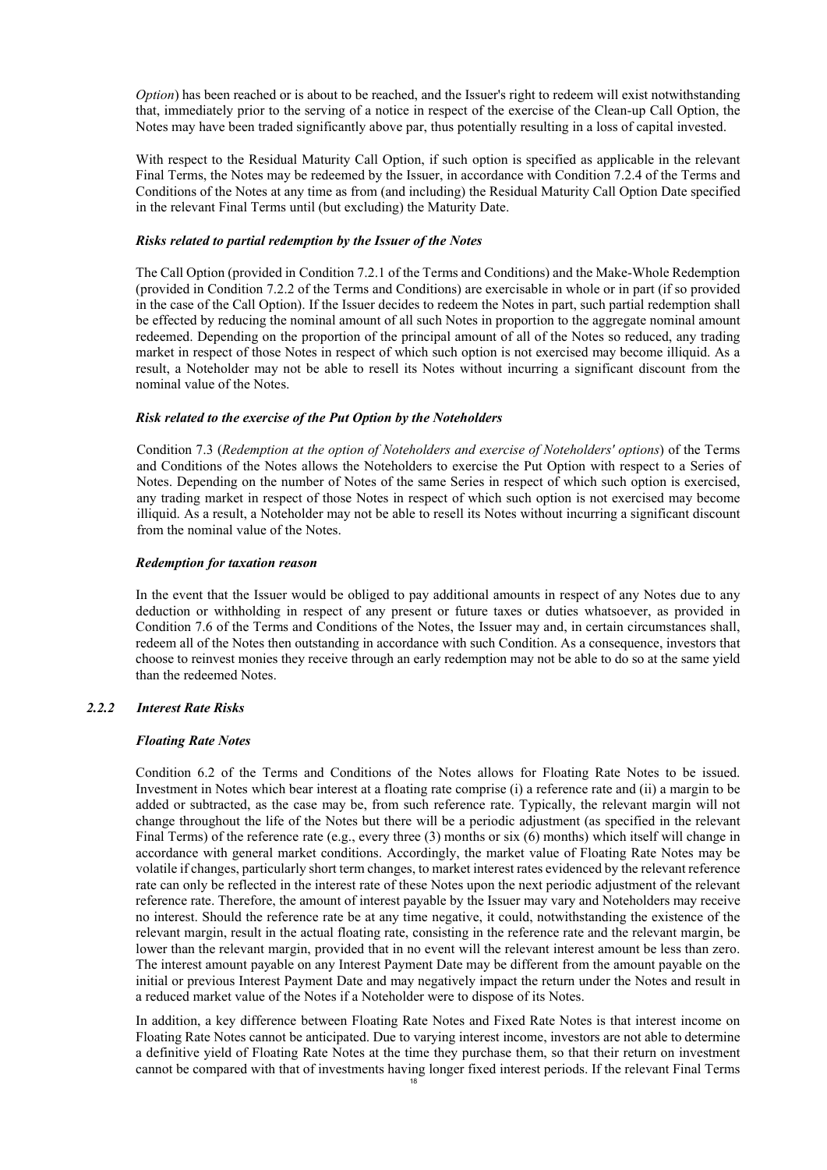*Option*) has been reached or is about to be reached, and the Issuer's right to redeem will exist notwithstanding that, immediately prior to the serving of a notice in respect of the exercise of the Clean-up Call Option, the Notes may have been traded significantly above par, thus potentially resulting in a loss of capital invested.

With respect to the Residual Maturity Call Option, if such option is specified as applicable in the relevant Final Terms, the Notes may be redeemed by the Issuer, in accordance with Condition 7.2.4 of the Terms and Conditions of the Notes at any time as from (and including) the Residual Maturity Call Option Date specified in the relevant Final Terms until (but excluding) the Maturity Date.

### *Risks related to partial redemption by the Issuer of the Notes*

The Call Option (provided in Condition 7.2.1 of the Terms and Conditions) and the Make-Whole Redemption (provided in Condition 7.2.2 of the Terms and Conditions) are exercisable in whole or in part (if so provided in the case of the Call Option). If the Issuer decides to redeem the Notes in part, such partial redemption shall be effected by reducing the nominal amount of all such Notes in proportion to the aggregate nominal amount redeemed. Depending on the proportion of the principal amount of all of the Notes so reduced, any trading market in respect of those Notes in respect of which such option is not exercised may become illiquid. As a result, a Noteholder may not be able to resell its Notes without incurring a significant discount from the nominal value of the Notes.

### *Risk related to the exercise of the Put Option by the Noteholders*

Condition 7.3 (*Redemption at the option of Noteholders and exercise of Noteholders' options*) of the Terms and Conditions of the Notes allows the Noteholders to exercise the Put Option with respect to a Series of Notes. Depending on the number of Notes of the same Series in respect of which such option is exercised, any trading market in respect of those Notes in respect of which such option is not exercised may become illiquid. As a result, a Noteholder may not be able to resell its Notes without incurring a significant discount from the nominal value of the Notes.

### *Redemption for taxation reason*

In the event that the Issuer would be obliged to pay additional amounts in respect of any Notes due to any deduction or withholding in respect of any present or future taxes or duties whatsoever, as provided in Condition 7.6 of the Terms and Conditions of the Notes, the Issuer may and, in certain circumstances shall, redeem all of the Notes then outstanding in accordance with such Condition. As a consequence, investors that choose to reinvest monies they receive through an early redemption may not be able to do so at the same yield than the redeemed Notes.

# *2.2.2 Interest Rate Risks*

### *Floating Rate Notes*

Condition 6.2 of the Terms and Conditions of the Notes allows for Floating Rate Notes to be issued. Investment in Notes which bear interest at a floating rate comprise (i) a reference rate and (ii) a margin to be added or subtracted, as the case may be, from such reference rate. Typically, the relevant margin will not change throughout the life of the Notes but there will be a periodic adjustment (as specified in the relevant Final Terms) of the reference rate (e.g., every three (3) months or six (6) months) which itself will change in accordance with general market conditions. Accordingly, the market value of Floating Rate Notes may be volatile if changes, particularly short term changes, to market interest rates evidenced by the relevant reference rate can only be reflected in the interest rate of these Notes upon the next periodic adjustment of the relevant reference rate. Therefore, the amount of interest payable by the Issuer may vary and Noteholders may receive no interest. Should the reference rate be at any time negative, it could, notwithstanding the existence of the relevant margin, result in the actual floating rate, consisting in the reference rate and the relevant margin, be lower than the relevant margin, provided that in no event will the relevant interest amount be less than zero. The interest amount payable on any Interest Payment Date may be different from the amount payable on the initial or previous Interest Payment Date and may negatively impact the return under the Notes and result in a reduced market value of the Notes if a Noteholder were to dispose of its Notes.

In addition, a key difference between Floating Rate Notes and Fixed Rate Notes is that interest income on Floating Rate Notes cannot be anticipated. Due to varying interest income, investors are not able to determine a definitive yield of Floating Rate Notes at the time they purchase them, so that their return on investment cannot be compared with that of investments having longer fixed interest periods. If the relevant Final Terms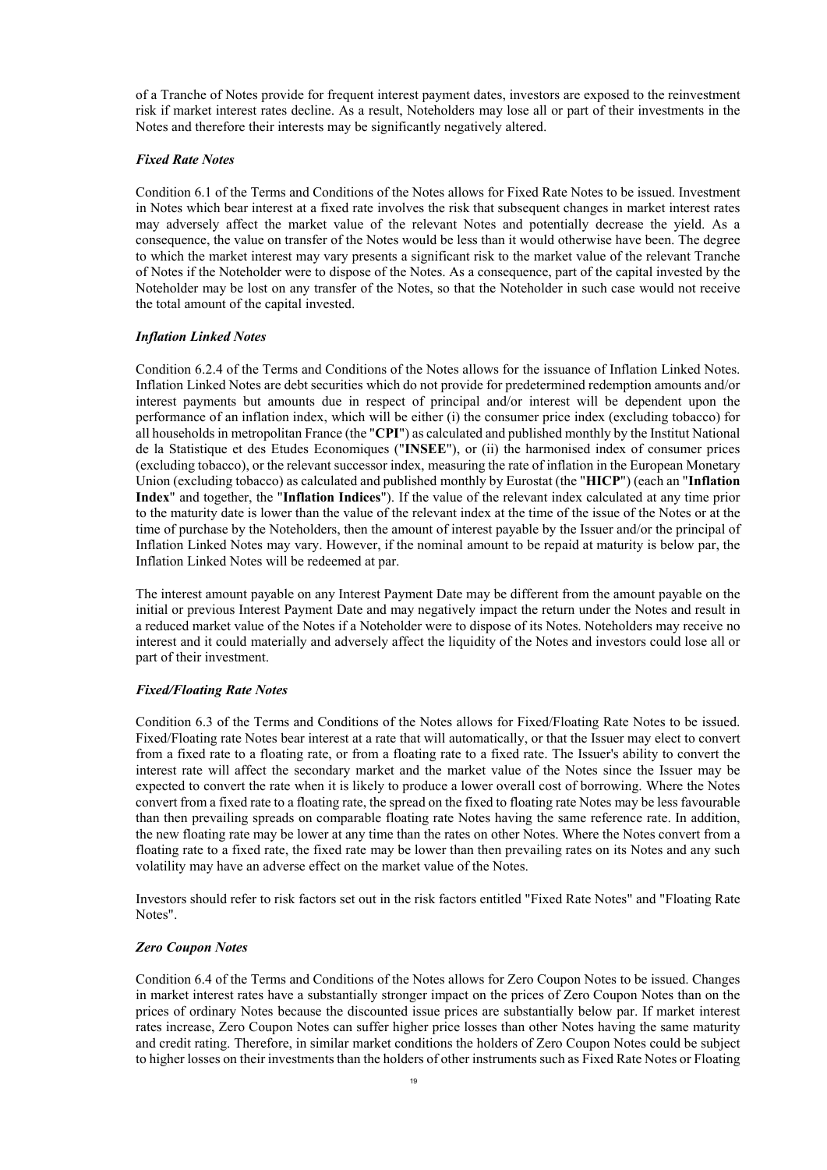of a Tranche of Notes provide for frequent interest payment dates, investors are exposed to the reinvestment risk if market interest rates decline. As a result, Noteholders may lose all or part of their investments in the Notes and therefore their interests may be significantly negatively altered.

### *Fixed Rate Notes*

Condition 6.1 of the Terms and Conditions of the Notes allows for Fixed Rate Notes to be issued. Investment in Notes which bear interest at a fixed rate involves the risk that subsequent changes in market interest rates may adversely affect the market value of the relevant Notes and potentially decrease the yield. As a consequence, the value on transfer of the Notes would be less than it would otherwise have been. The degree to which the market interest may vary presents a significant risk to the market value of the relevant Tranche of Notes if the Noteholder were to dispose of the Notes. As a consequence, part of the capital invested by the Noteholder may be lost on any transfer of the Notes, so that the Noteholder in such case would not receive the total amount of the capital invested.

### *Inflation Linked Notes*

Condition 6.2.4 of the Terms and Conditions of the Notes allows for the issuance of Inflation Linked Notes. Inflation Linked Notes are debt securities which do not provide for predetermined redemption amounts and/or interest payments but amounts due in respect of principal and/or interest will be dependent upon the performance of an inflation index, which will be either (i) the consumer price index (excluding tobacco) for all households in metropolitan France (the "**CPI**") as calculated and published monthly by the Institut National de la Statistique et des Etudes Economiques ("**INSEE**"), or (ii) the harmonised index of consumer prices (excluding tobacco), or the relevant successor index, measuring the rate of inflation in the European Monetary Union (excluding tobacco) as calculated and published monthly by Eurostat (the "**HICP**") (each an "**Inflation Index**" and together, the "**Inflation Indices**"). If the value of the relevant index calculated at any time prior to the maturity date is lower than the value of the relevant index at the time of the issue of the Notes or at the time of purchase by the Noteholders, then the amount of interest payable by the Issuer and/or the principal of Inflation Linked Notes may vary. However, if the nominal amount to be repaid at maturity is below par, the Inflation Linked Notes will be redeemed at par.

The interest amount payable on any Interest Payment Date may be different from the amount payable on the initial or previous Interest Payment Date and may negatively impact the return under the Notes and result in a reduced market value of the Notes if a Noteholder were to dispose of its Notes. Noteholders may receive no interest and it could materially and adversely affect the liquidity of the Notes and investors could lose all or part of their investment.

### *Fixed/Floating Rate Notes*

Condition 6.3 of the Terms and Conditions of the Notes allows for Fixed/Floating Rate Notes to be issued. Fixed/Floating rate Notes bear interest at a rate that will automatically, or that the Issuer may elect to convert from a fixed rate to a floating rate, or from a floating rate to a fixed rate. The Issuer's ability to convert the interest rate will affect the secondary market and the market value of the Notes since the Issuer may be expected to convert the rate when it is likely to produce a lower overall cost of borrowing. Where the Notes convert from a fixed rate to a floating rate, the spread on the fixed to floating rate Notes may be less favourable than then prevailing spreads on comparable floating rate Notes having the same reference rate. In addition, the new floating rate may be lower at any time than the rates on other Notes. Where the Notes convert from a floating rate to a fixed rate, the fixed rate may be lower than then prevailing rates on its Notes and any such volatility may have an adverse effect on the market value of the Notes.

Investors should refer to risk factors set out in the risk factors entitled "Fixed Rate Notes" and "Floating Rate Notes".

### *Zero Coupon Notes*

Condition 6.4 of the Terms and Conditions of the Notes allows for Zero Coupon Notes to be issued. Changes in market interest rates have a substantially stronger impact on the prices of Zero Coupon Notes than on the prices of ordinary Notes because the discounted issue prices are substantially below par. If market interest rates increase, Zero Coupon Notes can suffer higher price losses than other Notes having the same maturity and credit rating. Therefore, in similar market conditions the holders of Zero Coupon Notes could be subject to higher losses on their investments than the holders of other instruments such as Fixed Rate Notes or Floating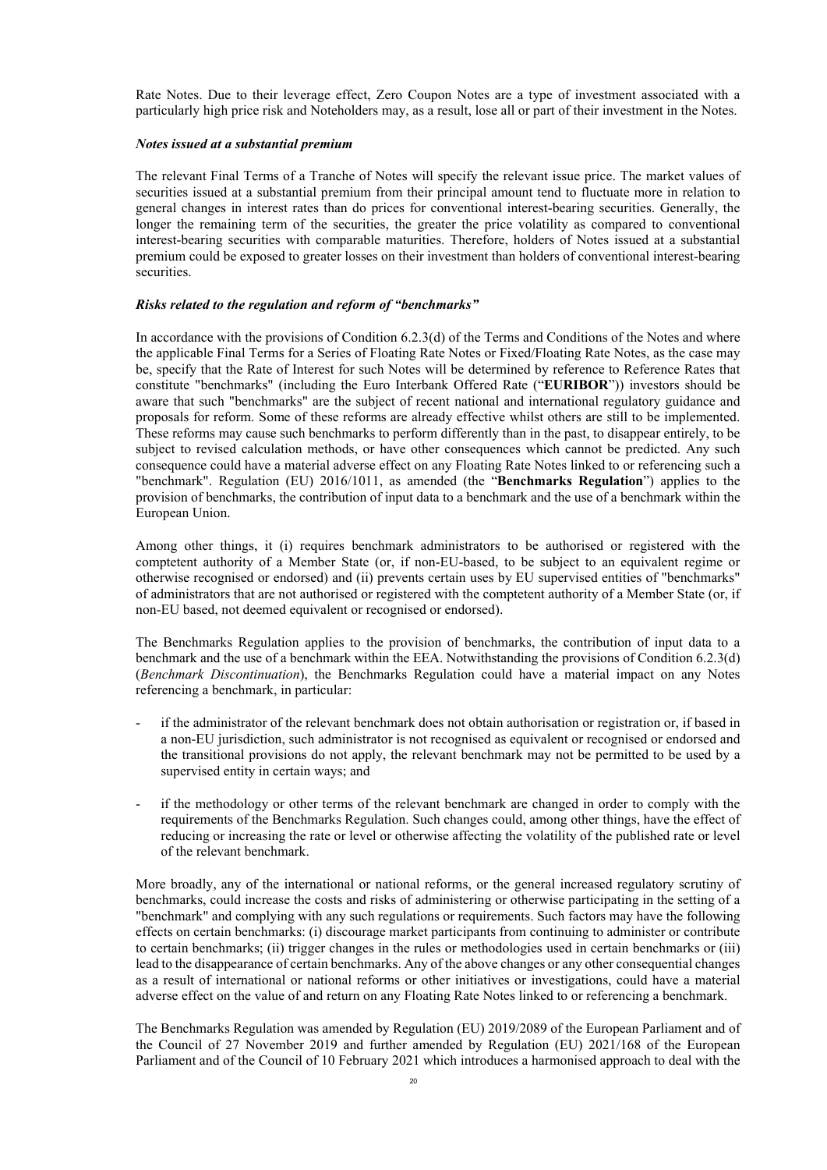Rate Notes. Due to their leverage effect, Zero Coupon Notes are a type of investment associated with a particularly high price risk and Noteholders may, as a result, lose all or part of their investment in the Notes.

### *Notes issued at a substantial premium*

The relevant Final Terms of a Tranche of Notes will specify the relevant issue price. The market values of securities issued at a substantial premium from their principal amount tend to fluctuate more in relation to general changes in interest rates than do prices for conventional interest-bearing securities. Generally, the longer the remaining term of the securities, the greater the price volatility as compared to conventional interest-bearing securities with comparable maturities. Therefore, holders of Notes issued at a substantial premium could be exposed to greater losses on their investment than holders of conventional interest-bearing securities.

### *Risks related to the regulation and reform of "benchmarks"*

In accordance with the provisions of Condition 6.2.3(d) of the Terms and Conditions of the Notes and where the applicable Final Terms for a Series of Floating Rate Notes or Fixed/Floating Rate Notes, as the case may be, specify that the Rate of Interest for such Notes will be determined by reference to Reference Rates that constitute "benchmarks" (including the Euro Interbank Offered Rate ("**EURIBOR**")) investors should be aware that such "benchmarks" are the subject of recent national and international regulatory guidance and proposals for reform. Some of these reforms are already effective whilst others are still to be implemented. These reforms may cause such benchmarks to perform differently than in the past, to disappear entirely, to be subject to revised calculation methods, or have other consequences which cannot be predicted. Any such consequence could have a material adverse effect on any Floating Rate Notes linked to or referencing such a "benchmark". Regulation (EU) 2016/1011, as amended (the "**Benchmarks Regulation**") applies to the provision of benchmarks, the contribution of input data to a benchmark and the use of a benchmark within the European Union.

Among other things, it (i) requires benchmark administrators to be authorised or registered with the comptetent authority of a Member State (or, if non-EU-based, to be subject to an equivalent regime or otherwise recognised or endorsed) and (ii) prevents certain uses by EU supervised entities of "benchmarks" of administrators that are not authorised or registered with the comptetent authority of a Member State (or, if non-EU based, not deemed equivalent or recognised or endorsed).

The Benchmarks Regulation applies to the provision of benchmarks, the contribution of input data to a benchmark and the use of a benchmark within the EEA. Notwithstanding the provisions of Condition 6.2.3(d) (*Benchmark Discontinuation*), the Benchmarks Regulation could have a material impact on any Notes referencing a benchmark, in particular:

- if the administrator of the relevant benchmark does not obtain authorisation or registration or, if based in a non-EU jurisdiction, such administrator is not recognised as equivalent or recognised or endorsed and the transitional provisions do not apply, the relevant benchmark may not be permitted to be used by a supervised entity in certain ways; and
- if the methodology or other terms of the relevant benchmark are changed in order to comply with the requirements of the Benchmarks Regulation. Such changes could, among other things, have the effect of reducing or increasing the rate or level or otherwise affecting the volatility of the published rate or level of the relevant benchmark.

More broadly, any of the international or national reforms, or the general increased regulatory scrutiny of benchmarks, could increase the costs and risks of administering or otherwise participating in the setting of a "benchmark" and complying with any such regulations or requirements. Such factors may have the following effects on certain benchmarks: (i) discourage market participants from continuing to administer or contribute to certain benchmarks; (ii) trigger changes in the rules or methodologies used in certain benchmarks or (iii) lead to the disappearance of certain benchmarks. Any of the above changes or any other consequential changes as a result of international or national reforms or other initiatives or investigations, could have a material adverse effect on the value of and return on any Floating Rate Notes linked to or referencing a benchmark.

The Benchmarks Regulation was amended by Regulation (EU) 2019/2089 of the European Parliament and of the Council of 27 November 2019 and further amended by Regulation (EU) 2021/168 of the European Parliament and of the Council of 10 February 2021 which introduces a harmonised approach to deal with the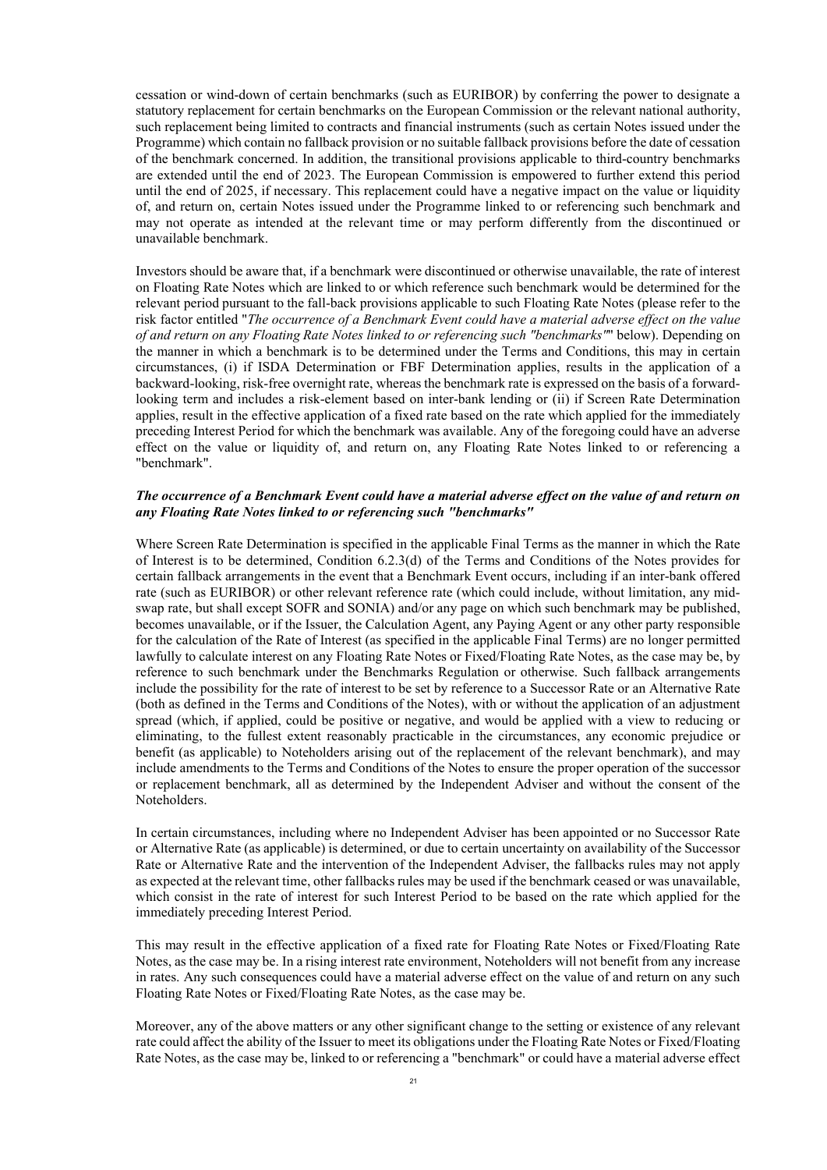cessation or wind-down of certain benchmarks (such as EURIBOR) by conferring the power to designate a statutory replacement for certain benchmarks on the European Commission or the relevant national authority, such replacement being limited to contracts and financial instruments (such as certain Notes issued under the Programme) which contain no fallback provision or no suitable fallback provisions before the date of cessation of the benchmark concerned. In addition, the transitional provisions applicable to third-country benchmarks are extended until the end of 2023. The European Commission is empowered to further extend this period until the end of 2025, if necessary. This replacement could have a negative impact on the value or liquidity of, and return on, certain Notes issued under the Programme linked to or referencing such benchmark and may not operate as intended at the relevant time or may perform differently from the discontinued or unavailable benchmark.

Investors should be aware that, if a benchmark were discontinued or otherwise unavailable, the rate of interest on Floating Rate Notes which are linked to or which reference such benchmark would be determined for the relevant period pursuant to the fall-back provisions applicable to such Floating Rate Notes (please refer to the risk factor entitled "*The occurrence of a Benchmark Event could have a material adverse effect on the value of and return on any Floating Rate Notes linked to or referencing such "benchmarks"*" below). Depending on the manner in which a benchmark is to be determined under the Terms and Conditions, this may in certain circumstances, (i) if ISDA Determination or FBF Determination applies, results in the application of a backward-looking, risk-free overnight rate, whereas the benchmark rate is expressed on the basis of a forwardlooking term and includes a risk-element based on inter-bank lending or (ii) if Screen Rate Determination applies, result in the effective application of a fixed rate based on the rate which applied for the immediately preceding Interest Period for which the benchmark was available. Any of the foregoing could have an adverse effect on the value or liquidity of, and return on, any Floating Rate Notes linked to or referencing a "benchmark".

### *The occurrence of a Benchmark Event could have a material adverse effect on the value of and return on any Floating Rate Notes linked to or referencing such "benchmarks"*

Where Screen Rate Determination is specified in the applicable Final Terms as the manner in which the Rate of Interest is to be determined, Condition 6.2.3(d) of the Terms and Conditions of the Notes provides for certain fallback arrangements in the event that a Benchmark Event occurs, including if an inter-bank offered rate (such as EURIBOR) or other relevant reference rate (which could include, without limitation, any midswap rate, but shall except SOFR and SONIA) and/or any page on which such benchmark may be published, becomes unavailable, or if the Issuer, the Calculation Agent, any Paying Agent or any other party responsible for the calculation of the Rate of Interest (as specified in the applicable Final Terms) are no longer permitted lawfully to calculate interest on any Floating Rate Notes or Fixed/Floating Rate Notes, as the case may be, by reference to such benchmark under the Benchmarks Regulation or otherwise. Such fallback arrangements include the possibility for the rate of interest to be set by reference to a Successor Rate or an Alternative Rate (both as defined in the Terms and Conditions of the Notes), with or without the application of an adjustment spread (which, if applied, could be positive or negative, and would be applied with a view to reducing or eliminating, to the fullest extent reasonably practicable in the circumstances, any economic prejudice or benefit (as applicable) to Noteholders arising out of the replacement of the relevant benchmark), and may include amendments to the Terms and Conditions of the Notes to ensure the proper operation of the successor or replacement benchmark, all as determined by the Independent Adviser and without the consent of the Noteholders.

In certain circumstances, including where no Independent Adviser has been appointed or no Successor Rate or Alternative Rate (as applicable) is determined, or due to certain uncertainty on availability of the Successor Rate or Alternative Rate and the intervention of the Independent Adviser, the fallbacks rules may not apply as expected at the relevant time, other fallbacks rules may be used if the benchmark ceased or was unavailable, which consist in the rate of interest for such Interest Period to be based on the rate which applied for the immediately preceding Interest Period.

This may result in the effective application of a fixed rate for Floating Rate Notes or Fixed/Floating Rate Notes, as the case may be. In a rising interest rate environment, Noteholders will not benefit from any increase in rates. Any such consequences could have a material adverse effect on the value of and return on any such Floating Rate Notes or Fixed/Floating Rate Notes, as the case may be.

Moreover, any of the above matters or any other significant change to the setting or existence of any relevant rate could affect the ability of the Issuer to meet its obligations under the Floating Rate Notes or Fixed/Floating Rate Notes, as the case may be, linked to or referencing a "benchmark" or could have a material adverse effect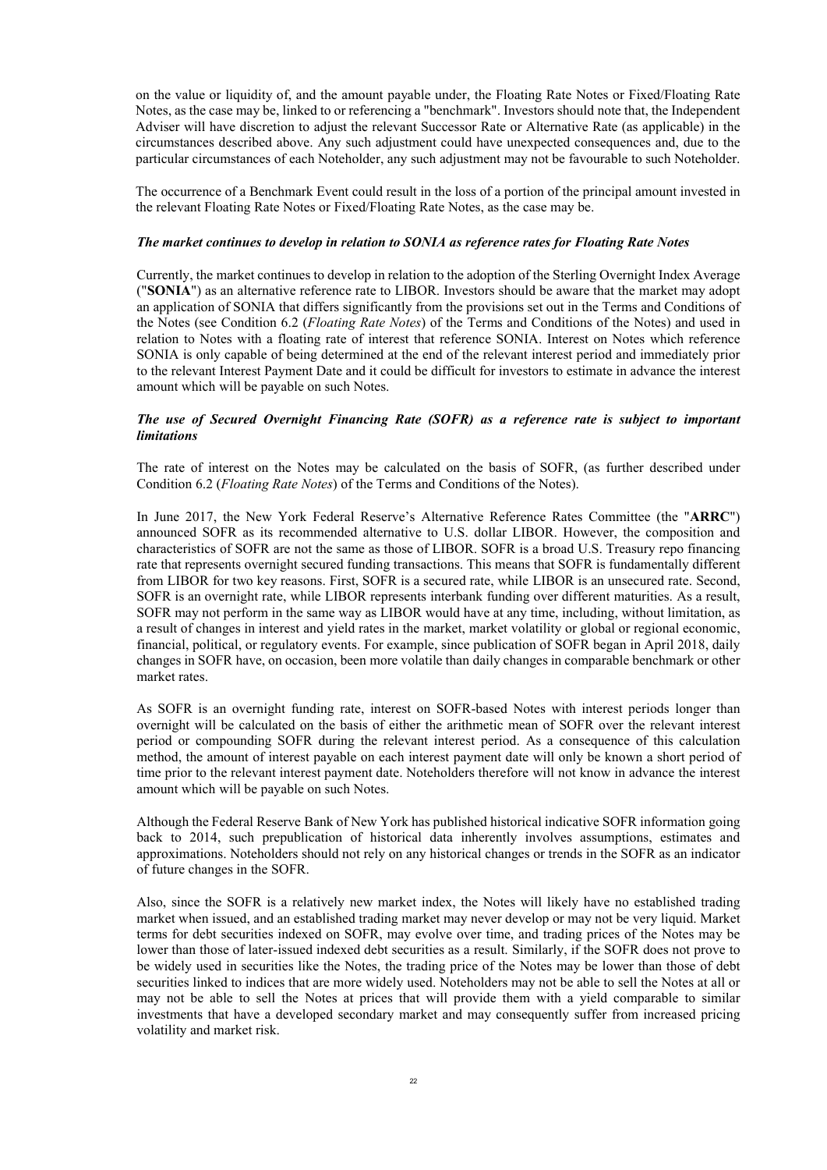on the value or liquidity of, and the amount payable under, the Floating Rate Notes or Fixed/Floating Rate Notes, as the case may be, linked to or referencing a "benchmark". Investors should note that, the Independent Adviser will have discretion to adjust the relevant Successor Rate or Alternative Rate (as applicable) in the circumstances described above. Any such adjustment could have unexpected consequences and, due to the particular circumstances of each Noteholder, any such adjustment may not be favourable to such Noteholder.

The occurrence of a Benchmark Event could result in the loss of a portion of the principal amount invested in the relevant Floating Rate Notes or Fixed/Floating Rate Notes, as the case may be.

# *The market continues to develop in relation to SONIA as reference rates for Floating Rate Notes*

Currently, the market continues to develop in relation to the adoption of the Sterling Overnight Index Average ("**SONIA**") as an alternative reference rate to LIBOR. Investors should be aware that the market may adopt an application of SONIA that differs significantly from the provisions set out in the Terms and Conditions of the Notes (see Condition 6.2 (*Floating Rate Notes*) of the Terms and Conditions of the Notes) and used in relation to Notes with a floating rate of interest that reference SONIA. Interest on Notes which reference SONIA is only capable of being determined at the end of the relevant interest period and immediately prior to the relevant Interest Payment Date and it could be difficult for investors to estimate in advance the interest amount which will be payable on such Notes.

### *The use of Secured Overnight Financing Rate (SOFR) as a reference rate is subject to important limitations*

The rate of interest on the Notes may be calculated on the basis of SOFR, (as further described under Condition 6.2 (*Floating Rate Notes*) of the Terms and Conditions of the Notes).

In June 2017, the New York Federal Reserve's Alternative Reference Rates Committee (the "**ARRC**") announced SOFR as its recommended alternative to U.S. dollar LIBOR. However, the composition and characteristics of SOFR are not the same as those of LIBOR. SOFR is a broad U.S. Treasury repo financing rate that represents overnight secured funding transactions. This means that SOFR is fundamentally different from LIBOR for two key reasons. First, SOFR is a secured rate, while LIBOR is an unsecured rate. Second, SOFR is an overnight rate, while LIBOR represents interbank funding over different maturities. As a result, SOFR may not perform in the same way as LIBOR would have at any time, including, without limitation, as a result of changes in interest and yield rates in the market, market volatility or global or regional economic, financial, political, or regulatory events. For example, since publication of SOFR began in April 2018, daily changes in SOFR have, on occasion, been more volatile than daily changes in comparable benchmark or other market rates.

As SOFR is an overnight funding rate, interest on SOFR-based Notes with interest periods longer than overnight will be calculated on the basis of either the arithmetic mean of SOFR over the relevant interest period or compounding SOFR during the relevant interest period. As a consequence of this calculation method, the amount of interest payable on each interest payment date will only be known a short period of time prior to the relevant interest payment date. Noteholders therefore will not know in advance the interest amount which will be payable on such Notes.

Although the Federal Reserve Bank of New York has published historical indicative SOFR information going back to 2014, such prepublication of historical data inherently involves assumptions, estimates and approximations. Noteholders should not rely on any historical changes or trends in the SOFR as an indicator of future changes in the SOFR.

Also, since the SOFR is a relatively new market index, the Notes will likely have no established trading market when issued, and an established trading market may never develop or may not be very liquid. Market terms for debt securities indexed on SOFR, may evolve over time, and trading prices of the Notes may be lower than those of later-issued indexed debt securities as a result. Similarly, if the SOFR does not prove to be widely used in securities like the Notes, the trading price of the Notes may be lower than those of debt securities linked to indices that are more widely used. Noteholders may not be able to sell the Notes at all or may not be able to sell the Notes at prices that will provide them with a yield comparable to similar investments that have a developed secondary market and may consequently suffer from increased pricing volatility and market risk.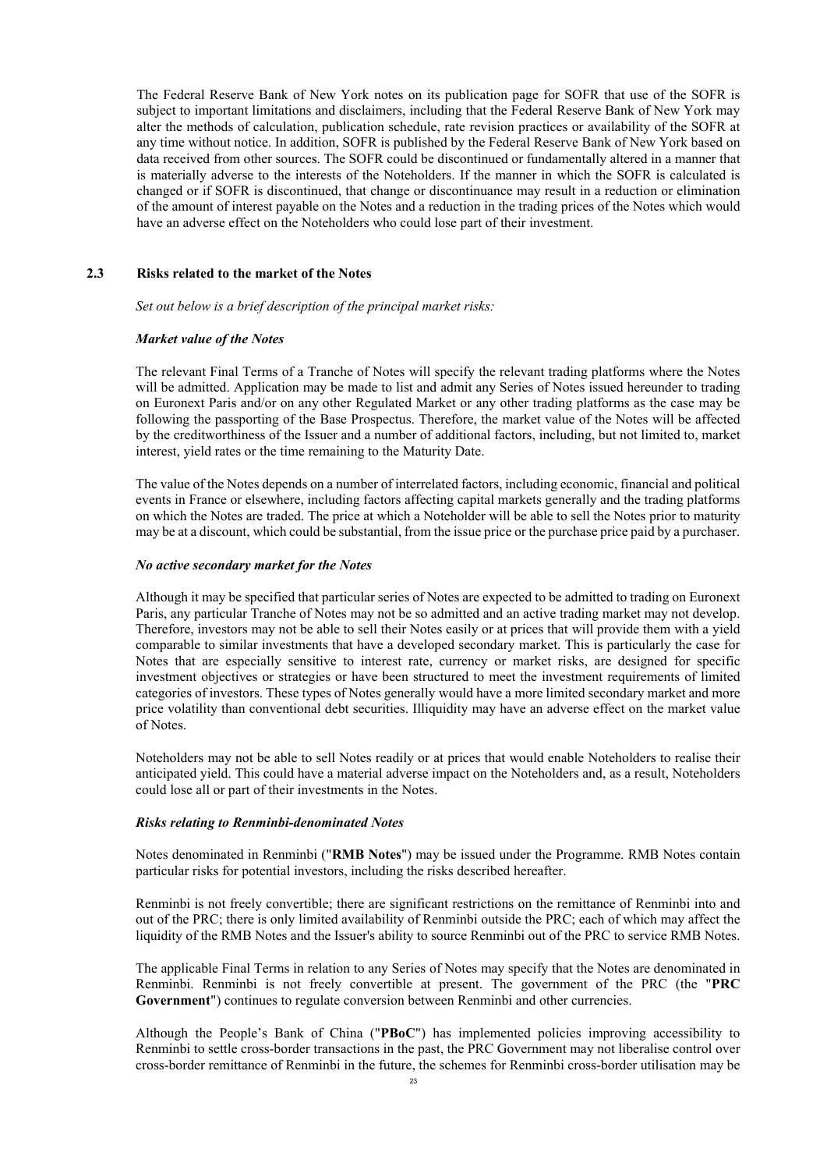The Federal Reserve Bank of New York notes on its publication page for SOFR that use of the SOFR is subject to important limitations and disclaimers, including that the Federal Reserve Bank of New York may alter the methods of calculation, publication schedule, rate revision practices or availability of the SOFR at any time without notice. In addition, SOFR is published by the Federal Reserve Bank of New York based on data received from other sources. The SOFR could be discontinued or fundamentally altered in a manner that is materially adverse to the interests of the Noteholders. If the manner in which the SOFR is calculated is changed or if SOFR is discontinued, that change or discontinuance may result in a reduction or elimination of the amount of interest payable on the Notes and a reduction in the trading prices of the Notes which would have an adverse effect on the Noteholders who could lose part of their investment.

### **2.3 Risks related to the market of the Notes**

*Set out below is a brief description of the principal market risks:*

#### *Market value of the Notes*

The relevant Final Terms of a Tranche of Notes will specify the relevant trading platforms where the Notes will be admitted. Application may be made to list and admit any Series of Notes issued hereunder to trading on Euronext Paris and/or on any other Regulated Market or any other trading platforms as the case may be following the passporting of the Base Prospectus. Therefore, the market value of the Notes will be affected by the creditworthiness of the Issuer and a number of additional factors, including, but not limited to, market interest, yield rates or the time remaining to the Maturity Date.

The value of the Notes depends on a number of interrelated factors, including economic, financial and political events in France or elsewhere, including factors affecting capital markets generally and the trading platforms on which the Notes are traded. The price at which a Noteholder will be able to sell the Notes prior to maturity may be at a discount, which could be substantial, from the issue price or the purchase price paid by a purchaser.

#### *No active secondary market for the Notes*

Although it may be specified that particular series of Notes are expected to be admitted to trading on Euronext Paris, any particular Tranche of Notes may not be so admitted and an active trading market may not develop. Therefore, investors may not be able to sell their Notes easily or at prices that will provide them with a yield comparable to similar investments that have a developed secondary market. This is particularly the case for Notes that are especially sensitive to interest rate, currency or market risks, are designed for specific investment objectives or strategies or have been structured to meet the investment requirements of limited categories of investors. These types of Notes generally would have a more limited secondary market and more price volatility than conventional debt securities. Illiquidity may have an adverse effect on the market value of Notes.

Noteholders may not be able to sell Notes readily or at prices that would enable Noteholders to realise their anticipated yield. This could have a material adverse impact on the Noteholders and, as a result, Noteholders could lose all or part of their investments in the Notes.

#### *Risks relating to Renminbi-denominated Notes*

Notes denominated in Renminbi ("**RMB Notes**") may be issued under the Programme. RMB Notes contain particular risks for potential investors, including the risks described hereafter.

Renminbi is not freely convertible; there are significant restrictions on the remittance of Renminbi into and out of the PRC; there is only limited availability of Renminbi outside the PRC; each of which may affect the liquidity of the RMB Notes and the Issuer's ability to source Renminbi out of the PRC to service RMB Notes.

The applicable Final Terms in relation to any Series of Notes may specify that the Notes are denominated in Renminbi. Renminbi is not freely convertible at present. The government of the PRC (the "**PRC Government**") continues to regulate conversion between Renminbi and other currencies.

Although the People's Bank of China ("**PBoC**") has implemented policies improving accessibility to Renminbi to settle cross-border transactions in the past, the PRC Government may not liberalise control over cross-border remittance of Renminbi in the future, the schemes for Renminbi cross-border utilisation may be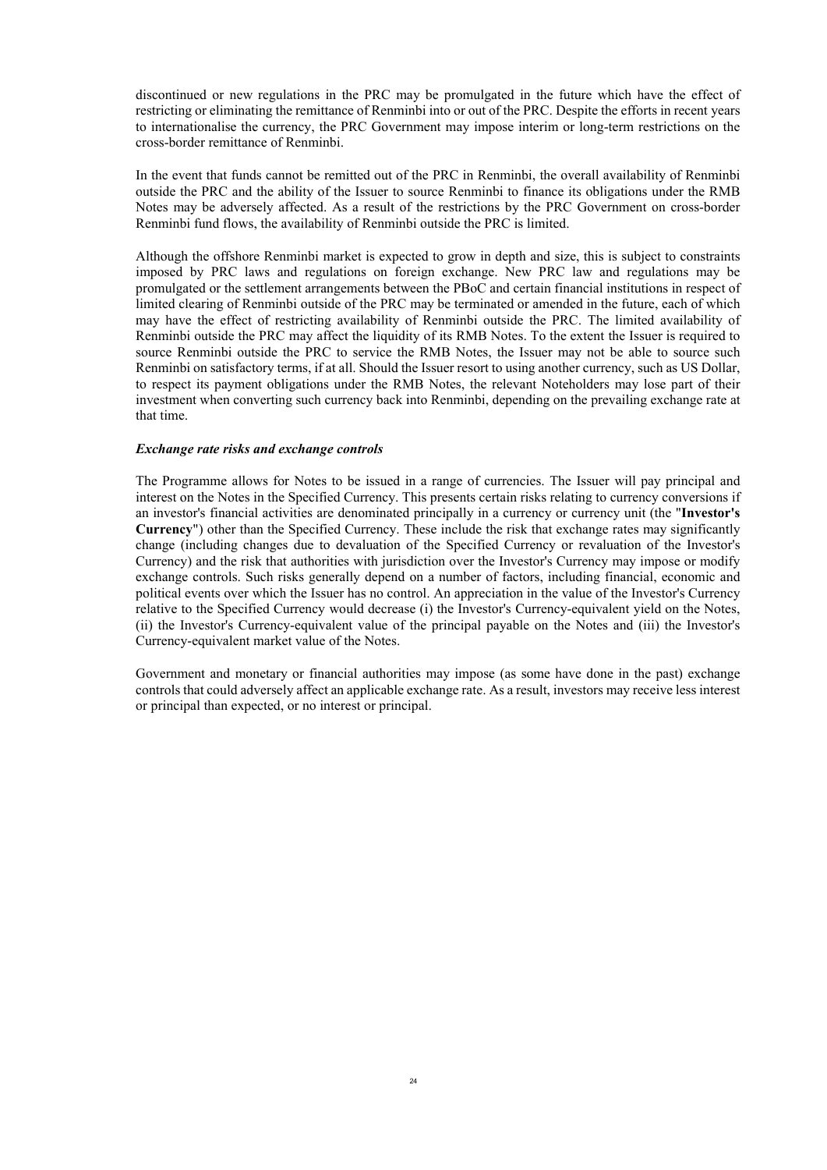discontinued or new regulations in the PRC may be promulgated in the future which have the effect of restricting or eliminating the remittance of Renminbi into or out of the PRC. Despite the efforts in recent years to internationalise the currency, the PRC Government may impose interim or long-term restrictions on the cross-border remittance of Renminbi.

In the event that funds cannot be remitted out of the PRC in Renminbi, the overall availability of Renminbi outside the PRC and the ability of the Issuer to source Renminbi to finance its obligations under the RMB Notes may be adversely affected. As a result of the restrictions by the PRC Government on cross-border Renminbi fund flows, the availability of Renminbi outside the PRC is limited.

Although the offshore Renminbi market is expected to grow in depth and size, this is subject to constraints imposed by PRC laws and regulations on foreign exchange. New PRC law and regulations may be promulgated or the settlement arrangements between the PBoC and certain financial institutions in respect of limited clearing of Renminbi outside of the PRC may be terminated or amended in the future, each of which may have the effect of restricting availability of Renminbi outside the PRC. The limited availability of Renminbi outside the PRC may affect the liquidity of its RMB Notes. To the extent the Issuer is required to source Renminbi outside the PRC to service the RMB Notes, the Issuer may not be able to source such Renminbi on satisfactory terms, if at all. Should the Issuer resort to using another currency, such as US Dollar, to respect its payment obligations under the RMB Notes, the relevant Noteholders may lose part of their investment when converting such currency back into Renminbi, depending on the prevailing exchange rate at that time.

### *Exchange rate risks and exchange controls*

The Programme allows for Notes to be issued in a range of currencies. The Issuer will pay principal and interest on the Notes in the Specified Currency. This presents certain risks relating to currency conversions if an investor's financial activities are denominated principally in a currency or currency unit (the "**Investor's Currency**") other than the Specified Currency. These include the risk that exchange rates may significantly change (including changes due to devaluation of the Specified Currency or revaluation of the Investor's Currency) and the risk that authorities with jurisdiction over the Investor's Currency may impose or modify exchange controls. Such risks generally depend on a number of factors, including financial, economic and political events over which the Issuer has no control. An appreciation in the value of the Investor's Currency relative to the Specified Currency would decrease (i) the Investor's Currency-equivalent yield on the Notes, (ii) the Investor's Currency-equivalent value of the principal payable on the Notes and (iii) the Investor's Currency-equivalent market value of the Notes.

Government and monetary or financial authorities may impose (as some have done in the past) exchange controls that could adversely affect an applicable exchange rate. As a result, investors may receive less interest or principal than expected, or no interest or principal.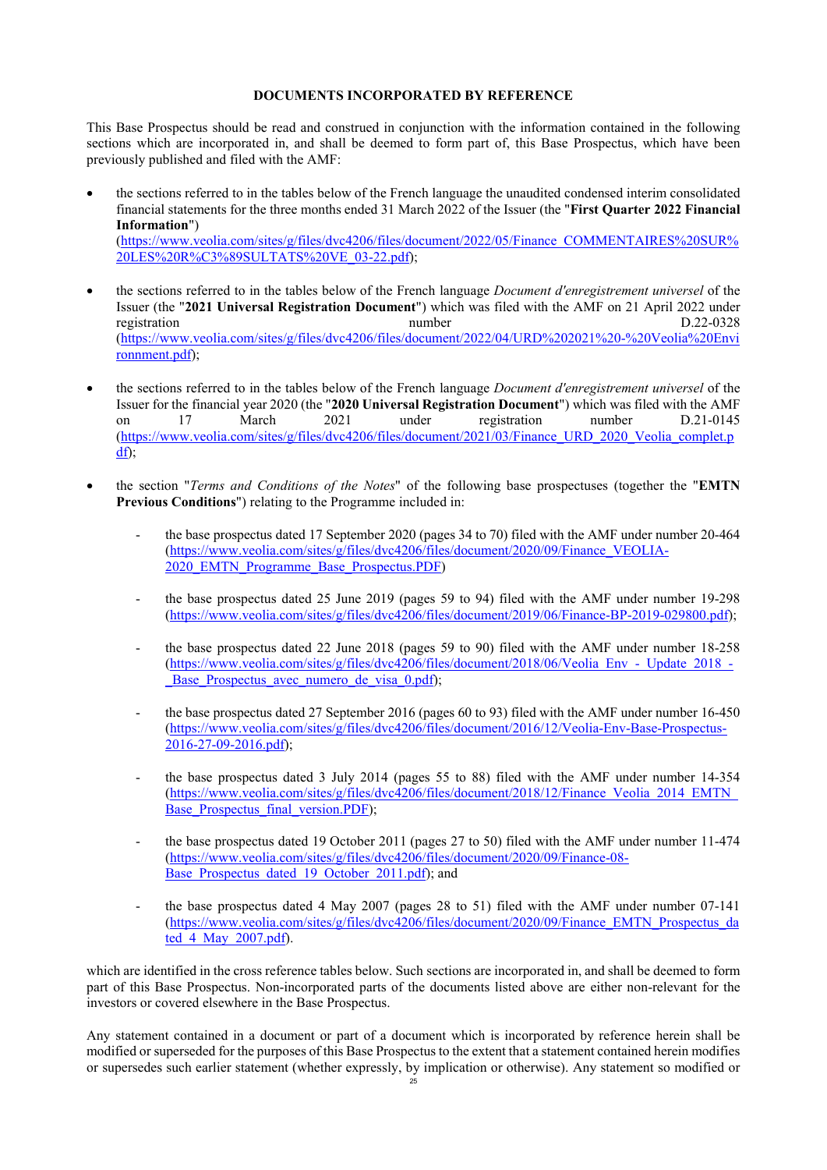### **DOCUMENTS INCORPORATED BY REFERENCE**

<span id="page-24-0"></span>This Base Prospectus should be read and construed in conjunction with the information contained in the following sections which are incorporated in, and shall be deemed to form part of, this Base Prospectus, which have been previously published and filed with the AMF:

- the sections referred to in the tables below of the French language the unaudited condensed interim consolidated financial statements for the three months ended 31 March 2022 of the Issuer (the "**First Quarter 2022 Financial Information**") [\(https://www.veolia.com/sites/g/files/dvc4206/files/document/2022/05/Finance\\_COMMENTAIRES%20SUR%](https://www.veolia.com/sites/g/files/dvc4206/files/document/2022/05/Finance_COMMENTAIRES SUR LES R%C3%89SULTATS VE_03-22.pdf) 20LES%20R%C3%89SULTATS%20VE\_03-22.pdf);
- the sections referred to in the tables below of the French language *Document d'enregistrement universel* of the Issuer (the "**2021 Universal Registration Document**") which was filed with the AMF on 21 April 2022 under registration and D.22-0328 http://www.mumber 2009/2012 http://www.mumber 2009/2012 http://www.mumber 2009/2012 [\(https://www.veolia.com/sites/g/files/dvc4206/files/document/2022/04/URD%202021%20-%20Veolia%20Envi](https://www.veolia.com/sites/g/files/dvc4206/files/document/2022/04/URD 2021 - Veolia Environnment.pdf) ronnment.pdf);
- the sections referred to in the tables below of the French language *Document d'enregistrement universel* of the Issuer for the financial year 2020 (the "**2020 Universal Registration Document**") which was filed with the AMF on 17 March 2021 under registration number D.21-0145 [\(https://www.veolia.com/sites/g/files/dvc4206/files/document/2021/03/Finance\\_URD\\_2020\\_Veolia\\_complet.](https://www.veolia.com/sites/g/files/dvc4206/files/document/2021/03/Finance_URD_2020_Veolia_complet.pdf)p df);
- the section "*Terms and Conditions of the Notes*" of the following base prospectuses (together the "**EMTN Previous Conditions**") relating to the Programme included in:
	- the base prospectus dated 17 September 2020 (pages 34 to 70) filed with the AMF under number 20-464 [\(https://www.veolia.com/sites/g/files/dvc4206/files/document/2020/09/Finance\\_VEOLIA](https://www.veolia.com/sites/g/files/dvc4206/files/document/2020/09/Finance_VEOLIA-2020_EMTN_Programme_Base_Prospectus.PDF)-2020\_EMTN\_Programme\_Base\_Prospectus.PDF)
	- the base prospectus dated 25 June 2019 (pages 59 to 94) filed with the AMF under number 19-298 [\(https://www.veolia.com/sites/g/files/dvc4206/files/document/2019/06/Finance-BP-2019-029800.pdf](https://www.veolia.com/sites/g/files/dvc4206/files/document/2019/06/Finance-BP-2019-029800.pdf));
	- the base prospectus dated 22 June 2018 (pages 59 to 90) filed with the AMF under number 18-258 [\(https://www.veolia.com/sites/g/files/dvc4206/files/document/2018/06/Veolia\\_Env\\_-\\_Update\\_2018\\_-](https://www.veolia.com/sites/g/files/dvc4206/files/document/2018/06/Veolia_Env_-_Update_2018_-_Base_Prospectus_avec_numero_de_visa_0.pdf) Base Prospectus avec numero de visa 0.pdf);
	- the base prospectus dated 27 September 2016 (pages 60 to 93) filed with the AMF under number 16-450 [\(https://www.veolia.com/sites/g/files/dvc4206/files/document/2016/12/Veolia-Env-Base-Prospectus](https://www.veolia.com/sites/g/files/dvc4206/files/document/2016/12/Veolia-Env-Base-Prospectus-2016-27-09-2016.pdf)-2016-27-09-2016.pdf);
	- the base prospectus dated 3 July 2014 (pages 55 to 88) filed with the AMF under number 14-354 [\(https://www.veolia.com/sites/g/files/dvc4206/files/document/2018/12/Finance\\_Veolia\\_2014\\_EMTN](https://www.veolia.com/sites/g/files/dvc4206/files/document/2018/12/Finance_Veolia_2014_EMTN_Base_Prospectus_final_version.PDF)\_ Base Prospectus final version.PDF);
	- the base prospectus dated 19 October 2011 (pages 27 to 50) filed with the AMF under number 11-474 [\(https://www.veolia.com/sites/g/files/dvc4206/files/document/2020/09/Finance-08-](https://www.veolia.com/sites/g/files/dvc4206/files/document/2020/09/Finance-08-Base_Prospectus_dated_19_October_2011.pdf) Base Prospectus dated 19 October 2011.pdf); and
	- the base prospectus dated 4 May 2007 (pages 28 to 51) filed with the AMF under number 07-141 [\(https://www.veolia.com/sites/g/files/dvc4206/files/document/2020/09/Finance\\_EMTN\\_Prospectus\\_da](https://www.veolia.com/sites/g/files/dvc4206/files/document/2020/09/Finance_EMTN_Prospectus_dated_4_May_2007.pdf) ted\_4\_May\_2007.pdf).

which are identified in the cross reference tables below. Such sections are incorporated in, and shall be deemed to form part of this Base Prospectus. Non-incorporated parts of the documents listed above are either non-relevant for the investors or covered elsewhere in the Base Prospectus.

Any statement contained in a document or part of a document which is incorporated by reference herein shall be modified or superseded for the purposes of this Base Prospectus to the extent that a statement contained herein modifies or supersedes such earlier statement (whether expressly, by implication or otherwise). Any statement so modified or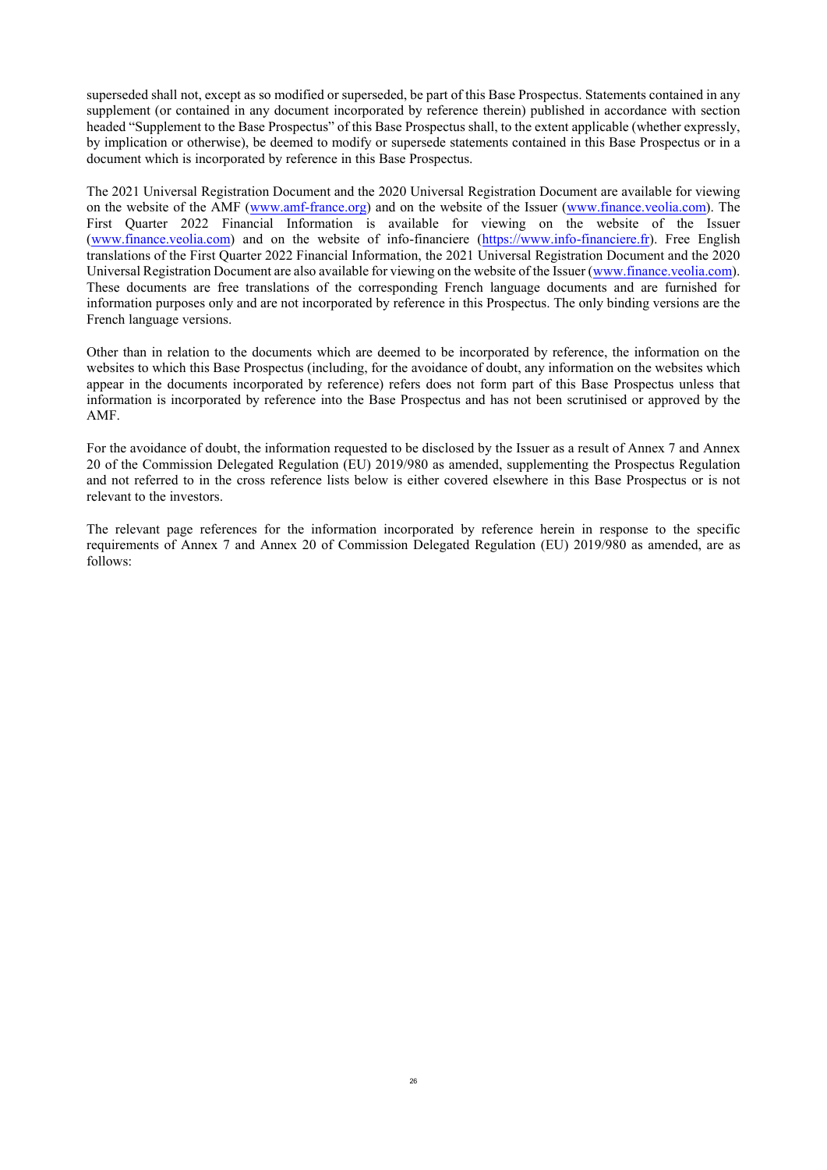superseded shall not, except as so modified or superseded, be part of this Base Prospectus. Statements contained in any supplement (or contained in any document incorporated by reference therein) published in accordance with section headed "Supplement to the Base Prospectus" of this Base Prospectus shall, to the extent applicable (whether expressly, by implication or otherwise), be deemed to modify or supersede statements contained in this Base Prospectus or in a document which is incorporated by reference in this Base Prospectus.

The 2021 Universal Registration Document and the 2020 Universal Registration Document are available for viewing on the website of the AMF ([www.amf-france.org\)](http://www.amf-france.org/) and on the website of the Issuer [\(www.finance.veolia.com](http://www.finance.veolia.com/)). The First Quarter 2022 Financial Information is available for viewing on the website of the Issuer ([www.finance.veolia.com\)](http://www.finance.veolia.com/) and on the website of info-financiere ([https://www.info-financiere.fr](https://www.info-financiere.fr/)). Free English translations of the First Quarter 2022 Financial Information, the 2021 Universal Registration Document and the 2020 Universal Registration Document are also available for viewing on the website of the Issuer ([www.finance.veolia.com](http://www.finance.veolia.com/)). These documents are free translations of the corresponding French language documents and are furnished for information purposes only and are not incorporated by reference in this Prospectus. The only binding versions are the French language versions.

Other than in relation to the documents which are deemed to be incorporated by reference, the information on the websites to which this Base Prospectus (including, for the avoidance of doubt, any information on the websites which appear in the documents incorporated by reference) refers does not form part of this Base Prospectus unless that information is incorporated by reference into the Base Prospectus and has not been scrutinised or approved by the AMF.

For the avoidance of doubt, the information requested to be disclosed by the Issuer as a result of Annex 7 and Annex 20 of the Commission Delegated Regulation (EU) 2019/980 as amended, supplementing the Prospectus Regulation and not referred to in the cross reference lists below is either covered elsewhere in this Base Prospectus or is not relevant to the investors.

The relevant page references for the information incorporated by reference herein in response to the specific requirements of Annex 7 and Annex 20 of Commission Delegated Regulation (EU) 2019/980 as amended, are as follows: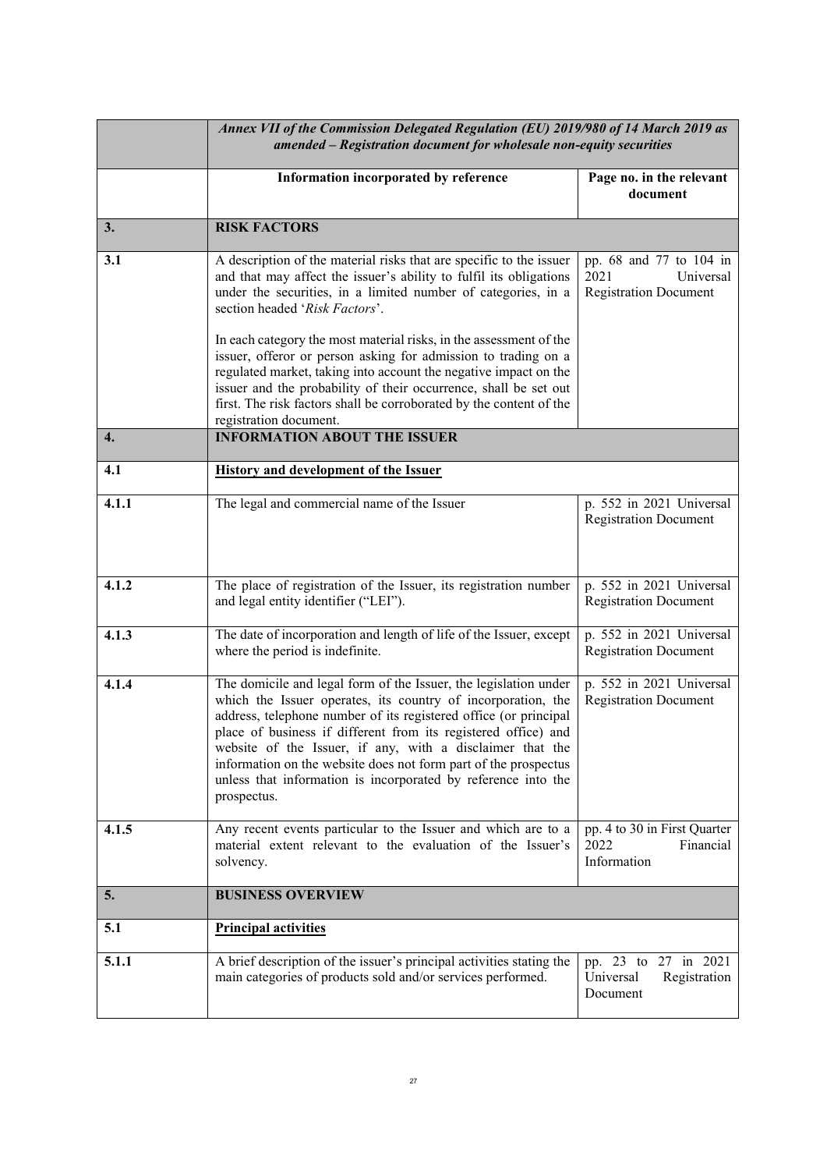|       | Annex VII of the Commission Delegated Regulation (EU) 2019/980 of 14 March 2019 as<br>amended - Registration document for wholesale non-equity securities                                                                                                                                                                                                                                                                                                                              |                                                                              |  |  |
|-------|----------------------------------------------------------------------------------------------------------------------------------------------------------------------------------------------------------------------------------------------------------------------------------------------------------------------------------------------------------------------------------------------------------------------------------------------------------------------------------------|------------------------------------------------------------------------------|--|--|
|       | Information incorporated by reference                                                                                                                                                                                                                                                                                                                                                                                                                                                  | Page no. in the relevant<br>document                                         |  |  |
| 3.    | <b>RISK FACTORS</b>                                                                                                                                                                                                                                                                                                                                                                                                                                                                    |                                                                              |  |  |
| 3.1   | A description of the material risks that are specific to the issuer<br>and that may affect the issuer's ability to fulfil its obligations<br>under the securities, in a limited number of categories, in a<br>section headed 'Risk Factors'.                                                                                                                                                                                                                                           | pp. 68 and 77 to 104 in<br>2021<br>Universal<br><b>Registration Document</b> |  |  |
|       | In each category the most material risks, in the assessment of the<br>issuer, offeror or person asking for admission to trading on a<br>regulated market, taking into account the negative impact on the<br>issuer and the probability of their occurrence, shall be set out<br>first. The risk factors shall be corroborated by the content of the<br>registration document.                                                                                                          |                                                                              |  |  |
| 4.    | <b>INFORMATION ABOUT THE ISSUER</b>                                                                                                                                                                                                                                                                                                                                                                                                                                                    |                                                                              |  |  |
| 4.1   | <b>History and development of the Issuer</b>                                                                                                                                                                                                                                                                                                                                                                                                                                           |                                                                              |  |  |
| 4.1.1 | The legal and commercial name of the Issuer                                                                                                                                                                                                                                                                                                                                                                                                                                            | p. 552 in 2021 Universal<br><b>Registration Document</b>                     |  |  |
| 4.1.2 | The place of registration of the Issuer, its registration number<br>and legal entity identifier ("LEI").                                                                                                                                                                                                                                                                                                                                                                               | p. 552 in 2021 Universal<br><b>Registration Document</b>                     |  |  |
| 4.1.3 | The date of incorporation and length of life of the Issuer, except<br>where the period is indefinite.                                                                                                                                                                                                                                                                                                                                                                                  | p. 552 in 2021 Universal<br><b>Registration Document</b>                     |  |  |
| 4.1.4 | The domicile and legal form of the Issuer, the legislation under<br>which the Issuer operates, its country of incorporation, the<br>address, telephone number of its registered office (or principal<br>place of business if different from its registered office) and<br>website of the Issuer, if any, with a disclaimer that the<br>information on the website does not form part of the prospectus<br>unless that information is incorporated by reference into the<br>prospectus. | p. 552 in 2021 Universal<br><b>Registration Document</b>                     |  |  |
| 4.1.5 | Any recent events particular to the Issuer and which are to a<br>material extent relevant to the evaluation of the Issuer's<br>solvency.                                                                                                                                                                                                                                                                                                                                               | pp. 4 to 30 in First Quarter<br>2022<br>Financial<br>Information             |  |  |
| 5.    | <b>BUSINESS OVERVIEW</b>                                                                                                                                                                                                                                                                                                                                                                                                                                                               |                                                                              |  |  |
| 5.1   | <b>Principal activities</b>                                                                                                                                                                                                                                                                                                                                                                                                                                                            |                                                                              |  |  |
| 5.1.1 | A brief description of the issuer's principal activities stating the<br>main categories of products sold and/or services performed.                                                                                                                                                                                                                                                                                                                                                    | pp. 23 to 27 in 2021<br>Universal<br>Registration<br>Document                |  |  |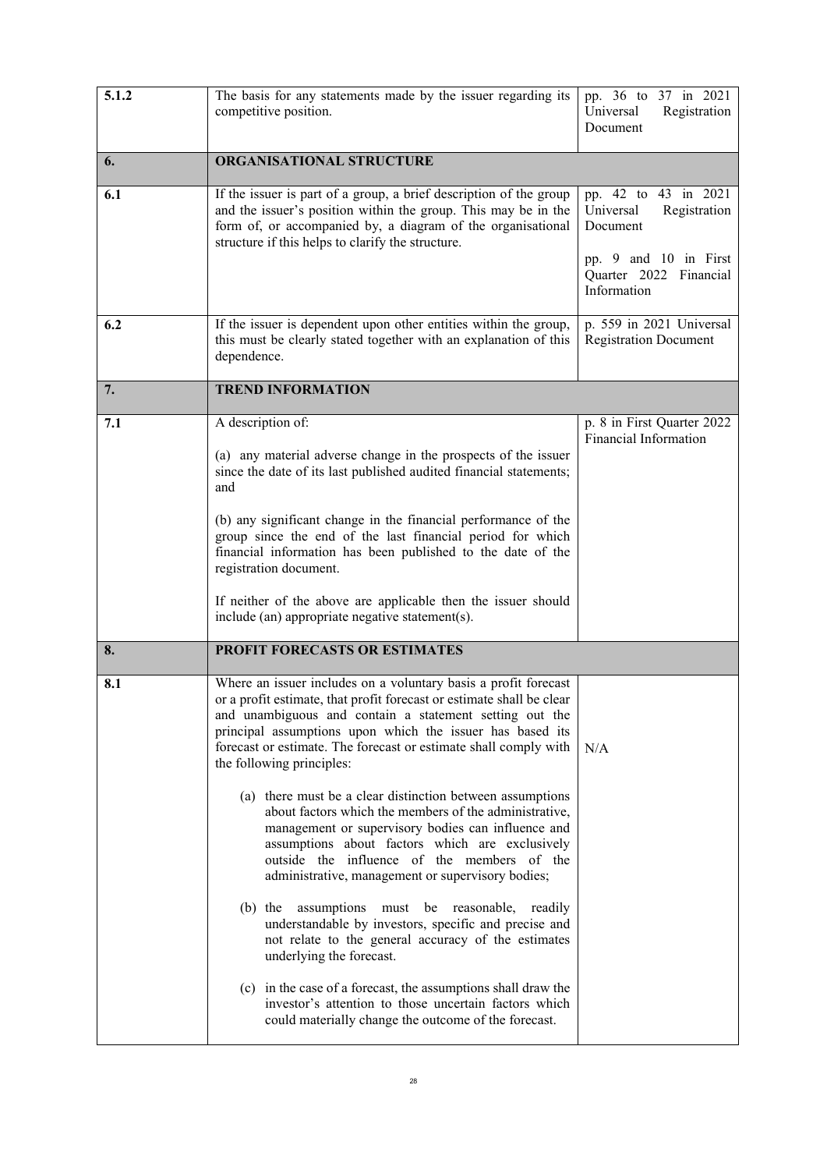| 5.1.2 | The basis for any statements made by the issuer regarding its<br>competitive position.                                                                                                                                                                                                                                                                            | pp. 36 to 37 in 2021<br>Universal<br>Registration<br>Document                          |
|-------|-------------------------------------------------------------------------------------------------------------------------------------------------------------------------------------------------------------------------------------------------------------------------------------------------------------------------------------------------------------------|----------------------------------------------------------------------------------------|
| 6.    | ORGANISATIONAL STRUCTURE                                                                                                                                                                                                                                                                                                                                          |                                                                                        |
| 6.1   | If the issuer is part of a group, a brief description of the group<br>and the issuer's position within the group. This may be in the<br>form of, or accompanied by, a diagram of the organisational<br>structure if this helps to clarify the structure.                                                                                                          | pp. 42 to 43 in 2021<br>Universal<br>Registration<br>Document<br>pp. 9 and 10 in First |
|       |                                                                                                                                                                                                                                                                                                                                                                   | Quarter 2022 Financial<br>Information                                                  |
| 6.2   | If the issuer is dependent upon other entities within the group,<br>this must be clearly stated together with an explanation of this<br>dependence.                                                                                                                                                                                                               | p. 559 in 2021 Universal<br><b>Registration Document</b>                               |
| 7.    | <b>TREND INFORMATION</b>                                                                                                                                                                                                                                                                                                                                          |                                                                                        |
| 7.1   | A description of:                                                                                                                                                                                                                                                                                                                                                 | p. 8 in First Quarter 2022<br>Financial Information                                    |
|       | (a) any material adverse change in the prospects of the issuer<br>since the date of its last published audited financial statements;<br>and                                                                                                                                                                                                                       |                                                                                        |
|       | (b) any significant change in the financial performance of the<br>group since the end of the last financial period for which<br>financial information has been published to the date of the<br>registration document.                                                                                                                                             |                                                                                        |
|       | If neither of the above are applicable then the issuer should<br>include (an) appropriate negative statement(s).                                                                                                                                                                                                                                                  |                                                                                        |
| 8.    | PROFIT FORECASTS OR ESTIMATES                                                                                                                                                                                                                                                                                                                                     |                                                                                        |
| 8.1   | Where an issuer includes on a voluntary basis a profit forecast<br>or a profit estimate, that profit forecast or estimate shall be clear<br>and unambiguous and contain a statement setting out the<br>principal assumptions upon which the issuer has based its<br>forecast or estimate. The forecast or estimate shall comply with<br>the following principles: | N/A                                                                                    |
|       | (a) there must be a clear distinction between assumptions<br>about factors which the members of the administrative,<br>management or supervisory bodies can influence and<br>assumptions about factors which are exclusively<br>outside the influence of the members of the<br>administrative, management or supervisory bodies;                                  |                                                                                        |
|       | assumptions must be reasonable, readily<br>$(b)$ the<br>understandable by investors, specific and precise and<br>not relate to the general accuracy of the estimates<br>underlying the forecast.                                                                                                                                                                  |                                                                                        |
|       | (c) in the case of a forecast, the assumptions shall draw the<br>investor's attention to those uncertain factors which<br>could materially change the outcome of the forecast.                                                                                                                                                                                    |                                                                                        |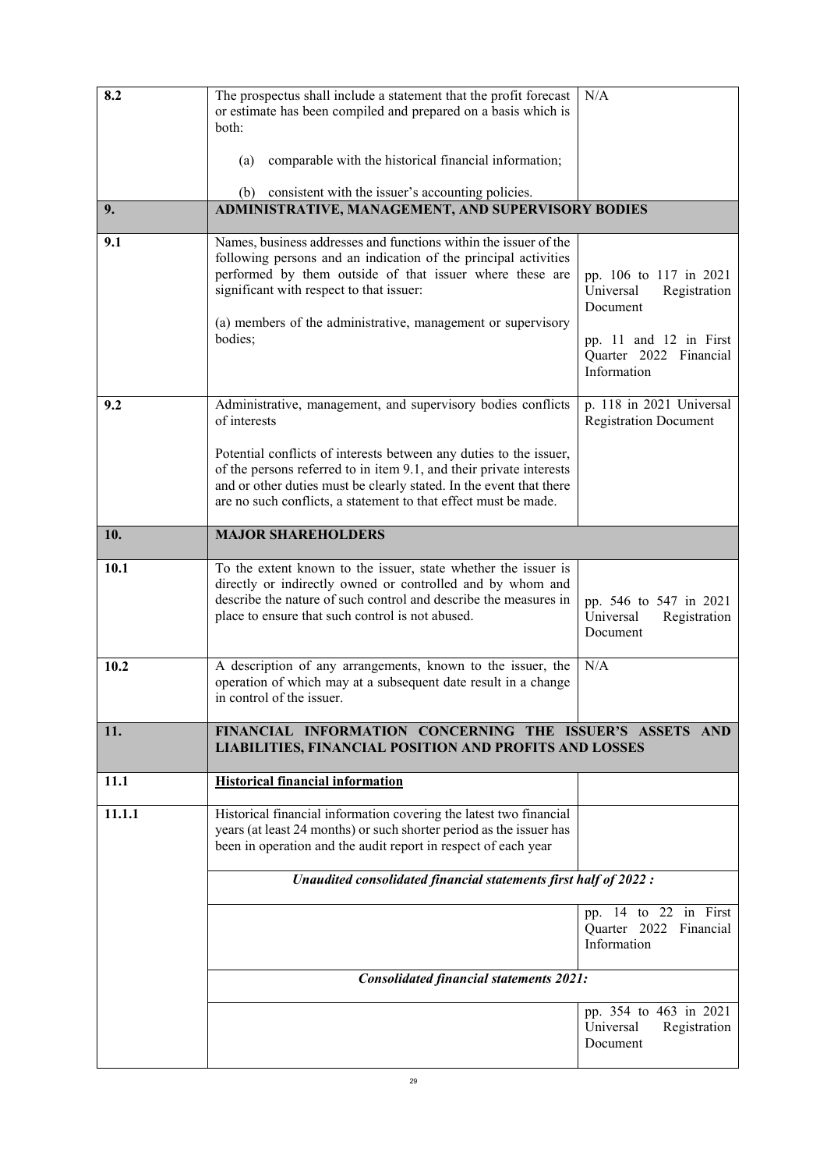| 8.2    | The prospectus shall include a statement that the profit forecast<br>or estimate has been compiled and prepared on a basis which is<br>both:<br>comparable with the historical financial information;<br>(a)                                                                                                                                                        | N/A                                                                                                                                |
|--------|---------------------------------------------------------------------------------------------------------------------------------------------------------------------------------------------------------------------------------------------------------------------------------------------------------------------------------------------------------------------|------------------------------------------------------------------------------------------------------------------------------------|
| 9.     | (b) consistent with the issuer's accounting policies.<br>ADMINISTRATIVE, MANAGEMENT, AND SUPERVISORY BODIES                                                                                                                                                                                                                                                         |                                                                                                                                    |
| 9.1    | Names, business addresses and functions within the issuer of the<br>following persons and an indication of the principal activities<br>performed by them outside of that issuer where these are<br>significant with respect to that issuer:<br>(a) members of the administrative, management or supervisory<br>bodies;                                              | pp. 106 to 117 in 2021<br>Universal<br>Registration<br>Document<br>pp. 11 and 12 in First<br>Quarter 2022 Financial<br>Information |
| 9.2    | Administrative, management, and supervisory bodies conflicts<br>of interests<br>Potential conflicts of interests between any duties to the issuer,<br>of the persons referred to in item 9.1, and their private interests<br>and or other duties must be clearly stated. In the event that there<br>are no such conflicts, a statement to that effect must be made. | p. 118 in 2021 Universal<br><b>Registration Document</b>                                                                           |
| 10.    | <b>MAJOR SHAREHOLDERS</b>                                                                                                                                                                                                                                                                                                                                           |                                                                                                                                    |
| 10.1   | To the extent known to the issuer, state whether the issuer is<br>directly or indirectly owned or controlled and by whom and<br>describe the nature of such control and describe the measures in<br>place to ensure that such control is not abused.                                                                                                                | pp. 546 to 547 in 2021<br>Universal<br>Registration<br>Document                                                                    |
| 10.2   | A description of any arrangements, known to the issuer, the<br>operation of which may at a subsequent date result in a change<br>in control of the issuer.                                                                                                                                                                                                          | N/A                                                                                                                                |
| 11.    | FINANCIAL INFORMATION CONCERNING THE ISSUER'S ASSETS AND<br>LIABILITIES, FINANCIAL POSITION AND PROFITS AND LOSSES                                                                                                                                                                                                                                                  |                                                                                                                                    |
| 11.1   | <b>Historical financial information</b>                                                                                                                                                                                                                                                                                                                             |                                                                                                                                    |
| 11.1.1 | Historical financial information covering the latest two financial<br>years (at least 24 months) or such shorter period as the issuer has<br>been in operation and the audit report in respect of each year                                                                                                                                                         |                                                                                                                                    |
|        | Unaudited consolidated financial statements first half of 2022 :                                                                                                                                                                                                                                                                                                    |                                                                                                                                    |
|        |                                                                                                                                                                                                                                                                                                                                                                     | pp. 14 to 22 in First<br>Quarter 2022 Financial<br>Information                                                                     |
|        | <b>Consolidated financial statements 2021:</b>                                                                                                                                                                                                                                                                                                                      |                                                                                                                                    |
|        |                                                                                                                                                                                                                                                                                                                                                                     | pp. 354 to 463 in 2021<br>Universal<br>Registration<br>Document                                                                    |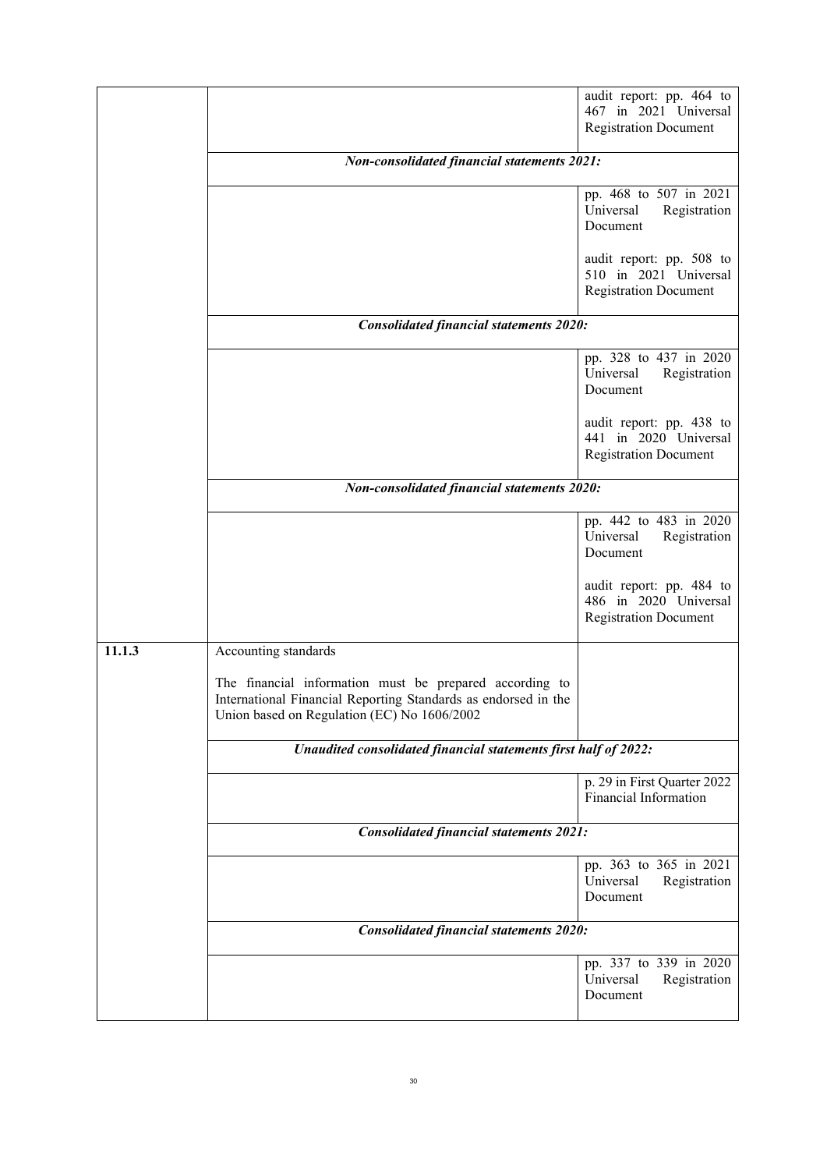|        |                                                                                                                                                                          | audit report: pp. 464 to<br>467 in 2021 Universal<br><b>Registration Document</b> |
|--------|--------------------------------------------------------------------------------------------------------------------------------------------------------------------------|-----------------------------------------------------------------------------------|
|        | <b>Non-consolidated financial statements 2021:</b>                                                                                                                       |                                                                                   |
|        |                                                                                                                                                                          | pp. 468 to 507 in 2021<br>Universal<br>Registration<br>Document                   |
|        |                                                                                                                                                                          | audit report: pp. 508 to<br>510 in 2021 Universal<br><b>Registration Document</b> |
|        | <b>Consolidated financial statements 2020:</b>                                                                                                                           |                                                                                   |
|        |                                                                                                                                                                          | pp. 328 to 437 in 2020<br>Universal<br>Registration<br>Document                   |
|        |                                                                                                                                                                          | audit report: pp. 438 to<br>441 in 2020 Universal<br><b>Registration Document</b> |
|        | <b>Non-consolidated financial statements 2020:</b>                                                                                                                       |                                                                                   |
|        |                                                                                                                                                                          | pp. 442 to 483 in 2020<br>Universal<br>Registration<br>Document                   |
|        |                                                                                                                                                                          | audit report: pp. 484 to<br>486 in 2020 Universal<br><b>Registration Document</b> |
| 11.1.3 | Accounting standards                                                                                                                                                     |                                                                                   |
|        | The financial information must be prepared according to<br>International Financial Reporting Standards as endorsed in the<br>Union based on Regulation (EC) No 1606/2002 |                                                                                   |
|        | Unaudited consolidated financial statements first half of 2022:                                                                                                          |                                                                                   |
|        |                                                                                                                                                                          | p. 29 in First Quarter 2022<br>Financial Information                              |
|        | <b>Consolidated financial statements 2021:</b>                                                                                                                           |                                                                                   |
|        |                                                                                                                                                                          | pp. 363 to 365 in 2021<br>Universal<br>Registration<br>Document                   |
|        | <b>Consolidated financial statements 2020:</b>                                                                                                                           |                                                                                   |
|        |                                                                                                                                                                          | pp. 337 to 339 in 2020<br>Universal<br>Registration<br>Document                   |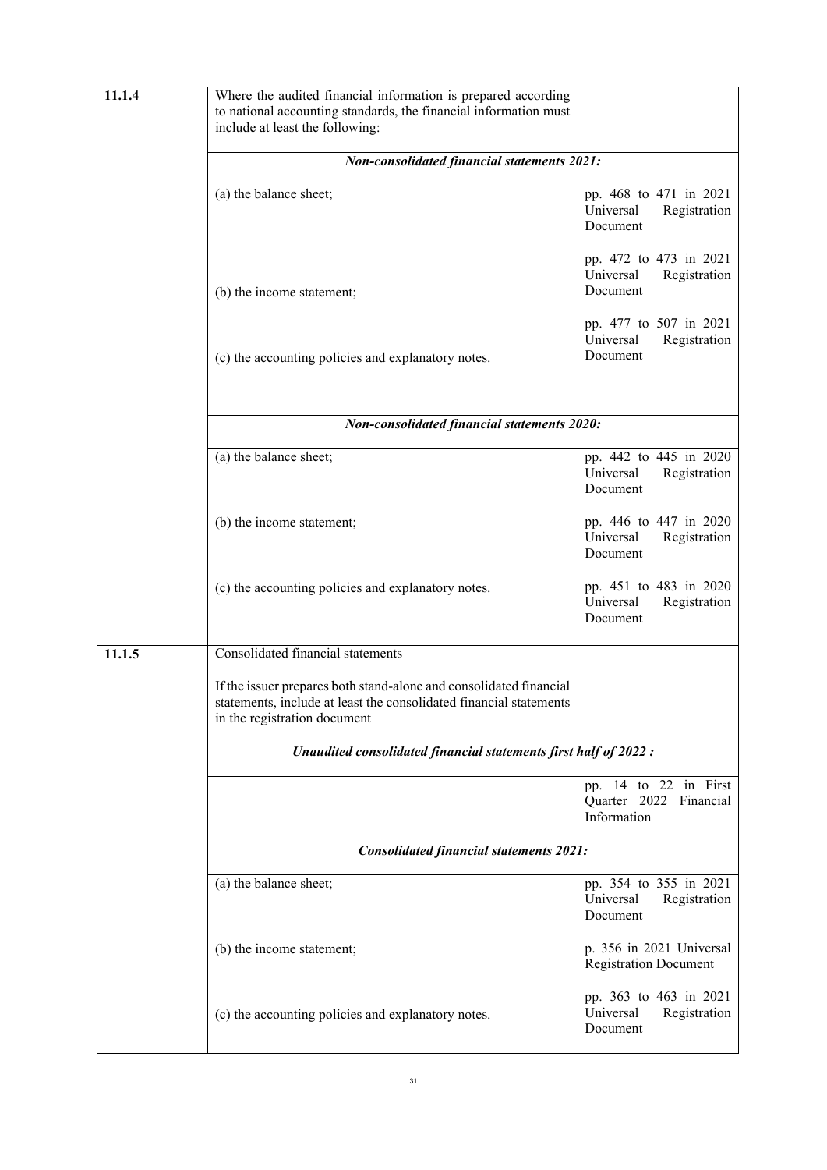| 11.1.4 | Where the audited financial information is prepared according<br>to national accounting standards, the financial information must<br>include at least the following:     |                                                                 |
|--------|--------------------------------------------------------------------------------------------------------------------------------------------------------------------------|-----------------------------------------------------------------|
|        | <b>Non-consolidated financial statements 2021:</b>                                                                                                                       |                                                                 |
|        | (a) the balance sheet;                                                                                                                                                   | pp. 468 to 471 in 2021<br>Universal<br>Registration<br>Document |
|        | (b) the income statement;                                                                                                                                                | pp. 472 to 473 in 2021<br>Universal<br>Registration<br>Document |
|        | (c) the accounting policies and explanatory notes.                                                                                                                       | pp. 477 to 507 in 2021<br>Universal<br>Registration<br>Document |
|        |                                                                                                                                                                          |                                                                 |
|        | <b>Non-consolidated financial statements 2020:</b>                                                                                                                       |                                                                 |
|        | $(a)$ the balance sheet;                                                                                                                                                 | pp. 442 to 445 in 2020<br>Universal<br>Registration<br>Document |
|        | (b) the income statement;                                                                                                                                                | pp. 446 to 447 in 2020<br>Universal<br>Registration<br>Document |
|        | (c) the accounting policies and explanatory notes.                                                                                                                       | pp. 451 to 483 in 2020<br>Universal<br>Registration<br>Document |
| 11.1.5 | Consolidated financial statements                                                                                                                                        |                                                                 |
|        | If the issuer prepares both stand-alone and consolidated financial<br>statements, include at least the consolidated financial statements<br>in the registration document |                                                                 |
|        | Unaudited consolidated financial statements first half of 2022 :                                                                                                         |                                                                 |
|        |                                                                                                                                                                          | pp. 14 to 22 in First<br>Quarter 2022 Financial<br>Information  |
|        | <b>Consolidated financial statements 2021:</b>                                                                                                                           |                                                                 |
|        | (a) the balance sheet;                                                                                                                                                   | pp. 354 to 355 in 2021<br>Universal<br>Registration<br>Document |
|        | (b) the income statement;                                                                                                                                                | p. 356 in 2021 Universal<br><b>Registration Document</b>        |
|        | (c) the accounting policies and explanatory notes.                                                                                                                       | pp. 363 to 463 in 2021<br>Universal<br>Registration<br>Document |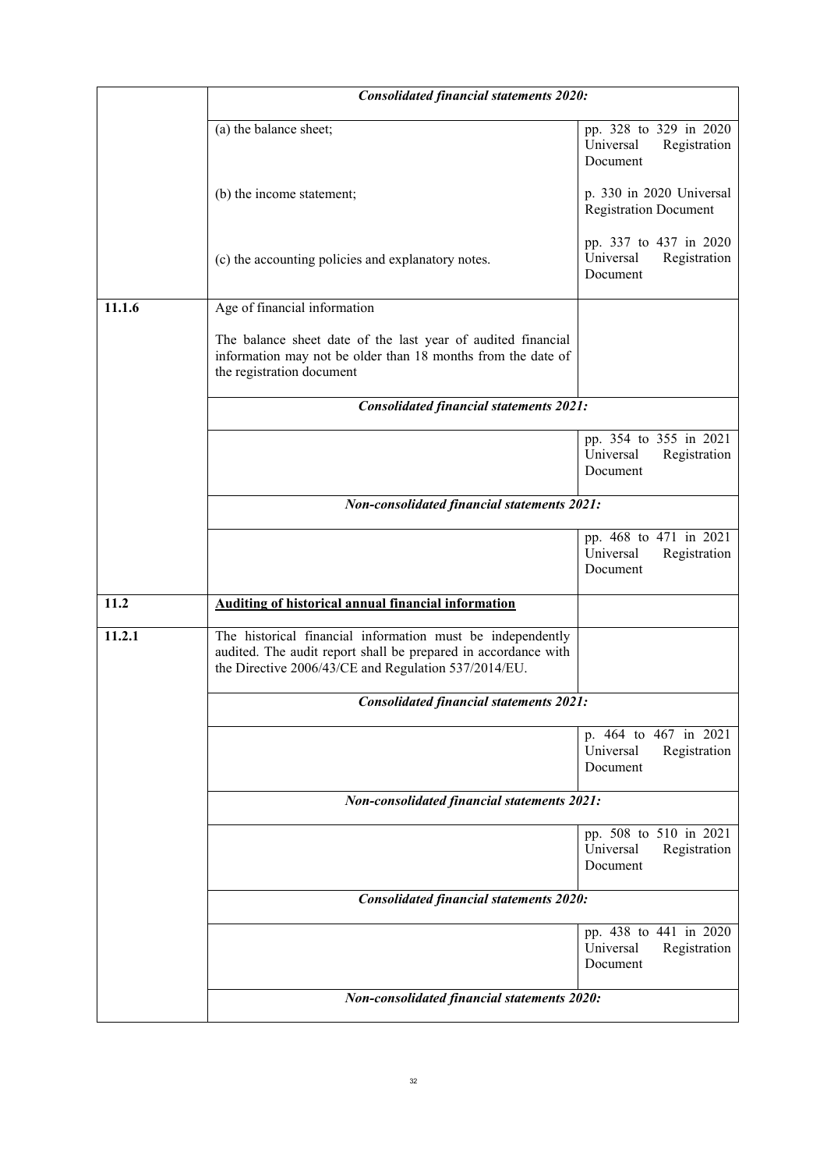|                                             | <b>Consolidated financial statements 2020:</b>                                                                                                                                       |                                                                 |
|---------------------------------------------|--------------------------------------------------------------------------------------------------------------------------------------------------------------------------------------|-----------------------------------------------------------------|
|                                             | (a) the balance sheet;                                                                                                                                                               | pp. 328 to 329 in 2020<br>Universal<br>Registration<br>Document |
|                                             | (b) the income statement;                                                                                                                                                            | p. 330 in 2020 Universal<br><b>Registration Document</b>        |
|                                             | (c) the accounting policies and explanatory notes.                                                                                                                                   | pp. 337 to 437 in 2020<br>Universal<br>Registration<br>Document |
| 11.1.6                                      | Age of financial information                                                                                                                                                         |                                                                 |
|                                             | The balance sheet date of the last year of audited financial<br>information may not be older than 18 months from the date of<br>the registration document                            |                                                                 |
|                                             | <b>Consolidated financial statements 2021:</b>                                                                                                                                       |                                                                 |
|                                             |                                                                                                                                                                                      | pp. 354 to 355 in 2021<br>Universal<br>Registration<br>Document |
|                                             | <b>Non-consolidated financial statements 2021:</b>                                                                                                                                   |                                                                 |
|                                             |                                                                                                                                                                                      | pp. 468 to 471 in 2021                                          |
|                                             |                                                                                                                                                                                      | Universal<br>Registration<br>Document                           |
| 11.2                                        | <b>Auditing of historical annual financial information</b>                                                                                                                           |                                                                 |
| 11.2.1                                      | The historical financial information must be independently<br>audited. The audit report shall be prepared in accordance with<br>the Directive 2006/43/CE and Regulation 537/2014/EU. |                                                                 |
|                                             | <b>Consolidated financial statements 2021:</b>                                                                                                                                       |                                                                 |
|                                             |                                                                                                                                                                                      | p. 464 to 467 in 2021<br>Universal<br>Registration<br>Document  |
|                                             | <b>Non-consolidated financial statements 2021:</b>                                                                                                                                   |                                                                 |
|                                             |                                                                                                                                                                                      | pp. 508 to 510 in 2021<br>Universal<br>Registration<br>Document |
|                                             | <b>Consolidated financial statements 2020:</b>                                                                                                                                       |                                                                 |
|                                             |                                                                                                                                                                                      | pp. 438 to 441 in 2020<br>Universal<br>Registration<br>Document |
| Non-consolidated financial statements 2020: |                                                                                                                                                                                      |                                                                 |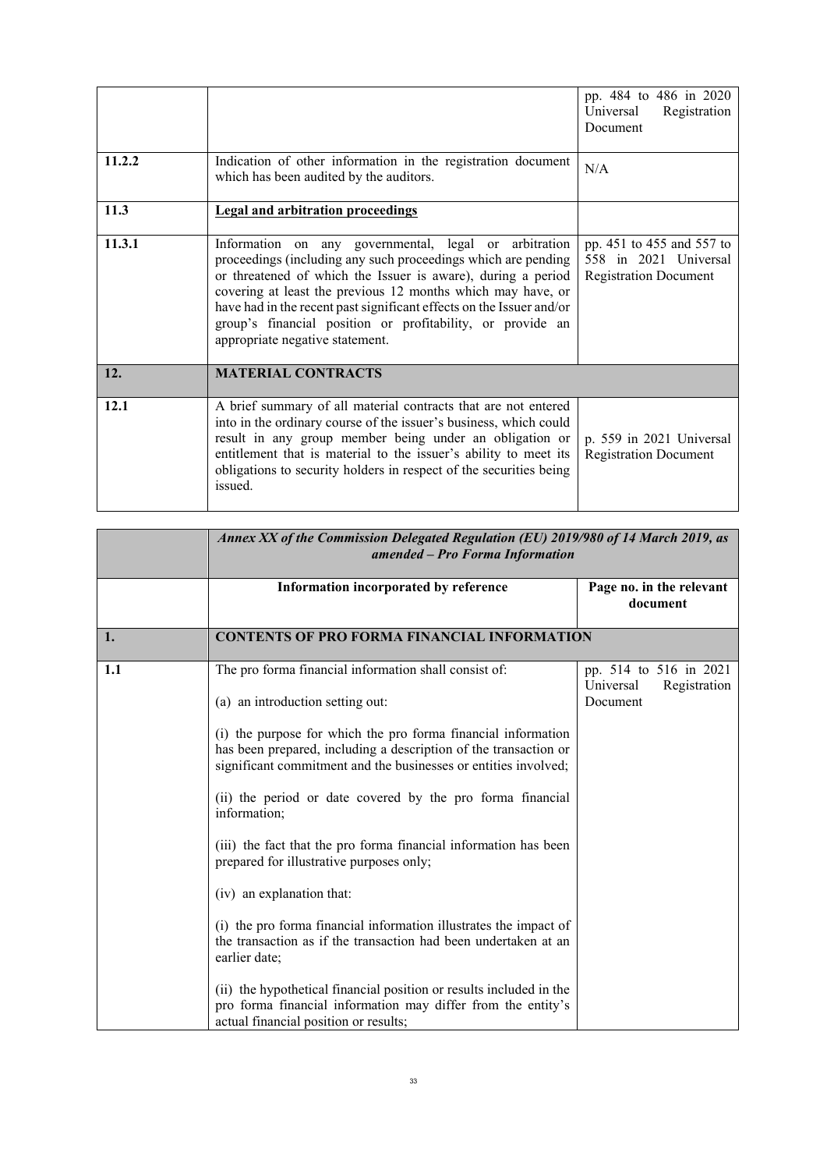|        |                                                                                                                                                                                                                                                                                                                                                                                                                                | pp. 484 to 486 in 2020<br>Universal<br>Registration<br>Document                    |
|--------|--------------------------------------------------------------------------------------------------------------------------------------------------------------------------------------------------------------------------------------------------------------------------------------------------------------------------------------------------------------------------------------------------------------------------------|------------------------------------------------------------------------------------|
| 11.2.2 | Indication of other information in the registration document<br>which has been audited by the auditors.                                                                                                                                                                                                                                                                                                                        | N/A                                                                                |
| 11.3   | <b>Legal and arbitration proceedings</b>                                                                                                                                                                                                                                                                                                                                                                                       |                                                                                    |
| 11.3.1 | Information on any governmental, legal or arbitration<br>proceedings (including any such proceedings which are pending<br>or threatened of which the Issuer is aware), during a period<br>covering at least the previous 12 months which may have, or<br>have had in the recent past significant effects on the Issuer and/or<br>group's financial position or profitability, or provide an<br>appropriate negative statement. | pp. 451 to 455 and 557 to<br>558 in 2021 Universal<br><b>Registration Document</b> |
| 12.    | <b>MATERIAL CONTRACTS</b>                                                                                                                                                                                                                                                                                                                                                                                                      |                                                                                    |
| 12.1   | A brief summary of all material contracts that are not entered<br>into in the ordinary course of the issuer's business, which could<br>result in any group member being under an obligation or<br>entitlement that is material to the issuer's ability to meet its<br>obligations to security holders in respect of the securities being<br>issued.                                                                            | p. 559 in 2021 Universal<br><b>Registration Document</b>                           |

|     | Annex XX of the Commission Delegated Regulation (EU) 2019/980 of 14 March 2019, as<br>amended - Pro Forma Information                                                                                |                                                                 |
|-----|------------------------------------------------------------------------------------------------------------------------------------------------------------------------------------------------------|-----------------------------------------------------------------|
|     | Information incorporated by reference                                                                                                                                                                | Page no. in the relevant<br>document                            |
| 1.  | <b>CONTENTS OF PRO FORMA FINANCIAL INFORMATION</b>                                                                                                                                                   |                                                                 |
| 1.1 | The pro forma financial information shall consist of:<br>(a) an introduction setting out:                                                                                                            | pp. 514 to 516 in 2021<br>Universal<br>Registration<br>Document |
|     | (i) the purpose for which the pro forma financial information<br>has been prepared, including a description of the transaction or<br>significant commitment and the businesses or entities involved; |                                                                 |
|     | (ii) the period or date covered by the pro forma financial<br>information;                                                                                                                           |                                                                 |
|     | (iii) the fact that the pro forma financial information has been<br>prepared for illustrative purposes only;                                                                                         |                                                                 |
|     | (iv) an explanation that:                                                                                                                                                                            |                                                                 |
|     | (i) the pro forma financial information illustrates the impact of<br>the transaction as if the transaction had been undertaken at an<br>earlier date;                                                |                                                                 |
|     | (ii) the hypothetical financial position or results included in the<br>pro forma financial information may differ from the entity's<br>actual financial position or results;                         |                                                                 |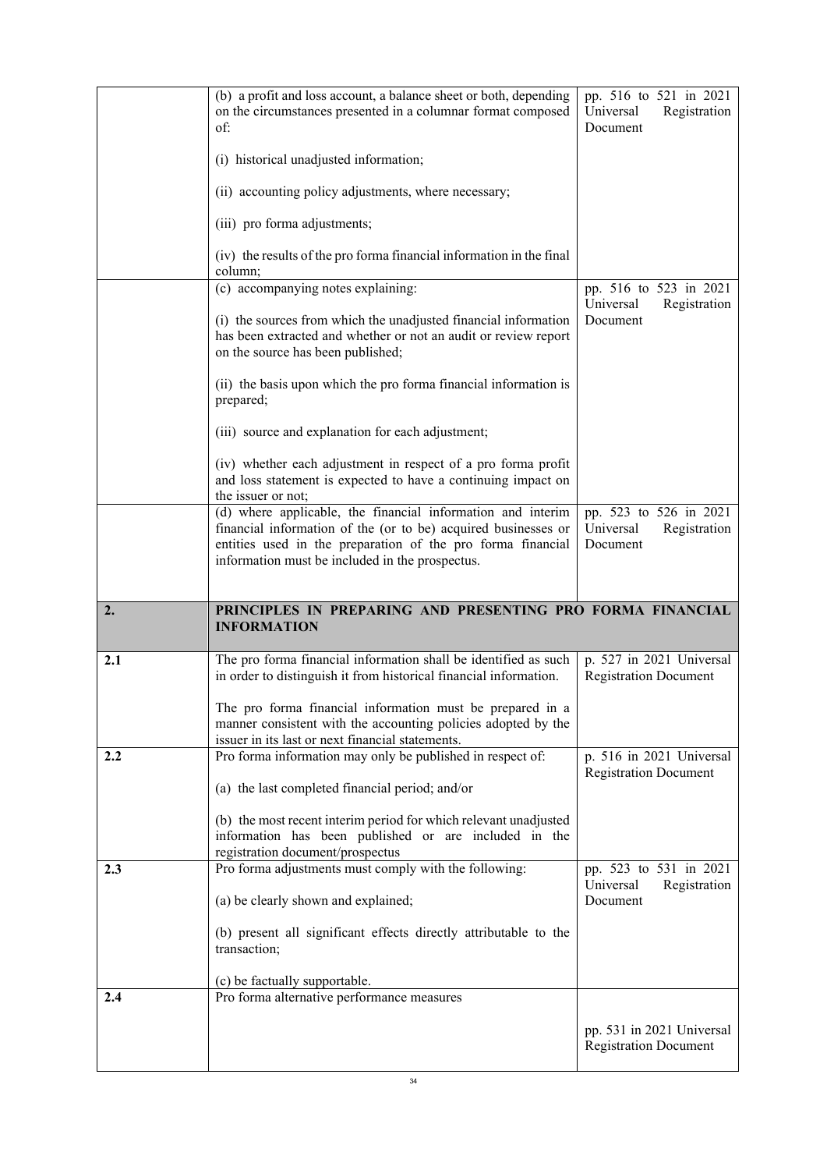|     | (b) a profit and loss account, a balance sheet or both, depending<br>on the circumstances presented in a columnar format composed<br>of:                                                                                                        | pp. 516 to 521 in 2021<br>Registration<br>Universal<br>Document |
|-----|-------------------------------------------------------------------------------------------------------------------------------------------------------------------------------------------------------------------------------------------------|-----------------------------------------------------------------|
|     | (i) historical unadjusted information;                                                                                                                                                                                                          |                                                                 |
|     | (ii) accounting policy adjustments, where necessary;                                                                                                                                                                                            |                                                                 |
|     | (iii) pro forma adjustments;                                                                                                                                                                                                                    |                                                                 |
|     | (iv) the results of the pro forma financial information in the final<br>column;                                                                                                                                                                 |                                                                 |
|     | (c) accompanying notes explaining:                                                                                                                                                                                                              | pp. 516 to 523 in 2021<br>Universal<br>Registration             |
|     | (i) the sources from which the unadjusted financial information<br>has been extracted and whether or not an audit or review report<br>on the source has been published;                                                                         | Document                                                        |
|     | (ii) the basis upon which the pro forma financial information is<br>prepared;                                                                                                                                                                   |                                                                 |
|     | (iii) source and explanation for each adjustment;                                                                                                                                                                                               |                                                                 |
|     | (iv) whether each adjustment in respect of a pro forma profit<br>and loss statement is expected to have a continuing impact on<br>the issuer or not;                                                                                            |                                                                 |
|     | (d) where applicable, the financial information and interim<br>financial information of the (or to be) acquired businesses or<br>entities used in the preparation of the pro forma financial<br>information must be included in the prospectus. | pp. 523 to 526 in 2021<br>Registration<br>Universal<br>Document |
|     |                                                                                                                                                                                                                                                 |                                                                 |
| 2.  | PRINCIPLES IN PREPARING AND PRESENTING PRO FORMA FINANCIAL<br><b>INFORMATION</b>                                                                                                                                                                |                                                                 |
| 2.1 | The pro forma financial information shall be identified as such                                                                                                                                                                                 | p. 527 in 2021 Universal                                        |
|     | in order to distinguish it from historical financial information.                                                                                                                                                                               | <b>Registration Document</b>                                    |
|     | The pro forma financial information must be prepared in a<br>manner consistent with the accounting policies adopted by the                                                                                                                      |                                                                 |
| 2.2 | issuer in its last or next financial statements.<br>Pro forma information may only be published in respect of:                                                                                                                                  | p. 516 in 2021 Universal                                        |
|     | (a) the last completed financial period; and/or                                                                                                                                                                                                 | <b>Registration Document</b>                                    |
|     | (b) the most recent interim period for which relevant unadjusted<br>information has been published or are included in the                                                                                                                       |                                                                 |
| 2.3 | registration document/prospectus<br>Pro forma adjustments must comply with the following:                                                                                                                                                       | pp. 523 to 531 in 2021                                          |
|     | (a) be clearly shown and explained;                                                                                                                                                                                                             | Universal<br>Registration<br>Document                           |
|     | (b) present all significant effects directly attributable to the<br>transaction;                                                                                                                                                                |                                                                 |
| 2.4 | (c) be factually supportable.<br>Pro forma alternative performance measures                                                                                                                                                                     |                                                                 |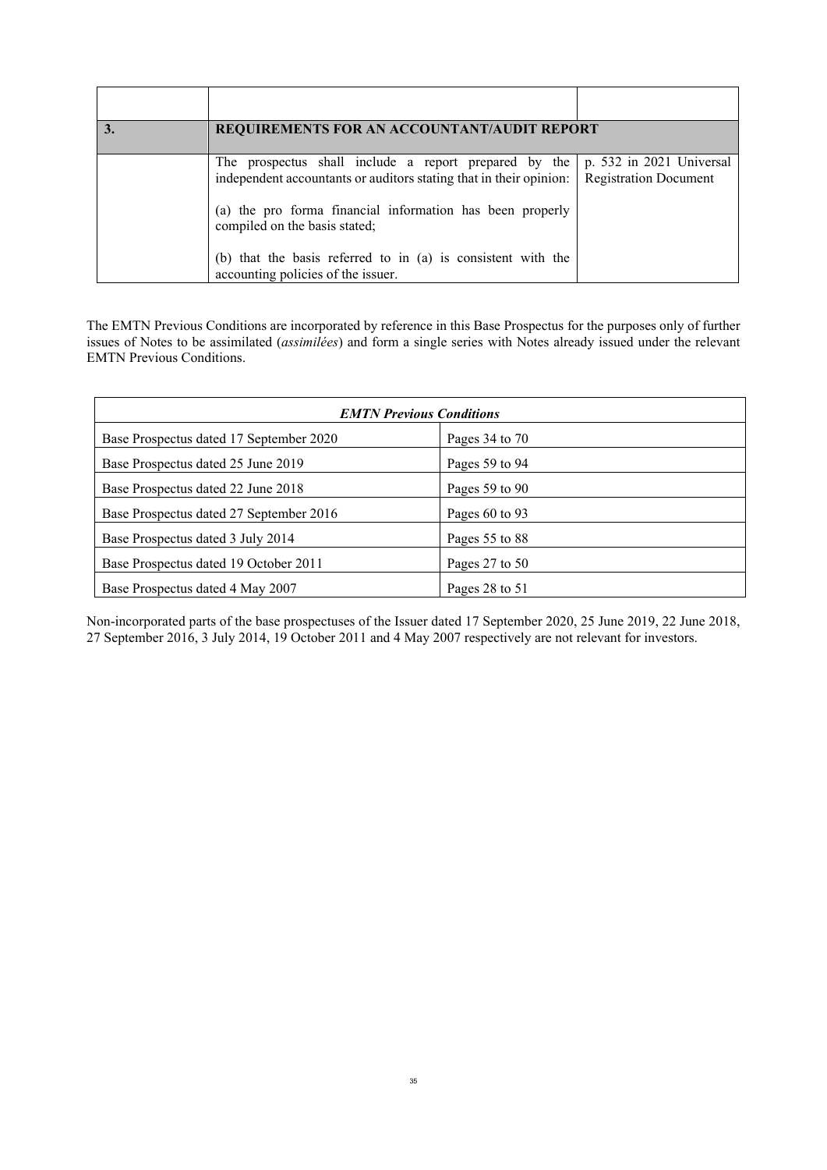| REQUIREMENTS FOR AN ACCOUNTANT/AUDIT REPORT                                                                                                                                                                               |                                                          |
|---------------------------------------------------------------------------------------------------------------------------------------------------------------------------------------------------------------------------|----------------------------------------------------------|
| The prospectus shall include a report prepared by the<br>independent accountants or auditors stating that in their opinion:<br>(a) the pro forma financial information has been properly<br>compiled on the basis stated; | p. 532 in 2021 Universal<br><b>Registration Document</b> |
| (b) that the basis referred to in (a) is consistent with the<br>accounting policies of the issuer.                                                                                                                        |                                                          |

The EMTN Previous Conditions are incorporated by reference in this Base Prospectus for the purposes only of further issues of Notes to be assimilated (*assimilées*) and form a single series with Notes already issued under the relevant EMTN Previous Conditions.

| <b>EMTN Previous Conditions</b>         |                    |  |
|-----------------------------------------|--------------------|--|
| Base Prospectus dated 17 September 2020 | Pages 34 to 70     |  |
| Base Prospectus dated 25 June 2019      | Pages 59 to 94     |  |
| Base Prospectus dated 22 June 2018      | Pages $59$ to $90$ |  |
| Base Prospectus dated 27 September 2016 | Pages $60$ to 93   |  |
| Base Prospectus dated 3 July 2014       | Pages 55 to 88     |  |
| Base Prospectus dated 19 October 2011   | Pages $27$ to $50$ |  |
| Base Prospectus dated 4 May 2007        | Pages 28 to 51     |  |

Non-incorporated parts of the base prospectuses of the Issuer dated 17 September 2020, 25 June 2019, 22 June 2018, 27 September 2016, 3 July 2014, 19 October 2011 and 4 May 2007 respectively are not relevant for investors.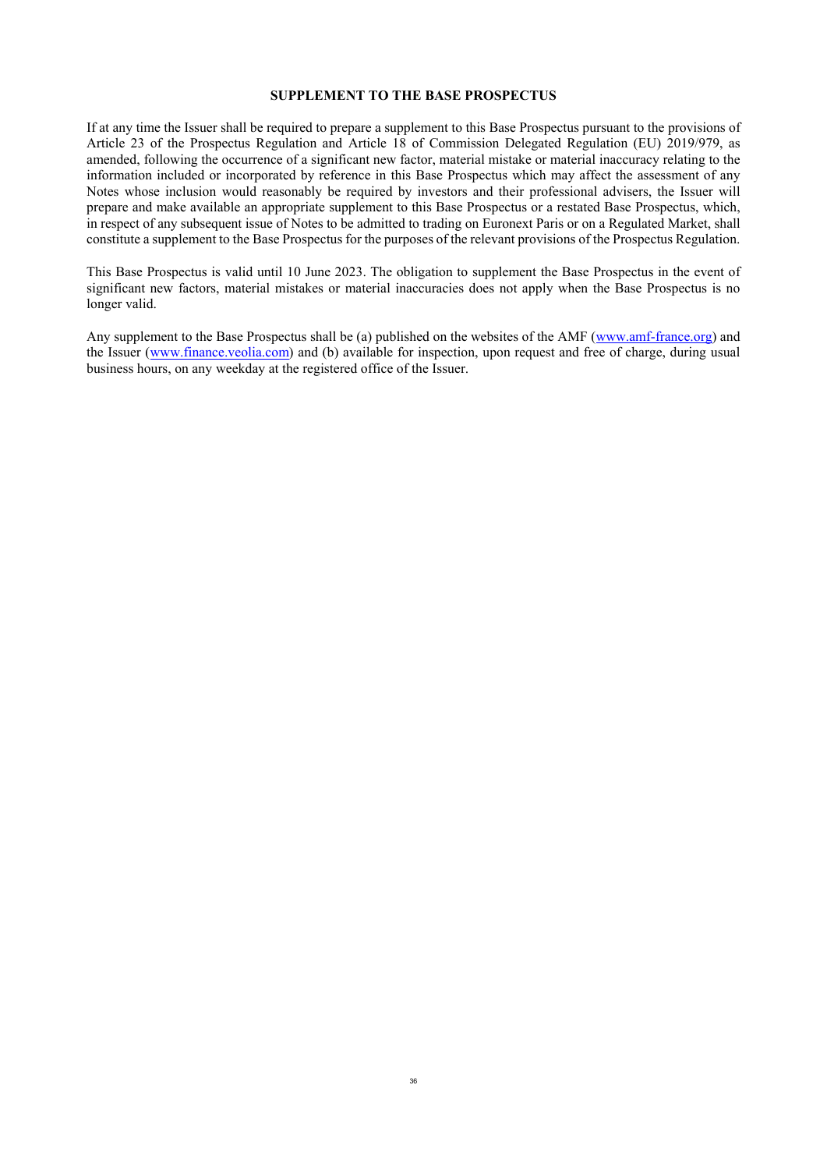### **SUPPLEMENT TO THE BASE PROSPECTUS**

<span id="page-35-0"></span>If at any time the Issuer shall be required to prepare a supplement to this Base Prospectus pursuant to the provisions of Article 23 of the Prospectus Regulation and Article 18 of Commission Delegated Regulation (EU) 2019/979, as amended, following the occurrence of a significant new factor, material mistake or material inaccuracy relating to the information included or incorporated by reference in this Base Prospectus which may affect the assessment of any Notes whose inclusion would reasonably be required by investors and their professional advisers, the Issuer will prepare and make available an appropriate supplement to this Base Prospectus or a restated Base Prospectus, which, in respect of any subsequent issue of Notes to be admitted to trading on Euronext Paris or on a Regulated Market, shall constitute a supplement to the Base Prospectus for the purposes of the relevant provisions of the Prospectus Regulation.

This Base Prospectus is valid until 10 June 2023. The obligation to supplement the Base Prospectus in the event of significant new factors, material mistakes or material inaccuracies does not apply when the Base Prospectus is no longer valid.

Any supplement to the Base Prospectus shall be (a) published on the websites of the AMF (www.amf-france.org) and the Issuer (www.finance.veolia.com) and (b) available for inspection, upon request and free of charge, during usual business hours, on any weekday at the registered office of the Issuer.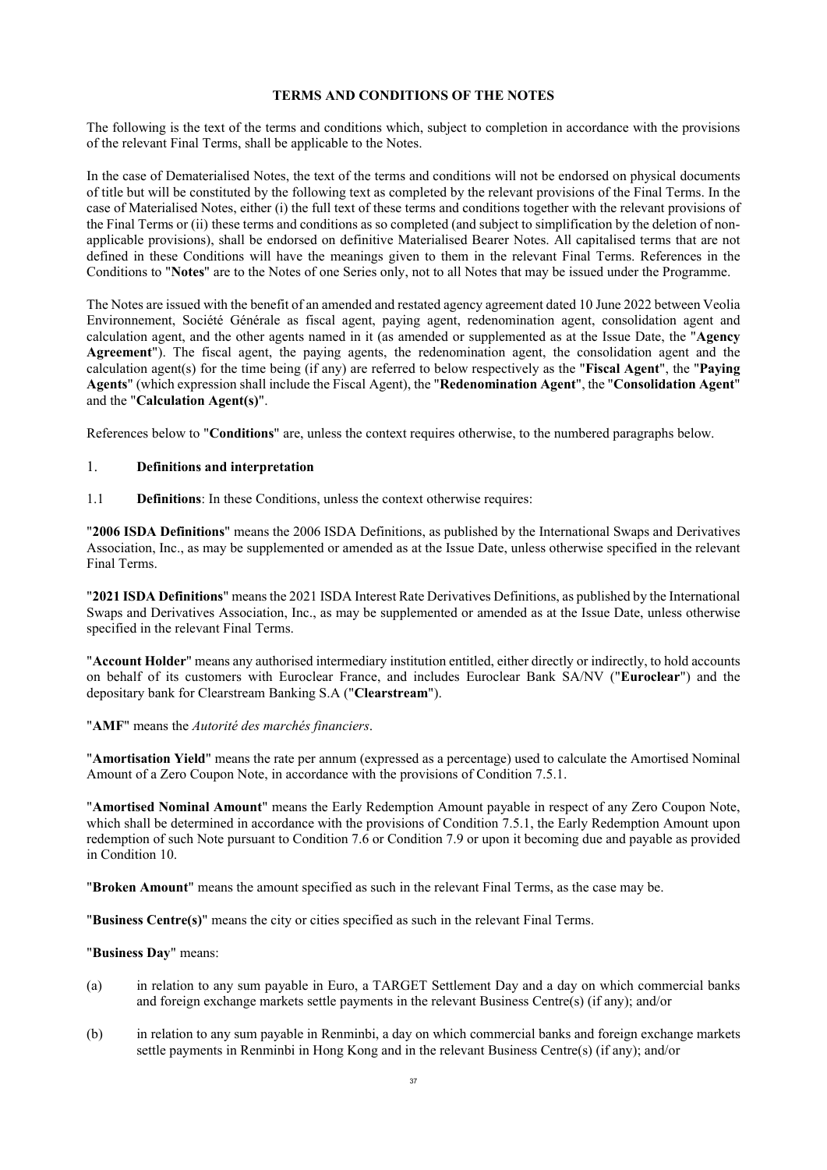# **TERMS AND CONDITIONS OF THE NOTES**

The following is the text of the terms and conditions which, subject to completion in accordance with the provisions of the relevant Final Terms, shall be applicable to the Notes.

In the case of Dematerialised Notes, the text of the terms and conditions will not be endorsed on physical documents of title but will be constituted by the following text as completed by the relevant provisions of the Final Terms. In the case of Materialised Notes, either (i) the full text of these terms and conditions together with the relevant provisions of the Final Terms or (ii) these terms and conditions as so completed (and subject to simplification by the deletion of nonapplicable provisions), shall be endorsed on definitive Materialised Bearer Notes. All capitalised terms that are not defined in these Conditions will have the meanings given to them in the relevant Final Terms. References in the Conditions to "**Notes**" are to the Notes of one Series only, not to all Notes that may be issued under the Programme.

The Notes are issued with the benefit of an amended and restated agency agreement dated 10 June 2022 between Veolia Environnement, Société Générale as fiscal agent, paying agent, redenomination agent, consolidation agent and calculation agent, and the other agents named in it (as amended or supplemented as at the Issue Date, the "**Agency Agreement**"). The fiscal agent, the paying agents, the redenomination agent, the consolidation agent and the calculation agent(s) for the time being (if any) are referred to below respectively as the "**Fiscal Agent**", the "**Paying Agents**" (which expression shall include the Fiscal Agent), the "**Redenomination Agent**", the "**Consolidation Agent**" and the "**Calculation Agent(s)**".

References below to "**Conditions**" are, unless the context requires otherwise, to the numbered paragraphs below.

# 1. **Definitions and interpretation**

1.1 **Definitions**: In these Conditions, unless the context otherwise requires:

"**2006 ISDA Definitions**" means the 2006 ISDA Definitions, as published by the International Swaps and Derivatives Association, Inc., as may be supplemented or amended as at the Issue Date, unless otherwise specified in the relevant Final Terms.

"**2021 ISDA Definitions**" means the 2021 ISDA Interest Rate Derivatives Definitions, as published by the International Swaps and Derivatives Association, Inc., as may be supplemented or amended as at the Issue Date, unless otherwise specified in the relevant Final Terms.

"**Account Holder**" means any authorised intermediary institution entitled, either directly or indirectly, to hold accounts on behalf of its customers with Euroclear France, and includes Euroclear Bank SA/NV ("**Euroclear**") and the depositary bank for Clearstream Banking S.A ("**Clearstream**").

# "**AMF**" means the *Autorité des marchés financiers*.

"**Amortisation Yield**" means the rate per annum (expressed as a percentage) used to calculate the Amortised Nominal Amount of a Zero Coupon Note, in accordance with the provisions of Condition [7.5.1.](#page-71-0)

"**Amortised Nominal Amount**" means the Early Redemption Amount payable in respect of any Zero Coupon Note, which shall be determined in accordance with the provisions of Condition [7.5.1,](#page-71-0) the Early Redemption Amount upon redemption of such Note pursuant to Condition [7.6](#page-72-0) or Condition [7.9](#page-73-0) or upon it becoming due and payable as provided in Condition [10](#page-75-0).

"**Broken Amount**" means the amount specified as such in the relevant Final Terms, as the case may be.

"**Business Centre(s)**" means the city or cities specified as such in the relevant Final Terms.

# "**Business Day**" means:

- (a) in relation to any sum payable in Euro, a TARGET Settlement Day and a day on which commercial banks and foreign exchange markets settle payments in the relevant Business Centre(s) (if any); and/or
- (b) in relation to any sum payable in Renminbi, a day on which commercial banks and foreign exchange markets settle payments in Renminbi in Hong Kong and in the relevant Business Centre(s) (if any); and/or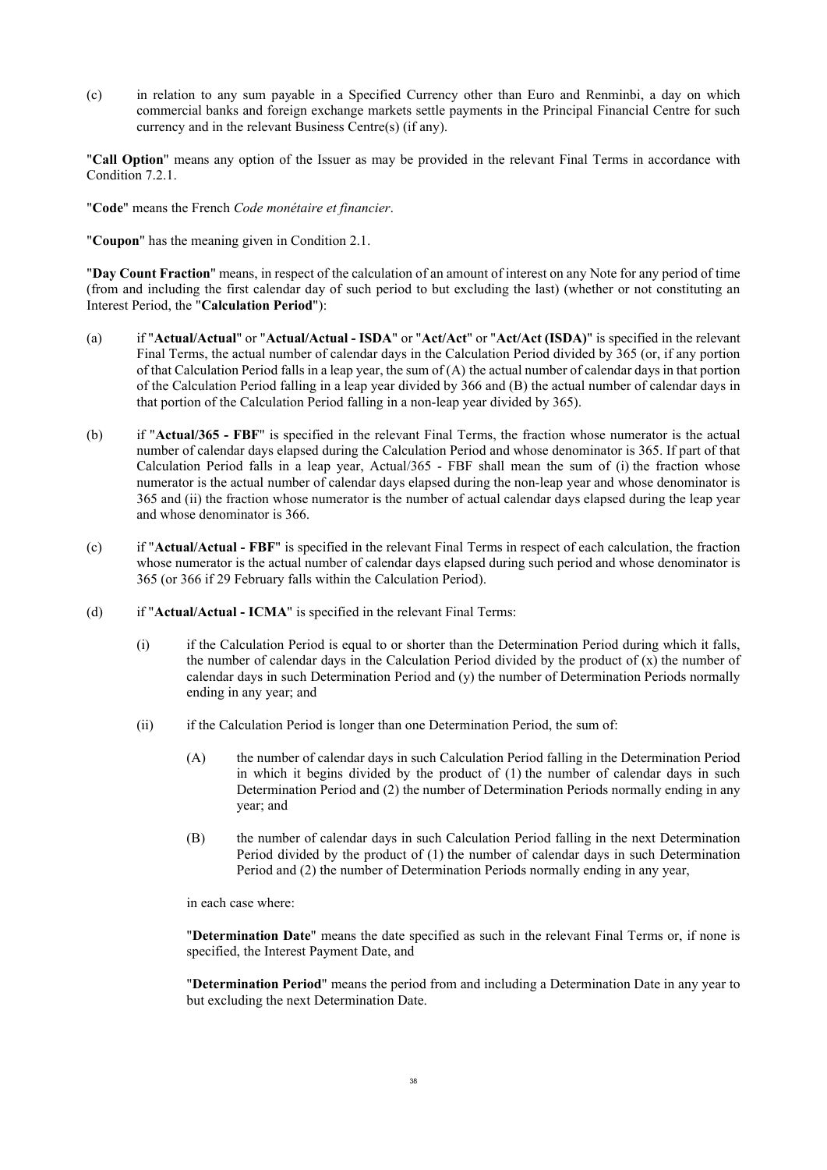(c) in relation to any sum payable in a Specified Currency other than Euro and Renminbi, a day on which commercial banks and foreign exchange markets settle payments in the Principal Financial Centre for such currency and in the relevant Business Centre(s) (if any).

"**Call Option**" means any option of the Issuer as may be provided in the relevant Final Terms in accordance with Condition [7.2.1.](#page-68-0)

"**Code**" means the French *Code monétaire et financier*.

"**Coupon**" has the meaning given in Condition [2.1](#page-44-0).

"**Day Count Fraction**" means, in respect of the calculation of an amount of interest on any Note for any period of time (from and including the first calendar day of such period to but excluding the last) (whether or not constituting an Interest Period, the "**Calculation Period**"):

- (a) if "**Actual/Actual**" or "**Actual/Actual - ISDA**" or "**Act/Act**" or "**Act/Act (ISDA)**" is specified in the relevant Final Terms, the actual number of calendar days in the Calculation Period divided by 365 (or, if any portion of that Calculation Period falls in a leap year, the sum of (A) the actual number of calendar days in that portion of the Calculation Period falling in a leap year divided by 366 and (B) the actual number of calendar days in that portion of the Calculation Period falling in a non-leap year divided by 365).
- (b) if "**Actual/365 - FBF**" is specified in the relevant Final Terms, the fraction whose numerator is the actual number of calendar days elapsed during the Calculation Period and whose denominator is 365. If part of that Calculation Period falls in a leap year, Actual/365 - FBF shall mean the sum of (i) the fraction whose numerator is the actual number of calendar days elapsed during the non-leap year and whose denominator is 365 and (ii) the fraction whose numerator is the number of actual calendar days elapsed during the leap year and whose denominator is 366.
- (c) if "**Actual/Actual - FBF**" is specified in the relevant Final Terms in respect of each calculation, the fraction whose numerator is the actual number of calendar days elapsed during such period and whose denominator is 365 (or 366 if 29 February falls within the Calculation Period).
- (d) if "**Actual/Actual - ICMA**" is specified in the relevant Final Terms:
	- (i) if the Calculation Period is equal to or shorter than the Determination Period during which it falls, the number of calendar days in the Calculation Period divided by the product of  $(x)$  the number of calendar days in such Determination Period and (y) the number of Determination Periods normally ending in any year; and
	- (ii) if the Calculation Period is longer than one Determination Period, the sum of:
		- (A) the number of calendar days in such Calculation Period falling in the Determination Period in which it begins divided by the product of (1) the number of calendar days in such Determination Period and (2) the number of Determination Periods normally ending in any year; and
		- (B) the number of calendar days in such Calculation Period falling in the next Determination Period divided by the product of (1) the number of calendar days in such Determination Period and (2) the number of Determination Periods normally ending in any year,

in each case where:

"**Determination Date**" means the date specified as such in the relevant Final Terms or, if none is specified, the Interest Payment Date, and

"**Determination Period**" means the period from and including a Determination Date in any year to but excluding the next Determination Date.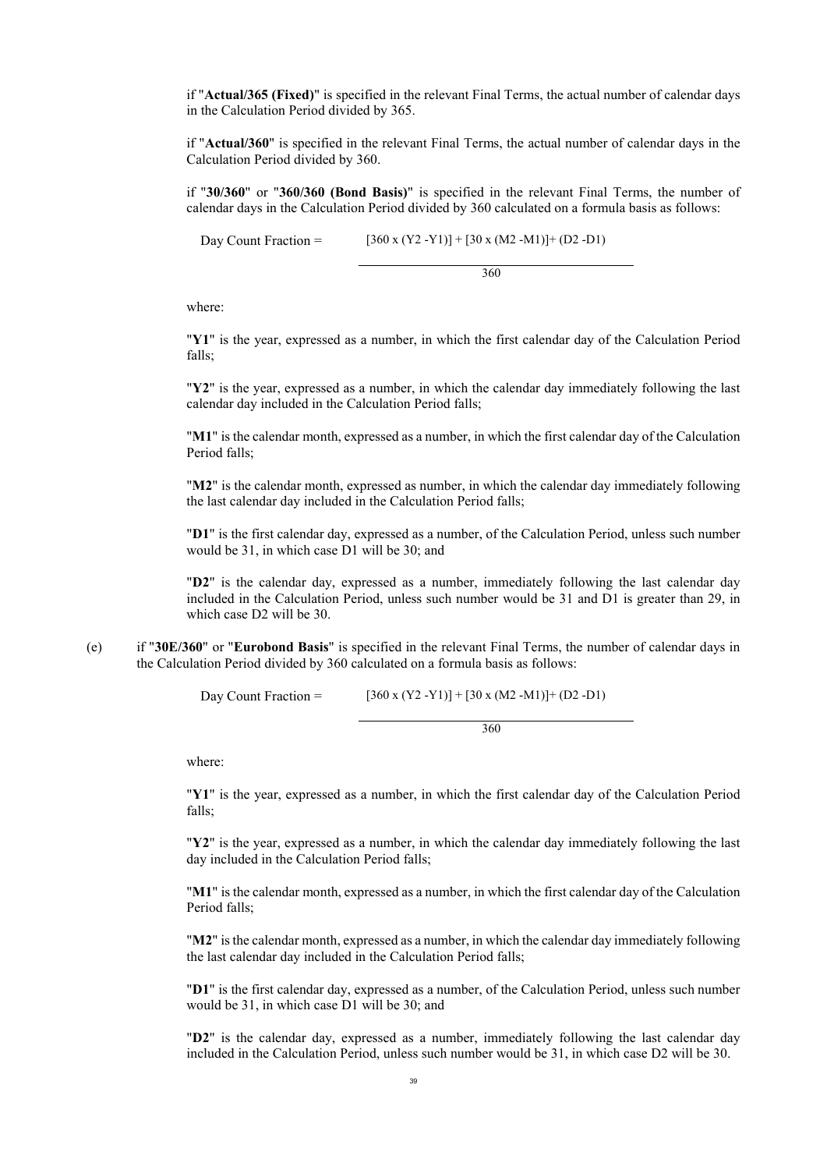if "**Actual/365 (Fixed)**" is specified in the relevant Final Terms, the actual number of calendar days in the Calculation Period divided by 365.

if "**Actual/360**" is specified in the relevant Final Terms, the actual number of calendar days in the Calculation Period divided by 360.

if "**30/360**" or "**360/360 (Bond Basis)**" is specified in the relevant Final Terms, the number of calendar days in the Calculation Period divided by 360 calculated on a formula basis as follows:

Day Count Fraction =  $[360 \times (Y2 - Y1)] + [30 \times (M2 - M1)] + (D2 - D1)$ 

360

where:

"**Y1**" is the year, expressed as a number, in which the first calendar day of the Calculation Period falls;

"**Y2**" is the year, expressed as a number, in which the calendar day immediately following the last calendar day included in the Calculation Period falls;

"**M1**" is the calendar month, expressed as a number, in which the first calendar day of the Calculation Period falls;

"**M2**" is the calendar month, expressed as number, in which the calendar day immediately following the last calendar day included in the Calculation Period falls;

"**D1**" is the first calendar day, expressed as a number, of the Calculation Period, unless such number would be 31, in which case D1 will be 30; and

"**D2**" is the calendar day, expressed as a number, immediately following the last calendar day included in the Calculation Period, unless such number would be 31 and D1 is greater than 29, in which case D2 will be 30.

(e) if "**30E/360**" or "**Eurobond Basis**" is specified in the relevant Final Terms, the number of calendar days in the Calculation Period divided by 360 calculated on a formula basis as follows:

Day Count Fraction =  $[360 \times (Y2 - Y1)] + [30 \times (M2 - M1)] + (D2 - D1)$ 

360

where:

"**Y1**" is the year, expressed as a number, in which the first calendar day of the Calculation Period falls;

"**Y2**" is the year, expressed as a number, in which the calendar day immediately following the last day included in the Calculation Period falls;

"**M1**" is the calendar month, expressed as a number, in which the first calendar day of the Calculation Period falls;

"**M2**" is the calendar month, expressed as a number, in which the calendar day immediately following the last calendar day included in the Calculation Period falls;

"**D1**" is the first calendar day, expressed as a number, of the Calculation Period, unless such number would be 31, in which case D1 will be 30; and

"**D2**" is the calendar day, expressed as a number, immediately following the last calendar day included in the Calculation Period, unless such number would be 31, in which case D2 will be 30.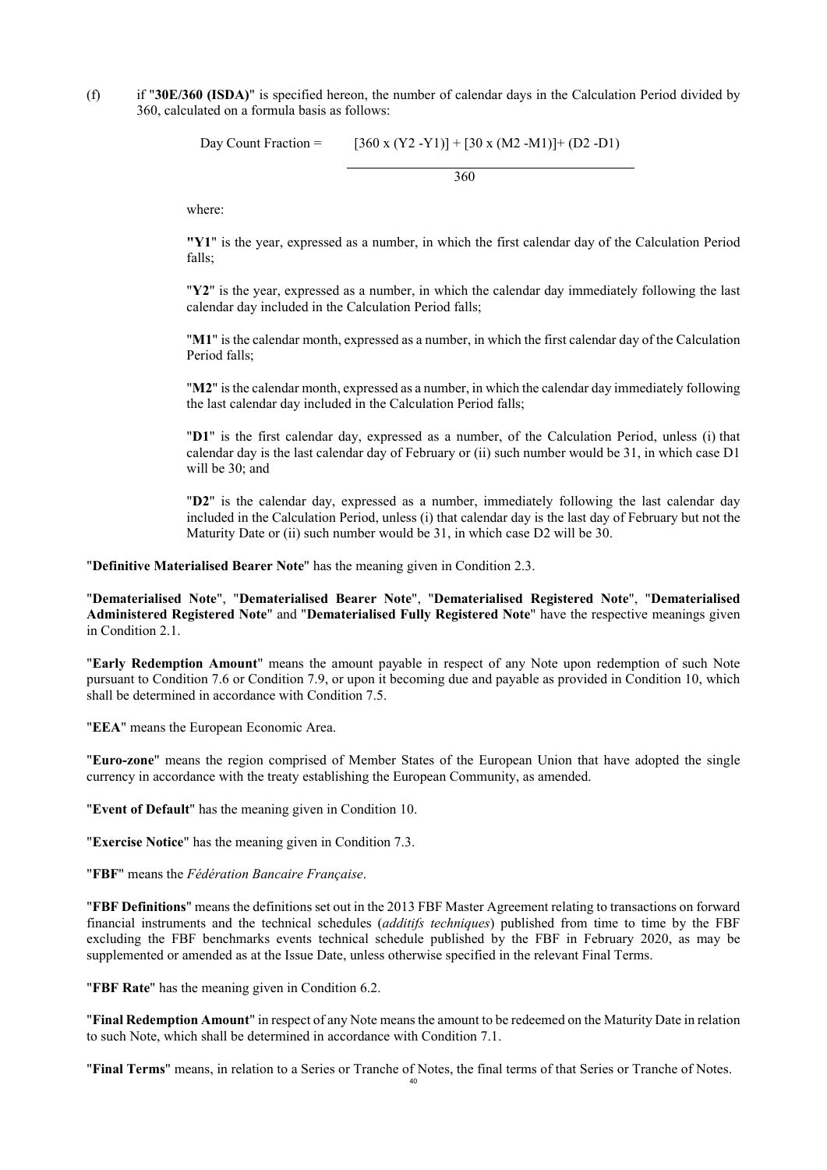(f) if "**30E/360 (ISDA)**" is specified hereon, the number of calendar days in the Calculation Period divided by 360, calculated on a formula basis as follows:

Day Count Fraction =  $[360 \times (Y2 - Y1)] + [30 \times (M2 - M1)] + (D2 - D1)$ 

360

where:

**"Y1**" is the year, expressed as a number, in which the first calendar day of the Calculation Period falls;

"**Y2**" is the year, expressed as a number, in which the calendar day immediately following the last calendar day included in the Calculation Period falls;

"**M1**" is the calendar month, expressed as a number, in which the first calendar day of the Calculation Period falls;

"**M2**" is the calendar month, expressed as a number, in which the calendar day immediately following the last calendar day included in the Calculation Period falls;

"**D1**" is the first calendar day, expressed as a number, of the Calculation Period, unless (i) that calendar day is the last calendar day of February or (ii) such number would be 31, in which case D1 will be 30; and

"**D2**" is the calendar day, expressed as a number, immediately following the last calendar day included in the Calculation Period, unless (i) that calendar day is the last day of February but not the Maturity Date or (ii) such number would be 31, in which case D2 will be 30.

"**Definitive Materialised Bearer Note**" has the meaning given in Condition [2.3](#page-45-0).

"**Dematerialised Note**", "**Dematerialised Bearer Note**", "**Dematerialised Registered Note**", "**Dematerialised Administered Registered Note**" and "**Dematerialised Fully Registered Note**" have the respective meanings given in Condition [2.1.](#page-44-0)

"**Early Redemption Amount**" means the amount payable in respect of any Note upon redemption of such Note pursuant to Condition [7.6](#page-72-0) or Condition [7.9](#page-73-0), or upon it becoming due and payable as provided in Condition [10](#page-75-0), which shall be determined in accordance with Condition [7.5](#page-71-1).

"**EEA**" means the European Economic Area.

"**Euro-zone**" means the region comprised of Member States of the European Union that have adopted the single currency in accordance with the treaty establishing the European Community, as amended.

"**Event of Default**" has the meaning given in Condition [10](#page-75-0).

"**Exercise Notice**" has the meaning given in Condition [7.3](#page-70-0).

"**FBF**" means the *Fédération Bancaire Française*.

"**FBF Definitions**" means the definitions set out in the 2013 FBF Master Agreement relating to transactions on forward financial instruments and the technical schedules (*additifs techniques*) published from time to time by the FBF excluding the FBF benchmarks events technical schedule published by the FBF in February 2020, as may be supplemented or amended as at the Issue Date, unless otherwise specified in the relevant Final Terms.

"**FBF Rate**" has the meaning given in Condition [6.2.](#page-47-0)

"**Final Redemption Amount**" in respect of any Note means the amount to be redeemed on the Maturity Date in relation to such Note, which shall be determined in accordance with Condition [7.1.](#page-68-1)

"**Final Terms**" means, in relation to a Series or Tranche of Notes, the final terms of that Series or Tranche of Notes.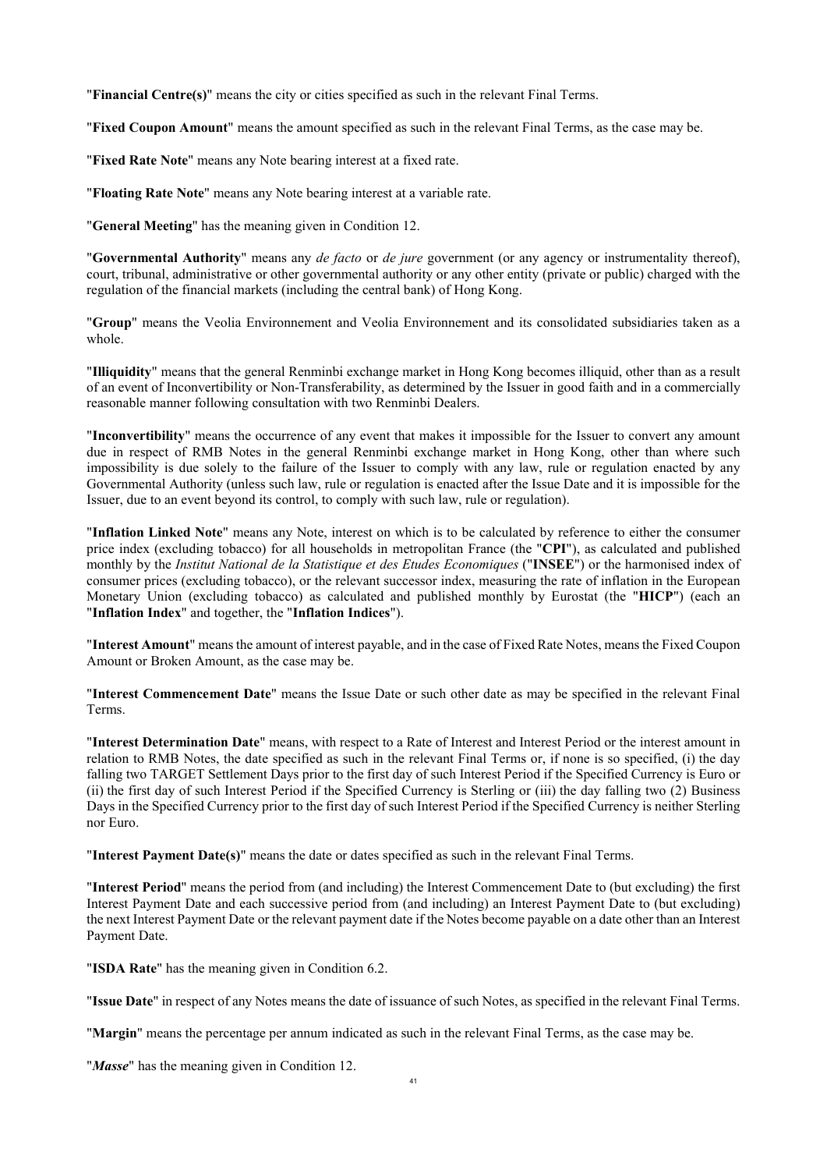"**Financial Centre(s)**" means the city or cities specified as such in the relevant Final Terms.

"**Fixed Coupon Amount**" means the amount specified as such in the relevant Final Terms, as the case may be.

"**Fixed Rate Note**" means any Note bearing interest at a fixed rate.

"**Floating Rate Note**" means any Note bearing interest at a variable rate.

"**General Meeting**" has the meaning given in Condition [12](#page-76-0).

"**Governmental Authority**" means any *de facto* or *de jure* government (or any agency or instrumentality thereof), court, tribunal, administrative or other governmental authority or any other entity (private or public) charged with the regulation of the financial markets (including the central bank) of Hong Kong.

"**Group**" means the Veolia Environnement and Veolia Environnement and its consolidated subsidiaries taken as a whole.

"**Illiquidity**" means that the general Renminbi exchange market in Hong Kong becomes illiquid, other than as a result of an event of Inconvertibility or Non-Transferability, as determined by the Issuer in good faith and in a commercially reasonable manner following consultation with two Renminbi Dealers.

"**Inconvertibility**" means the occurrence of any event that makes it impossible for the Issuer to convert any amount due in respect of RMB Notes in the general Renminbi exchange market in Hong Kong, other than where such impossibility is due solely to the failure of the Issuer to comply with any law, rule or regulation enacted by any Governmental Authority (unless such law, rule or regulation is enacted after the Issue Date and it is impossible for the Issuer, due to an event beyond its control, to comply with such law, rule or regulation).

"**Inflation Linked Note**" means any Note, interest on which is to be calculated by reference to either the consumer price index (excluding tobacco) for all households in metropolitan France (the "**CPI**"), as calculated and published monthly by the *Institut National de la Statistique et des Etudes Economiques* ("**INSEE**") or the harmonised index of consumer prices (excluding tobacco), or the relevant successor index, measuring the rate of inflation in the European Monetary Union (excluding tobacco) as calculated and published monthly by Eurostat (the "**HICP**") (each an "**Inflation Index**" and together, the "**Inflation Indices**").

"**Interest Amount**" means the amount of interest payable, and in the case of Fixed Rate Notes, means the Fixed Coupon Amount or Broken Amount, as the case may be.

"**Interest Commencement Date**" means the Issue Date or such other date as may be specified in the relevant Final Terms.

"**Interest Determination Date**" means, with respect to a Rate of Interest and Interest Period or the interest amount in relation to RMB Notes, the date specified as such in the relevant Final Terms or, if none is so specified, (i) the day falling two TARGET Settlement Days prior to the first day of such Interest Period if the Specified Currency is Euro or (ii) the first day of such Interest Period if the Specified Currency is Sterling or (iii) the day falling two (2) Business Days in the Specified Currency prior to the first day of such Interest Period if the Specified Currency is neither Sterling nor Euro.

"**Interest Payment Date(s)**" means the date or dates specified as such in the relevant Final Terms.

"**Interest Period**" means the period from (and including) the Interest Commencement Date to (but excluding) the first Interest Payment Date and each successive period from (and including) an Interest Payment Date to (but excluding) the next Interest Payment Date or the relevant payment date if the Notes become payable on a date other than an Interest Payment Date.

"**ISDA Rate**" has the meaning given in Condition [6.2.](#page-47-0)

"**Issue Date**" in respect of any Notes means the date of issuance of such Notes, as specified in the relevant Final Terms.

"**Margin**" means the percentage per annum indicated as such in the relevant Final Terms, as the case may be.

"*Masse*" has the meaning given in Condition [12](#page-76-0).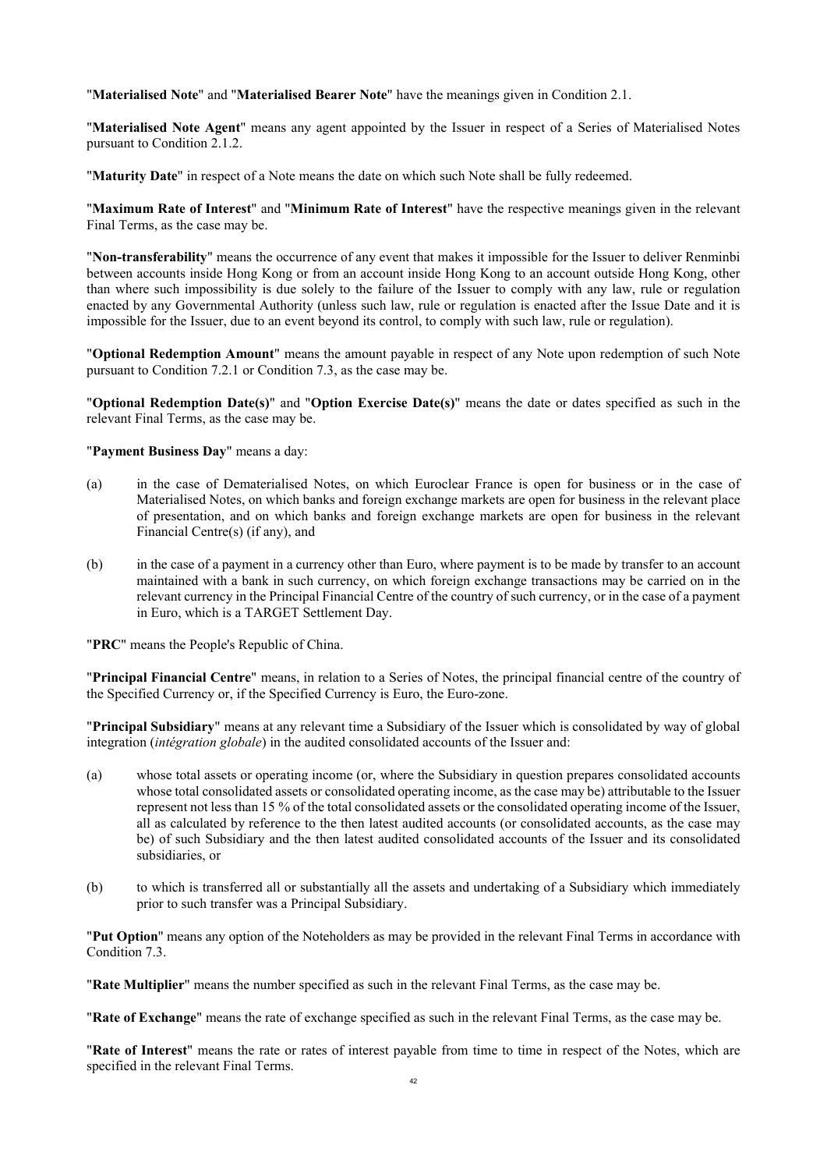"**Materialised Note**" and "**Materialised Bearer Note**" have the meanings given in Condition [2.1](#page-44-0).

"**Materialised Note Agent**" means any agent appointed by the Issuer in respect of a Series of Materialised Notes pursuant to Condition [2.1.2](#page-44-1).

"**Maturity Date**" in respect of a Note means the date on which such Note shall be fully redeemed.

"**Maximum Rate of Interest**" and "**Minimum Rate of Interest**" have the respective meanings given in the relevant Final Terms, as the case may be.

"**Non-transferability**" means the occurrence of any event that makes it impossible for the Issuer to deliver Renminbi between accounts inside Hong Kong or from an account inside Hong Kong to an account outside Hong Kong, other than where such impossibility is due solely to the failure of the Issuer to comply with any law, rule or regulation enacted by any Governmental Authority (unless such law, rule or regulation is enacted after the Issue Date and it is impossible for the Issuer, due to an event beyond its control, to comply with such law, rule or regulation).

"**Optional Redemption Amount**" means the amount payable in respect of any Note upon redemption of such Note pursuant to Condition [7.2.1](#page-68-0) or Condition [7.3](#page-70-0), as the case may be.

"**Optional Redemption Date(s)**" and "**Option Exercise Date(s)**" means the date or dates specified as such in the relevant Final Terms, as the case may be.

"**Payment Business Day**" means a day:

- (a) in the case of Dematerialised Notes, on which Euroclear France is open for business or in the case of Materialised Notes, on which banks and foreign exchange markets are open for business in the relevant place of presentation, and on which banks and foreign exchange markets are open for business in the relevant Financial Centre(s) (if any), and
- (b) in the case of a payment in a currency other than Euro, where payment is to be made by transfer to an account maintained with a bank in such currency, on which foreign exchange transactions may be carried on in the relevant currency in the Principal Financial Centre of the country of such currency, or in the case of a payment in Euro, which is a TARGET Settlement Day.

"**PRC**" means the People's Republic of China.

"**Principal Financial Centre**" means, in relation to a Series of Notes, the principal financial centre of the country of the Specified Currency or, if the Specified Currency is Euro, the Euro-zone.

"**Principal Subsidiary**" means at any relevant time a Subsidiary of the Issuer which is consolidated by way of global integration (*intégration globale*) in the audited consolidated accounts of the Issuer and:

- (a) whose total assets or operating income (or, where the Subsidiary in question prepares consolidated accounts whose total consolidated assets or consolidated operating income, as the case may be) attributable to the Issuer represent not less than 15 % of the total consolidated assets or the consolidated operating income of the Issuer, all as calculated by reference to the then latest audited accounts (or consolidated accounts, as the case may be) of such Subsidiary and the then latest audited consolidated accounts of the Issuer and its consolidated subsidiaries, or
- (b) to which is transferred all or substantially all the assets and undertaking of a Subsidiary which immediately prior to such transfer was a Principal Subsidiary.

"**Put Option**" means any option of the Noteholders as may be provided in the relevant Final Terms in accordance with Condition [7.3](#page-70-0).

"**Rate Multiplier**" means the number specified as such in the relevant Final Terms, as the case may be.

"**Rate of Exchange**" means the rate of exchange specified as such in the relevant Final Terms, as the case may be.

"**Rate of Interest**" means the rate or rates of interest payable from time to time in respect of the Notes, which are specified in the relevant Final Terms.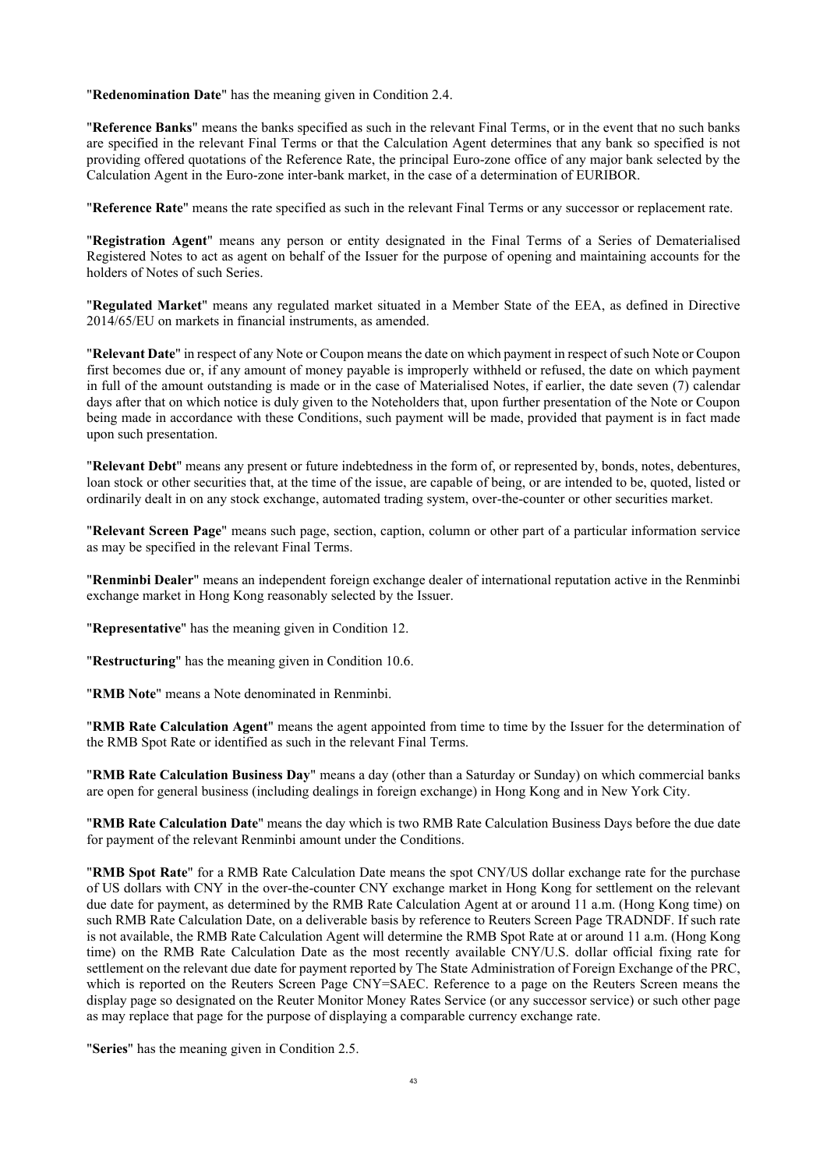"**Redenomination Date**" has the meaning given in Condition [2.4.](#page-45-1)

"**Reference Banks**" means the banks specified as such in the relevant Final Terms, or in the event that no such banks are specified in the relevant Final Terms or that the Calculation Agent determines that any bank so specified is not providing offered quotations of the Reference Rate, the principal Euro-zone office of any major bank selected by the Calculation Agent in the Euro-zone inter-bank market, in the case of a determination of EURIBOR.

"**Reference Rate**" means the rate specified as such in the relevant Final Terms or any successor or replacement rate.

"**Registration Agent**" means any person or entity designated in the Final Terms of a Series of Dematerialised Registered Notes to act as agent on behalf of the Issuer for the purpose of opening and maintaining accounts for the holders of Notes of such Series.

"**Regulated Market**" means any regulated market situated in a Member State of the EEA, as defined in Directive 2014/65/EU on markets in financial instruments, as amended.

"**Relevant Date**" in respect of any Note or Coupon means the date on which payment in respect of such Note or Coupon first becomes due or, if any amount of money payable is improperly withheld or refused, the date on which payment in full of the amount outstanding is made or in the case of Materialised Notes, if earlier, the date seven (7) calendar days after that on which notice is duly given to the Noteholders that, upon further presentation of the Note or Coupon being made in accordance with these Conditions, such payment will be made, provided that payment is in fact made upon such presentation.

"**Relevant Debt**" means any present or future indebtedness in the form of, or represented by, bonds, notes, debentures, loan stock or other securities that, at the time of the issue, are capable of being, or are intended to be, quoted, listed or ordinarily dealt in on any stock exchange, automated trading system, over-the-counter or other securities market.

"**Relevant Screen Page**" means such page, section, caption, column or other part of a particular information service as may be specified in the relevant Final Terms.

"**Renminbi Dealer**" means an independent foreign exchange dealer of international reputation active in the Renminbi exchange market in Hong Kong reasonably selected by the Issuer.

"**Representative**" has the meaning given in Condition [12.](#page-76-0)

"**Restructuring**" has the meaning given in Condition [10.6](#page-76-1).

"**RMB Note**" means a Note denominated in Renminbi.

"**RMB Rate Calculation Agent**" means the agent appointed from time to time by the Issuer for the determination of the RMB Spot Rate or identified as such in the relevant Final Terms.

"**RMB Rate Calculation Business Day**" means a day (other than a Saturday or Sunday) on which commercial banks are open for general business (including dealings in foreign exchange) in Hong Kong and in New York City.

"**RMB Rate Calculation Date**" means the day which is two RMB Rate Calculation Business Days before the due date for payment of the relevant Renminbi amount under the Conditions.

"**RMB Spot Rate**" for a RMB Rate Calculation Date means the spot CNY/US dollar exchange rate for the purchase of US dollars with CNY in the over-the-counter CNY exchange market in Hong Kong for settlement on the relevant due date for payment, as determined by the RMB Rate Calculation Agent at or around 11 a.m. (Hong Kong time) on such RMB Rate Calculation Date, on a deliverable basis by reference to Reuters Screen Page TRADNDF. If such rate is not available, the RMB Rate Calculation Agent will determine the RMB Spot Rate at or around 11 a.m. (Hong Kong time) on the RMB Rate Calculation Date as the most recently available CNY/U.S. dollar official fixing rate for settlement on the relevant due date for payment reported by The State Administration of Foreign Exchange of the PRC, which is reported on the Reuters Screen Page CNY=SAEC. Reference to a page on the Reuters Screen means the display page so designated on the Reuter Monitor Money Rates Service (or any successor service) or such other page as may replace that page for the purpose of displaying a comparable currency exchange rate.

"**Series**" has the meaning given in Condition [2.5](#page-46-0).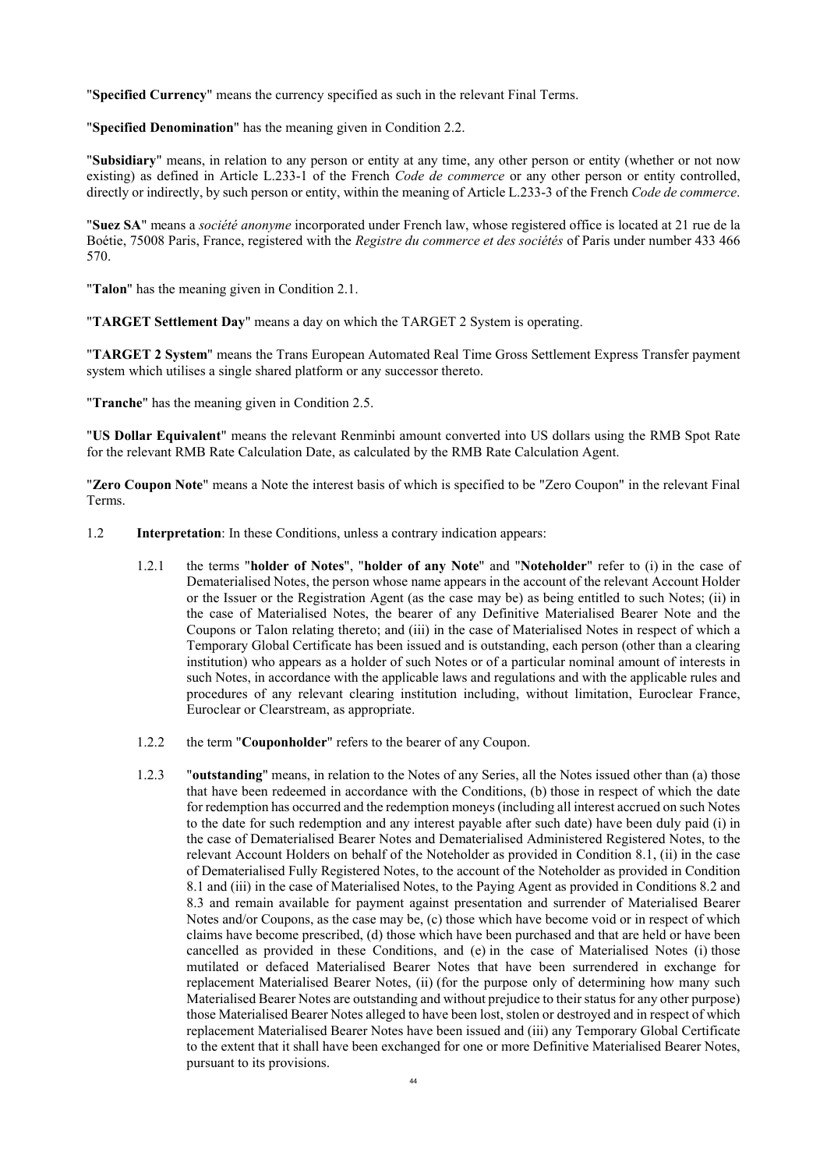"**Specified Currency**" means the currency specified as such in the relevant Final Terms.

"**Specified Denomination**" has the meaning given in Condition [2.2](#page-45-2).

"**Subsidiary**" means, in relation to any person or entity at any time, any other person or entity (whether or not now existing) as defined in Article L.233-1 of the French *Code de commerce* or any other person or entity controlled, directly or indirectly, by such person or entity, within the meaning of Article L.233-3 of the French *Code de commerce*.

"**Suez SA**" means a *société anonyme* incorporated under French law, whose registered office is located at 21 rue de la Boétie, 75008 Paris, France, registered with the *Registre du commerce et des sociétés* of Paris under number 433 466 570.

"**Talon**" has the meaning given in Condition [2.1](#page-44-0).

"**TARGET Settlement Day**" means a day on which the TARGET 2 System is operating.

"**TARGET 2 System**" means the Trans European Automated Real Time Gross Settlement Express Transfer payment system which utilises a single shared platform or any successor thereto.

"**Tranche**" has the meaning given in Condition [2.5.](#page-46-0)

"**US Dollar Equivalent**" means the relevant Renminbi amount converted into US dollars using the RMB Spot Rate for the relevant RMB Rate Calculation Date, as calculated by the RMB Rate Calculation Agent.

"**Zero Coupon Note**" means a Note the interest basis of which is specified to be "Zero Coupon" in the relevant Final Terms.

- 1.2 **Interpretation**: In these Conditions, unless a contrary indication appears:
	- 1.2.1 the terms "**holder of Notes**", "**holder of any Note**" and "**Noteholder**" refer to (i) in the case of Dematerialised Notes, the person whose name appears in the account of the relevant Account Holder or the Issuer or the Registration Agent (as the case may be) as being entitled to such Notes; (ii) in the case of Materialised Notes, the bearer of any Definitive Materialised Bearer Note and the Coupons or Talon relating thereto; and (iii) in the case of Materialised Notes in respect of which a Temporary Global Certificate has been issued and is outstanding, each person (other than a clearing institution) who appears as a holder of such Notes or of a particular nominal amount of interests in such Notes, in accordance with the applicable laws and regulations and with the applicable rules and procedures of any relevant clearing institution including, without limitation, Euroclear France, Euroclear or Clearstream, as appropriate.
	- 1.2.2 the term "**Couponholder**" refers to the bearer of any Coupon.
	- 1.2.3 "**outstanding**" means, in relation to the Notes of any Series, all the Notes issued other than (a) those that have been redeemed in accordance with the Conditions, (b) those in respect of which the date for redemption has occurred and the redemption moneys (including all interest accrued on such Notes to the date for such redemption and any interest payable after such date) have been duly paid (i) in the case of Dematerialised Bearer Notes and Dematerialised Administered Registered Notes, to the relevant Account Holders on behalf of the Noteholder as provided in Condition [8.1](#page-73-1), (ii) in the case of Dematerialised Fully Registered Notes, to the account of the Noteholder as provided in Condition [8.1](#page-73-1) and (iii) in the case of Materialised Notes, to the Paying Agent as provided in Conditions [8.2](#page-73-2) and [8.3](#page-73-3) and remain available for payment against presentation and surrender of Materialised Bearer Notes and/or Coupons, as the case may be, (c) those which have become void or in respect of which claims have become prescribed, (d) those which have been purchased and that are held or have been cancelled as provided in these Conditions, and (e) in the case of Materialised Notes (i) those mutilated or defaced Materialised Bearer Notes that have been surrendered in exchange for replacement Materialised Bearer Notes, (ii) (for the purpose only of determining how many such Materialised Bearer Notes are outstanding and without prejudice to their status for any other purpose) those Materialised Bearer Notes alleged to have been lost, stolen or destroyed and in respect of which replacement Materialised Bearer Notes have been issued and (iii) any Temporary Global Certificate to the extent that it shall have been exchanged for one or more Definitive Materialised Bearer Notes, pursuant to its provisions.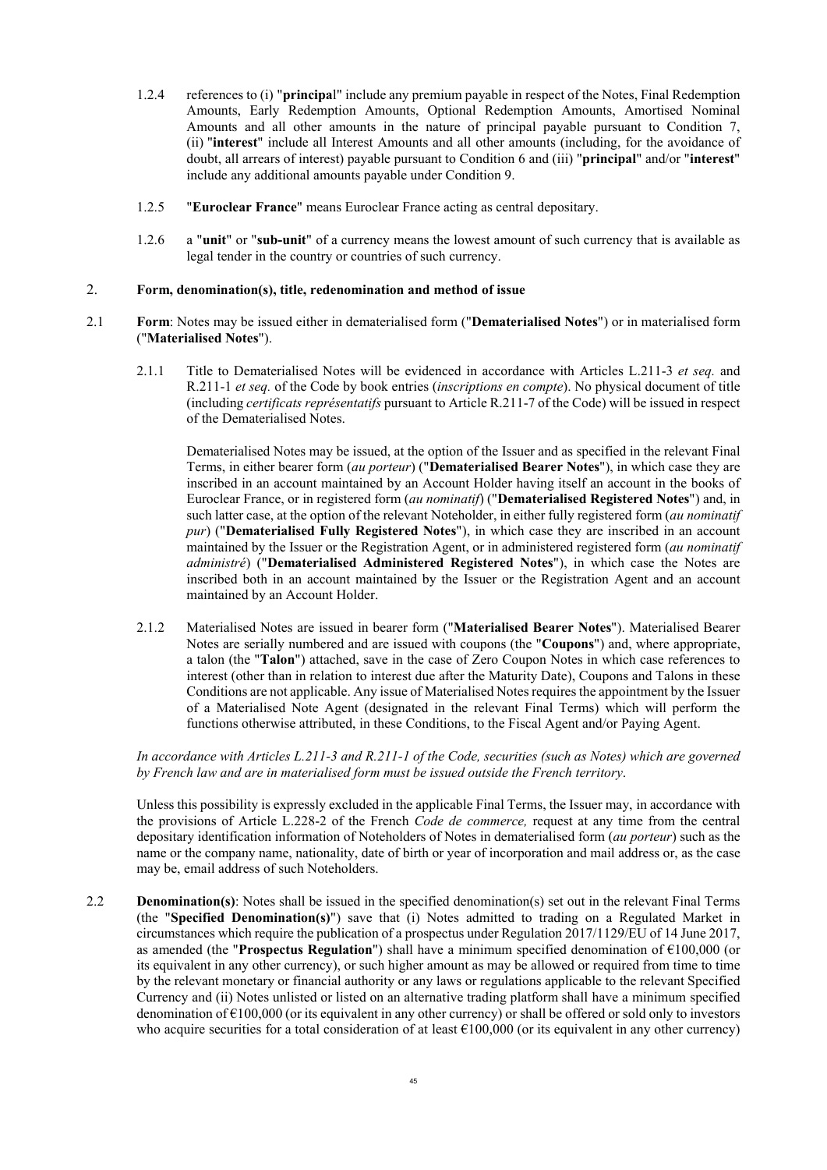- 1.2.4 references to (i) "**principa**l" include any premium payable in respect of the Notes, Final Redemption Amounts, Early Redemption Amounts, Optional Redemption Amounts, Amortised Nominal Amounts and all other amounts in the nature of principal payable pursuant to Condition [7](#page-68-2), (ii) "**interest**" include all Interest Amounts and all other amounts (including, for the avoidance of doubt, all arrears of interest) payable pursuant to Condition [6](#page-46-1) and (iii) "**principal**" and/or "**interest**" include any additional amounts payable under Condition [9](#page-75-1).
- 1.2.5 "**Euroclear France**" means Euroclear France acting as central depositary.
- 1.2.6 a "**unit**" or "**sub-unit**" of a currency means the lowest amount of such currency that is available as legal tender in the country or countries of such currency.

### 2. **Form, denomination(s), title, redenomination and method of issue**

- <span id="page-44-0"></span>2.1 **Form**: Notes may be issued either in dematerialised form ("**Dematerialised Notes**") or in materialised form ("**Materialised Notes**").
	- 2.1.1 Title to Dematerialised Notes will be evidenced in accordance with Articles L.211-3 *et seq.* and R.211-1 *et seq.* of the Code by book entries (*inscriptions en compte*). No physical document of title (including *certificats représentatifs* pursuant to Article R.211-7 of the Code) will be issued in respect of the Dematerialised Notes.

Dematerialised Notes may be issued, at the option of the Issuer and as specified in the relevant Final Terms, in either bearer form (*au porteur*) ("**Dematerialised Bearer Notes**"), in which case they are inscribed in an account maintained by an Account Holder having itself an account in the books of Euroclear France, or in registered form (*au nominatif*) ("**Dematerialised Registered Notes**") and, in such latter case, at the option of the relevant Noteholder, in either fully registered form (*au nominatif pur*) ("**Dematerialised Fully Registered Notes**"), in which case they are inscribed in an account maintained by the Issuer or the Registration Agent, or in administered registered form (*au nominatif administré*) ("**Dematerialised Administered Registered Notes**"), in which case the Notes are inscribed both in an account maintained by the Issuer or the Registration Agent and an account maintained by an Account Holder.

<span id="page-44-1"></span>2.1.2 Materialised Notes are issued in bearer form ("**Materialised Bearer Notes**"). Materialised Bearer Notes are serially numbered and are issued with coupons (the "**Coupons**") and, where appropriate, a talon (the "**Talon**") attached, save in the case of Zero Coupon Notes in which case references to interest (other than in relation to interest due after the Maturity Date), Coupons and Talons in these Conditions are not applicable. Any issue of Materialised Notes requires the appointment by the Issuer of a Materialised Note Agent (designated in the relevant Final Terms) which will perform the functions otherwise attributed, in these Conditions, to the Fiscal Agent and/or Paying Agent.

*In accordance with Articles L.211-3 and R.211-1 of the Code, securities (such as Notes) which are governed by French law and are in materialised form must be issued outside the French territory*.

Unless this possibility is expressly excluded in the applicable Final Terms, the Issuer may, in accordance with the provisions of Article L.228-2 of the French *Code de commerce,* request at any time from the central depositary identification information of Noteholders of Notes in dematerialised form (*au porteur*) such as the name or the company name, nationality, date of birth or year of incorporation and mail address or, as the case may be, email address of such Noteholders.

2.2 **Denomination(s)**: Notes shall be issued in the specified denomination(s) set out in the relevant Final Terms (the "**Specified Denomination(s)**") save that (i) Notes admitted to trading on a Regulated Market in circumstances which require the publication of a prospectus under Regulation 2017/1129/EU of 14 June 2017, as amended (the "**Prospectus Regulation**") shall have a minimum specified denomination of €100,000 (or its equivalent in any other currency), or such higher amount as may be allowed or required from time to time by the relevant monetary or financial authority or any laws or regulations applicable to the relevant Specified Currency and (ii) Notes unlisted or listed on an alternative trading platform shall have a minimum specified denomination of  $\epsilon$ 100,000 (or its equivalent in any other currency) or shall be offered or sold only to investors who acquire securities for a total consideration of at least  $€100,000$  (or its equivalent in any other currency)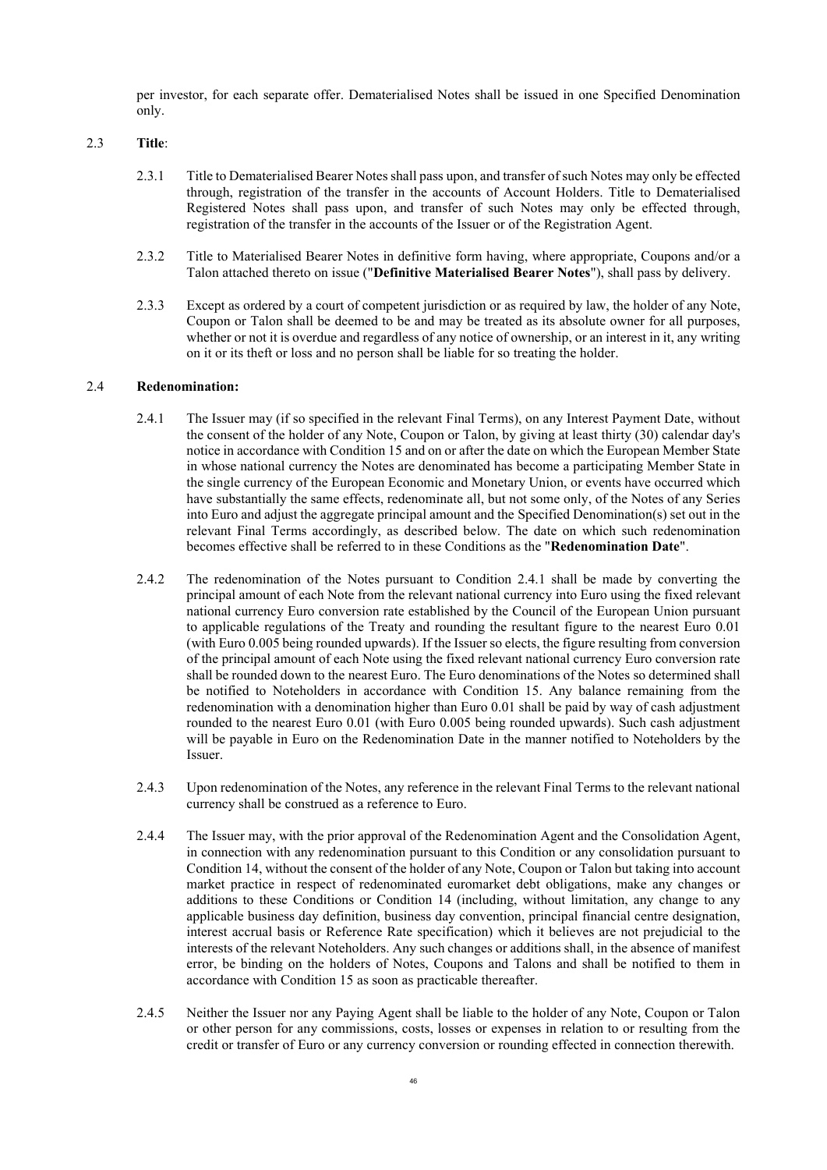per investor, for each separate offer. Dematerialised Notes shall be issued in one Specified Denomination only.

### 2.3 **Title**:

- <span id="page-45-0"></span>2.3.1 Title to Dematerialised Bearer Notes shall pass upon, and transfer of such Notes may only be effected through, registration of the transfer in the accounts of Account Holders. Title to Dematerialised Registered Notes shall pass upon, and transfer of such Notes may only be effected through, registration of the transfer in the accounts of the Issuer or of the Registration Agent.
- 2.3.2 Title to Materialised Bearer Notes in definitive form having, where appropriate, Coupons and/or a Talon attached thereto on issue ("**Definitive Materialised Bearer Notes**"), shall pass by delivery.
- 2.3.3 Except as ordered by a court of competent jurisdiction or as required by law, the holder of any Note, Coupon or Talon shall be deemed to be and may be treated as its absolute owner for all purposes, whether or not it is overdue and regardless of any notice of ownership, or an interest in it, any writing on it or its theft or loss and no person shall be liable for so treating the holder.

### 2.4 **Redenomination:**

- <span id="page-45-3"></span><span id="page-45-1"></span>2.4.1 The Issuer may (if so specified in the relevant Final Terms), on any Interest Payment Date, without the consent of the holder of any Note, Coupon or Talon, by giving at least thirty (30) calendar day's notice in accordance with Condition [15](#page-80-0) and on or after the date on which the European Member State in whose national currency the Notes are denominated has become a participating Member State in the single currency of the European Economic and Monetary Union, or events have occurred which have substantially the same effects, redenominate all, but not some only, of the Notes of any Series into Euro and adjust the aggregate principal amount and the Specified Denomination(s) set out in the relevant Final Terms accordingly, as described below. The date on which such redenomination becomes effective shall be referred to in these Conditions as the "**Redenomination Date**".
- 2.4.2 The redenomination of the Notes pursuant to Condition [2.4.1](#page-45-3) shall be made by converting the principal amount of each Note from the relevant national currency into Euro using the fixed relevant national currency Euro conversion rate established by the Council of the European Union pursuant to applicable regulations of the Treaty and rounding the resultant figure to the nearest Euro 0.01 (with Euro 0.005 being rounded upwards). If the Issuer so elects, the figure resulting from conversion of the principal amount of each Note using the fixed relevant national currency Euro conversion rate shall be rounded down to the nearest Euro. The Euro denominations of the Notes so determined shall be notified to Noteholders in accordance with Condition [15](#page-80-0). Any balance remaining from the redenomination with a denomination higher than Euro 0.01 shall be paid by way of cash adjustment rounded to the nearest Euro 0.01 (with Euro 0.005 being rounded upwards). Such cash adjustment will be payable in Euro on the Redenomination Date in the manner notified to Noteholders by the Issuer.
- 2.4.3 Upon redenomination of the Notes, any reference in the relevant Final Terms to the relevant national currency shall be construed as a reference to Euro.
- <span id="page-45-2"></span>2.4.4 The Issuer may, with the prior approval of the Redenomination Agent and the Consolidation Agent, in connection with any redenomination pursuant to this Condition or any consolidation pursuant to Condition [14](#page-80-1), without the consent of the holder of any Note, Coupon or Talon but taking into account market practice in respect of redenominated euromarket debt obligations, make any changes or additions to these Conditions or Condition [14](#page-80-1) (including, without limitation, any change to any applicable business day definition, business day convention, principal financial centre designation, interest accrual basis or Reference Rate specification) which it believes are not prejudicial to the interests of the relevant Noteholders. Any such changes or additions shall, in the absence of manifest error, be binding on the holders of Notes, Coupons and Talons and shall be notified to them in accordance with Condition [15](#page-80-0) as soon as practicable thereafter.
- 2.4.5 Neither the Issuer nor any Paying Agent shall be liable to the holder of any Note, Coupon or Talon or other person for any commissions, costs, losses or expenses in relation to or resulting from the credit or transfer of Euro or any currency conversion or rounding effected in connection therewith.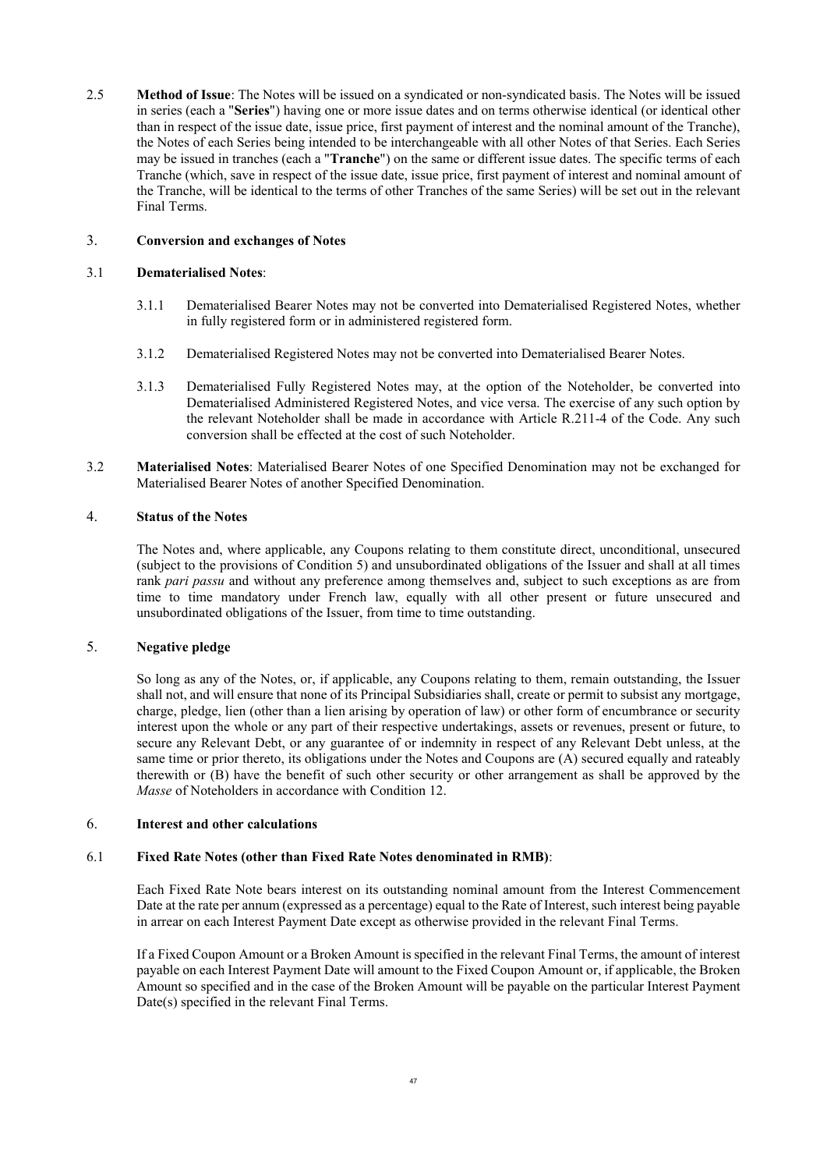<span id="page-46-0"></span>2.5 **Method of Issue**: The Notes will be issued on a syndicated or non-syndicated basis. The Notes will be issued in series (each a "**Series**") having one or more issue dates and on terms otherwise identical (or identical other than in respect of the issue date, issue price, first payment of interest and the nominal amount of the Tranche), the Notes of each Series being intended to be interchangeable with all other Notes of that Series. Each Series may be issued in tranches (each a "**Tranche**") on the same or different issue dates. The specific terms of each Tranche (which, save in respect of the issue date, issue price, first payment of interest and nominal amount of the Tranche, will be identical to the terms of other Tranches of the same Series) will be set out in the relevant Final Terms.

# 3. **Conversion and exchanges of Notes**

# 3.1 **Dematerialised Notes**:

- 3.1.1 Dematerialised Bearer Notes may not be converted into Dematerialised Registered Notes, whether in fully registered form or in administered registered form.
- 3.1.2 Dematerialised Registered Notes may not be converted into Dematerialised Bearer Notes.
- 3.1.3 Dematerialised Fully Registered Notes may, at the option of the Noteholder, be converted into Dematerialised Administered Registered Notes, and vice versa. The exercise of any such option by the relevant Noteholder shall be made in accordance with Article R.211-4 of the Code. Any such conversion shall be effected at the cost of such Noteholder.
- 3.2 **Materialised Notes**: Materialised Bearer Notes of one Specified Denomination may not be exchanged for Materialised Bearer Notes of another Specified Denomination.

# 4. **Status of the Notes**

The Notes and, where applicable, any Coupons relating to them constitute direct, unconditional, unsecured (subject to the provisions of Condition [5\)](#page-46-2) and unsubordinated obligations of the Issuer and shall at all times rank *pari passu* and without any preference among themselves and, subject to such exceptions as are from time to time mandatory under French law, equally with all other present or future unsecured and unsubordinated obligations of the Issuer, from time to time outstanding.

# 5. **Negative pledge**

<span id="page-46-2"></span>So long as any of the Notes, or, if applicable, any Coupons relating to them, remain outstanding, the Issuer shall not, and will ensure that none of its Principal Subsidiaries shall, create or permit to subsist any mortgage, charge, pledge, lien (other than a lien arising by operation of law) or other form of encumbrance or security interest upon the whole or any part of their respective undertakings, assets or revenues, present or future, to secure any Relevant Debt, or any guarantee of or indemnity in respect of any Relevant Debt unless, at the same time or prior thereto, its obligations under the Notes and Coupons are (A) secured equally and rateably therewith or (B) have the benefit of such other security or other arrangement as shall be approved by the *Masse* of Noteholders in accordance with Condition [12](#page-76-0).

# <span id="page-46-1"></span>6. **Interest and other calculations**

# 6.1 **Fixed Rate Notes (other than Fixed Rate Notes denominated in RMB)**:

Each Fixed Rate Note bears interest on its outstanding nominal amount from the Interest Commencement Date at the rate per annum (expressed as a percentage) equal to the Rate of Interest, such interest being payable in arrear on each Interest Payment Date except as otherwise provided in the relevant Final Terms.

If a Fixed Coupon Amount or a Broken Amount is specified in the relevant Final Terms, the amount of interest payable on each Interest Payment Date will amount to the Fixed Coupon Amount or, if applicable, the Broken Amount so specified and in the case of the Broken Amount will be payable on the particular Interest Payment Date(s) specified in the relevant Final Terms.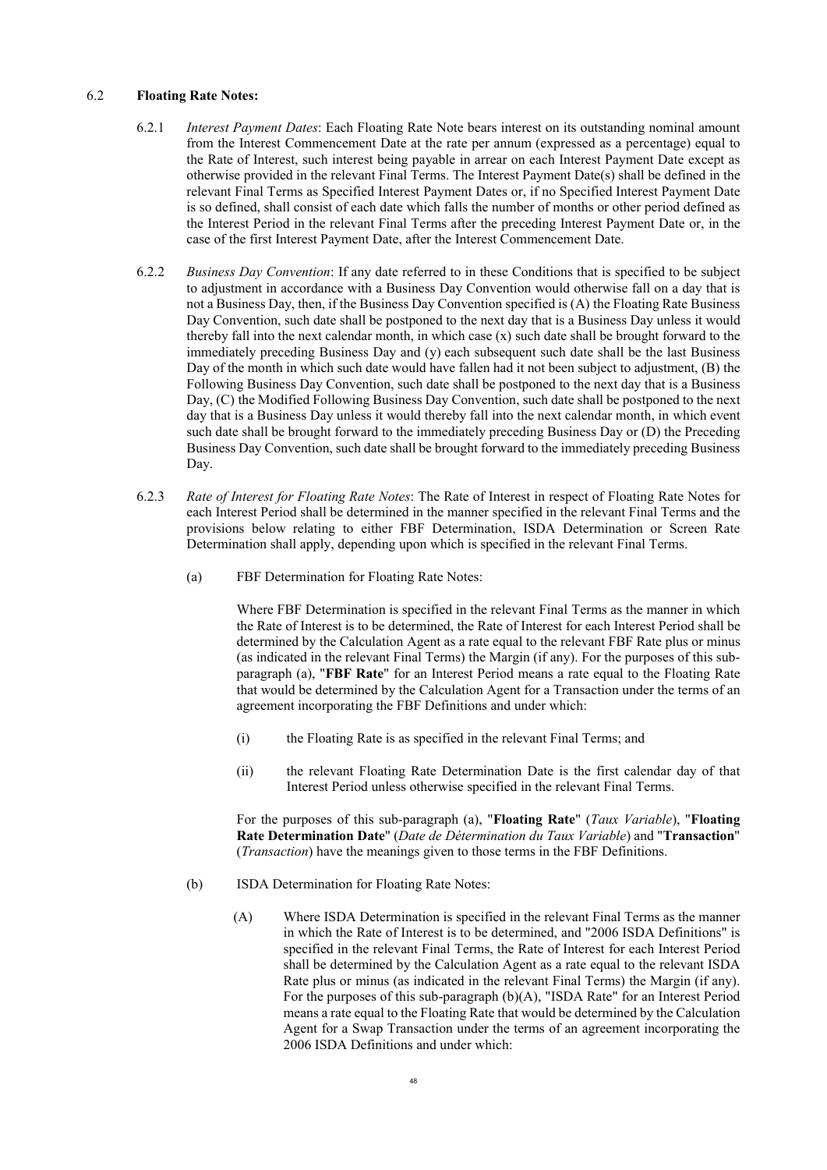### 6.2 **Floating Rate Notes:**

- <span id="page-47-0"></span>6.2.1 *Interest Payment Dates*: Each Floating Rate Note bears interest on its outstanding nominal amount from the Interest Commencement Date at the rate per annum (expressed as a percentage) equal to the Rate of Interest, such interest being payable in arrear on each Interest Payment Date except as otherwise provided in the relevant Final Terms. The Interest Payment Date(s) shall be defined in the relevant Final Terms as Specified Interest Payment Dates or, if no Specified Interest Payment Date is so defined, shall consist of each date which falls the number of months or other period defined as the Interest Period in the relevant Final Terms after the preceding Interest Payment Date or, in the case of the first Interest Payment Date, after the Interest Commencement Date.
- <span id="page-47-3"></span>6.2.2 *Business Day Convention*: If any date referred to in these Conditions that is specified to be subject to adjustment in accordance with a Business Day Convention would otherwise fall on a day that is not a Business Day, then, if the Business Day Convention specified is (A) the Floating Rate Business Day Convention, such date shall be postponed to the next day that is a Business Day unless it would thereby fall into the next calendar month, in which case (x) such date shall be brought forward to the immediately preceding Business Day and (y) each subsequent such date shall be the last Business Day of the month in which such date would have fallen had it not been subject to adjustment, (B) the Following Business Day Convention, such date shall be postponed to the next day that is a Business Day, (C) the Modified Following Business Day Convention, such date shall be postponed to the next day that is a Business Day unless it would thereby fall into the next calendar month, in which event such date shall be brought forward to the immediately preceding Business Day or (D) the Preceding Business Day Convention, such date shall be brought forward to the immediately preceding Business Day.
- <span id="page-47-1"></span>6.2.3 *Rate of Interest for Floating Rate Notes*: The Rate of Interest in respect of Floating Rate Notes for each Interest Period shall be determined in the manner specified in the relevant Final Terms and the provisions below relating to either FBF Determination, ISDA Determination or Screen Rate Determination shall apply, depending upon which is specified in the relevant Final Terms.
	- (a) FBF Determination for Floating Rate Notes:

Where FBF Determination is specified in the relevant Final Terms as the manner in which the Rate of Interest is to be determined, the Rate of Interest for each Interest Period shall be determined by the Calculation Agent as a rate equal to the relevant FBF Rate plus or minus (as indicated in the relevant Final Terms) the Margin (if any). For the purposes of this subparagraph [\(a\),](#page-47-1) "**FBF Rate**" for an Interest Period means a rate equal to the Floating Rate that would be determined by the Calculation Agent for a Transaction under the terms of an agreement incorporating the FBF Definitions and under which:

- (i) the Floating Rate is as specified in the relevant Final Terms; and
- (ii) the relevant Floating Rate Determination Date is the first calendar day of that Interest Period unless otherwise specified in the relevant Final Terms.

For the purposes of this sub-paragraph [\(a\),](#page-47-1) "**Floating Rate**" (*Taux Variable*), "**Floating Rate Determination Date**" (*Date de Détermination du Taux Variable*) and "**Transaction**" (*Transaction*) have the meanings given to those terms in the FBF Definitions.

- <span id="page-47-2"></span>(b) ISDA Determination for Floating Rate Notes:
	- (A) Where ISDA Determination is specified in the relevant Final Terms as the manner in which the Rate of Interest is to be determined, and "2006 ISDA Definitions" is specified in the relevant Final Terms, the Rate of Interest for each Interest Period shall be determined by the Calculation Agent as a rate equal to the relevant ISDA Rate plus or minus (as indicated in the relevant Final Terms) the Margin (if any). For the purposes of this sub-paragraph [\(b\)](#page-47-2)(A), "ISDA Rate" for an Interest Period means a rate equal to the Floating Rate that would be determined by the Calculation Agent for a Swap Transaction under the terms of an agreement incorporating the 2006 ISDA Definitions and under which: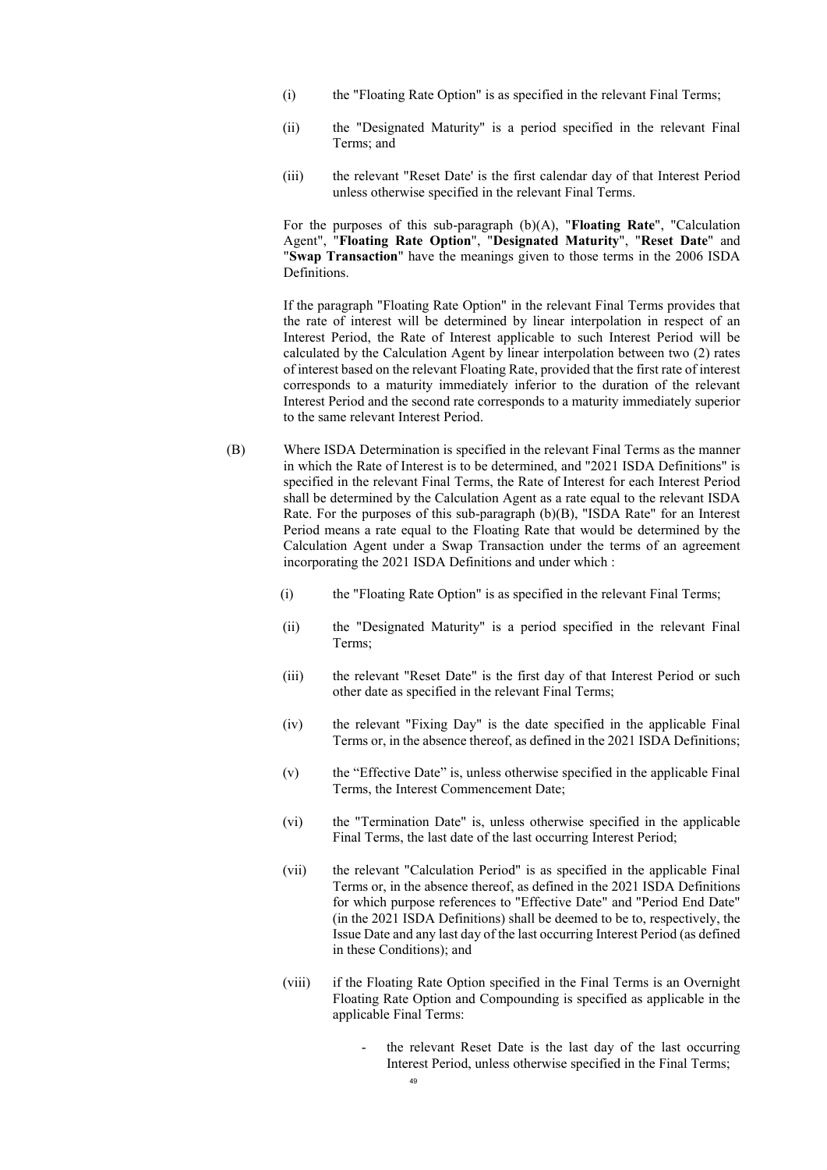- (i) the "Floating Rate Option" is as specified in the relevant Final Terms;
- (ii) the "Designated Maturity" is a period specified in the relevant Final Terms; and
- (iii) the relevant "Reset Date' is the first calendar day of that Interest Period unless otherwise specified in the relevant Final Terms.

For the purposes of this sub-paragraph [\(b\)](#page-47-2)(A), "**Floating Rate**", "Calculation Agent", "**Floating Rate Option**", "**Designated Maturity**", "**Reset Date**" and "**Swap Transaction**" have the meanings given to those terms in the 2006 ISDA Definitions.

If the paragraph "Floating Rate Option" in the relevant Final Terms provides that the rate of interest will be determined by linear interpolation in respect of an Interest Period, the Rate of Interest applicable to such Interest Period will be calculated by the Calculation Agent by linear interpolation between two (2) rates of interest based on the relevant Floating Rate, provided that the first rate of interest corresponds to a maturity immediately inferior to the duration of the relevant Interest Period and the second rate corresponds to a maturity immediately superior to the same relevant Interest Period.

- (B) Where ISDA Determination is specified in the relevant Final Terms as the manner in which the Rate of Interest is to be determined, and "2021 ISDA Definitions" is specified in the relevant Final Terms, the Rate of Interest for each Interest Period shall be determined by the Calculation Agent as a rate equal to the relevant ISDA Rate. For the purposes of this sub-paragraph (b)(B), "ISDA Rate" for an Interest Period means a rate equal to the Floating Rate that would be determined by the Calculation Agent under a Swap Transaction under the terms of an agreement incorporating the 2021 ISDA Definitions and under which :
	- (i) the "Floating Rate Option" is as specified in the relevant Final Terms;
	- (ii) the "Designated Maturity" is a period specified in the relevant Final Terms;
	- (iii) the relevant "Reset Date" is the first day of that Interest Period or such other date as specified in the relevant Final Terms;
	- (iv) the relevant "Fixing Day" is the date specified in the applicable Final Terms or, in the absence thereof, as defined in the 2021 ISDA Definitions;
	- (v) the "Effective Date" is, unless otherwise specified in the applicable Final Terms, the Interest Commencement Date;
	- (vi) the "Termination Date" is, unless otherwise specified in the applicable Final Terms, the last date of the last occurring Interest Period;
	- (vii) the relevant "Calculation Period" is as specified in the applicable Final Terms or, in the absence thereof, as defined in the 2021 ISDA Definitions for which purpose references to "Effective Date" and "Period End Date" (in the 2021 ISDA Definitions) shall be deemed to be to, respectively, the Issue Date and any last day of the last occurring Interest Period (as defined in these Conditions); and
	- (viii) if the Floating Rate Option specified in the Final Terms is an Overnight Floating Rate Option and Compounding is specified as applicable in the applicable Final Terms:
		- the relevant Reset Date is the last day of the last occurring Interest Period, unless otherwise specified in the Final Terms;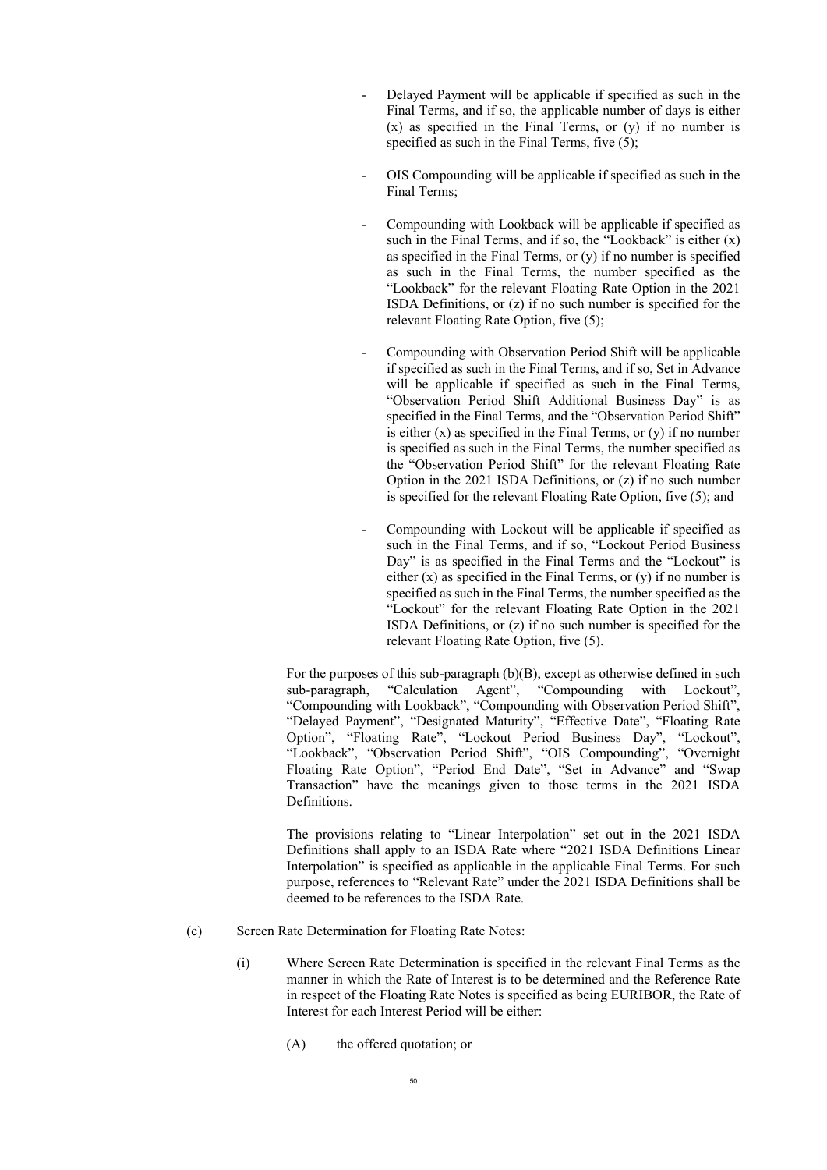- Delayed Payment will be applicable if specified as such in the Final Terms, and if so, the applicable number of days is either (x) as specified in the Final Terms, or (y) if no number is specified as such in the Final Terms, five (5);
- OIS Compounding will be applicable if specified as such in the Final Terms;
- Compounding with Lookback will be applicable if specified as such in the Final Terms, and if so, the "Lookback" is either  $(x)$ as specified in the Final Terms, or (y) if no number is specified as such in the Final Terms, the number specified as the "Lookback" for the relevant Floating Rate Option in the 2021 ISDA Definitions, or (z) if no such number is specified for the relevant Floating Rate Option, five (5);
- Compounding with Observation Period Shift will be applicable if specified as such in the Final Terms, and if so, Set in Advance will be applicable if specified as such in the Final Terms, "Observation Period Shift Additional Business Day" is as specified in the Final Terms, and the "Observation Period Shift" is either  $(x)$  as specified in the Final Terms, or  $(y)$  if no number is specified as such in the Final Terms, the number specified as the "Observation Period Shift" for the relevant Floating Rate Option in the 2021 ISDA Definitions, or (z) if no such number is specified for the relevant Floating Rate Option, five (5); and
- Compounding with Lockout will be applicable if specified as such in the Final Terms, and if so, "Lockout Period Business Day" is as specified in the Final Terms and the "Lockout" is either  $(x)$  as specified in the Final Terms, or  $(v)$  if no number is specified as such in the Final Terms, the number specified as the "Lockout" for the relevant Floating Rate Option in the 2021 ISDA Definitions, or (z) if no such number is specified for the relevant Floating Rate Option, five (5).

For the purposes of this sub-paragraph (b)(B), except as otherwise defined in such sub-paragraph, "Calculation Agent", "Compounding with Lockout", "Compounding with Lookback", "Compounding with Observation Period Shift", "Delayed Payment", "Designated Maturity", "Effective Date", "Floating Rate Option", "Floating Rate", "Lockout Period Business Day", "Lockout", "Lookback", "Observation Period Shift", "OIS Compounding", "Overnight Floating Rate Option", "Period End Date", "Set in Advance" and "Swap Transaction" have the meanings given to those terms in the 2021 ISDA Definitions.

The provisions relating to "Linear Interpolation" set out in the 2021 ISDA Definitions shall apply to an ISDA Rate where "2021 ISDA Definitions Linear Interpolation" is specified as applicable in the applicable Final Terms. For such purpose, references to "Relevant Rate" under the 2021 ISDA Definitions shall be deemed to be references to the ISDA Rate.

- <span id="page-49-1"></span><span id="page-49-0"></span>(c) Screen Rate Determination for Floating Rate Notes:
	- (i) Where Screen Rate Determination is specified in the relevant Final Terms as the manner in which the Rate of Interest is to be determined and the Reference Rate in respect of the Floating Rate Notes is specified as being EURIBOR, the Rate of Interest for each Interest Period will be either:
		- (A) the offered quotation; or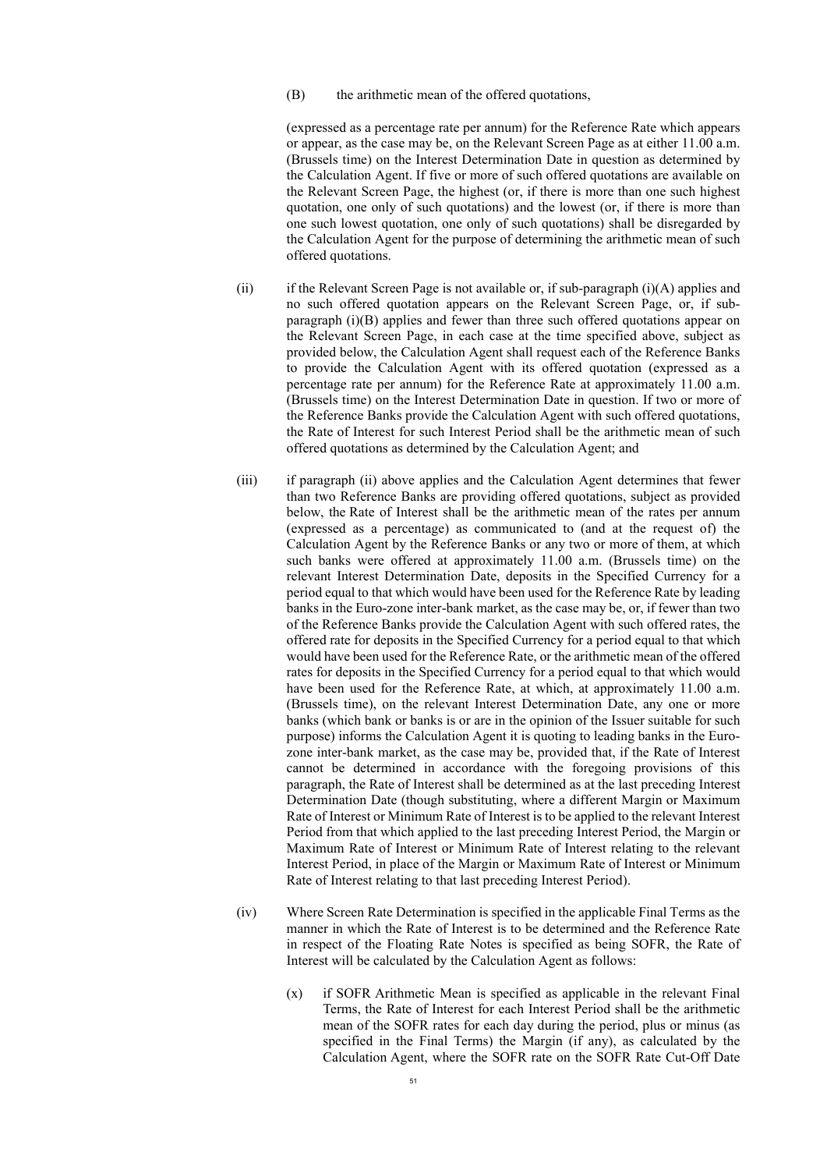<span id="page-50-0"></span>(B) the arithmetic mean of the offered quotations,

(expressed as a percentage rate per annum) for the Reference Rate which appears or appear, as the case may be, on the Relevant Screen Page as at either 11.00 a.m. (Brussels time) on the Interest Determination Date in question as determined by the Calculation Agent. If five or more of such offered quotations are available on the Relevant Screen Page, the highest (or, if there is more than one such highest quotation, one only of such quotations) and the lowest (or, if there is more than one such lowest quotation, one only of such quotations) shall be disregarded by the Calculation Agent for the purpose of determining the arithmetic mean of such offered quotations.

- <span id="page-50-1"></span>(ii) if the Relevant Screen Page is not available or, if sub-paragraph  $(i)(A)$  $(i)(A)$  applies and no such offered quotation appears on the Relevant Screen Page, or, if subparagraph [\(i\)](#page-49-0)[\(B\)](#page-50-0) applies and fewer than three such offered quotations appear on the Relevant Screen Page, in each case at the time specified above, subject as provided below, the Calculation Agent shall request each of the Reference Banks to provide the Calculation Agent with its offered quotation (expressed as a percentage rate per annum) for the Reference Rate at approximately 11.00 a.m. (Brussels time) on the Interest Determination Date in question. If two or more of the Reference Banks provide the Calculation Agent with such offered quotations, the Rate of Interest for such Interest Period shall be the arithmetic mean of such offered quotations as determined by the Calculation Agent; and
- (iii) if paragraph [\(ii\)](#page-50-1) above applies and the Calculation Agent determines that fewer than two Reference Banks are providing offered quotations, subject as provided below, the Rate of Interest shall be the arithmetic mean of the rates per annum (expressed as a percentage) as communicated to (and at the request of) the Calculation Agent by the Reference Banks or any two or more of them, at which such banks were offered at approximately 11.00 a.m. (Brussels time) on the relevant Interest Determination Date, deposits in the Specified Currency for a period equal to that which would have been used for the Reference Rate by leading banks in the Euro-zone inter-bank market, as the case may be, or, if fewer than two of the Reference Banks provide the Calculation Agent with such offered rates, the offered rate for deposits in the Specified Currency for a period equal to that which would have been used for the Reference Rate, or the arithmetic mean of the offered rates for deposits in the Specified Currency for a period equal to that which would have been used for the Reference Rate, at which, at approximately 11.00 a.m. (Brussels time), on the relevant Interest Determination Date, any one or more banks (which bank or banks is or are in the opinion of the Issuer suitable for such purpose) informs the Calculation Agent it is quoting to leading banks in the Eurozone inter-bank market, as the case may be, provided that, if the Rate of Interest cannot be determined in accordance with the foregoing provisions of this paragraph, the Rate of Interest shall be determined as at the last preceding Interest Determination Date (though substituting, where a different Margin or Maximum Rate of Interest or Minimum Rate of Interest is to be applied to the relevant Interest Period from that which applied to the last preceding Interest Period, the Margin or Maximum Rate of Interest or Minimum Rate of Interest relating to the relevant Interest Period, in place of the Margin or Maximum Rate of Interest or Minimum Rate of Interest relating to that last preceding Interest Period).
- (iv) Where Screen Rate Determination is specified in the applicable Final Terms as the manner in which the Rate of Interest is to be determined and the Reference Rate in respect of the Floating Rate Notes is specified as being SOFR, the Rate of Interest will be calculated by the Calculation Agent as follows:
	- (x) if SOFR Arithmetic Mean is specified as applicable in the relevant Final Terms, the Rate of Interest for each Interest Period shall be the arithmetic mean of the SOFR rates for each day during the period, plus or minus (as specified in the Final Terms) the Margin (if any), as calculated by the Calculation Agent, where the SOFR rate on the SOFR Rate Cut-Off Date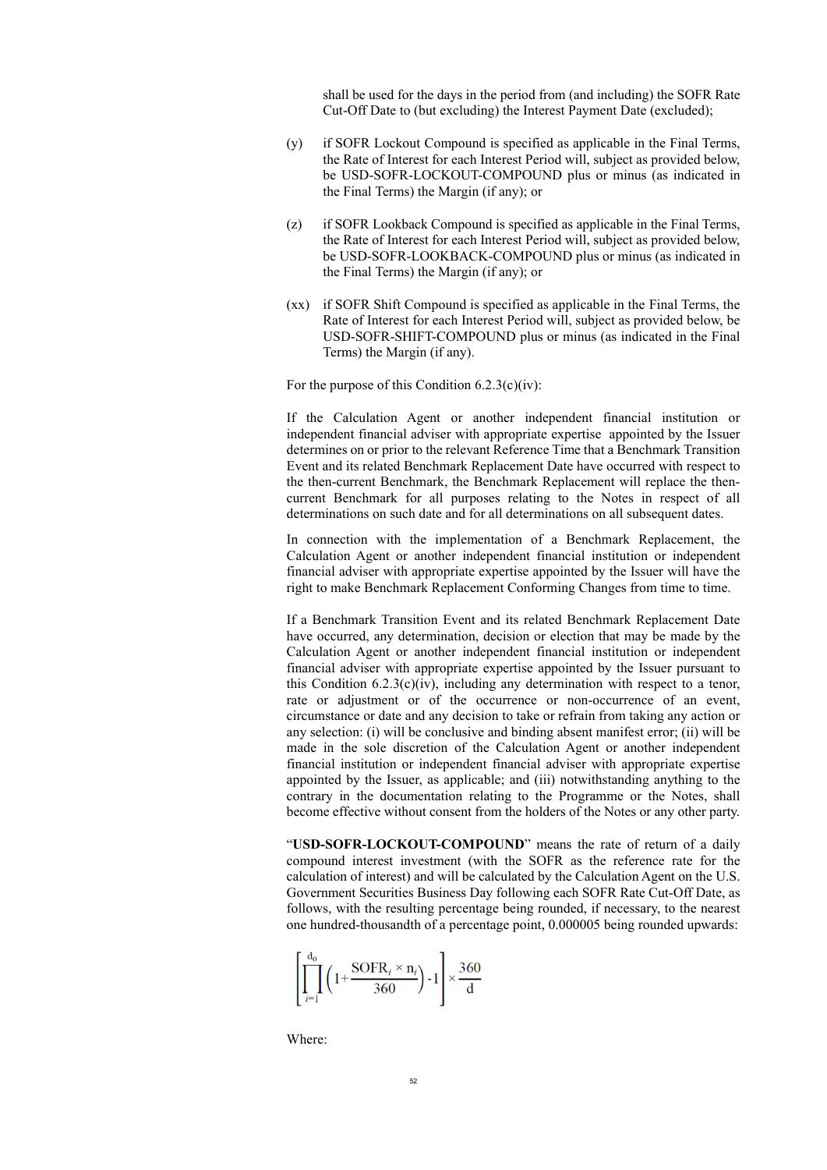shall be used for the days in the period from (and including) the SOFR Rate Cut-Off Date to (but excluding) the Interest Payment Date (excluded);

- (y) if SOFR Lockout Compound is specified as applicable in the Final Terms, the Rate of Interest for each Interest Period will, subject as provided below, be USD-SOFR-LOCKOUT-COMPOUND plus or minus (as indicated in the Final Terms) the Margin (if any); or
- (z) if SOFR Lookback Compound is specified as applicable in the Final Terms, the Rate of Interest for each Interest Period will, subject as provided below, be USD-SOFR-LOOKBACK-COMPOUND plus or minus (as indicated in the Final Terms) the Margin (if any); or
- (xx) if SOFR Shift Compound is specified as applicable in the Final Terms, the Rate of Interest for each Interest Period will, subject as provided below, be USD-SOFR-SHIFT-COMPOUND plus or minus (as indicated in the Final Terms) the Margin (if any).

For the purpose of this Condition  $6.2.3(c)(iv)$ :

If the Calculation Agent or another independent financial institution or independent financial adviser with appropriate expertise appointed by the Issuer determines on or prior to the relevant Reference Time that a Benchmark Transition Event and its related Benchmark Replacement Date have occurred with respect to the then-current Benchmark, the Benchmark Replacement will replace the thencurrent Benchmark for all purposes relating to the Notes in respect of all determinations on such date and for all determinations on all subsequent dates.

In connection with the implementation of a Benchmark Replacement, the Calculation Agent or another independent financial institution or independent financial adviser with appropriate expertise appointed by the Issuer will have the right to make Benchmark Replacement Conforming Changes from time to time.

If a Benchmark Transition Event and its related Benchmark Replacement Date have occurred, any determination, decision or election that may be made by the Calculation Agent or another independent financial institution or independent financial adviser with appropriate expertise appointed by the Issuer pursuant to this Condition  $6.2.3(c)(iv)$ , including any determination with respect to a tenor, rate or adjustment or of the occurrence or non-occurrence of an event, circumstance or date and any decision to take or refrain from taking any action or any selection: (i) will be conclusive and binding absent manifest error; (ii) will be made in the sole discretion of the Calculation Agent or another independent financial institution or independent financial adviser with appropriate expertise appointed by the Issuer, as applicable; and (iii) notwithstanding anything to the contrary in the documentation relating to the Programme or the Notes, shall become effective without consent from the holders of the Notes or any other party.

"**USD-SOFR-LOCKOUT-COMPOUND**" means the rate of return of a daily compound interest investment (with the SOFR as the reference rate for the calculation of interest) and will be calculated by the Calculation Agent on the U.S. Government Securities Business Day following each SOFR Rate Cut-Off Date, as follows, with the resulting percentage being rounded, if necessary, to the nearest one hundred-thousandth of a percentage point, 0.000005 being rounded upwards:

$$
\left[\prod_{i=1}^{d_0} \left(1 + \frac{\text{SOFR}_i \times n_i}{360}\right) - 1\right] \times \frac{360}{d}
$$

Where: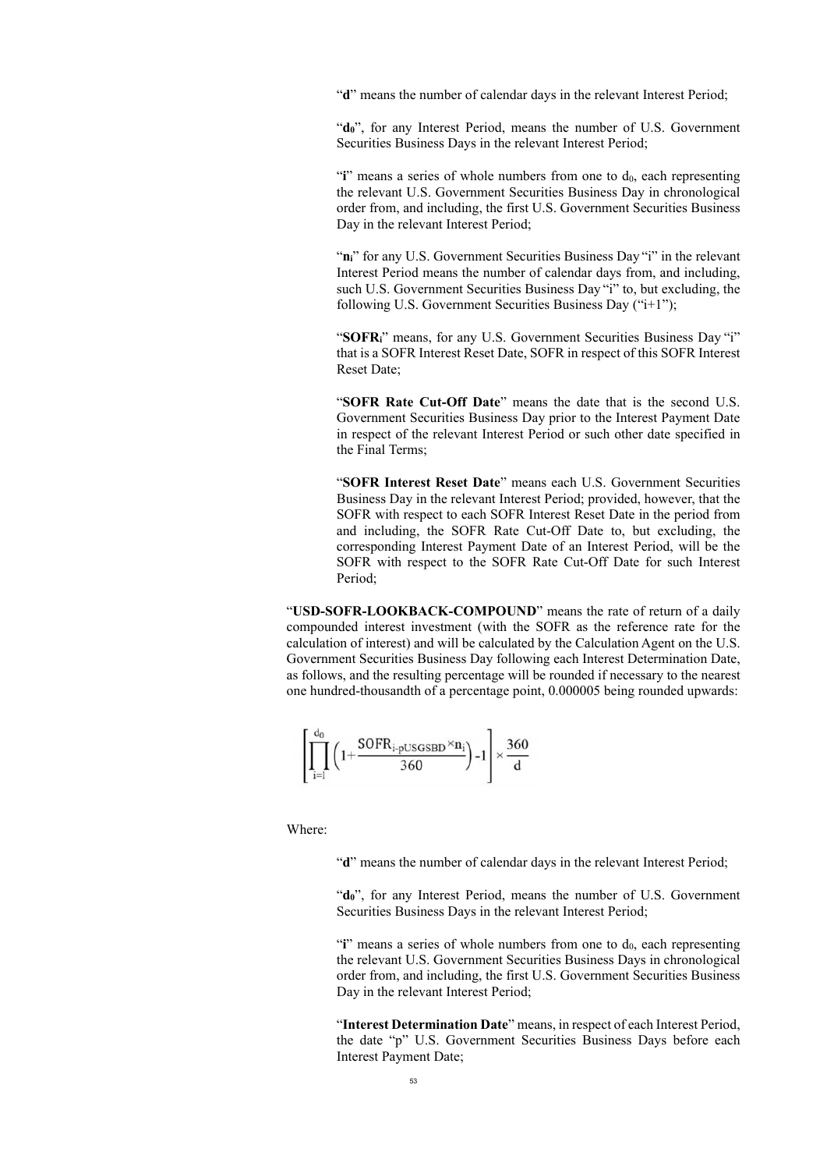"d" means the number of calendar days in the relevant Interest Period;

"**d0**", for any Interest Period, means the number of U.S. Government Securities Business Days in the relevant Interest Period;

" $\mathbf{i}$ " means a series of whole numbers from one to  $\mathbf{d}_0$ , each representing the relevant U.S. Government Securities Business Day in chronological order from, and including, the first U.S. Government Securities Business Day in the relevant Interest Period;

"n<sub>i</sub>" for any U.S. Government Securities Business Day "i" in the relevant Interest Period means the number of calendar days from, and including, such U.S. Government Securities Business Day "i" to, but excluding, the following U.S. Government Securities Business Day ("i+1");

"**SOFR**<sup>"</sup> means, for any U.S. Government Securities Business Day "i" that is a SOFR Interest Reset Date, SOFR in respect of this SOFR Interest Reset Date;

"**SOFR Rate Cut-Off Date**" means the date that is the second U.S. Government Securities Business Day prior to the Interest Payment Date in respect of the relevant Interest Period or such other date specified in the Final Terms;

"**SOFR Interest Reset Date**" means each U.S. Government Securities Business Day in the relevant Interest Period; provided, however, that the SOFR with respect to each SOFR Interest Reset Date in the period from and including, the SOFR Rate Cut-Off Date to, but excluding, the corresponding Interest Payment Date of an Interest Period, will be the SOFR with respect to the SOFR Rate Cut-Off Date for such Interest Period;

"**USD-SOFR-LOOKBACK-COMPOUND**" means the rate of return of a daily compounded interest investment (with the SOFR as the reference rate for the calculation of interest) and will be calculated by the Calculation Agent on the U.S. Government Securities Business Day following each Interest Determination Date, as follows, and the resulting percentage will be rounded if necessary to the nearest one hundred-thousandth of a percentage point, 0.000005 being rounded upwards:

$$
\left[\prod_{i=l}^{d_0}\left(1{+}\frac{SOFR_{i\textrm{-}\mathrm{pUSGSBD}}{\times}n_i}{360}\right){-}1\right] {\times}\frac{360}{d}
$$

Where:

"**d**" means the number of calendar days in the relevant Interest Period;

"**d0**", for any Interest Period, means the number of U.S. Government Securities Business Days in the relevant Interest Period;

"**i**" means a series of whole numbers from one to  $d_0$ , each representing the relevant U.S. Government Securities Business Days in chronological order from, and including, the first U.S. Government Securities Business Day in the relevant Interest Period;

"**Interest Determination Date**" means, in respect of each Interest Period, the date "p" U.S. Government Securities Business Days before each Interest Payment Date;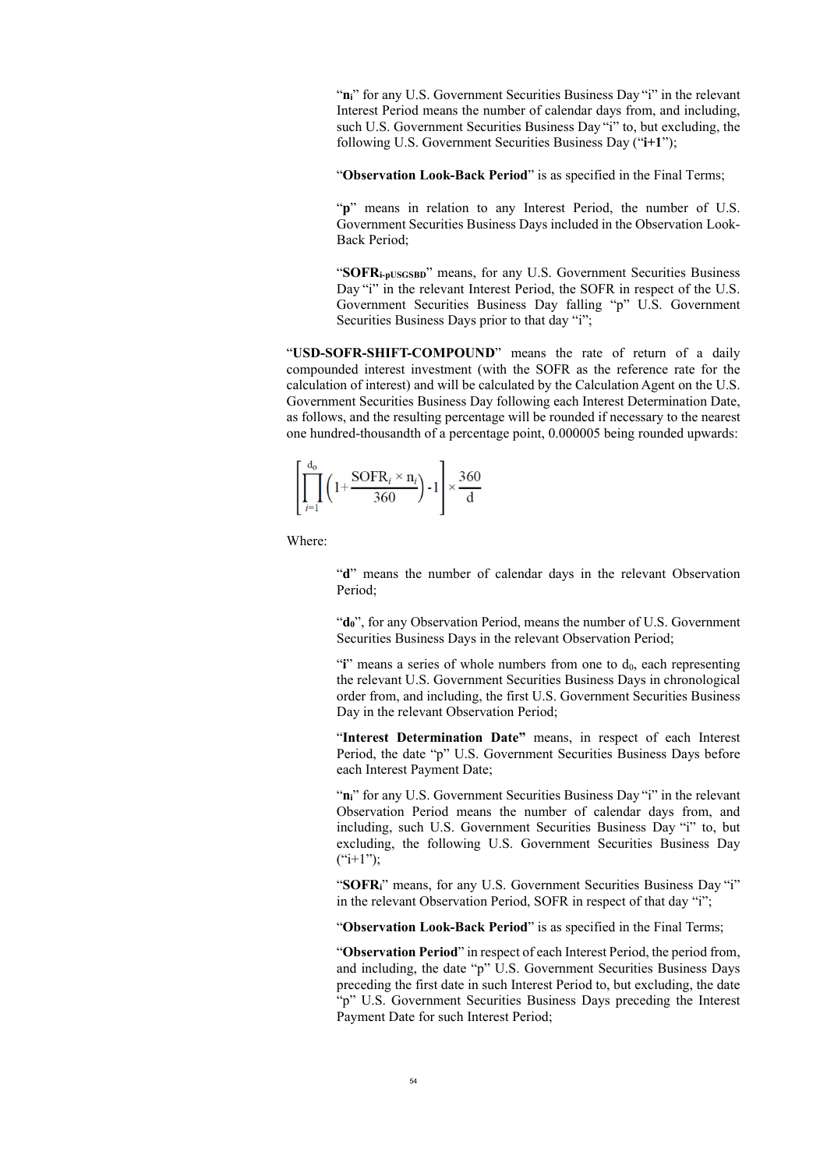"n<sub>i</sub>" for any U.S. Government Securities Business Day "i" in the relevant Interest Period means the number of calendar days from, and including, such U.S. Government Securities Business Day "i" to, but excluding, the following U.S. Government Securities Business Day ("**i+1**");

"Observation Look-Back Period" is as specified in the Final Terms;

"p" means in relation to any Interest Period, the number of U.S. Government Securities Business Days included in the Observation Look-Back Period;

"**SOFRi-pUSGSBD**" means, for any U.S. Government Securities Business Day "i" in the relevant Interest Period, the SOFR in respect of the U.S. Government Securities Business Day falling "p" U.S. Government Securities Business Days prior to that day "i";

"**USD-SOFR-SHIFT-COMPOUND**" means the rate of return of a daily compounded interest investment (with the SOFR as the reference rate for the calculation of interest) and will be calculated by the Calculation Agent on the U.S. Government Securities Business Day following each Interest Determination Date, as follows, and the resulting percentage will be rounded if necessary to the nearest one hundred-thousandth of a percentage point, 0.000005 being rounded upwards:

$$
\left[\prod_{i=1}^{d_0} \left(1 + \frac{\text{SOFR}_i \times n_i}{360}\right) - 1\right] \times \frac{360}{d}
$$

Where:

"**d**" means the number of calendar days in the relevant Observation Period;

"**d0**", for any Observation Period, means the number of U.S. Government Securities Business Days in the relevant Observation Period;

"**i**" means a series of whole numbers from one to  $d_0$ , each representing the relevant U.S. Government Securities Business Days in chronological order from, and including, the first U.S. Government Securities Business Day in the relevant Observation Period;

"**Interest Determination Date"** means, in respect of each Interest Period, the date "p" U.S. Government Securities Business Days before each Interest Payment Date;

"n<sub>i</sub>" for any U.S. Government Securities Business Day "i" in the relevant Observation Period means the number of calendar days from, and including, such U.S. Government Securities Business Day "i" to, but excluding, the following U.S. Government Securities Business Day  $(*i+1")$ ;

"**SOFR**<sup>"</sup> means, for any U.S. Government Securities Business Day "i" in the relevant Observation Period, SOFR in respect of that day "i";

"Observation Look-Back Period" is as specified in the Final Terms;

"**Observation Period**" in respect of each Interest Period, the period from, and including, the date "p" U.S. Government Securities Business Days preceding the first date in such Interest Period to, but excluding, the date "p" U.S. Government Securities Business Days preceding the Interest Payment Date for such Interest Period;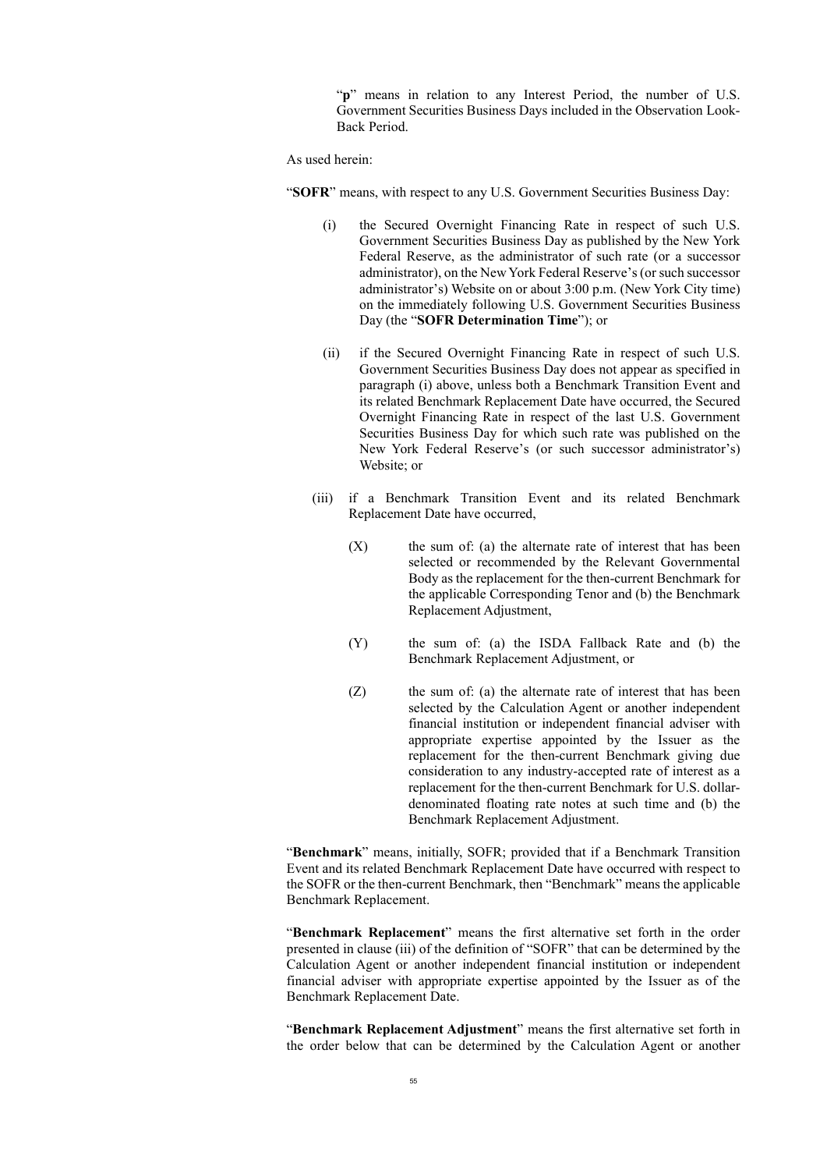"p" means in relation to any Interest Period, the number of U.S. Government Securities Business Days included in the Observation Look-Back Period.

#### As used herein:

"**SOFR**" means, with respect to any U.S. Government Securities Business Day:

- (i) the Secured Overnight Financing Rate in respect of such U.S. Government Securities Business Day as published by the New York Federal Reserve, as the administrator of such rate (or a successor administrator), on the New York Federal Reserve's (or such successor administrator's) Website on or about 3:00 p.m. (New York City time) on the immediately following U.S. Government Securities Business Day (the "**SOFR Determination Time**"); or
- (ii) if the Secured Overnight Financing Rate in respect of such U.S. Government Securities Business Day does not appear as specified in paragraph (i) above, unless both a Benchmark Transition Event and its related Benchmark Replacement Date have occurred, the Secured Overnight Financing Rate in respect of the last U.S. Government Securities Business Day for which such rate was published on the New York Federal Reserve's (or such successor administrator's) Website; or
- (iii) if a Benchmark Transition Event and its related Benchmark Replacement Date have occurred,
	- $(X)$  the sum of: (a) the alternate rate of interest that has been selected or recommended by the Relevant Governmental Body as the replacement for the then-current Benchmark for the applicable Corresponding Tenor and (b) the Benchmark Replacement Adjustment,
	- (Y) the sum of: (a) the ISDA Fallback Rate and (b) the Benchmark Replacement Adjustment, or
	- (Z) the sum of: (a) the alternate rate of interest that has been selected by the Calculation Agent or another independent financial institution or independent financial adviser with appropriate expertise appointed by the Issuer as the replacement for the then-current Benchmark giving due consideration to any industry-accepted rate of interest as a replacement for the then-current Benchmark for U.S. dollardenominated floating rate notes at such time and (b) the Benchmark Replacement Adjustment.

"**Benchmark**" means, initially, SOFR; provided that if a Benchmark Transition Event and its related Benchmark Replacement Date have occurred with respect to the SOFR or the then-current Benchmark, then "Benchmark" means the applicable Benchmark Replacement.

"**Benchmark Replacement**" means the first alternative set forth in the order presented in clause (iii) of the definition of "SOFR" that can be determined by the Calculation Agent or another independent financial institution or independent financial adviser with appropriate expertise appointed by the Issuer as of the Benchmark Replacement Date.

"**Benchmark Replacement Adjustment**" means the first alternative set forth in the order below that can be determined by the Calculation Agent or another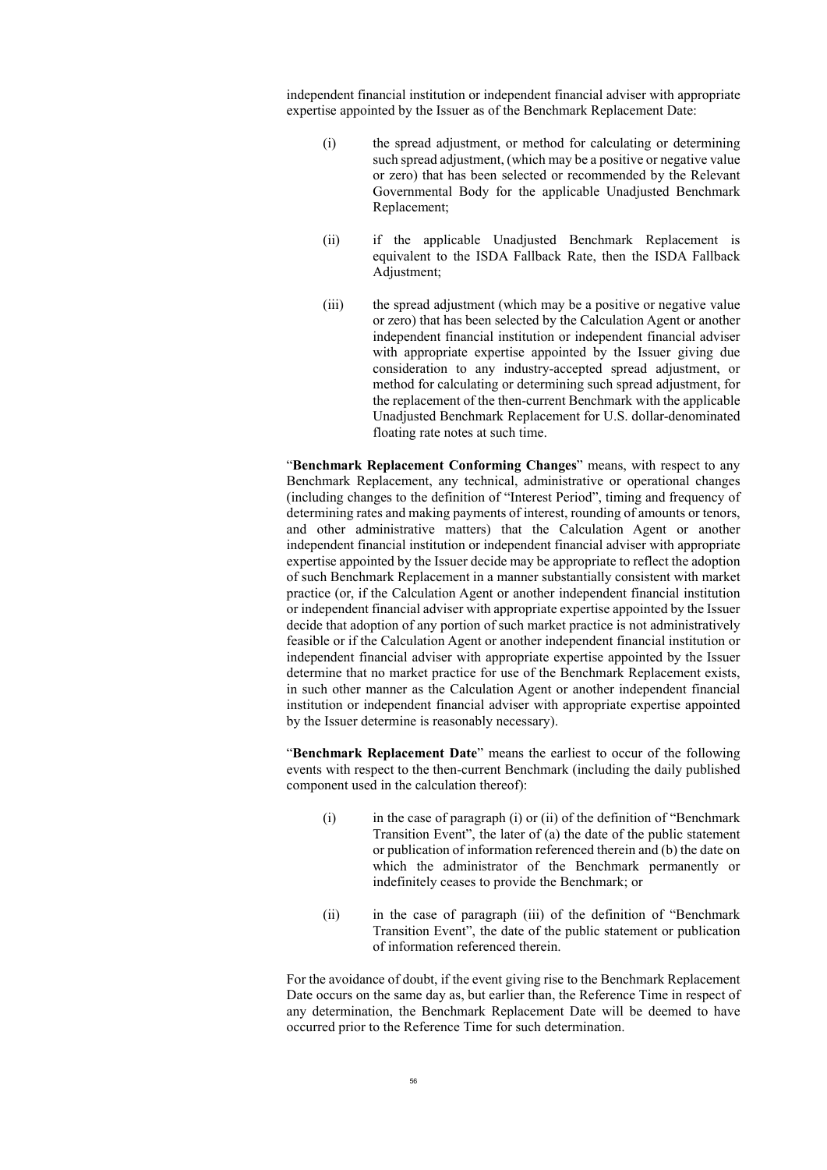independent financial institution or independent financial adviser with appropriate expertise appointed by the Issuer as of the Benchmark Replacement Date:

- (i) the spread adjustment, or method for calculating or determining such spread adjustment, (which may be a positive or negative value or zero) that has been selected or recommended by the Relevant Governmental Body for the applicable Unadjusted Benchmark Replacement;
- (ii) if the applicable Unadjusted Benchmark Replacement is equivalent to the ISDA Fallback Rate, then the ISDA Fallback Adjustment;
- (iii) the spread adjustment (which may be a positive or negative value or zero) that has been selected by the Calculation Agent or another independent financial institution or independent financial adviser with appropriate expertise appointed by the Issuer giving due consideration to any industry-accepted spread adjustment, or method for calculating or determining such spread adjustment, for the replacement of the then-current Benchmark with the applicable Unadjusted Benchmark Replacement for U.S. dollar-denominated floating rate notes at such time.

"**Benchmark Replacement Conforming Changes**" means, with respect to any Benchmark Replacement, any technical, administrative or operational changes (including changes to the definition of "Interest Period", timing and frequency of determining rates and making payments of interest, rounding of amounts or tenors, and other administrative matters) that the Calculation Agent or another independent financial institution or independent financial adviser with appropriate expertise appointed by the Issuer decide may be appropriate to reflect the adoption of such Benchmark Replacement in a manner substantially consistent with market practice (or, if the Calculation Agent or another independent financial institution or independent financial adviser with appropriate expertise appointed by the Issuer decide that adoption of any portion of such market practice is not administratively feasible or if the Calculation Agent or another independent financial institution or independent financial adviser with appropriate expertise appointed by the Issuer determine that no market practice for use of the Benchmark Replacement exists, in such other manner as the Calculation Agent or another independent financial institution or independent financial adviser with appropriate expertise appointed by the Issuer determine is reasonably necessary).

"**Benchmark Replacement Date**" means the earliest to occur of the following events with respect to the then-current Benchmark (including the daily published component used in the calculation thereof):

- $(i)$  in the case of paragraph  $(i)$  or  $(ii)$  of the definition of "Benchmark" Transition Event", the later of (a) the date of the public statement or publication of information referenced therein and (b) the date on which the administrator of the Benchmark permanently or indefinitely ceases to provide the Benchmark; or
- (ii) in the case of paragraph (iii) of the definition of "Benchmark Transition Event", the date of the public statement or publication of information referenced therein.

For the avoidance of doubt, if the event giving rise to the Benchmark Replacement Date occurs on the same day as, but earlier than, the Reference Time in respect of any determination, the Benchmark Replacement Date will be deemed to have occurred prior to the Reference Time for such determination.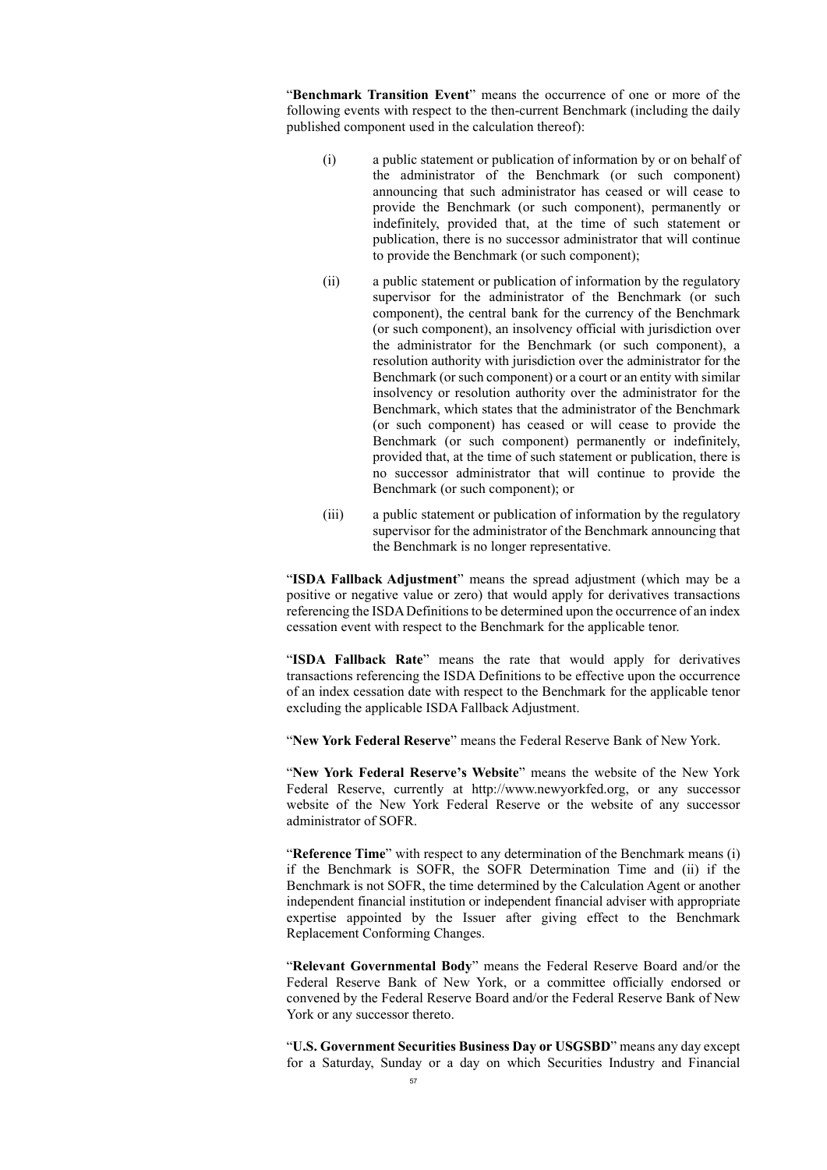"**Benchmark Transition Event**" means the occurrence of one or more of the following events with respect to the then-current Benchmark (including the daily published component used in the calculation thereof):

- (i) a public statement or publication of information by or on behalf of the administrator of the Benchmark (or such component) announcing that such administrator has ceased or will cease to provide the Benchmark (or such component), permanently or indefinitely, provided that, at the time of such statement or publication, there is no successor administrator that will continue to provide the Benchmark (or such component);
- (ii) a public statement or publication of information by the regulatory supervisor for the administrator of the Benchmark (or such component), the central bank for the currency of the Benchmark (or such component), an insolvency official with jurisdiction over the administrator for the Benchmark (or such component), a resolution authority with jurisdiction over the administrator for the Benchmark (or such component) or a court or an entity with similar insolvency or resolution authority over the administrator for the Benchmark, which states that the administrator of the Benchmark (or such component) has ceased or will cease to provide the Benchmark (or such component) permanently or indefinitely, provided that, at the time of such statement or publication, there is no successor administrator that will continue to provide the Benchmark (or such component); or
- (iii) a public statement or publication of information by the regulatory supervisor for the administrator of the Benchmark announcing that the Benchmark is no longer representative.

"**ISDA Fallback Adjustment**" means the spread adjustment (which may be a positive or negative value or zero) that would apply for derivatives transactions referencing the ISDA Definitions to be determined upon the occurrence of an index cessation event with respect to the Benchmark for the applicable tenor.

"**ISDA Fallback Rate**" means the rate that would apply for derivatives transactions referencing the ISDA Definitions to be effective upon the occurrence of an index cessation date with respect to the Benchmark for the applicable tenor excluding the applicable ISDA Fallback Adjustment.

"**New York Federal Reserve**" means the Federal Reserve Bank of New York.

"**New York Federal Reserve's Website**" means the website of the New York Federal Reserve, currently at http://www.newyorkfed.org, or any successor website of the New York Federal Reserve or the website of any successor administrator of SOFR.

"**Reference Time**" with respect to any determination of the Benchmark means (i) if the Benchmark is SOFR, the SOFR Determination Time and (ii) if the Benchmark is not SOFR, the time determined by the Calculation Agent or another independent financial institution or independent financial adviser with appropriate expertise appointed by the Issuer after giving effect to the Benchmark Replacement Conforming Changes.

"**Relevant Governmental Body**" means the Federal Reserve Board and/or the Federal Reserve Bank of New York, or a committee officially endorsed or convened by the Federal Reserve Board and/or the Federal Reserve Bank of New York or any successor thereto.

"**U.S. Government Securities Business Day or USGSBD**" means any day except for a Saturday, Sunday or a day on which Securities Industry and Financial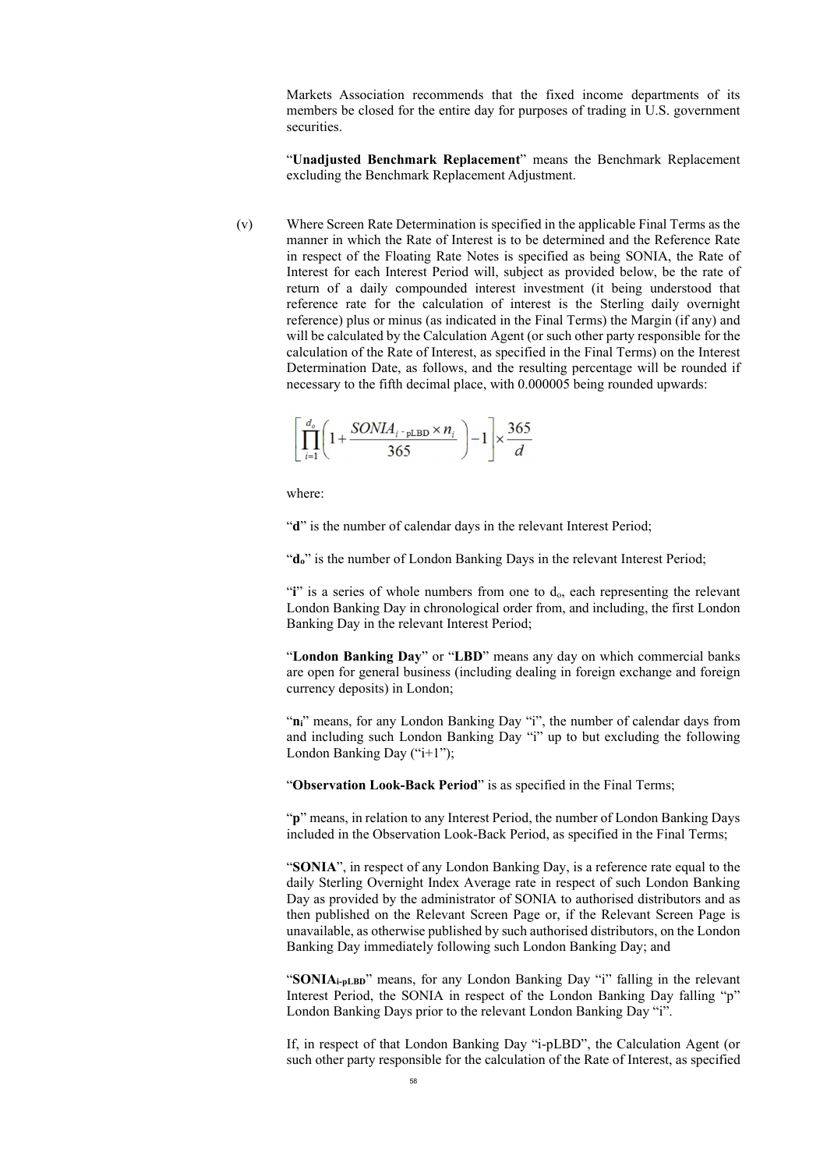Markets Association recommends that the fixed income departments of its members be closed for the entire day for purposes of trading in U.S. government securities.

"**Unadjusted Benchmark Replacement**" means the Benchmark Replacement excluding the Benchmark Replacement Adjustment.

(v) Where Screen Rate Determination is specified in the applicable Final Terms as the manner in which the Rate of Interest is to be determined and the Reference Rate in respect of the Floating Rate Notes is specified as being SONIA, the Rate of Interest for each Interest Period will, subject as provided below, be the rate of return of a daily compounded interest investment (it being understood that reference rate for the calculation of interest is the Sterling daily overnight reference) plus or minus (as indicated in the Final Terms) the Margin (if any) and will be calculated by the Calculation Agent (or such other party responsible for the calculation of the Rate of Interest, as specified in the Final Terms) on the Interest Determination Date, as follows, and the resulting percentage will be rounded if necessary to the fifth decimal place, with 0.000005 being rounded upwards:

$$
\left[\prod_{i=1}^{d_o} \left(1 + \frac{SONIA_{i\text{-}pLBD} \times n_i}{365}\right) - 1\right] \times \frac{365}{d}
$$

where:

"d" is the number of calendar days in the relevant Interest Period;

"do" is the number of London Banking Days in the relevant Interest Period;

"**i**" is a series of whole numbers from one to d<sub>o</sub>, each representing the relevant London Banking Day in chronological order from, and including, the first London Banking Day in the relevant Interest Period;

"**London Banking Day**" or "**LBD**" means any day on which commercial banks are open for general business (including dealing in foreign exchange and foreign currency deposits) in London;

"n<sub>i</sub>" means, for any London Banking Day "i", the number of calendar days from and including such London Banking Day "i" up to but excluding the following London Banking Day ("i+1");

"**Observation Look-Back Period**" is as specified in the Final Terms;

"**p**" means, in relation to any Interest Period, the number of London Banking Days included in the Observation Look-Back Period, as specified in the Final Terms;

"**SONIA**", in respect of any London Banking Day, is a reference rate equal to the daily Sterling Overnight Index Average rate in respect of such London Banking Day as provided by the administrator of SONIA to authorised distributors and as then published on the Relevant Screen Page or, if the Relevant Screen Page is unavailable, as otherwise published by such authorised distributors, on the London Banking Day immediately following such London Banking Day; and

"SONIA<sub>i-pLBD</sub>" means, for any London Banking Day "i" falling in the relevant Interest Period, the SONIA in respect of the London Banking Day falling "p" London Banking Days prior to the relevant London Banking Day "i".

If, in respect of that London Banking Day "i-pLBD", the Calculation Agent (or such other party responsible for the calculation of the Rate of Interest, as specified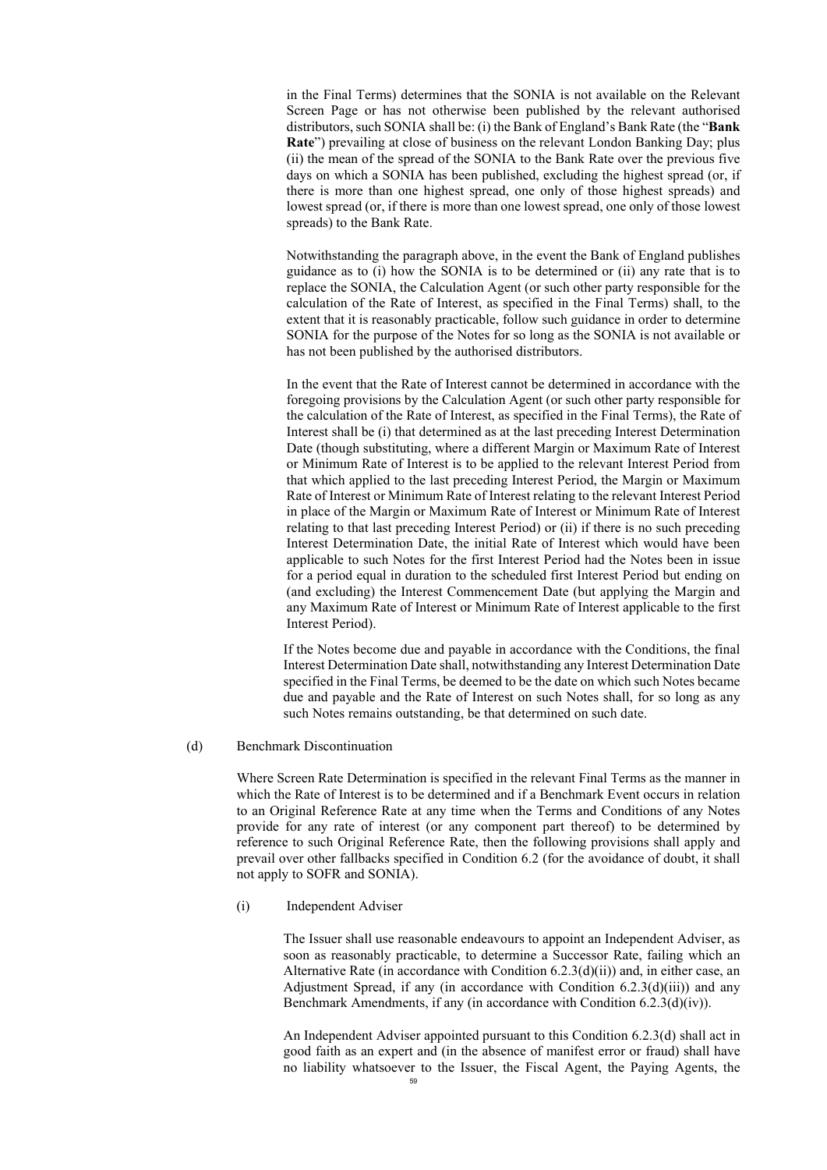in the Final Terms) determines that the SONIA is not available on the Relevant Screen Page or has not otherwise been published by the relevant authorised distributors, such SONIA shall be: (i) the Bank of England's Bank Rate (the "**Bank Rate**") prevailing at close of business on the relevant London Banking Day; plus (ii) the mean of the spread of the SONIA to the Bank Rate over the previous five days on which a SONIA has been published, excluding the highest spread (or, if there is more than one highest spread, one only of those highest spreads) and lowest spread (or, if there is more than one lowest spread, one only of those lowest spreads) to the Bank Rate.

Notwithstanding the paragraph above, in the event the Bank of England publishes guidance as to (i) how the SONIA is to be determined or (ii) any rate that is to replace the SONIA, the Calculation Agent (or such other party responsible for the calculation of the Rate of Interest, as specified in the Final Terms) shall, to the extent that it is reasonably practicable, follow such guidance in order to determine SONIA for the purpose of the Notes for so long as the SONIA is not available or has not been published by the authorised distributors.

In the event that the Rate of Interest cannot be determined in accordance with the foregoing provisions by the Calculation Agent (or such other party responsible for the calculation of the Rate of Interest, as specified in the Final Terms), the Rate of Interest shall be (i) that determined as at the last preceding Interest Determination Date (though substituting, where a different Margin or Maximum Rate of Interest or Minimum Rate of Interest is to be applied to the relevant Interest Period from that which applied to the last preceding Interest Period, the Margin or Maximum Rate of Interest or Minimum Rate of Interest relating to the relevant Interest Period in place of the Margin or Maximum Rate of Interest or Minimum Rate of Interest relating to that last preceding Interest Period) or (ii) if there is no such preceding Interest Determination Date, the initial Rate of Interest which would have been applicable to such Notes for the first Interest Period had the Notes been in issue for a period equal in duration to the scheduled first Interest Period but ending on (and excluding) the Interest Commencement Date (but applying the Margin and any Maximum Rate of Interest or Minimum Rate of Interest applicable to the first Interest Period).

If the Notes become due and payable in accordance with the Conditions, the final Interest Determination Date shall, notwithstanding any Interest Determination Date specified in the Final Terms, be deemed to be the date on which such Notes became due and payable and the Rate of Interest on such Notes shall, for so long as any such Notes remains outstanding, be that determined on such date.

#### (d) Benchmark Discontinuation

Where Screen Rate Determination is specified in the relevant Final Terms as the manner in which the Rate of Interest is to be determined and if a Benchmark Event occurs in relation to an Original Reference Rate at any time when the Terms and Conditions of any Notes provide for any rate of interest (or any component part thereof) to be determined by reference to such Original Reference Rate, then the following provisions shall apply and prevail over other fallbacks specified in Condition 6.2 (for the avoidance of doubt, it shall not apply to SOFR and SONIA).

(i) Independent Adviser

The Issuer shall use reasonable endeavours to appoint an Independent Adviser, as soon as reasonably practicable, to determine a Successor Rate, failing which an Alternative Rate (in accordance with Condition  $(6.2.3(d)(ii))$  and, in either case, an Adjustment Spread, if any (in accordance with Condition  $6.2.3(d)(iii)$ ) and any Benchmark Amendments, if any (in accordance with Condition 6.2.3(d)(iv)).

An Independent Adviser appointed pursuant to this Condition 6.2.3(d) shall act in good faith as an expert and (in the absence of manifest error or fraud) shall have no liability whatsoever to the Issuer, the Fiscal Agent, the Paying Agents, the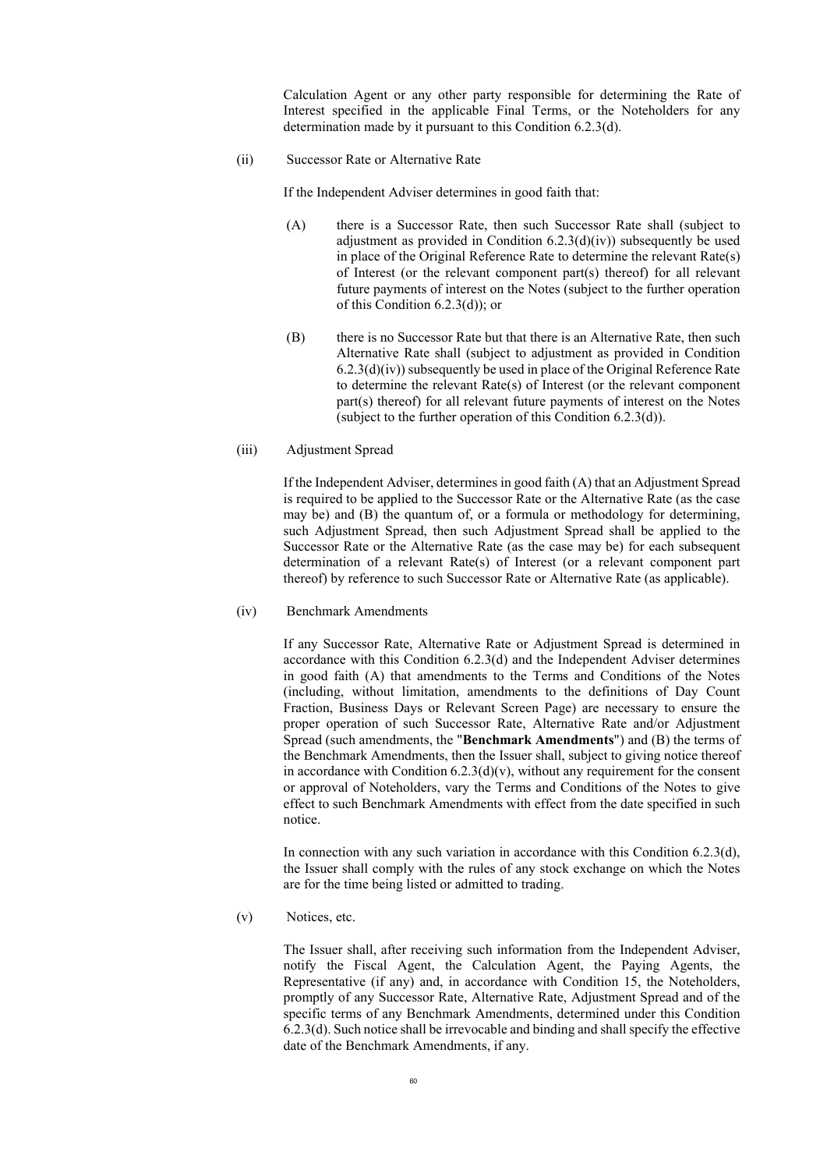Calculation Agent or any other party responsible for determining the Rate of Interest specified in the applicable Final Terms, or the Noteholders for any determination made by it pursuant to this Condition 6.2.3(d).

(ii) Successor Rate or Alternative Rate

If the Independent Adviser determines in good faith that:

- (A) there is a Successor Rate, then such Successor Rate shall (subject to adjustment as provided in Condition  $6.2.3(d)(iv)$ ) subsequently be used in place of the Original Reference Rate to determine the relevant Rate(s) of Interest (or the relevant component part(s) thereof) for all relevant future payments of interest on the Notes (subject to the further operation of this Condition 6.2.3(d)); or
- (B) there is no Successor Rate but that there is an Alternative Rate, then such Alternative Rate shall (subject to adjustment as provided in Condition  $(6.2.3(d)(iv))$  subsequently be used in place of the Original Reference Rate to determine the relevant Rate(s) of Interest (or the relevant component part(s) thereof) for all relevant future payments of interest on the Notes (subject to the further operation of this Condition 6.2.3(d)).
- (iii) Adjustment Spread

If the Independent Adviser, determines in good faith (A) that an Adjustment Spread is required to be applied to the Successor Rate or the Alternative Rate (as the case may be) and (B) the quantum of, or a formula or methodology for determining, such Adjustment Spread, then such Adjustment Spread shall be applied to the Successor Rate or the Alternative Rate (as the case may be) for each subsequent determination of a relevant Rate(s) of Interest (or a relevant component part thereof) by reference to such Successor Rate or Alternative Rate (as applicable).

(iv) Benchmark Amendments

If any Successor Rate, Alternative Rate or Adjustment Spread is determined in accordance with this Condition 6.2.3(d) and the Independent Adviser determines in good faith (A) that amendments to the Terms and Conditions of the Notes (including, without limitation, amendments to the definitions of Day Count Fraction, Business Days or Relevant Screen Page) are necessary to ensure the proper operation of such Successor Rate, Alternative Rate and/or Adjustment Spread (such amendments, the "**Benchmark Amendments**") and (B) the terms of the Benchmark Amendments, then the Issuer shall, subject to giving notice thereof in accordance with Condition  $(6.2.3(d)(v))$ , without any requirement for the consent or approval of Noteholders, vary the Terms and Conditions of the Notes to give effect to such Benchmark Amendments with effect from the date specified in such notice.

In connection with any such variation in accordance with this Condition 6.2.3(d), the Issuer shall comply with the rules of any stock exchange on which the Notes are for the time being listed or admitted to trading.

(v) Notices, etc.

The Issuer shall, after receiving such information from the Independent Adviser, notify the Fiscal Agent, the Calculation Agent, the Paying Agents, the Representative (if any) and, in accordance with Condition 15, the Noteholders, promptly of any Successor Rate, Alternative Rate, Adjustment Spread and of the specific terms of any Benchmark Amendments, determined under this Condition 6.2.3(d). Such notice shall be irrevocable and binding and shall specify the effective date of the Benchmark Amendments, if any.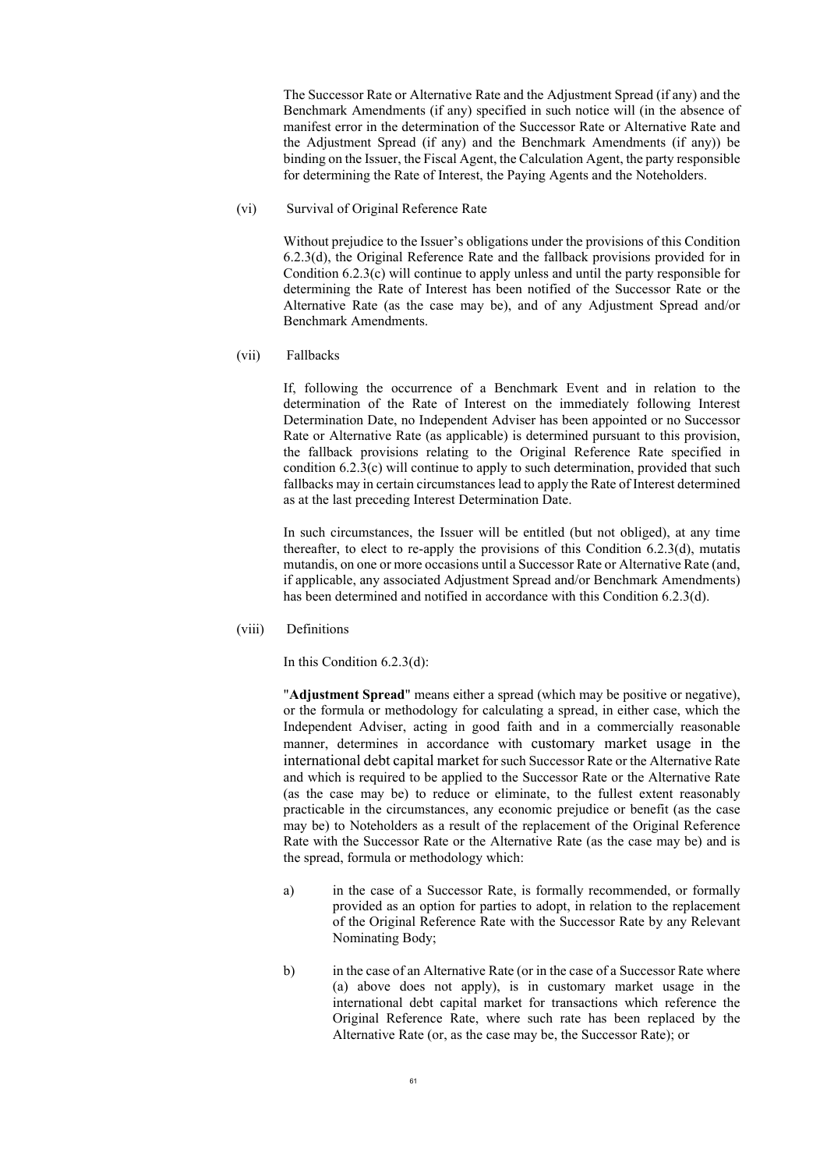The Successor Rate or Alternative Rate and the Adjustment Spread (if any) and the Benchmark Amendments (if any) specified in such notice will (in the absence of manifest error in the determination of the Successor Rate or Alternative Rate and the Adjustment Spread (if any) and the Benchmark Amendments (if any)) be binding on the Issuer, the Fiscal Agent, the Calculation Agent, the party responsible for determining the Rate of Interest, the Paying Agents and the Noteholders.

(vi) Survival of Original Reference Rate

Without prejudice to the Issuer's obligations under the provisions of this Condition 6.2.3(d), the Original Reference Rate and the fallback provisions provided for in Condition 6.2.3(c) will continue to apply unless and until the party responsible for determining the Rate of Interest has been notified of the Successor Rate or the Alternative Rate (as the case may be), and of any Adjustment Spread and/or Benchmark Amendments.

(vii) Fallbacks

If, following the occurrence of a Benchmark Event and in relation to the determination of the Rate of Interest on the immediately following Interest Determination Date, no Independent Adviser has been appointed or no Successor Rate or Alternative Rate (as applicable) is determined pursuant to this provision, the fallback provisions relating to the Original Reference Rate specified in condition  $6.2.3(c)$  will continue to apply to such determination, provided that such fallbacks may in certain circumstances lead to apply the Rate of Interest determined as at the last preceding Interest Determination Date.

In such circumstances, the Issuer will be entitled (but not obliged), at any time thereafter, to elect to re-apply the provisions of this Condition 6.2.3(d), mutatis mutandis, on one or more occasions until a Successor Rate or Alternative Rate (and, if applicable, any associated Adjustment Spread and/or Benchmark Amendments) has been determined and notified in accordance with this Condition 6.2.3(d).

(viii) Definitions

In this Condition 6.2.3(d):

"**Adjustment Spread**" means either a spread (which may be positive or negative), or the formula or methodology for calculating a spread, in either case, which the Independent Adviser, acting in good faith and in a commercially reasonable manner, determines in accordance with customary market usage in the international debt capital market for such Successor Rate or the Alternative Rate and which is required to be applied to the Successor Rate or the Alternative Rate (as the case may be) to reduce or eliminate, to the fullest extent reasonably practicable in the circumstances, any economic prejudice or benefit (as the case may be) to Noteholders as a result of the replacement of the Original Reference Rate with the Successor Rate or the Alternative Rate (as the case may be) and is the spread, formula or methodology which:

- a) in the case of a Successor Rate, is formally recommended, or formally provided as an option for parties to adopt, in relation to the replacement of the Original Reference Rate with the Successor Rate by any Relevant Nominating Body;
- b) in the case of an Alternative Rate (or in the case of a Successor Rate where (a) above does not apply), is in customary market usage in the international debt capital market for transactions which reference the Original Reference Rate, where such rate has been replaced by the Alternative Rate (or, as the case may be, the Successor Rate); or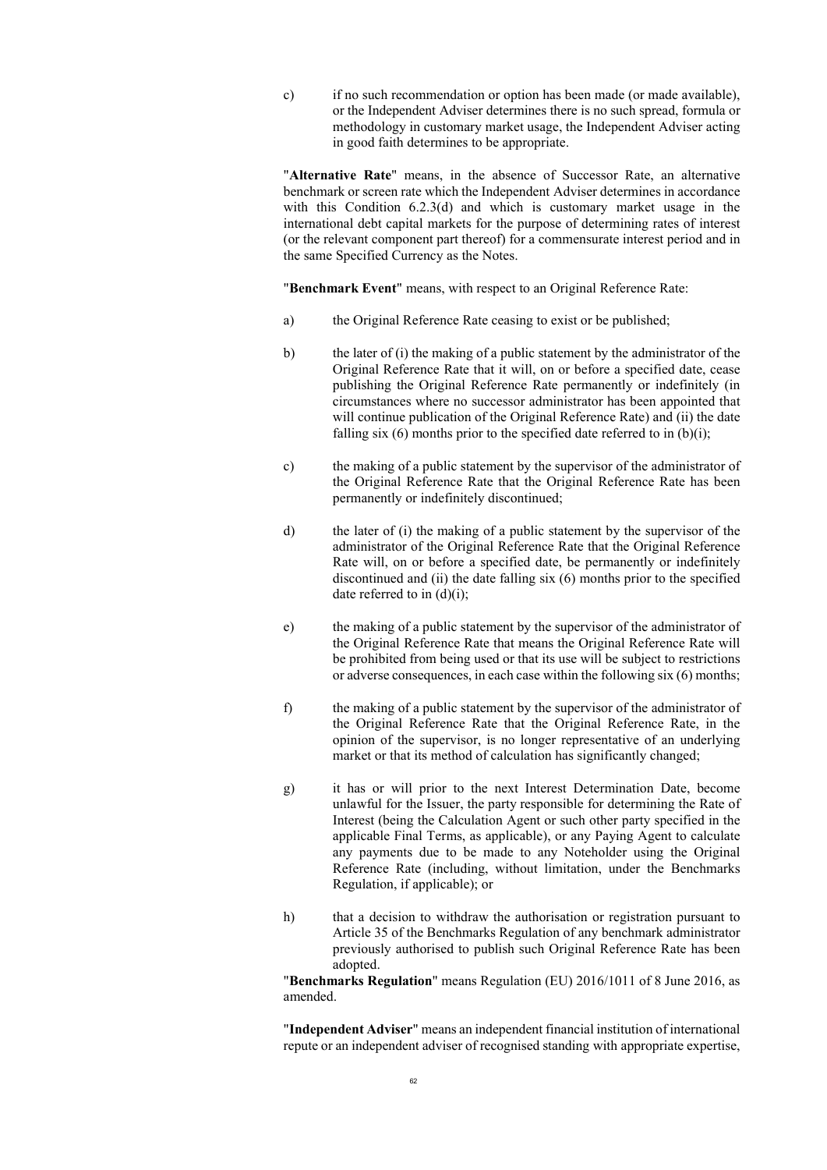c) if no such recommendation or option has been made (or made available), or the Independent Adviser determines there is no such spread, formula or methodology in customary market usage, the Independent Adviser acting in good faith determines to be appropriate.

"**Alternative Rate**" means, in the absence of Successor Rate, an alternative benchmark or screen rate which the Independent Adviser determines in accordance with this Condition 6.2.3(d) and which is customary market usage in the international debt capital markets for the purpose of determining rates of interest (or the relevant component part thereof) for a commensurate interest period and in the same Specified Currency as the Notes.

"**Benchmark Event**" means, with respect to an Original Reference Rate:

- a) the Original Reference Rate ceasing to exist or be published;
- b) the later of (i) the making of a public statement by the administrator of the Original Reference Rate that it will, on or before a specified date, cease publishing the Original Reference Rate permanently or indefinitely (in circumstances where no successor administrator has been appointed that will continue publication of the Original Reference Rate) and (ii) the date falling six  $(6)$  months prior to the specified date referred to in  $(b)(i)$ ;
- c) the making of a public statement by the supervisor of the administrator of the Original Reference Rate that the Original Reference Rate has been permanently or indefinitely discontinued;
- d) the later of (i) the making of a public statement by the supervisor of the administrator of the Original Reference Rate that the Original Reference Rate will, on or before a specified date, be permanently or indefinitely discontinued and (ii) the date falling six (6) months prior to the specified date referred to in (d)(i);
- e) the making of a public statement by the supervisor of the administrator of the Original Reference Rate that means the Original Reference Rate will be prohibited from being used or that its use will be subject to restrictions or adverse consequences, in each case within the following six (6) months;
- f) the making of a public statement by the supervisor of the administrator of the Original Reference Rate that the Original Reference Rate, in the opinion of the supervisor, is no longer representative of an underlying market or that its method of calculation has significantly changed;
- g) it has or will prior to the next Interest Determination Date, become unlawful for the Issuer, the party responsible for determining the Rate of Interest (being the Calculation Agent or such other party specified in the applicable Final Terms, as applicable), or any Paying Agent to calculate any payments due to be made to any Noteholder using the Original Reference Rate (including, without limitation, under the Benchmarks Regulation, if applicable); or
- h) that a decision to withdraw the authorisation or registration pursuant to Article 35 of the Benchmarks Regulation of any benchmark administrator previously authorised to publish such Original Reference Rate has been adopted.

"**Benchmarks Regulation**" means Regulation (EU) 2016/1011 of 8 June 2016, as amended.

"**Independent Adviser**" means an independent financial institution of international repute or an independent adviser of recognised standing with appropriate expertise,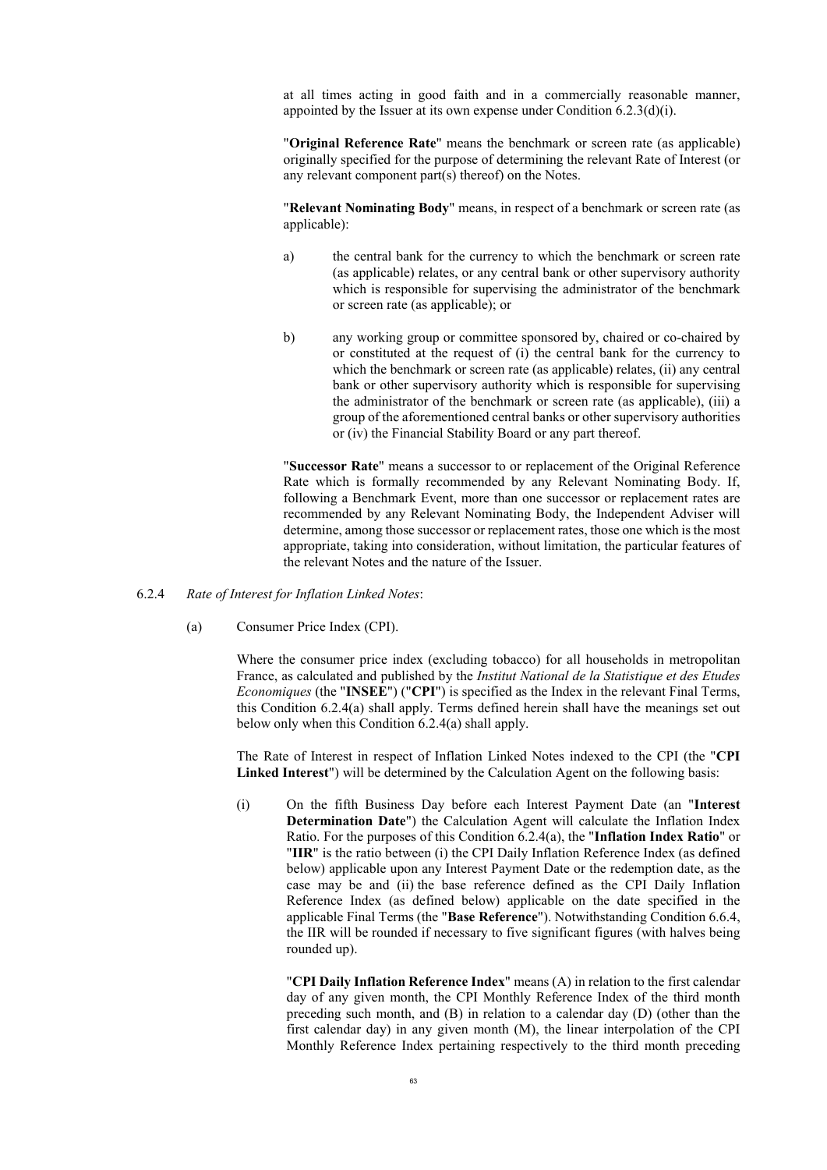at all times acting in good faith and in a commercially reasonable manner, appointed by the Issuer at its own expense under Condition 6.2.3(d)(i).

"**Original Reference Rate**" means the benchmark or screen rate (as applicable) originally specified for the purpose of determining the relevant Rate of Interest (or any relevant component part(s) thereof) on the Notes.

"**Relevant Nominating Body**" means, in respect of a benchmark or screen rate (as applicable):

- a) the central bank for the currency to which the benchmark or screen rate (as applicable) relates, or any central bank or other supervisory authority which is responsible for supervising the administrator of the benchmark or screen rate (as applicable); or
- b) any working group or committee sponsored by, chaired or co-chaired by or constituted at the request of (i) the central bank for the currency to which the benchmark or screen rate (as applicable) relates, (ii) any central bank or other supervisory authority which is responsible for supervising the administrator of the benchmark or screen rate (as applicable), (iii) a group of the aforementioned central banks or other supervisory authorities or (iv) the Financial Stability Board or any part thereof.

"**Successor Rate**" means a successor to or replacement of the Original Reference Rate which is formally recommended by any Relevant Nominating Body. If, following a Benchmark Event, more than one successor or replacement rates are recommended by any Relevant Nominating Body, the Independent Adviser will determine, among those successor or replacement rates, those one which is the most appropriate, taking into consideration, without limitation, the particular features of the relevant Notes and the nature of the Issuer.

- <span id="page-62-1"></span><span id="page-62-0"></span>6.2.4 *Rate of Interest for Inflation Linked Notes*:
	- (a) Consumer Price Index (CPI).

Where the consumer price index (excluding tobacco) for all households in metropolitan France, as calculated and published by the *Institut National de la Statistique et des Etudes Economiques* (the "**INSEE**") ("**CPI**") is specified as the Index in the relevant Final Terms, this Condition [6.2.4](#page-62-0)[\(a\)](#page-62-1) shall apply. Terms defined herein shall have the meanings set out below only when this Condition [6.2.4](#page-62-0)[\(a\)](#page-62-1) shall apply.

The Rate of Interest in respect of Inflation Linked Notes indexed to the CPI (the "**CPI Linked Interest**") will be determined by the Calculation Agent on the following basis:

(i) On the fifth Business Day before each Interest Payment Date (an "**Interest Determination Date**") the Calculation Agent will calculate the Inflation Index Ratio. For the purposes of this Condition [6.2.4](#page-62-0)[\(a\)](#page-62-1), the "**Inflation Index Ratio**" or "**IIR**" is the ratio between (i) the CPI Daily Inflation Reference Index (as defined below) applicable upon any Interest Payment Date or the redemption date, as the case may be and (ii) the base reference defined as the CPI Daily Inflation Reference Index (as defined below) applicable on the date specified in the applicable Final Terms (the "**Base Reference**"). Notwithstanding Condition [6.6.4](#page-67-0), the IIR will be rounded if necessary to five significant figures (with halves being rounded up).

> "**CPI Daily Inflation Reference Index**" means (A) in relation to the first calendar day of any given month, the CPI Monthly Reference Index of the third month preceding such month, and (B) in relation to a calendar day (D) (other than the first calendar day) in any given month (M), the linear interpolation of the CPI Monthly Reference Index pertaining respectively to the third month preceding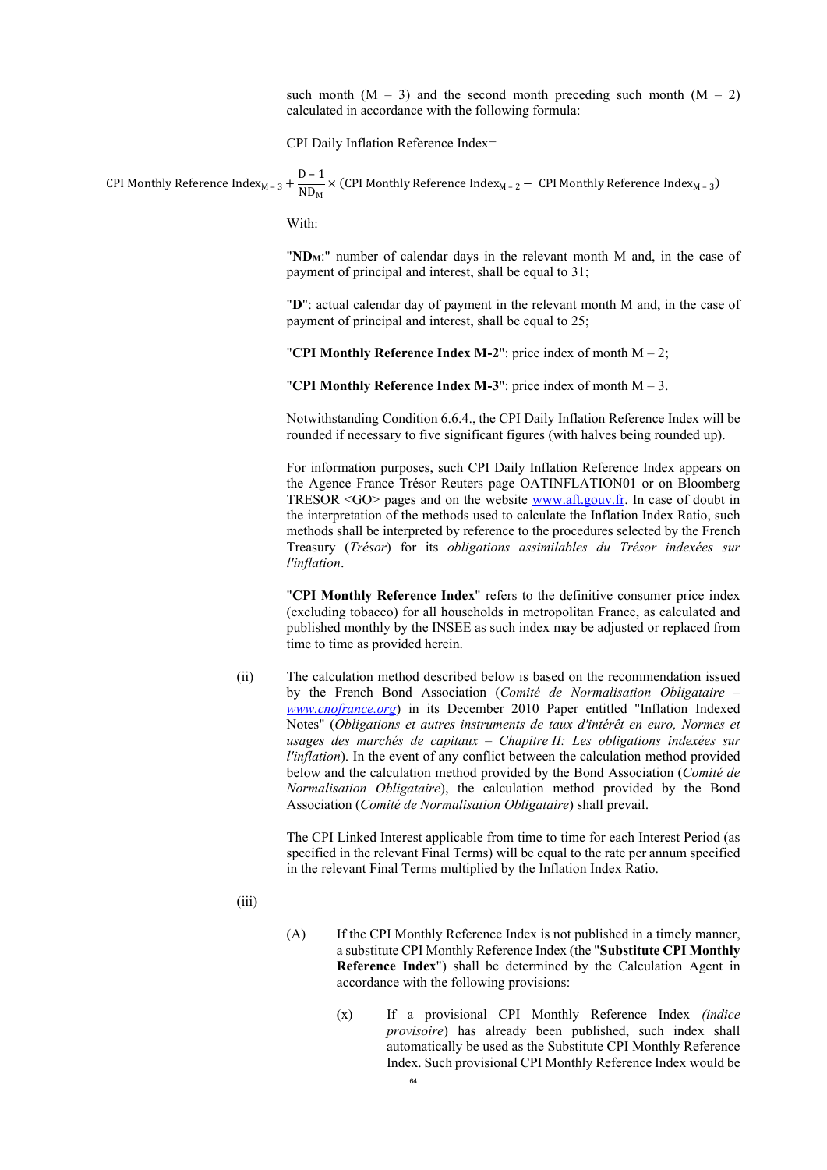such month  $(M - 3)$  and the second month preceding such month  $(M - 2)$ calculated in accordance with the following formula:

CPI Daily Inflation Reference Index=

CPI Monthly Reference Index<sub>M – 3</sub> +  $\frac{D-1}{ND_M}$  $\overline{\text{ND}_{\text{M}}}$  × (CPI Monthly Reference Index<sub>M – 2</sub> – CPI Monthly Reference Index<sub>M – 3</sub>)

With:

"ND<sub>M</sub>:" number of calendar days in the relevant month M and, in the case of payment of principal and interest, shall be equal to 31;

"**D**": actual calendar day of payment in the relevant month M and, in the case of payment of principal and interest, shall be equal to 25;

"**CPI Monthly Reference Index M-2**": price index of month M – 2;

"**CPI Monthly Reference Index M-3**": price index of month M – 3.

Notwithstanding Condition 6.6.4., the CPI Daily Inflation Reference Index will be rounded if necessary to five significant figures (with halves being rounded up).

For information purposes, such CPI Daily Inflation Reference Index appears on the Agence France Trésor Reuters page OATINFLATION01 or on Bloomberg TRESOR <GO> pages and on the website [www.aft.gouv.fr.](https://www.aft.gouv.fr/) In case of doubt in the interpretation of the methods used to calculate the Inflation Index Ratio, such methods shall be interpreted by reference to the procedures selected by the French Treasury (*Trésor*) for its *obligations assimilables du Trésor indexées sur l'inflation*.

"**CPI Monthly Reference Index**" refers to the definitive consumer price index (excluding tobacco) for all households in metropolitan France, as calculated and published monthly by the INSEE as such index may be adjusted or replaced from time to time as provided herein.

(ii) The calculation method described below is based on the recommendation issued by the French Bond Association (*Comité de Normalisation Obligataire – [www.cnofrance.org](http://www.cnofrance.org/)*) in its December 2010 Paper entitled "Inflation Indexed Notes" (*Obligations et autres instruments de taux d'intérêt en euro, Normes et usages des marchés de capitaux – Chapitre II: Les obligations indexées sur l'inflation*). In the event of any conflict between the calculation method provided below and the calculation method provided by the Bond Association (*Comité de Normalisation Obligataire*), the calculation method provided by the Bond Association (*Comité de Normalisation Obligataire*) shall prevail.

> The CPI Linked Interest applicable from time to time for each Interest Period (as specified in the relevant Final Terms) will be equal to the rate per annum specified in the relevant Final Terms multiplied by the Inflation Index Ratio.

- (iii)
- (A) If the CPI Monthly Reference Index is not published in a timely manner, a substitute CPI Monthly Reference Index (the "**Substitute CPI Monthly Reference Index**") shall be determined by the Calculation Agent in accordance with the following provisions:
	- (x) If a provisional CPI Monthly Reference Index *(indice provisoire*) has already been published, such index shall automatically be used as the Substitute CPI Monthly Reference Index. Such provisional CPI Monthly Reference Index would be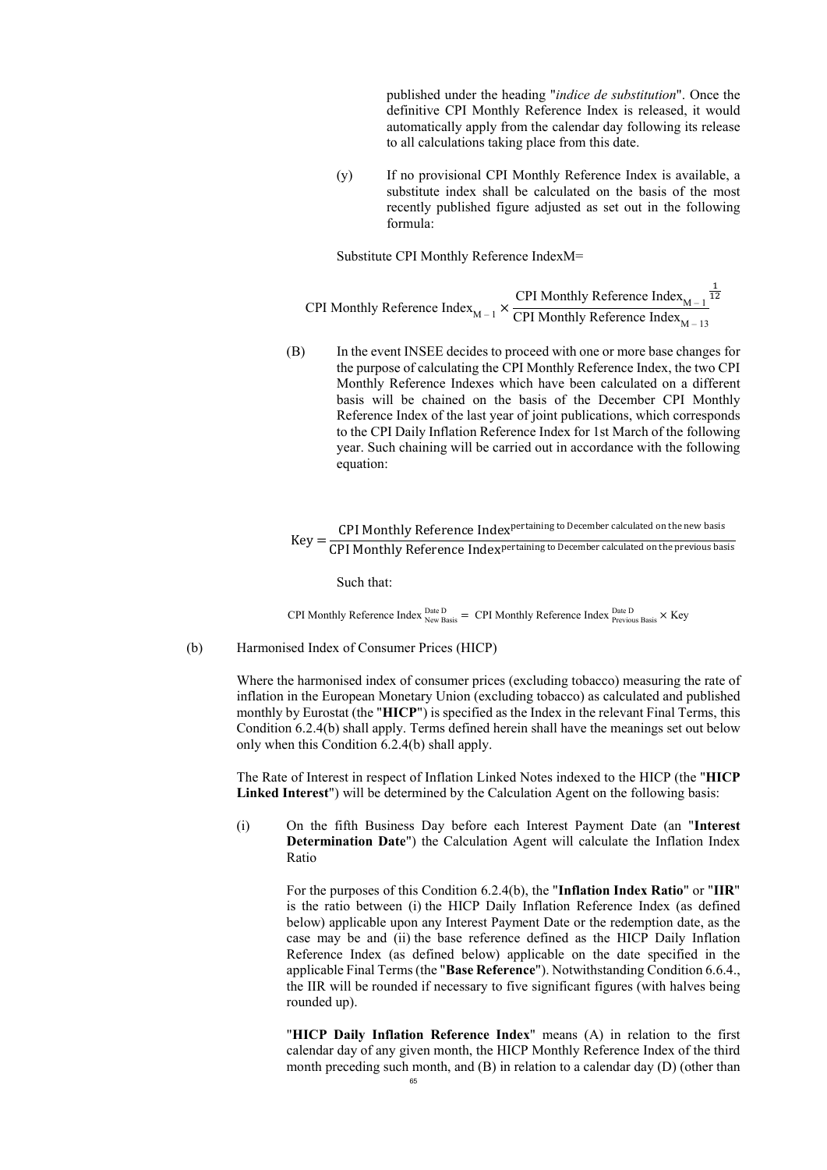published under the heading "*indice de substitution*". Once the definitive CPI Monthly Reference Index is released, it would automatically apply from the calendar day following its release to all calculations taking place from this date.

(y) If no provisional CPI Monthly Reference Index is available, a substitute index shall be calculated on the basis of the most recently published figure adjusted as set out in the following formula:

Substitute CPI Monthly Reference IndexM=

CPI Monthly Reference Index<sub>M – 1</sub>  $\times$  CPI Monthly Reference Index<sub>M – 1</sub> CPI Monthly Reference Index $_{\text{M} - 13}$  $\frac{1}{12}$ 

(B) In the event INSEE decides to proceed with one or more base changes for the purpose of calculating the CPI Monthly Reference Index, the two CPI Monthly Reference Indexes which have been calculated on a different basis will be chained on the basis of the December CPI Monthly Reference Index of the last year of joint publications, which corresponds to the CPI Daily Inflation Reference Index for 1st March of the following year. Such chaining will be carried out in accordance with the following equation:

 $Key = \frac{CPI \; Monthly \; Reference \; Index \; pertaining \; to \; December \; calculated \; on \; the \; new \; basis}{{CPI \; Monthly \; Reference \; Index \; pertaining \; to \; December \; calculated \; on \; the \; previous \; ba}$ CPI Monthly Reference Indexpertaining to December calculated on the previous basis

Such that:

CPI Monthly Reference Index  $_{\text{New Basis}}^{\text{Date D}} =$  CPI Monthly Reference Index  $_{\text{Previous Basis}}^{\text{Date D}} \times$  Key

<span id="page-64-0"></span>(b) Harmonised Index of Consumer Prices (HICP)

Where the harmonised index of consumer prices (excluding tobacco) measuring the rate of inflation in the European Monetary Union (excluding tobacco) as calculated and published monthly by Eurostat (the "**HICP**") is specified as the Index in the relevant Final Terms, this Condition [6.2.4](#page-62-0)[\(b\)](#page-64-0) shall apply. Terms defined herein shall have the meanings set out below only when this Condition [6.2.4](#page-62-0)[\(b\)](#page-64-0) shall apply.

The Rate of Interest in respect of Inflation Linked Notes indexed to the HICP (the "**HICP Linked Interest**") will be determined by the Calculation Agent on the following basis:

(i) On the fifth Business Day before each Interest Payment Date (an "**Interest Determination Date**") the Calculation Agent will calculate the Inflation Index Ratio

For the purposes of this Condition [6.2.4](#page-62-0)[\(b\)](#page-64-0), the "**Inflation Index Ratio**" or "**IIR**" is the ratio between (i) the HICP Daily Inflation Reference Index (as defined below) applicable upon any Interest Payment Date or the redemption date, as the case may be and (ii) the base reference defined as the HICP Daily Inflation Reference Index (as defined below) applicable on the date specified in the applicable Final Terms (the "**Base Reference**"). Notwithstanding Condition 6.6.4., the IIR will be rounded if necessary to five significant figures (with halves being rounded up).

"**HICP Daily Inflation Reference Index**" means (A) in relation to the first calendar day of any given month, the HICP Monthly Reference Index of the third month preceding such month, and (B) in relation to a calendar day (D) (other than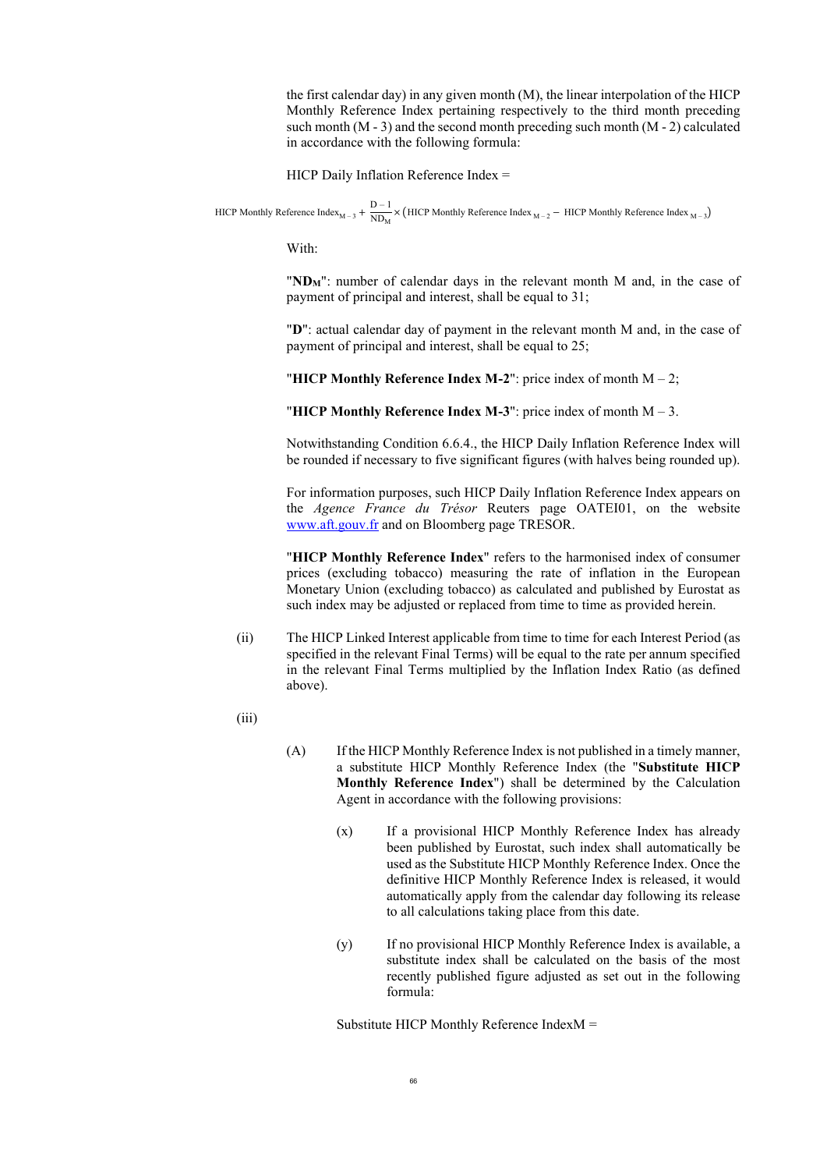the first calendar day) in any given month (M), the linear interpolation of the HICP Monthly Reference Index pertaining respectively to the third month preceding such month (M - 3) and the second month preceding such month (M - 2) calculated in accordance with the following formula:

HICP Daily Inflation Reference Index =

HICP Monthly Reference Index<sub>M – 3</sub> +  $\frac{D-1}{ND}$ .  $\frac{N_{\text{max}}}{N_{\text{max}}}$  × (HICP Monthly Reference Index <sub>M – 3</sub>)

With:

"**NDM**": number of calendar days in the relevant month M and, in the case of payment of principal and interest, shall be equal to 31;

"**D**": actual calendar day of payment in the relevant month M and, in the case of payment of principal and interest, shall be equal to 25;

"**HICP Monthly Reference Index M-2**": price index of month M – 2;

"**HICP Monthly Reference Index M-3**": price index of month M – 3.

Notwithstanding Condition 6.6.4., the HICP Daily Inflation Reference Index will be rounded if necessary to five significant figures (with halves being rounded up).

For information purposes, such HICP Daily Inflation Reference Index appears on the *Agence France du Trésor* Reuters page OATEI01, on the website [www.aft.gouv.fr](https://www.aft.gouv.fr/) and on Bloomberg page TRESOR.

"**HICP Monthly Reference Index**" refers to the harmonised index of consumer prices (excluding tobacco) measuring the rate of inflation in the European Monetary Union (excluding tobacco) as calculated and published by Eurostat as such index may be adjusted or replaced from time to time as provided herein.

- (ii) The HICP Linked Interest applicable from time to time for each Interest Period (as specified in the relevant Final Terms) will be equal to the rate per annum specified in the relevant Final Terms multiplied by the Inflation Index Ratio (as defined above).
- (iii)
- (A) If the HICP Monthly Reference Index is not published in a timely manner, a substitute HICP Monthly Reference Index (the "**Substitute HICP Monthly Reference Index**") shall be determined by the Calculation Agent in accordance with the following provisions:
	- (x) If a provisional HICP Monthly Reference Index has already been published by Eurostat, such index shall automatically be used as the Substitute HICP Monthly Reference Index. Once the definitive HICP Monthly Reference Index is released, it would automatically apply from the calendar day following its release to all calculations taking place from this date.
	- (y) If no provisional HICP Monthly Reference Index is available, a substitute index shall be calculated on the basis of the most recently published figure adjusted as set out in the following formula:

Substitute HICP Monthly Reference IndexM =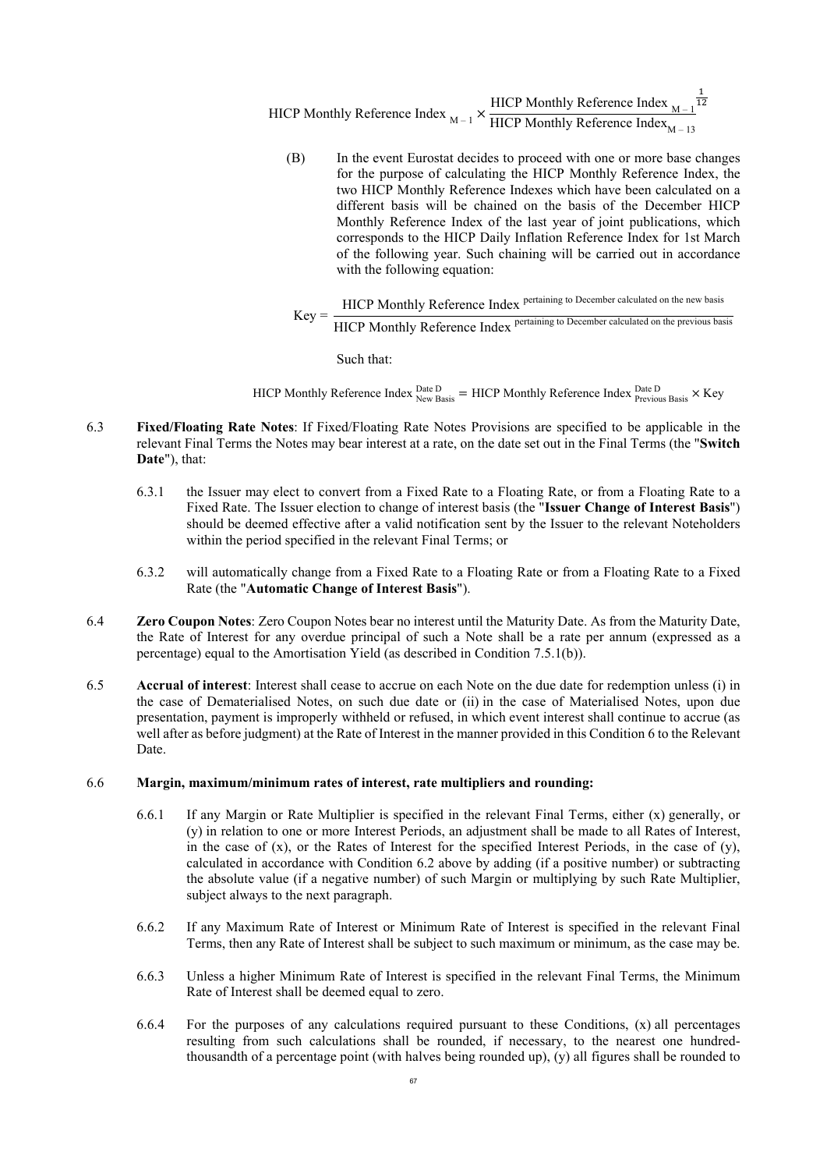HICP Monthly Reference Index 
$$
_{M-1} \times \frac{\text{HICP Monthly Reference Index}}{\text{HICP Monthly Reference Index}_{M-13}}
$$

(B) In the event Eurostat decides to proceed with one or more base changes for the purpose of calculating the HICP Monthly Reference Index, the two HICP Monthly Reference Indexes which have been calculated on a different basis will be chained on the basis of the December HICP Monthly Reference Index of the last year of joint publications, which corresponds to the HICP Daily Inflation Reference Index for 1st March of the following year. Such chaining will be carried out in accordance with the following equation:

$$
Key = \frac{HICP Monthly Reference Index pretaining to December calculated on the new basis HICP Monthly Reference Index pertaining to December calculated on the previous basis
$$

Such that:

HICP Monthly Reference Index  $_{\rm New\,Basis}^{\rm Date\,D} =$  HICP Monthly Reference Index  $_{\rm Previous\,Basis}^{\rm Date\,D} \times$  Key

- <span id="page-66-0"></span>6.3 **Fixed/Floating Rate Notes**: If Fixed/Floating Rate Notes Provisions are specified to be applicable in the relevant Final Terms the Notes may bear interest at a rate, on the date set out in the Final Terms (the "**Switch Date**"), that:
	- 6.3.1 the Issuer may elect to convert from a Fixed Rate to a Floating Rate, or from a Floating Rate to a Fixed Rate. The Issuer election to change of interest basis (the "**Issuer Change of Interest Basis**") should be deemed effective after a valid notification sent by the Issuer to the relevant Noteholders within the period specified in the relevant Final Terms; or
	- 6.3.2 will automatically change from a Fixed Rate to a Floating Rate or from a Floating Rate to a Fixed Rate (the "**Automatic Change of Interest Basis**").
- 6.4 **Zero Coupon Notes**: Zero Coupon Notes bear no interest until the Maturity Date. As from the Maturity Date, the Rate of Interest for any overdue principal of such a Note shall be a rate per annum (expressed as a percentage) equal to the Amortisation Yield (as described in Condition [7.5.1\(b\)](#page-71-2)).
- 6.5 **Accrual of interest**: Interest shall cease to accrue on each Note on the due date for redemption unless (i) in the case of Dematerialised Notes, on such due date or (ii) in the case of Materialised Notes, upon due presentation, payment is improperly withheld or refused, in which event interest shall continue to accrue (as well after as before judgment) at the Rate of Interest in the manner provided in this Condition [6](#page-46-1) to the Relevant Date.

### 6.6 **Margin, maximum/minimum rates of interest, rate multipliers and rounding:**

- 6.6.1 If any Margin or Rate Multiplier is specified in the relevant Final Terms, either (x) generally, or (y) in relation to one or more Interest Periods, an adjustment shall be made to all Rates of Interest, in the case of  $(x)$ , or the Rates of Interest for the specified Interest Periods, in the case of  $(y)$ , calculated in accordance with Condition [6.2](#page-47-0) above by adding (if a positive number) or subtracting the absolute value (if a negative number) of such Margin or multiplying by such Rate Multiplier, subject always to the next paragraph.
- 6.6.2 If any Maximum Rate of Interest or Minimum Rate of Interest is specified in the relevant Final Terms, then any Rate of Interest shall be subject to such maximum or minimum, as the case may be.
- 6.6.3 Unless a higher Minimum Rate of Interest is specified in the relevant Final Terms, the Minimum Rate of Interest shall be deemed equal to zero.
- 6.6.4 For the purposes of any calculations required pursuant to these Conditions,  $(x)$  all percentages resulting from such calculations shall be rounded, if necessary, to the nearest one hundredthousandth of a percentage point (with halves being rounded up), (y) all figures shall be rounded to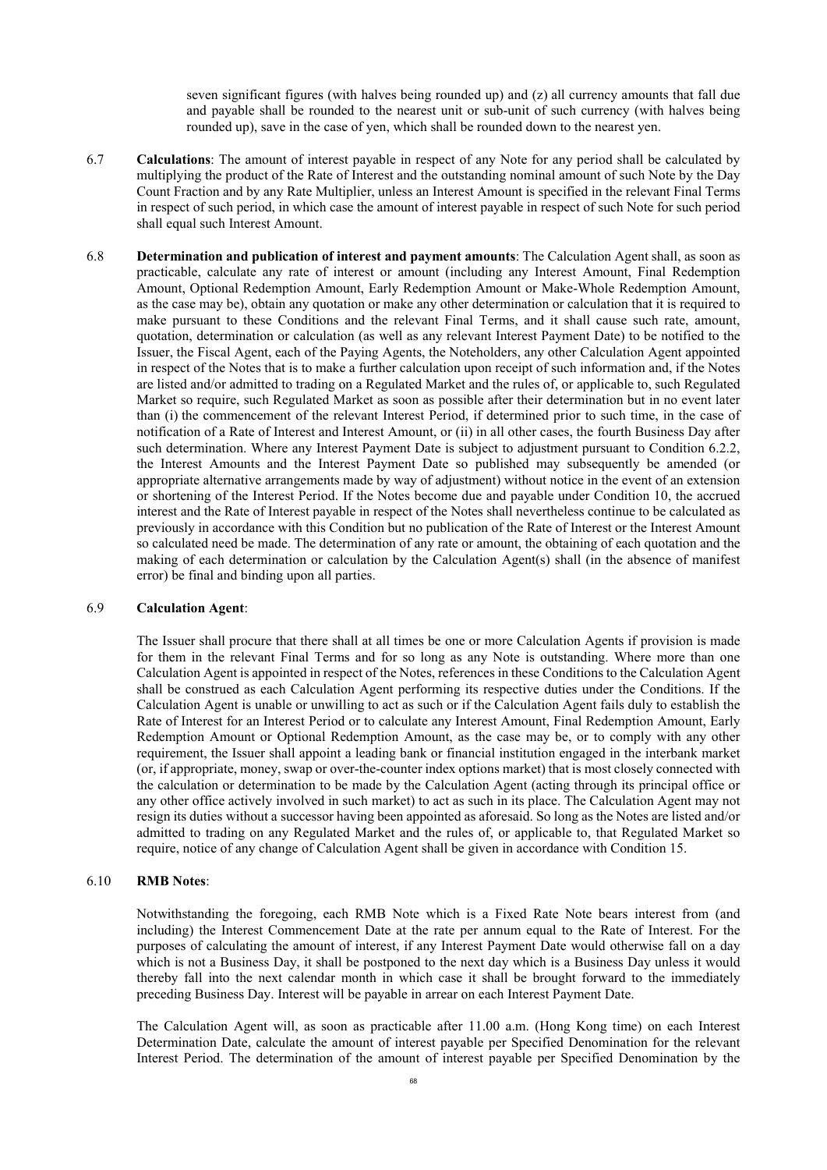seven significant figures (with halves being rounded up) and (z) all currency amounts that fall due and payable shall be rounded to the nearest unit or sub-unit of such currency (with halves being rounded up), save in the case of yen, which shall be rounded down to the nearest yen.

- 6.7 **Calculations**: The amount of interest payable in respect of any Note for any period shall be calculated by multiplying the product of the Rate of Interest and the outstanding nominal amount of such Note by the Day Count Fraction and by any Rate Multiplier, unless an Interest Amount is specified in the relevant Final Terms in respect of such period, in which case the amount of interest payable in respect of such Note for such period shall equal such Interest Amount.
- 6.8 **Determination and publication of interest and payment amounts**: The Calculation Agent shall, as soon as practicable, calculate any rate of interest or amount (including any Interest Amount, Final Redemption Amount, Optional Redemption Amount, Early Redemption Amount or Make-Whole Redemption Amount, as the case may be), obtain any quotation or make any other determination or calculation that it is required to make pursuant to these Conditions and the relevant Final Terms, and it shall cause such rate, amount, quotation, determination or calculation (as well as any relevant Interest Payment Date) to be notified to the Issuer, the Fiscal Agent, each of the Paying Agents, the Noteholders, any other Calculation Agent appointed in respect of the Notes that is to make a further calculation upon receipt of such information and, if the Notes are listed and/or admitted to trading on a Regulated Market and the rules of, or applicable to, such Regulated Market so require, such Regulated Market as soon as possible after their determination but in no event later than (i) the commencement of the relevant Interest Period, if determined prior to such time, in the case of notification of a Rate of Interest and Interest Amount, or (ii) in all other cases, the fourth Business Day after such determination. Where any Interest Payment Date is subject to adjustment pursuant to Condition [6.2.2](#page-47-3), the Interest Amounts and the Interest Payment Date so published may subsequently be amended (or appropriate alternative arrangements made by way of adjustment) without notice in the event of an extension or shortening of the Interest Period. If the Notes become due and payable under Condition [10,](#page-75-0) the accrued interest and the Rate of Interest payable in respect of the Notes shall nevertheless continue to be calculated as previously in accordance with this Condition but no publication of the Rate of Interest or the Interest Amount so calculated need be made. The determination of any rate or amount, the obtaining of each quotation and the making of each determination or calculation by the Calculation Agent(s) shall (in the absence of manifest error) be final and binding upon all parties.

#### 6.9 **Calculation Agent**:

The Issuer shall procure that there shall at all times be one or more Calculation Agents if provision is made for them in the relevant Final Terms and for so long as any Note is outstanding. Where more than one Calculation Agent is appointed in respect of the Notes, references in these Conditions to the Calculation Agent shall be construed as each Calculation Agent performing its respective duties under the Conditions. If the Calculation Agent is unable or unwilling to act as such or if the Calculation Agent fails duly to establish the Rate of Interest for an Interest Period or to calculate any Interest Amount, Final Redemption Amount, Early Redemption Amount or Optional Redemption Amount, as the case may be, or to comply with any other requirement, the Issuer shall appoint a leading bank or financial institution engaged in the interbank market (or, if appropriate, money, swap or over-the-counter index options market) that is most closely connected with the calculation or determination to be made by the Calculation Agent (acting through its principal office or any other office actively involved in such market) to act as such in its place. The Calculation Agent may not resign its duties without a successor having been appointed as aforesaid. So long as the Notes are listed and/or admitted to trading on any Regulated Market and the rules of, or applicable to, that Regulated Market so require, notice of any change of Calculation Agent shall be given in accordance with Condition 15.

#### 6.10 **RMB Notes**:

Notwithstanding the foregoing, each RMB Note which is a Fixed Rate Note bears interest from (and including) the Interest Commencement Date at the rate per annum equal to the Rate of Interest. For the purposes of calculating the amount of interest, if any Interest Payment Date would otherwise fall on a day which is not a Business Day, it shall be postponed to the next day which is a Business Day unless it would thereby fall into the next calendar month in which case it shall be brought forward to the immediately preceding Business Day. Interest will be payable in arrear on each Interest Payment Date.

<span id="page-67-0"></span>The Calculation Agent will, as soon as practicable after 11.00 a.m. (Hong Kong time) on each Interest Determination Date, calculate the amount of interest payable per Specified Denomination for the relevant Interest Period. The determination of the amount of interest payable per Specified Denomination by the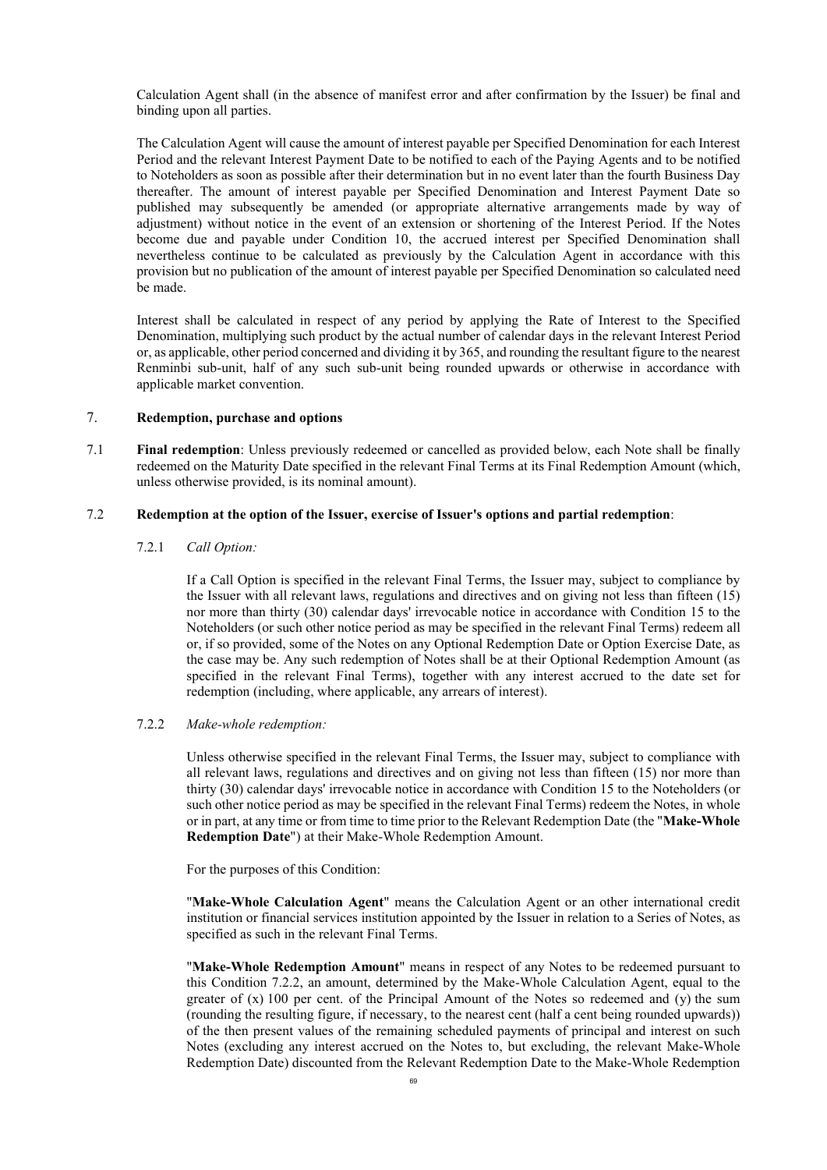Calculation Agent shall (in the absence of manifest error and after confirmation by the Issuer) be final and binding upon all parties.

The Calculation Agent will cause the amount of interest payable per Specified Denomination for each Interest Period and the relevant Interest Payment Date to be notified to each of the Paying Agents and to be notified to Noteholders as soon as possible after their determination but in no event later than the fourth Business Day thereafter. The amount of interest payable per Specified Denomination and Interest Payment Date so published may subsequently be amended (or appropriate alternative arrangements made by way of adjustment) without notice in the event of an extension or shortening of the Interest Period. If the Notes become due and payable under Condition [10](#page-75-0), the accrued interest per Specified Denomination shall nevertheless continue to be calculated as previously by the Calculation Agent in accordance with this provision but no publication of the amount of interest payable per Specified Denomination so calculated need be made.

Interest shall be calculated in respect of any period by applying the Rate of Interest to the Specified Denomination, multiplying such product by the actual number of calendar days in the relevant Interest Period or, as applicable, other period concerned and dividing it by 365, and rounding the resultant figure to the nearest Renminbi sub-unit, half of any such sub-unit being rounded upwards or otherwise in accordance with applicable market convention.

# <span id="page-68-2"></span>7. **Redemption, purchase and options**

<span id="page-68-1"></span>7.1 **Final redemption**: Unless previously redeemed or cancelled as provided below, each Note shall be finally redeemed on the Maturity Date specified in the relevant Final Terms at its Final Redemption Amount (which, unless otherwise provided, is its nominal amount).

### 7.2 **Redemption at the option of the Issuer, exercise of Issuer's options and partial redemption**:

### <span id="page-68-0"></span>7.2.1 *Call Option:*

If a Call Option is specified in the relevant Final Terms, the Issuer may, subject to compliance by the Issuer with all relevant laws, regulations and directives and on giving not less than fifteen (15) nor more than thirty (30) calendar days' irrevocable notice in accordance with Condition [15](#page-80-0) to the Noteholders (or such other notice period as may be specified in the relevant Final Terms) redeem all or, if so provided, some of the Notes on any Optional Redemption Date or Option Exercise Date, as the case may be. Any such redemption of Notes shall be at their Optional Redemption Amount (as specified in the relevant Final Terms), together with any interest accrued to the date set for redemption (including, where applicable, any arrears of interest).

#### <span id="page-68-3"></span>7.2.2 *Make-whole redemption:*

Unless otherwise specified in the relevant Final Terms, the Issuer may, subject to compliance with all relevant laws, regulations and directives and on giving not less than fifteen (15) nor more than thirty (30) calendar days' irrevocable notice in accordance with Condition [15](#page-80-0) to the Noteholders (or such other notice period as may be specified in the relevant Final Terms) redeem the Notes, in whole or in part, at any time or from time to time prior to the Relevant Redemption Date (the "**Make-Whole Redemption Date**") at their Make-Whole Redemption Amount.

For the purposes of this Condition:

"**Make-Whole Calculation Agent**" means the Calculation Agent or an other international credit institution or financial services institution appointed by the Issuer in relation to a Series of Notes, as specified as such in the relevant Final Terms.

"**Make-Whole Redemption Amount**" means in respect of any Notes to be redeemed pursuant to this Condition [7.2.2,](#page-68-3) an amount, determined by the Make-Whole Calculation Agent, equal to the greater of  $(x)$  100 per cent. of the Principal Amount of the Notes so redeemed and  $(y)$  the sum (rounding the resulting figure, if necessary, to the nearest cent (half a cent being rounded upwards)) of the then present values of the remaining scheduled payments of principal and interest on such Notes (excluding any interest accrued on the Notes to, but excluding, the relevant Make-Whole Redemption Date) discounted from the Relevant Redemption Date to the Make-Whole Redemption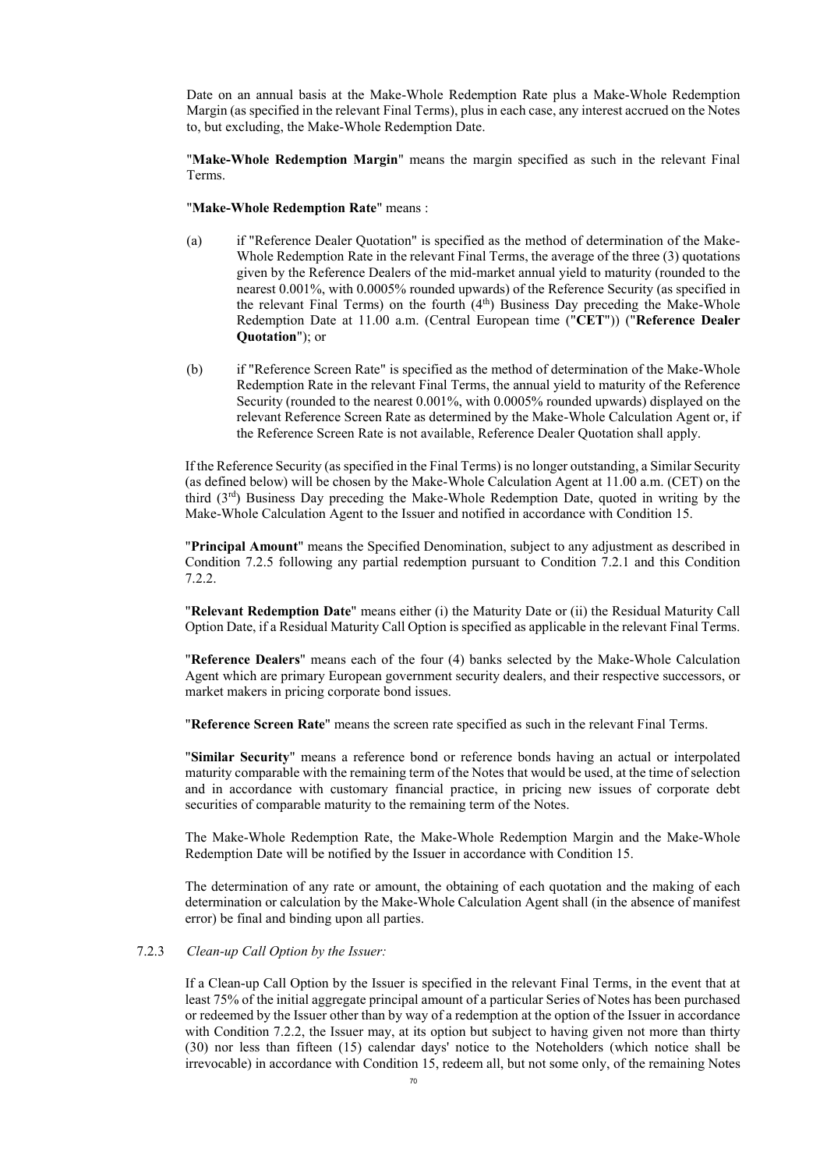Date on an annual basis at the Make-Whole Redemption Rate plus a Make-Whole Redemption Margin (as specified in the relevant Final Terms), plus in each case, any interest accrued on the Notes to, but excluding, the Make-Whole Redemption Date.

"**Make-Whole Redemption Margin**" means the margin specified as such in the relevant Final Terms.

"**Make-Whole Redemption Rate**" means :

- (a) if "Reference Dealer Quotation" is specified as the method of determination of the Make-Whole Redemption Rate in the relevant Final Terms, the average of the three (3) quotations given by the Reference Dealers of the mid-market annual yield to maturity (rounded to the nearest 0.001%, with 0.0005% rounded upwards) of the Reference Security (as specified in the relevant Final Terms) on the fourth (4<sup>th</sup>) Business Day preceding the Make-Whole Redemption Date at 11.00 a.m. (Central European time ("**CET**")) ("**Reference Dealer Quotation**"); or
- (b) if "Reference Screen Rate" is specified as the method of determination of the Make-Whole Redemption Rate in the relevant Final Terms, the annual yield to maturity of the Reference Security (rounded to the nearest 0.001%, with 0.0005% rounded upwards) displayed on the relevant Reference Screen Rate as determined by the Make-Whole Calculation Agent or, if the Reference Screen Rate is not available, Reference Dealer Quotation shall apply.

If the Reference Security (as specified in the Final Terms) is no longer outstanding, a Similar Security (as defined below) will be chosen by the Make-Whole Calculation Agent at 11.00 a.m. (CET) on the third (3rd) Business Day preceding the Make-Whole Redemption Date, quoted in writing by the Make-Whole Calculation Agent to the Issuer and notified in accordance with Condition 15.

"**Principal Amount**" means the Specified Denomination, subject to any adjustment as described in Condition 7.2.5 following any partial redemption pursuant to Condition 7.2.1 and this Condition 7.2.2.

"**Relevant Redemption Date**" means either (i) the Maturity Date or (ii) the Residual Maturity Call Option Date, if a Residual Maturity Call Option is specified as applicable in the relevant Final Terms.

"**Reference Dealers**" means each of the four (4) banks selected by the Make-Whole Calculation Agent which are primary European government security dealers, and their respective successors, or market makers in pricing corporate bond issues.

"**Reference Screen Rate**" means the screen rate specified as such in the relevant Final Terms.

"**Similar Security**" means a reference bond or reference bonds having an actual or interpolated maturity comparable with the remaining term of the Notes that would be used, at the time of selection and in accordance with customary financial practice, in pricing new issues of corporate debt securities of comparable maturity to the remaining term of the Notes.

The Make-Whole Redemption Rate, the Make-Whole Redemption Margin and the Make-Whole Redemption Date will be notified by the Issuer in accordance with Condition 15.

The determination of any rate or amount, the obtaining of each quotation and the making of each determination or calculation by the Make-Whole Calculation Agent shall (in the absence of manifest error) be final and binding upon all parties.

#### 7.2.3 *Clean-up Call Option by the Issuer:*

If a Clean-up Call Option by the Issuer is specified in the relevant Final Terms, in the event that at least 75% of the initial aggregate principal amount of a particular Series of Notes has been purchased or redeemed by the Issuer other than by way of a redemption at the option of the Issuer in accordance with Condition 7.2.2, the Issuer may, at its option but subject to having given not more than thirty (30) nor less than fifteen (15) calendar days' notice to the Noteholders (which notice shall be irrevocable) in accordance with Condition 15, redeem all, but not some only, of the remaining Notes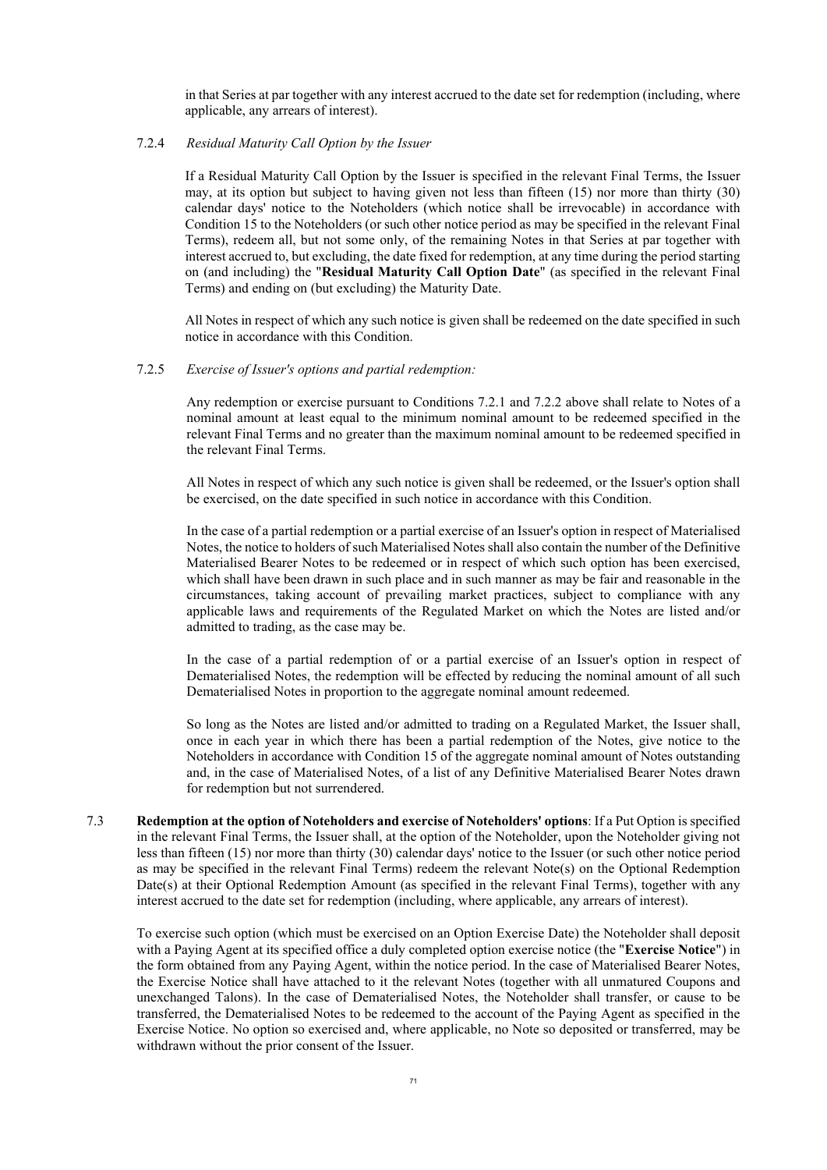in that Series at par together with any interest accrued to the date set for redemption (including, where applicable, any arrears of interest).

### 7.2.4 *Residual Maturity Call Option by the Issuer*

If a Residual Maturity Call Option by the Issuer is specified in the relevant Final Terms, the Issuer may, at its option but subject to having given not less than fifteen (15) nor more than thirty (30) calendar days' notice to the Noteholders (which notice shall be irrevocable) in accordance with Condition 15 to the Noteholders (or such other notice period as may be specified in the relevant Final Terms), redeem all, but not some only, of the remaining Notes in that Series at par together with interest accrued to, but excluding, the date fixed for redemption, at any time during the period starting on (and including) the "**Residual Maturity Call Option Date**" (as specified in the relevant Final Terms) and ending on (but excluding) the Maturity Date.

All Notes in respect of which any such notice is given shall be redeemed on the date specified in such notice in accordance with this Condition.

### 7.2.5 *Exercise of Issuer's options and partial redemption:*

Any redemption or exercise pursuant to Conditions [7.2.1](#page-68-0) and [7.2.2](#page-68-3) above shall relate to Notes of a nominal amount at least equal to the minimum nominal amount to be redeemed specified in the relevant Final Terms and no greater than the maximum nominal amount to be redeemed specified in the relevant Final Terms.

All Notes in respect of which any such notice is given shall be redeemed, or the Issuer's option shall be exercised, on the date specified in such notice in accordance with this Condition.

In the case of a partial redemption or a partial exercise of an Issuer's option in respect of Materialised Notes, the notice to holders of such Materialised Notes shall also contain the number of the Definitive Materialised Bearer Notes to be redeemed or in respect of which such option has been exercised, which shall have been drawn in such place and in such manner as may be fair and reasonable in the circumstances, taking account of prevailing market practices, subject to compliance with any applicable laws and requirements of the Regulated Market on which the Notes are listed and/or admitted to trading, as the case may be.

In the case of a partial redemption of or a partial exercise of an Issuer's option in respect of Dematerialised Notes, the redemption will be effected by reducing the nominal amount of all such Dematerialised Notes in proportion to the aggregate nominal amount redeemed.

So long as the Notes are listed and/or admitted to trading on a Regulated Market, the Issuer shall, once in each year in which there has been a partial redemption of the Notes, give notice to the Noteholders in accordance with Condition [15](#page-80-0) of the aggregate nominal amount of Notes outstanding and, in the case of Materialised Notes, of a list of any Definitive Materialised Bearer Notes drawn for redemption but not surrendered.

<span id="page-70-0"></span>7.3 **Redemption at the option of Noteholders and exercise of Noteholders' options**: If a Put Option is specified in the relevant Final Terms, the Issuer shall, at the option of the Noteholder, upon the Noteholder giving not less than fifteen (15) nor more than thirty (30) calendar days' notice to the Issuer (or such other notice period as may be specified in the relevant Final Terms) redeem the relevant Note(s) on the Optional Redemption Date(s) at their Optional Redemption Amount (as specified in the relevant Final Terms), together with any interest accrued to the date set for redemption (including, where applicable, any arrears of interest).

To exercise such option (which must be exercised on an Option Exercise Date) the Noteholder shall deposit with a Paying Agent at its specified office a duly completed option exercise notice (the "**Exercise Notice**") in the form obtained from any Paying Agent, within the notice period. In the case of Materialised Bearer Notes, the Exercise Notice shall have attached to it the relevant Notes (together with all unmatured Coupons and unexchanged Talons). In the case of Dematerialised Notes, the Noteholder shall transfer, or cause to be transferred, the Dematerialised Notes to be redeemed to the account of the Paying Agent as specified in the Exercise Notice. No option so exercised and, where applicable, no Note so deposited or transferred, may be withdrawn without the prior consent of the Issuer.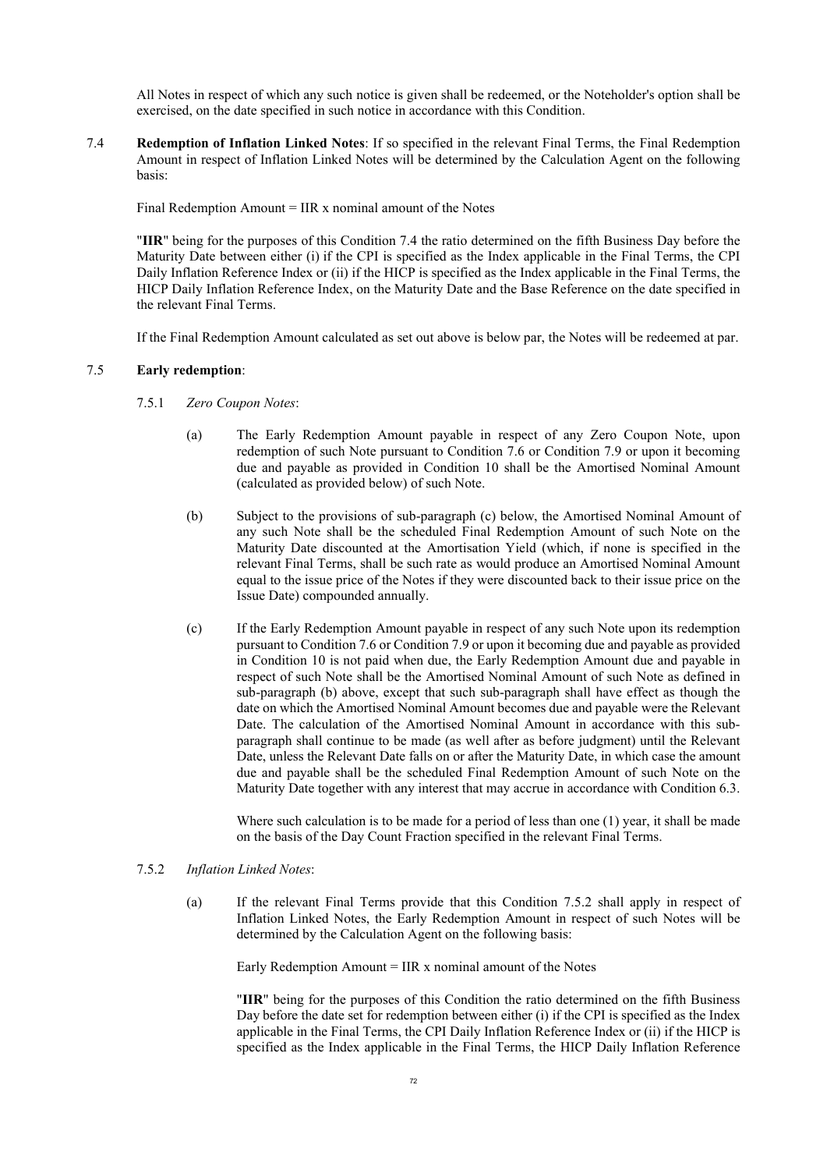<span id="page-71-3"></span>All Notes in respect of which any such notice is given shall be redeemed, or the Noteholder's option shall be exercised, on the date specified in such notice in accordance with this Condition.

7.4 **Redemption of Inflation Linked Notes**: If so specified in the relevant Final Terms, the Final Redemption Amount in respect of Inflation Linked Notes will be determined by the Calculation Agent on the following basis:

Final Redemption Amount  $=$  IIR x nominal amount of the Notes

"**IIR**" being for the purposes of this Condition [7.4](#page-71-3) the ratio determined on the fifth Business Day before the Maturity Date between either (i) if the CPI is specified as the Index applicable in the Final Terms, the CPI Daily Inflation Reference Index or (ii) if the HICP is specified as the Index applicable in the Final Terms, the HICP Daily Inflation Reference Index, on the Maturity Date and the Base Reference on the date specified in the relevant Final Terms.

<span id="page-71-1"></span>If the Final Redemption Amount calculated as set out above is below par, the Notes will be redeemed at par.

# 7.5 **Early redemption**:

- <span id="page-71-2"></span><span id="page-71-0"></span>7.5.1 *Zero Coupon Notes*:
	- (a) The Early Redemption Amount payable in respect of any Zero Coupon Note, upon redemption of such Note pursuant to Condition [7.6](#page-72-0) or Condition [7.9](#page-73-0) or upon it becoming due and payable as provided in Condition [10](#page-75-0) shall be the Amortised Nominal Amount (calculated as provided below) of such Note.
	- (b) Subject to the provisions of sub-paragraph [\(c\)](#page-71-4) below, the Amortised Nominal Amount of any such Note shall be the scheduled Final Redemption Amount of such Note on the Maturity Date discounted at the Amortisation Yield (which, if none is specified in the relevant Final Terms, shall be such rate as would produce an Amortised Nominal Amount equal to the issue price of the Notes if they were discounted back to their issue price on the Issue Date) compounded annually.
	- (c) If the Early Redemption Amount payable in respect of any such Note upon its redemption pursuant to Condition [7.6](#page-72-0) or Condition [7.9](#page-73-0) or upon it becoming due and payable as provided in Condition [10](#page-75-0) is not paid when due, the Early Redemption Amount due and payable in respect of such Note shall be the Amortised Nominal Amount of such Note as defined in sub-paragraph [\(b\)](#page-71-2) above, except that such sub-paragraph shall have effect as though the date on which the Amortised Nominal Amount becomes due and payable were the Relevant Date. The calculation of the Amortised Nominal Amount in accordance with this subparagraph shall continue to be made (as well after as before judgment) until the Relevant Date, unless the Relevant Date falls on or after the Maturity Date, in which case the amount due and payable shall be the scheduled Final Redemption Amount of such Note on the Maturity Date together with any interest that may accrue in accordance with Condition [6.3](#page-66-0).

<span id="page-71-4"></span>Where such calculation is to be made for a period of less than one (1) year, it shall be made on the basis of the Day Count Fraction specified in the relevant Final Terms.

# <span id="page-71-5"></span>7.5.2 *Inflation Linked Notes*:

(a) If the relevant Final Terms provide that this Condition [7.5.2](#page-71-5) shall apply in respect of Inflation Linked Notes, the Early Redemption Amount in respect of such Notes will be determined by the Calculation Agent on the following basis:

Early Redemption Amount  $=$  IIR x nominal amount of the Notes

"**IIR**" being for the purposes of this Condition the ratio determined on the fifth Business Day before the date set for redemption between either (i) if the CPI is specified as the Index applicable in the Final Terms, the CPI Daily Inflation Reference Index or (ii) if the HICP is specified as the Index applicable in the Final Terms, the HICP Daily Inflation Reference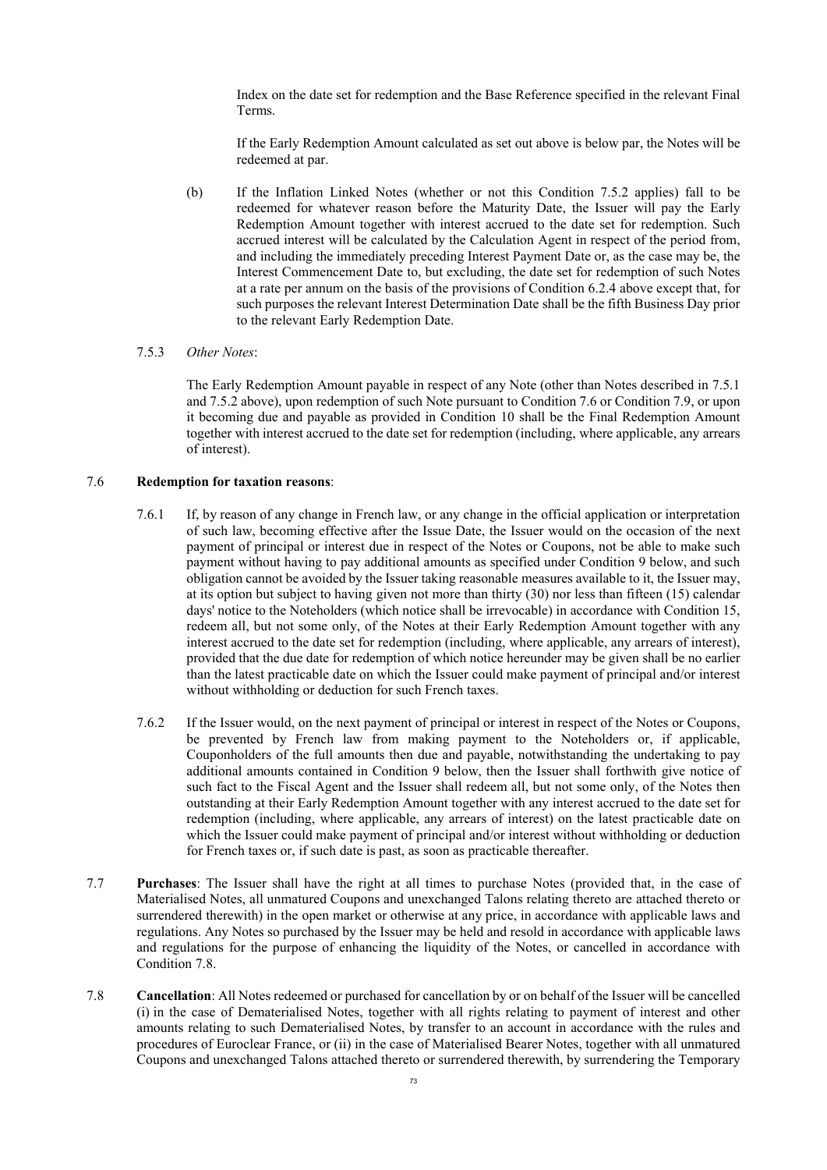Index on the date set for redemption and the Base Reference specified in the relevant Final Terms.

If the Early Redemption Amount calculated as set out above is below par, the Notes will be redeemed at par.

(b) If the Inflation Linked Notes (whether or not this Condition [7.5.2](#page-71-0) applies) fall to be redeemed for whatever reason before the Maturity Date, the Issuer will pay the Early Redemption Amount together with interest accrued to the date set for redemption. Such accrued interest will be calculated by the Calculation Agent in respect of the period from, and including the immediately preceding Interest Payment Date or, as the case may be, the Interest Commencement Date to, but excluding, the date set for redemption of such Notes at a rate per annum on the basis of the provisions of Condition [6.2.4](#page-62-0) above except that, for such purposes the relevant Interest Determination Date shall be the fifth Business Day prior to the relevant Early Redemption Date.

#### 7.5.3 *Other Notes*:

The Early Redemption Amount payable in respect of any Note (other than Notes described in 7.5.1 and 7.5.2 above), upon redemption of such Note pursuant to Condition [7.6](#page-72-0) or Condition [7.9,](#page-73-0) or upon it becoming due and payable as provided in Condition [10](#page-75-0) shall be the Final Redemption Amount together with interest accrued to the date set for redemption (including, where applicable, any arrears of interest).

#### 7.6 **Redemption for taxation reasons**:

- <span id="page-72-0"></span>7.6.1 If, by reason of any change in French law, or any change in the official application or interpretation of such law, becoming effective after the Issue Date, the Issuer would on the occasion of the next payment of principal or interest due in respect of the Notes or Coupons, not be able to make such payment without having to pay additional amounts as specified under Condition [9](#page-75-1) below, and such obligation cannot be avoided by the Issuer taking reasonable measures available to it, the Issuer may, at its option but subject to having given not more than thirty (30) nor less than fifteen (15) calendar days' notice to the Noteholders (which notice shall be irrevocable) in accordance with Condition [15](#page-80-0), redeem all, but not some only, of the Notes at their Early Redemption Amount together with any interest accrued to the date set for redemption (including, where applicable, any arrears of interest), provided that the due date for redemption of which notice hereunder may be given shall be no earlier than the latest practicable date on which the Issuer could make payment of principal and/or interest without withholding or deduction for such French taxes.
- 7.6.2 If the Issuer would, on the next payment of principal or interest in respect of the Notes or Coupons, be prevented by French law from making payment to the Noteholders or, if applicable, Couponholders of the full amounts then due and payable, notwithstanding the undertaking to pay additional amounts contained in Condition [9](#page-75-1) below, then the Issuer shall forthwith give notice of such fact to the Fiscal Agent and the Issuer shall redeem all, but not some only, of the Notes then outstanding at their Early Redemption Amount together with any interest accrued to the date set for redemption (including, where applicable, any arrears of interest) on the latest practicable date on which the Issuer could make payment of principal and/or interest without withholding or deduction for French taxes or, if such date is past, as soon as practicable thereafter.
- 7.7 **Purchases**: The Issuer shall have the right at all times to purchase Notes (provided that, in the case of Materialised Notes, all unmatured Coupons and unexchanged Talons relating thereto are attached thereto or surrendered therewith) in the open market or otherwise at any price, in accordance with applicable laws and regulations. Any Notes so purchased by the Issuer may be held and resold in accordance with applicable laws and regulations for the purpose of enhancing the liquidity of the Notes, or cancelled in accordance with Condition [7.8](#page-73-1).
- 7.8 **Cancellation**: All Notes redeemed or purchased for cancellation by or on behalf of the Issuer will be cancelled (i) in the case of Dematerialised Notes, together with all rights relating to payment of interest and other amounts relating to such Dematerialised Notes, by transfer to an account in accordance with the rules and procedures of Euroclear France, or (ii) in the case of Materialised Bearer Notes, together with all unmatured Coupons and unexchanged Talons attached thereto or surrendered therewith, by surrendering the Temporary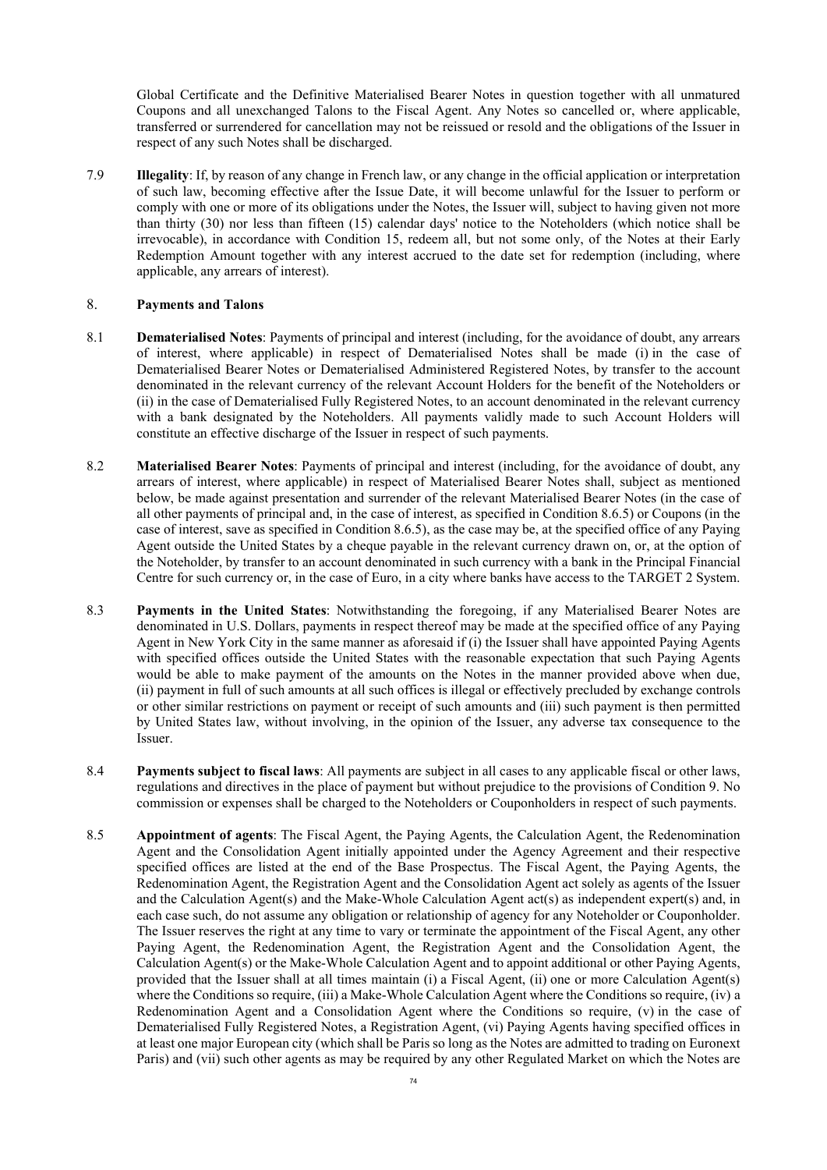Global Certificate and the Definitive Materialised Bearer Notes in question together with all unmatured Coupons and all unexchanged Talons to the Fiscal Agent. Any Notes so cancelled or, where applicable, transferred or surrendered for cancellation may not be reissued or resold and the obligations of the Issuer in respect of any such Notes shall be discharged.

<span id="page-73-0"></span>7.9 **Illegality**: If, by reason of any change in French law, or any change in the official application or interpretation of such law, becoming effective after the Issue Date, it will become unlawful for the Issuer to perform or comply with one or more of its obligations under the Notes, the Issuer will, subject to having given not more than thirty (30) nor less than fifteen (15) calendar days' notice to the Noteholders (which notice shall be irrevocable), in accordance with Condition [15,](#page-80-0) redeem all, but not some only, of the Notes at their Early Redemption Amount together with any interest accrued to the date set for redemption (including, where applicable, any arrears of interest).

# 8. **Payments and Talons**

- 8.1 **Dematerialised Notes**: Payments of principal and interest (including, for the avoidance of doubt, any arrears of interest, where applicable) in respect of Dematerialised Notes shall be made (i) in the case of Dematerialised Bearer Notes or Dematerialised Administered Registered Notes, by transfer to the account denominated in the relevant currency of the relevant Account Holders for the benefit of the Noteholders or (ii) in the case of Dematerialised Fully Registered Notes, to an account denominated in the relevant currency with a bank designated by the Noteholders. All payments validly made to such Account Holders will constitute an effective discharge of the Issuer in respect of such payments.
- 8.2 **Materialised Bearer Notes**: Payments of principal and interest (including, for the avoidance of doubt, any arrears of interest, where applicable) in respect of Materialised Bearer Notes shall, subject as mentioned below, be made against presentation and surrender of the relevant Materialised Bearer Notes (in the case of all other payments of principal and, in the case of interest, as specified in Condition [8.6.5](#page-74-0)) or Coupons (in the case of interest, save as specified in Condition [8.6.5\)](#page-74-0), as the case may be, at the specified office of any Paying Agent outside the United States by a cheque payable in the relevant currency drawn on, or, at the option of the Noteholder, by transfer to an account denominated in such currency with a bank in the Principal Financial Centre for such currency or, in the case of Euro, in a city where banks have access to the TARGET 2 System.
- <span id="page-73-2"></span>8.3 **Payments in the United States**: Notwithstanding the foregoing, if any Materialised Bearer Notes are denominated in U.S. Dollars, payments in respect thereof may be made at the specified office of any Paying Agent in New York City in the same manner as aforesaid if (i) the Issuer shall have appointed Paying Agents with specified offices outside the United States with the reasonable expectation that such Paying Agents would be able to make payment of the amounts on the Notes in the manner provided above when due, (ii) payment in full of such amounts at all such offices is illegal or effectively precluded by exchange controls or other similar restrictions on payment or receipt of such amounts and (iii) such payment is then permitted by United States law, without involving, in the opinion of the Issuer, any adverse tax consequence to the Issuer.
- 8.4 **Payments subject to fiscal laws**: All payments are subject in all cases to any applicable fiscal or other laws, regulations and directives in the place of payment but without prejudice to the provisions of Condition [9.](#page-75-1) No commission or expenses shall be charged to the Noteholders or Couponholders in respect of such payments.
- <span id="page-73-1"></span>8.5 **Appointment of agents**: The Fiscal Agent, the Paying Agents, the Calculation Agent, the Redenomination Agent and the Consolidation Agent initially appointed under the Agency Agreement and their respective specified offices are listed at the end of the Base Prospectus. The Fiscal Agent, the Paying Agents, the Redenomination Agent, the Registration Agent and the Consolidation Agent act solely as agents of the Issuer and the Calculation Agent(s) and the Make-Whole Calculation Agent act(s) as independent expert(s) and, in each case such, do not assume any obligation or relationship of agency for any Noteholder or Couponholder. The Issuer reserves the right at any time to vary or terminate the appointment of the Fiscal Agent, any other Paying Agent, the Redenomination Agent, the Registration Agent and the Consolidation Agent, the Calculation Agent(s) or the Make-Whole Calculation Agent and to appoint additional or other Paying Agents, provided that the Issuer shall at all times maintain (i) a Fiscal Agent, (ii) one or more Calculation Agent(s) where the Conditions so require, (iii) a Make-Whole Calculation Agent where the Conditions so require, (iv) a Redenomination Agent and a Consolidation Agent where the Conditions so require, (v) in the case of Dematerialised Fully Registered Notes, a Registration Agent, (vi) Paying Agents having specified offices in at least one major European city (which shall be Paris so long as the Notes are admitted to trading on Euronext Paris) and (vii) such other agents as may be required by any other Regulated Market on which the Notes are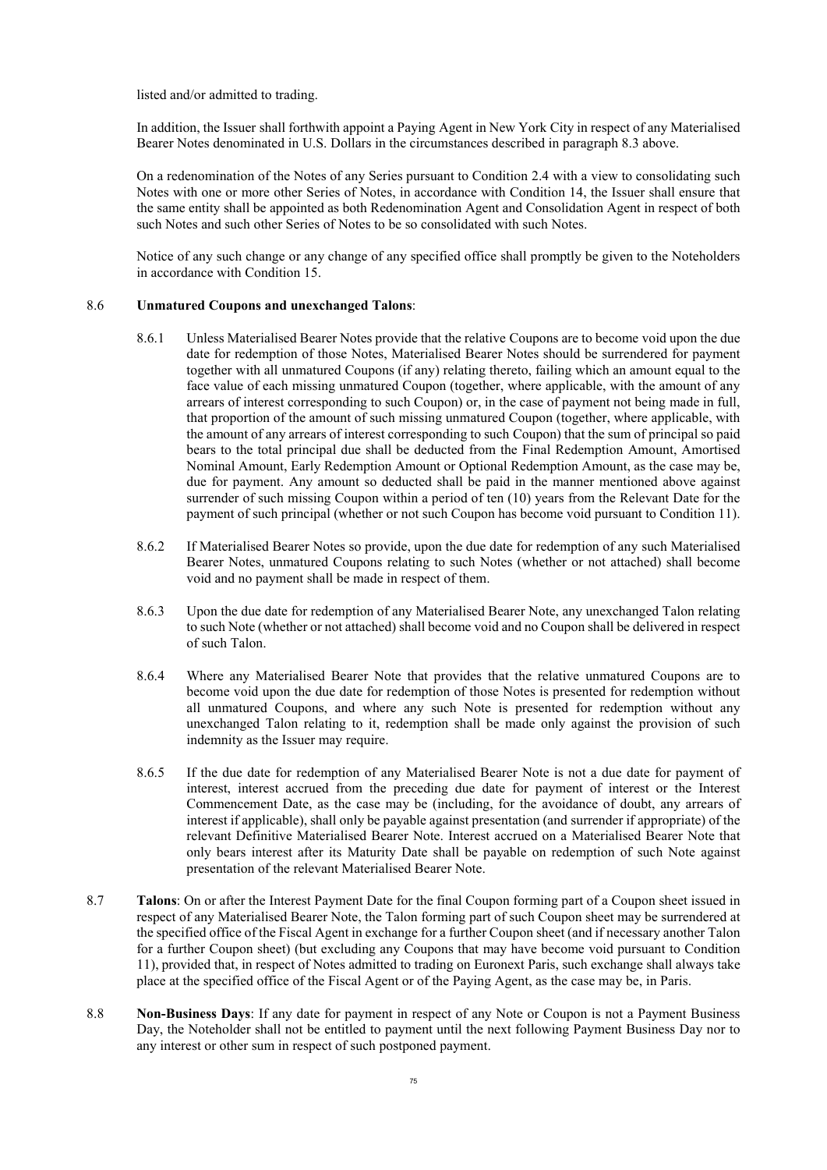listed and/or admitted to trading.

In addition, the Issuer shall forthwith appoint a Paying Agent in New York City in respect of any Materialised Bearer Notes denominated in U.S. Dollars in the circumstances described in paragraph [8.3](#page-73-2) above.

On a redenomination of the Notes of any Series pursuant to Condition [2.4](#page-45-0) with a view to consolidating such Notes with one or more other Series of Notes, in accordance with Condition [14](#page-80-1), the Issuer shall ensure that the same entity shall be appointed as both Redenomination Agent and Consolidation Agent in respect of both such Notes and such other Series of Notes to be so consolidated with such Notes.

Notice of any such change or any change of any specified office shall promptly be given to the Noteholders in accordance with Condition [15.](#page-80-0)

## 8.6 **Unmatured Coupons and unexchanged Talons**:

- 8.6.1 Unless Materialised Bearer Notes provide that the relative Coupons are to become void upon the due date for redemption of those Notes, Materialised Bearer Notes should be surrendered for payment together with all unmatured Coupons (if any) relating thereto, failing which an amount equal to the face value of each missing unmatured Coupon (together, where applicable, with the amount of any arrears of interest corresponding to such Coupon) or, in the case of payment not being made in full, that proportion of the amount of such missing unmatured Coupon (together, where applicable, with the amount of any arrears of interest corresponding to such Coupon) that the sum of principal so paid bears to the total principal due shall be deducted from the Final Redemption Amount, Amortised Nominal Amount, Early Redemption Amount or Optional Redemption Amount, as the case may be, due for payment. Any amount so deducted shall be paid in the manner mentioned above against surrender of such missing Coupon within a period of ten (10) years from the Relevant Date for the payment of such principal (whether or not such Coupon has become void pursuant to Condition [11](#page-76-0)).
- 8.6.2 If Materialised Bearer Notes so provide, upon the due date for redemption of any such Materialised Bearer Notes, unmatured Coupons relating to such Notes (whether or not attached) shall become void and no payment shall be made in respect of them.
- 8.6.3 Upon the due date for redemption of any Materialised Bearer Note, any unexchanged Talon relating to such Note (whether or not attached) shall become void and no Coupon shall be delivered in respect of such Talon.
- 8.6.4 Where any Materialised Bearer Note that provides that the relative unmatured Coupons are to become void upon the due date for redemption of those Notes is presented for redemption without all unmatured Coupons, and where any such Note is presented for redemption without any unexchanged Talon relating to it, redemption shall be made only against the provision of such indemnity as the Issuer may require.
- <span id="page-74-0"></span>8.6.5 If the due date for redemption of any Materialised Bearer Note is not a due date for payment of interest, interest accrued from the preceding due date for payment of interest or the Interest Commencement Date, as the case may be (including, for the avoidance of doubt, any arrears of interest if applicable), shall only be payable against presentation (and surrender if appropriate) of the relevant Definitive Materialised Bearer Note. Interest accrued on a Materialised Bearer Note that only bears interest after its Maturity Date shall be payable on redemption of such Note against presentation of the relevant Materialised Bearer Note.
- 8.7 **Talons**: On or after the Interest Payment Date for the final Coupon forming part of a Coupon sheet issued in respect of any Materialised Bearer Note, the Talon forming part of such Coupon sheet may be surrendered at the specified office of the Fiscal Agent in exchange for a further Coupon sheet (and if necessary another Talon for a further Coupon sheet) (but excluding any Coupons that may have become void pursuant to Condition [11](#page-76-0)), provided that, in respect of Notes admitted to trading on Euronext Paris, such exchange shall always take place at the specified office of the Fiscal Agent or of the Paying Agent, as the case may be, in Paris.
- 8.8 **Non-Business Days**: If any date for payment in respect of any Note or Coupon is not a Payment Business Day, the Noteholder shall not be entitled to payment until the next following Payment Business Day nor to any interest or other sum in respect of such postponed payment.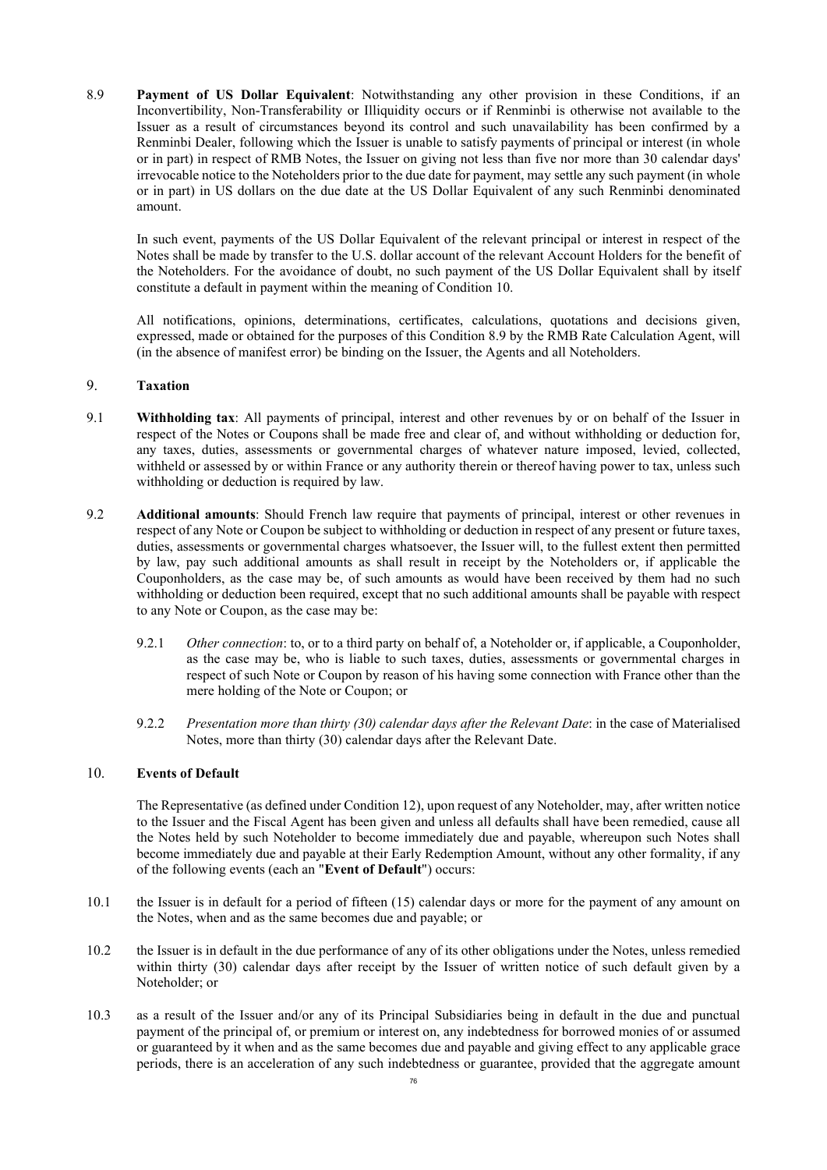<span id="page-75-2"></span>8.9 **Payment of US Dollar Equivalent**: Notwithstanding any other provision in these Conditions, if an Inconvertibility, Non-Transferability or Illiquidity occurs or if Renminbi is otherwise not available to the Issuer as a result of circumstances beyond its control and such unavailability has been confirmed by a Renminbi Dealer, following which the Issuer is unable to satisfy payments of principal or interest (in whole or in part) in respect of RMB Notes, the Issuer on giving not less than five nor more than 30 calendar days' irrevocable notice to the Noteholders prior to the due date for payment, may settle any such payment (in whole or in part) in US dollars on the due date at the US Dollar Equivalent of any such Renminbi denominated amount.

In such event, payments of the US Dollar Equivalent of the relevant principal or interest in respect of the Notes shall be made by transfer to the U.S. dollar account of the relevant Account Holders for the benefit of the Noteholders. For the avoidance of doubt, no such payment of the US Dollar Equivalent shall by itself constitute a default in payment within the meaning of Condition [10](#page-75-0).

All notifications, opinions, determinations, certificates, calculations, quotations and decisions given, expressed, made or obtained for the purposes of this Condition [8.9](#page-75-2) by the RMB Rate Calculation Agent, will (in the absence of manifest error) be binding on the Issuer, the Agents and all Noteholders.

#### <span id="page-75-1"></span>9. **Taxation**

- 9.1 **Withholding tax**: All payments of principal, interest and other revenues by or on behalf of the Issuer in respect of the Notes or Coupons shall be made free and clear of, and without withholding or deduction for, any taxes, duties, assessments or governmental charges of whatever nature imposed, levied, collected, withheld or assessed by or within France or any authority therein or thereof having power to tax, unless such withholding or deduction is required by law.
- 9.2 **Additional amounts**: Should French law require that payments of principal, interest or other revenues in respect of any Note or Coupon be subject to withholding or deduction in respect of any present or future taxes, duties, assessments or governmental charges whatsoever, the Issuer will, to the fullest extent then permitted by law, pay such additional amounts as shall result in receipt by the Noteholders or, if applicable the Couponholders, as the case may be, of such amounts as would have been received by them had no such withholding or deduction been required, except that no such additional amounts shall be payable with respect to any Note or Coupon, as the case may be:
	- 9.2.1 *Other connection*: to, or to a third party on behalf of, a Noteholder or, if applicable, a Couponholder, as the case may be, who is liable to such taxes, duties, assessments or governmental charges in respect of such Note or Coupon by reason of his having some connection with France other than the mere holding of the Note or Coupon; or
	- 9.2.2 *Presentation more than thirty (30) calendar days after the Relevant Date*: in the case of Materialised Notes, more than thirty (30) calendar days after the Relevant Date.

### 10. **Events of Default**

<span id="page-75-0"></span>The Representative (as defined under Condition [12\)](#page-76-1), upon request of any Noteholder, may, after written notice to the Issuer and the Fiscal Agent has been given and unless all defaults shall have been remedied, cause all the Notes held by such Noteholder to become immediately due and payable, whereupon such Notes shall become immediately due and payable at their Early Redemption Amount, without any other formality, if any of the following events (each an "**Event of Default**") occurs:

- 10.1 the Issuer is in default for a period of fifteen (15) calendar days or more for the payment of any amount on the Notes, when and as the same becomes due and payable; or
- 10.2 the Issuer is in default in the due performance of any of its other obligations under the Notes, unless remedied within thirty (30) calendar days after receipt by the Issuer of written notice of such default given by a Noteholder; or
- 10.3 as a result of the Issuer and/or any of its Principal Subsidiaries being in default in the due and punctual payment of the principal of, or premium or interest on, any indebtedness for borrowed monies of or assumed or guaranteed by it when and as the same becomes due and payable and giving effect to any applicable grace periods, there is an acceleration of any such indebtedness or guarantee, provided that the aggregate amount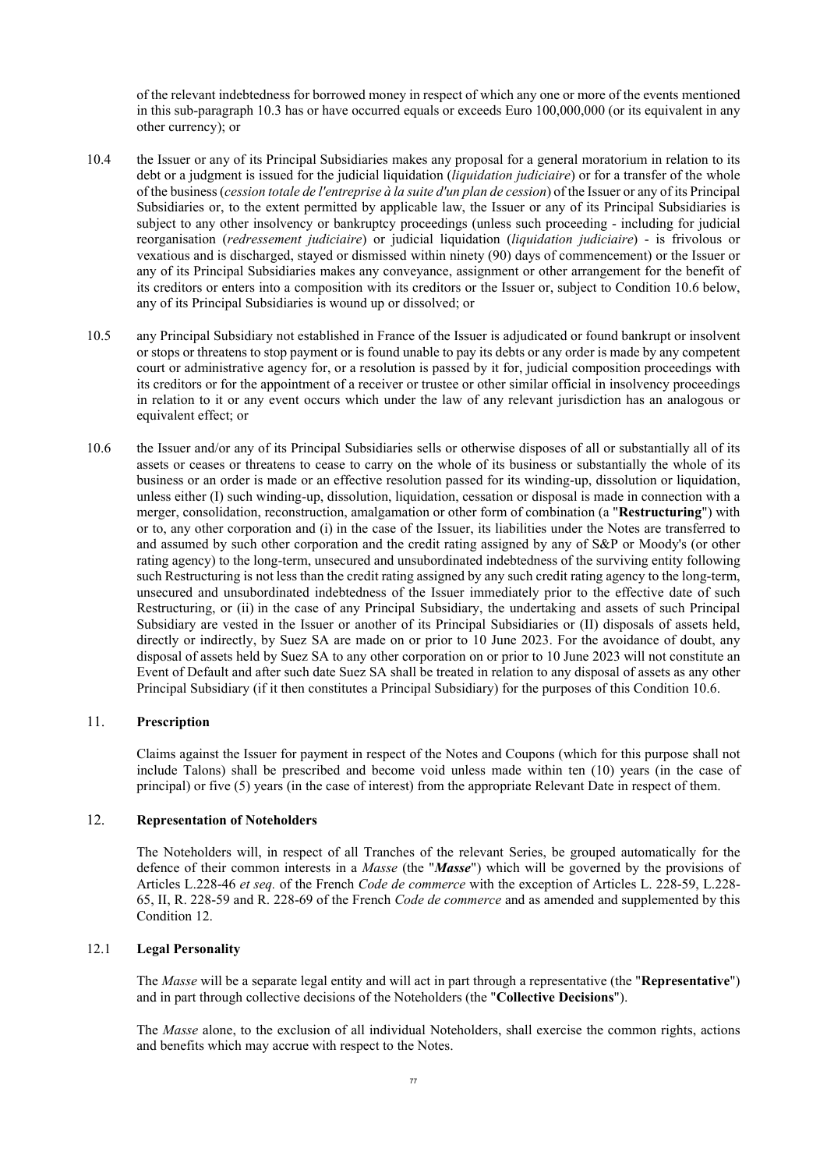of the relevant indebtedness for borrowed money in respect of which any one or more of the events mentioned in this sub-paragraph [10.3](#page-76-2) has or have occurred equals or exceeds Euro 100,000,000 (or its equivalent in any other currency); or

- 10.4 the Issuer or any of its Principal Subsidiaries makes any proposal for a general moratorium in relation to its debt or a judgment is issued for the judicial liquidation (*liquidation judiciaire*) or for a transfer of the whole of the business (*cession totale de l'entreprise à la suite d'un plan de cession*) of the Issuer or any of its Principal Subsidiaries or, to the extent permitted by applicable law, the Issuer or any of its Principal Subsidiaries is subject to any other insolvency or bankruptcy proceedings (unless such proceeding - including for judicial reorganisation (*redressement judiciaire*) or judicial liquidation (*liquidation judiciaire*) - is frivolous or vexatious and is discharged, stayed or dismissed within ninety (90) days of commencement) or the Issuer or any of its Principal Subsidiaries makes any conveyance, assignment or other arrangement for the benefit of its creditors or enters into a composition with its creditors or the Issuer or, subject to Condition 10.6 below, any of its Principal Subsidiaries is wound up or dissolved; or
- 10.5 any Principal Subsidiary not established in France of the Issuer is adjudicated or found bankrupt or insolvent or stops or threatens to stop payment or is found unable to pay its debts or any order is made by any competent court or administrative agency for, or a resolution is passed by it for, judicial composition proceedings with its creditors or for the appointment of a receiver or trustee or other similar official in insolvency proceedings in relation to it or any event occurs which under the law of any relevant jurisdiction has an analogous or equivalent effect; or
- 10.6 the Issuer and/or any of its Principal Subsidiaries sells or otherwise disposes of all or substantially all of its assets or ceases or threatens to cease to carry on the whole of its business or substantially the whole of its business or an order is made or an effective resolution passed for its winding-up, dissolution or liquidation, unless either (I) such winding-up, dissolution, liquidation, cessation or disposal is made in connection with a merger, consolidation, reconstruction, amalgamation or other form of combination (a "**Restructuring**") with or to, any other corporation and (i) in the case of the Issuer, its liabilities under the Notes are transferred to and assumed by such other corporation and the credit rating assigned by any of S&P or Moody's (or other rating agency) to the long-term, unsecured and unsubordinated indebtedness of the surviving entity following such Restructuring is not less than the credit rating assigned by any such credit rating agency to the long-term, unsecured and unsubordinated indebtedness of the Issuer immediately prior to the effective date of such Restructuring, or (ii) in the case of any Principal Subsidiary, the undertaking and assets of such Principal Subsidiary are vested in the Issuer or another of its Principal Subsidiaries or (II) disposals of assets held, directly or indirectly, by Suez SA are made on or prior to 10 June 2023. For the avoidance of doubt, any disposal of assets held by Suez SA to any other corporation on or prior to 10 June 2023 will not constitute an Event of Default and after such date Suez SA shall be treated in relation to any disposal of assets as any other Principal Subsidiary (if it then constitutes a Principal Subsidiary) for the purposes of this Condition 10.6.

### 11. **Prescription**

<span id="page-76-0"></span>Claims against the Issuer for payment in respect of the Notes and Coupons (which for this purpose shall not include Talons) shall be prescribed and become void unless made within ten (10) years (in the case of principal) or five (5) years (in the case of interest) from the appropriate Relevant Date in respect of them.

#### 12. **Representation of Noteholders**

<span id="page-76-1"></span>The Noteholders will, in respect of all Tranches of the relevant Series, be grouped automatically for the defence of their common interests in a *Masse* (the "*Masse*") which will be governed by the provisions of Articles L.228-46 *et seq.* of the French *Code de commerce* with the exception of Articles L. 228-59, L.228- 65, II, R. 228-59 and R. 228-69 of the French *Code de commerce* and as amended and supplemented by this Condition 12.

### 12.1 **Legal Personality**

The *Masse* will be a separate legal entity and will act in part through a representative (the "**Representative**") and in part through collective decisions of the Noteholders (the "**Collective Decisions**").

<span id="page-76-2"></span>The *Masse* alone, to the exclusion of all individual Noteholders, shall exercise the common rights, actions and benefits which may accrue with respect to the Notes.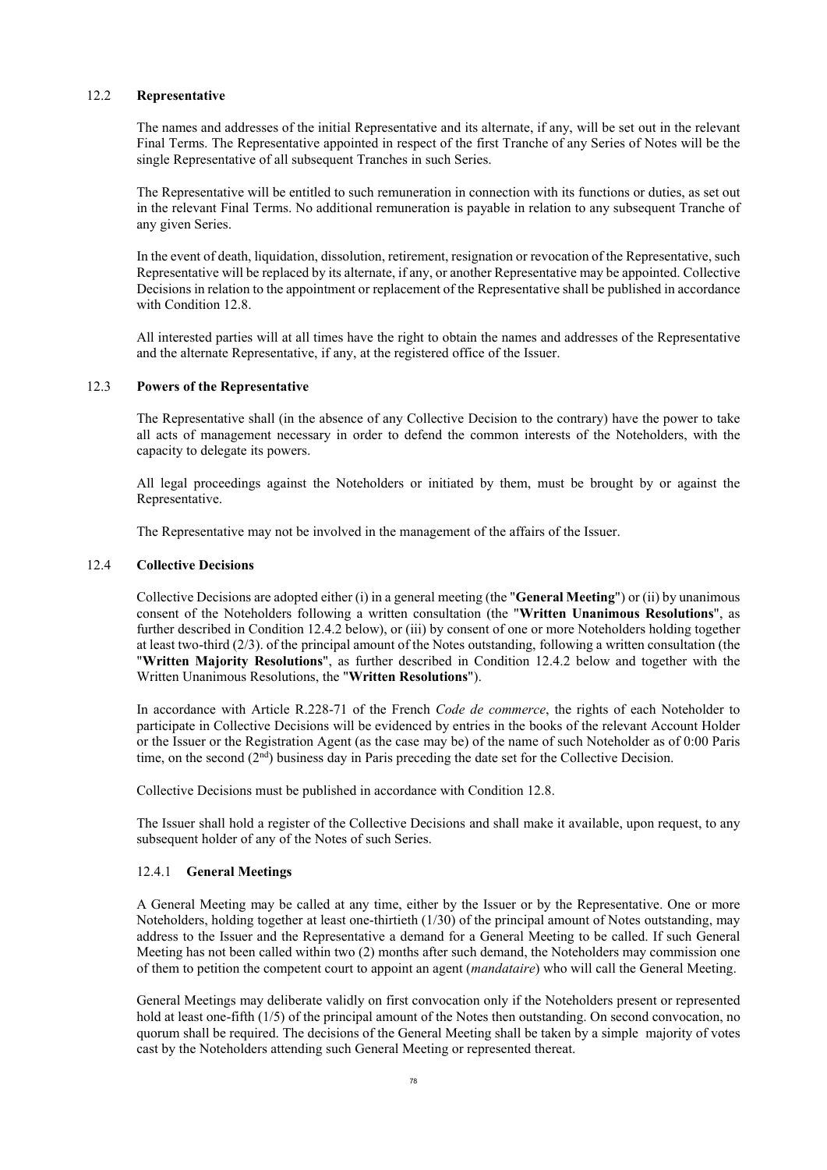### 12.2 **Representative**

The names and addresses of the initial Representative and its alternate, if any, will be set out in the relevant Final Terms. The Representative appointed in respect of the first Tranche of any Series of Notes will be the single Representative of all subsequent Tranches in such Series.

The Representative will be entitled to such remuneration in connection with its functions or duties, as set out in the relevant Final Terms. No additional remuneration is payable in relation to any subsequent Tranche of any given Series.

In the event of death, liquidation, dissolution, retirement, resignation or revocation of the Representative, such Representative will be replaced by its alternate, if any, or another Representative may be appointed. Collective Decisions in relation to the appointment or replacement of the Representative shall be published in accordance with Condition 12.8.

All interested parties will at all times have the right to obtain the names and addresses of the Representative and the alternate Representative, if any, at the registered office of the Issuer.

#### 12.3 **Powers of the Representative**

The Representative shall (in the absence of any Collective Decision to the contrary) have the power to take all acts of management necessary in order to defend the common interests of the Noteholders, with the capacity to delegate its powers.

All legal proceedings against the Noteholders or initiated by them, must be brought by or against the Representative.

The Representative may not be involved in the management of the affairs of the Issuer.

#### 12.4 **Collective Decisions**

Collective Decisions are adopted either (i) in a general meeting (the "**General Meeting**") or (ii) by unanimous consent of the Noteholders following a written consultation (the "**Written Unanimous Resolutions**", as further described in Condition 12.4.2 below), or (iii) by consent of one or more Noteholders holding together at least two-third (2/3). of the principal amount of the Notes outstanding, following a written consultation (the "**Written Majority Resolutions**", as further described in Condition 12.4.2 below and together with the Written Unanimous Resolutions, the "**Written Resolutions**").

In accordance with Article R.228-71 of the French *Code de commerce*, the rights of each Noteholder to participate in Collective Decisions will be evidenced by entries in the books of the relevant Account Holder or the Issuer or the Registration Agent (as the case may be) of the name of such Noteholder as of 0:00 Paris time, on the second  $(2<sup>nd</sup>)$  business day in Paris preceding the date set for the Collective Decision.

Collective Decisions must be published in accordance with Condition 12.8.

The Issuer shall hold a register of the Collective Decisions and shall make it available, upon request, to any subsequent holder of any of the Notes of such Series.

#### 12.4.1 **General Meetings**

A General Meeting may be called at any time, either by the Issuer or by the Representative. One or more Noteholders, holding together at least one-thirtieth (1/30) of the principal amount of Notes outstanding, may address to the Issuer and the Representative a demand for a General Meeting to be called. If such General Meeting has not been called within two (2) months after such demand, the Noteholders may commission one of them to petition the competent court to appoint an agent (*mandataire*) who will call the General Meeting.

General Meetings may deliberate validly on first convocation only if the Noteholders present or represented hold at least one-fifth (1/5) of the principal amount of the Notes then outstanding. On second convocation, no quorum shall be required. The decisions of the General Meeting shall be taken by a simple majority of votes cast by the Noteholders attending such General Meeting or represented thereat.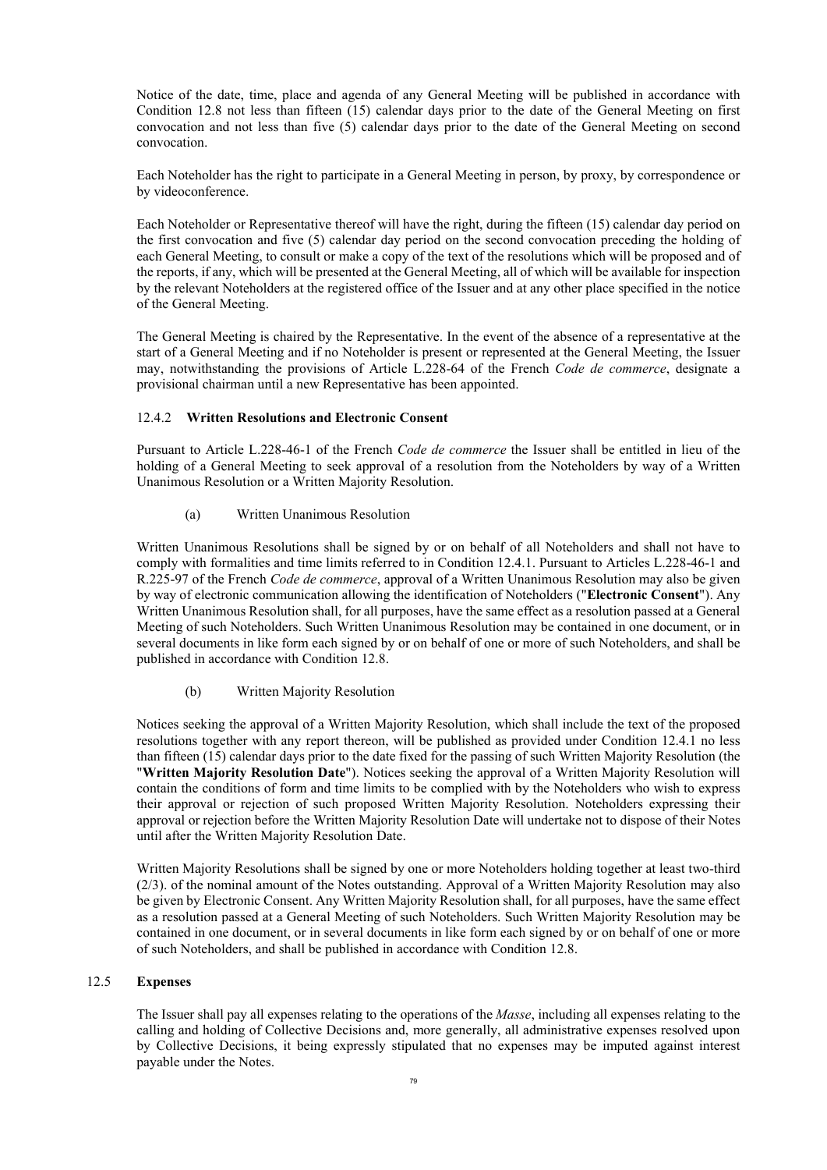Notice of the date, time, place and agenda of any General Meeting will be published in accordance with Condition 12.8 not less than fifteen (15) calendar days prior to the date of the General Meeting on first convocation and not less than five (5) calendar days prior to the date of the General Meeting on second convocation.

Each Noteholder has the right to participate in a General Meeting in person, by proxy, by correspondence or by videoconference.

Each Noteholder or Representative thereof will have the right, during the fifteen (15) calendar day period on the first convocation and five (5) calendar day period on the second convocation preceding the holding of each General Meeting, to consult or make a copy of the text of the resolutions which will be proposed and of the reports, if any, which will be presented at the General Meeting, all of which will be available for inspection by the relevant Noteholders at the registered office of the Issuer and at any other place specified in the notice of the General Meeting.

The General Meeting is chaired by the Representative. In the event of the absence of a representative at the start of a General Meeting and if no Noteholder is present or represented at the General Meeting, the Issuer may, notwithstanding the provisions of Article L.228-64 of the French *Code de commerce*, designate a provisional chairman until a new Representative has been appointed.

### 12.4.2 **Written Resolutions and Electronic Consent**

Pursuant to Article L.228-46-1 of the French *Code de commerce* the Issuer shall be entitled in lieu of the holding of a General Meeting to seek approval of a resolution from the Noteholders by way of a Written Unanimous Resolution or a Written Majority Resolution.

(a) Written Unanimous Resolution

Written Unanimous Resolutions shall be signed by or on behalf of all Noteholders and shall not have to comply with formalities and time limits referred to in Condition 12.4.1. Pursuant to Articles L.228-46-1 and R.225-97 of the French *Code de commerce*, approval of a Written Unanimous Resolution may also be given by way of electronic communication allowing the identification of Noteholders ("**Electronic Consent**"). Any Written Unanimous Resolution shall, for all purposes, have the same effect as a resolution passed at a General Meeting of such Noteholders. Such Written Unanimous Resolution may be contained in one document, or in several documents in like form each signed by or on behalf of one or more of such Noteholders, and shall be published in accordance with Condition 12.8.

(b) Written Majority Resolution

Notices seeking the approval of a Written Majority Resolution, which shall include the text of the proposed resolutions together with any report thereon, will be published as provided under Condition 12.4.1 no less than fifteen (15) calendar days prior to the date fixed for the passing of such Written Majority Resolution (the "**Written Majority Resolution Date**"). Notices seeking the approval of a Written Majority Resolution will contain the conditions of form and time limits to be complied with by the Noteholders who wish to express their approval or rejection of such proposed Written Majority Resolution. Noteholders expressing their approval or rejection before the Written Majority Resolution Date will undertake not to dispose of their Notes until after the Written Majority Resolution Date.

Written Majority Resolutions shall be signed by one or more Noteholders holding together at least two-third (2/3). of the nominal amount of the Notes outstanding. Approval of a Written Majority Resolution may also be given by Electronic Consent. Any Written Majority Resolution shall, for all purposes, have the same effect as a resolution passed at a General Meeting of such Noteholders. Such Written Majority Resolution may be contained in one document, or in several documents in like form each signed by or on behalf of one or more of such Noteholders, and shall be published in accordance with Condition 12.8.

### 12.5 **Expenses**

The Issuer shall pay all expenses relating to the operations of the *Masse*, including all expenses relating to the calling and holding of Collective Decisions and, more generally, all administrative expenses resolved upon by Collective Decisions, it being expressly stipulated that no expenses may be imputed against interest payable under the Notes.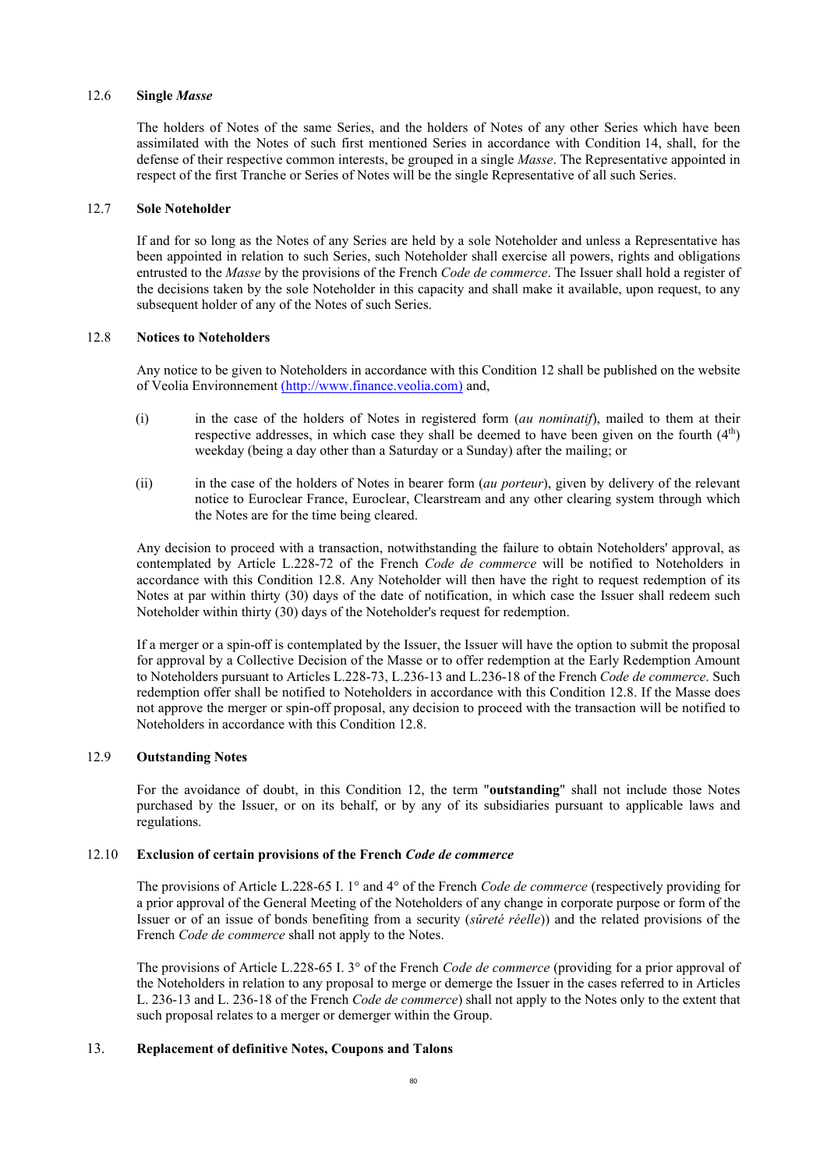#### 12.6 **Single** *Masse*

The holders of Notes of the same Series, and the holders of Notes of any other Series which have been assimilated with the Notes of such first mentioned Series in accordance with Condition 14, shall, for the defense of their respective common interests, be grouped in a single *Masse*. The Representative appointed in respect of the first Tranche or Series of Notes will be the single Representative of all such Series.

### 12.7 **Sole Noteholder**

If and for so long as the Notes of any Series are held by a sole Noteholder and unless a Representative has been appointed in relation to such Series, such Noteholder shall exercise all powers, rights and obligations entrusted to the *Masse* by the provisions of the French *Code de commerce*. The Issuer shall hold a register of the decisions taken by the sole Noteholder in this capacity and shall make it available, upon request, to any subsequent holder of any of the Notes of such Series.

#### 12.8 **Notices to Noteholders**

Any notice to be given to Noteholders in accordance with this Condition 12 shall be published on the website of Veolia Environnement (http://www.finance.veolia.com) and,

- (i) in the case of the holders of Notes in registered form (*au nominatif*), mailed to them at their respective addresses, in which case they shall be deemed to have been given on the fourth (4th) weekday (being a day other than a Saturday or a Sunday) after the mailing; or
- (ii) in the case of the holders of Notes in bearer form (*au porteur*), given by delivery of the relevant notice to Euroclear France, Euroclear, Clearstream and any other clearing system through which the Notes are for the time being cleared.

Any decision to proceed with a transaction, notwithstanding the failure to obtain Noteholders' approval, as contemplated by Article L.228-72 of the French *Code de commerce* will be notified to Noteholders in accordance with this Condition 12.8. Any Noteholder will then have the right to request redemption of its Notes at par within thirty (30) days of the date of notification, in which case the Issuer shall redeem such Noteholder within thirty (30) days of the Noteholder's request for redemption.

If a merger or a spin-off is contemplated by the Issuer, the Issuer will have the option to submit the proposal for approval by a Collective Decision of the Masse or to offer redemption at the Early Redemption Amount to Noteholders pursuant to Articles L.228-73, L.236-13 and L.236-18 of the French *Code de commerce*. Such redemption offer shall be notified to Noteholders in accordance with this Condition 12.8. If the Masse does not approve the merger or spin-off proposal, any decision to proceed with the transaction will be notified to Noteholders in accordance with this Condition 12.8.

### 12.9 **Outstanding Notes**

For the avoidance of doubt, in this Condition 12, the term "**outstanding**" shall not include those Notes purchased by the Issuer, or on its behalf, or by any of its subsidiaries pursuant to applicable laws and regulations.

### 12.10 **Exclusion of certain provisions of the French** *Code de commerce*

The provisions of Article L.228-65 I. 1° and 4° of the French *Code de commerce* (respectively providing for a prior approval of the General Meeting of the Noteholders of any change in corporate purpose or form of the Issuer or of an issue of bonds benefiting from a security (*sûreté réelle*)) and the related provisions of the French *Code de commerce* shall not apply to the Notes.

The provisions of Article L.228-65 I. 3° of the French *Code de commerce* (providing for a prior approval of the Noteholders in relation to any proposal to merge or demerge the Issuer in the cases referred to in Articles L. 236-13 and L. 236-18 of the French *Code de commerce*) shall not apply to the Notes only to the extent that such proposal relates to a merger or demerger within the Group.

### <span id="page-79-0"></span>13. **Replacement of definitive Notes, Coupons and Talons**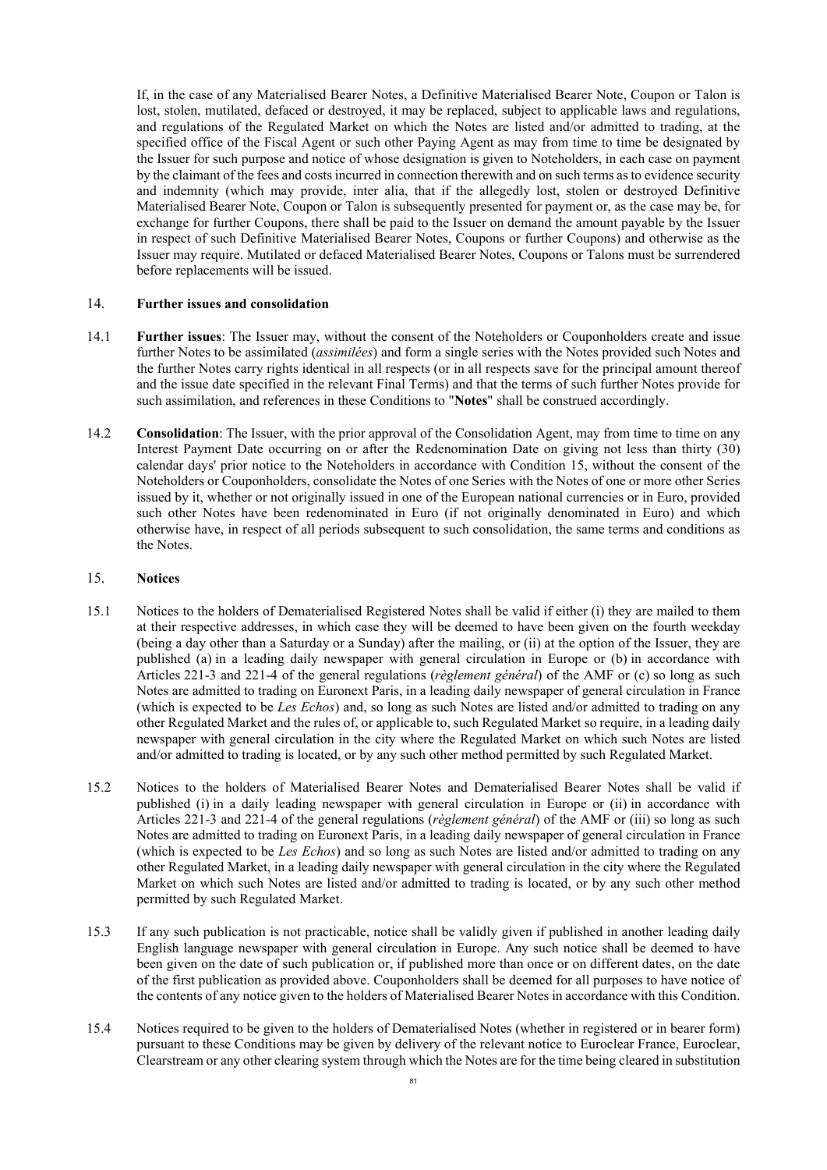If, in the case of any Materialised Bearer Notes, a Definitive Materialised Bearer Note, Coupon or Talon is lost, stolen, mutilated, defaced or destroyed, it may be replaced, subject to applicable laws and regulations, and regulations of the Regulated Market on which the Notes are listed and/or admitted to trading, at the specified office of the Fiscal Agent or such other Paying Agent as may from time to time be designated by the Issuer for such purpose and notice of whose designation is given to Noteholders, in each case on payment by the claimant of the fees and costs incurred in connection therewith and on such terms as to evidence security and indemnity (which may provide, inter alia, that if the allegedly lost, stolen or destroyed Definitive Materialised Bearer Note, Coupon or Talon is subsequently presented for payment or, as the case may be, for exchange for further Coupons, there shall be paid to the Issuer on demand the amount payable by the Issuer in respect of such Definitive Materialised Bearer Notes, Coupons or further Coupons) and otherwise as the Issuer may require. Mutilated or defaced Materialised Bearer Notes, Coupons or Talons must be surrendered before replacements will be issued.

### <span id="page-80-1"></span>14. **Further issues and consolidation**

- 14.1 **Further issues**: The Issuer may, without the consent of the Noteholders or Couponholders create and issue further Notes to be assimilated (*assimilées*) and form a single series with the Notes provided such Notes and the further Notes carry rights identical in all respects (or in all respects save for the principal amount thereof and the issue date specified in the relevant Final Terms) and that the terms of such further Notes provide for such assimilation, and references in these Conditions to "**Notes**" shall be construed accordingly.
- 14.2 **Consolidation**: The Issuer, with the prior approval of the Consolidation Agent, may from time to time on any Interest Payment Date occurring on or after the Redenomination Date on giving not less than thirty (30) calendar days' prior notice to the Noteholders in accordance with Condition [15,](#page-80-0) without the consent of the Noteholders or Couponholders, consolidate the Notes of one Series with the Notes of one or more other Series issued by it, whether or not originally issued in one of the European national currencies or in Euro, provided such other Notes have been redenominated in Euro (if not originally denominated in Euro) and which otherwise have, in respect of all periods subsequent to such consolidation, the same terms and conditions as the Notes.

#### <span id="page-80-0"></span>15. **Notices**

- <span id="page-80-2"></span>15.1 Notices to the holders of Dematerialised Registered Notes shall be valid if either (i) they are mailed to them at their respective addresses, in which case they will be deemed to have been given on the fourth weekday (being a day other than a Saturday or a Sunday) after the mailing, or (ii) at the option of the Issuer, they are published (a) in a leading daily newspaper with general circulation in Europe or (b) in accordance with Articles 221-3 and 221-4 of the general regulations (*règlement général*) of the AMF or (c) so long as such Notes are admitted to trading on Euronext Paris, in a leading daily newspaper of general circulation in France (which is expected to be *Les Echos*) and, so long as such Notes are listed and/or admitted to trading on any other Regulated Market and the rules of, or applicable to, such Regulated Market so require, in a leading daily newspaper with general circulation in the city where the Regulated Market on which such Notes are listed and/or admitted to trading is located, or by any such other method permitted by such Regulated Market.
- <span id="page-80-3"></span>15.2 Notices to the holders of Materialised Bearer Notes and Dematerialised Bearer Notes shall be valid if published (i) in a daily leading newspaper with general circulation in Europe or (ii) in accordance with Articles 221-3 and 221-4 of the general regulations (*règlement général*) of the AMF or (iii) so long as such Notes are admitted to trading on Euronext Paris, in a leading daily newspaper of general circulation in France (which is expected to be *Les Echos*) and so long as such Notes are listed and/or admitted to trading on any other Regulated Market, in a leading daily newspaper with general circulation in the city where the Regulated Market on which such Notes are listed and/or admitted to trading is located, or by any such other method permitted by such Regulated Market.
- 15.3 If any such publication is not practicable, notice shall be validly given if published in another leading daily English language newspaper with general circulation in Europe. Any such notice shall be deemed to have been given on the date of such publication or, if published more than once or on different dates, on the date of the first publication as provided above. Couponholders shall be deemed for all purposes to have notice of the contents of any notice given to the holders of Materialised Bearer Notes in accordance with this Condition.
- 15.4 Notices required to be given to the holders of Dematerialised Notes (whether in registered or in bearer form) pursuant to these Conditions may be given by delivery of the relevant notice to Euroclear France, Euroclear, Clearstream or any other clearing system through which the Notes are for the time being cleared in substitution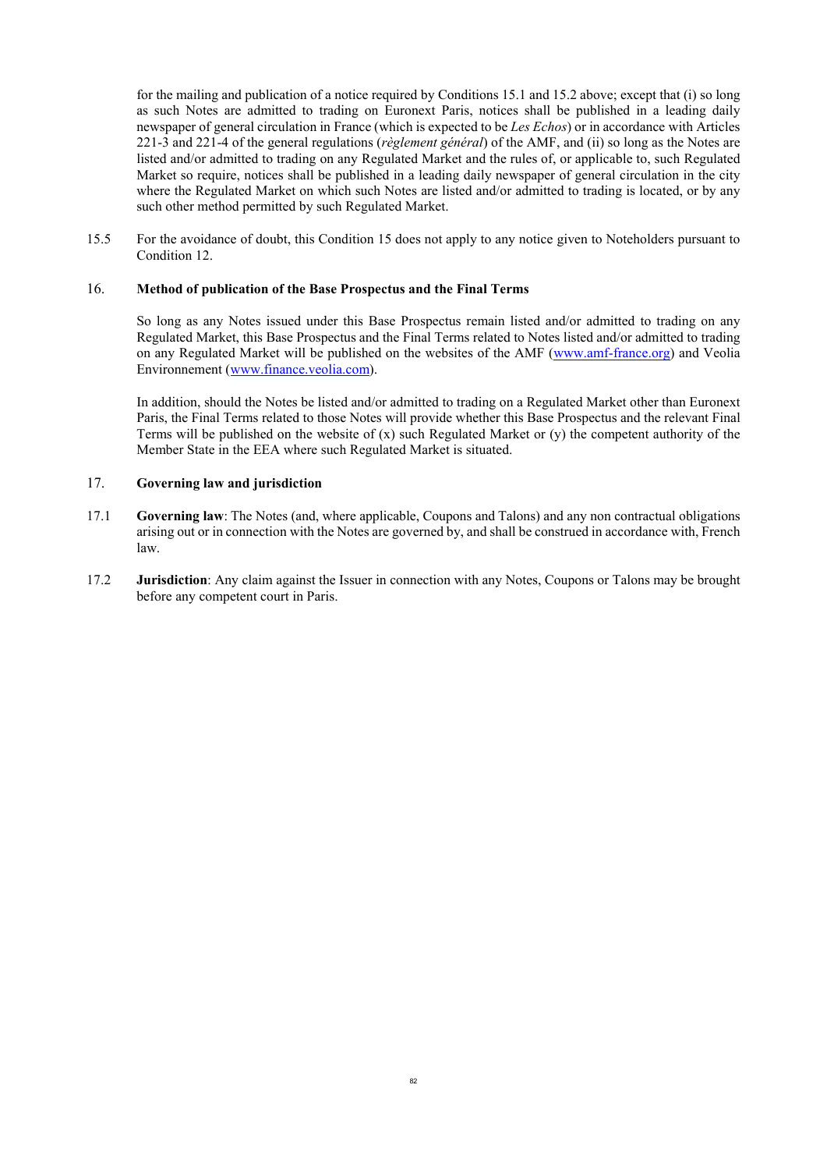for the mailing and publication of a notice required by Conditions [15.1](#page-80-2) and [15.2](#page-80-3) above; except that (i) so long as such Notes are admitted to trading on Euronext Paris, notices shall be published in a leading daily newspaper of general circulation in France (which is expected to be *Les Echos*) or in accordance with Articles 221-3 and 221-4 of the general regulations (*règlement général*) of the AMF, and (ii) so long as the Notes are listed and/or admitted to trading on any Regulated Market and the rules of, or applicable to, such Regulated Market so require, notices shall be published in a leading daily newspaper of general circulation in the city where the Regulated Market on which such Notes are listed and/or admitted to trading is located, or by any such other method permitted by such Regulated Market.

15.5 For the avoidance of doubt, this Condition 15 does not apply to any notice given to Noteholders pursuant to Condition 12.

#### 16. **Method of publication of the Base Prospectus and the Final Terms**

So long as any Notes issued under this Base Prospectus remain listed and/or admitted to trading on any Regulated Market, this Base Prospectus and the Final Terms related to Notes listed and/or admitted to trading on any Regulated Market will be published on the websites of the AMF [\(www.amf-france.org](http://www.amf-france.org/)) and Veolia Environnement ([www.finance.veolia.com](http://www.veolia.com/)).

In addition, should the Notes be listed and/or admitted to trading on a Regulated Market other than Euronext Paris, the Final Terms related to those Notes will provide whether this Base Prospectus and the relevant Final Terms will be published on the website of  $(x)$  such Regulated Market or  $(y)$  the competent authority of the Member State in the EEA where such Regulated Market is situated.

#### 17. **Governing law and jurisdiction**

- 17.1 **Governing law**: The Notes (and, where applicable, Coupons and Talons) and any non contractual obligations arising out or in connection with the Notes are governed by, and shall be construed in accordance with, French law.
- 17.2 **Jurisdiction**: Any claim against the Issuer in connection with any Notes, Coupons or Talons may be brought before any competent court in Paris.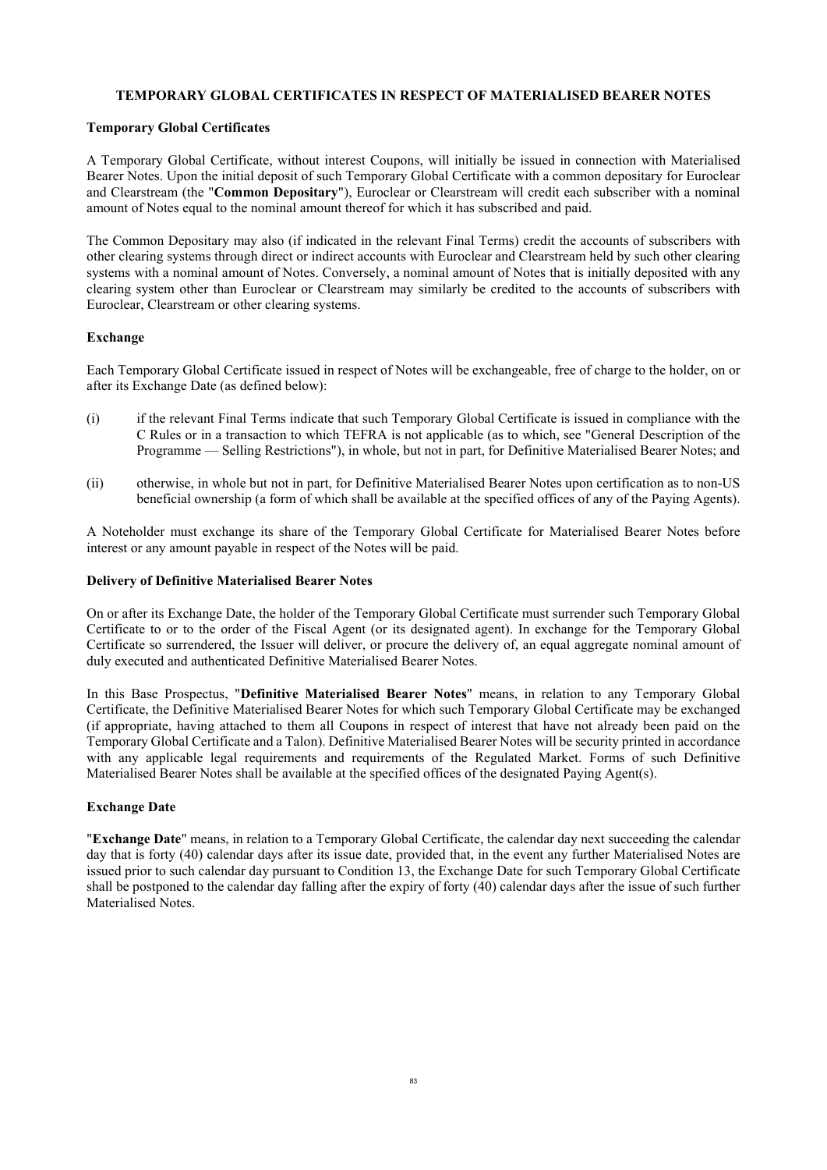### **TEMPORARY GLOBAL CERTIFICATES IN RESPECT OF MATERIALISED BEARER NOTES**

### **Temporary Global Certificates**

A Temporary Global Certificate, without interest Coupons, will initially be issued in connection with Materialised Bearer Notes. Upon the initial deposit of such Temporary Global Certificate with a common depositary for Euroclear and Clearstream (the "**Common Depositary**"), Euroclear or Clearstream will credit each subscriber with a nominal amount of Notes equal to the nominal amount thereof for which it has subscribed and paid.

The Common Depositary may also (if indicated in the relevant Final Terms) credit the accounts of subscribers with other clearing systems through direct or indirect accounts with Euroclear and Clearstream held by such other clearing systems with a nominal amount of Notes. Conversely, a nominal amount of Notes that is initially deposited with any clearing system other than Euroclear or Clearstream may similarly be credited to the accounts of subscribers with Euroclear, Clearstream or other clearing systems.

### **Exchange**

Each Temporary Global Certificate issued in respect of Notes will be exchangeable, free of charge to the holder, on or after its Exchange Date (as defined below):

- (i) if the relevant Final Terms indicate that such Temporary Global Certificate is issued in compliance with the C Rules or in a transaction to which TEFRA is not applicable (as to which, see "General Description of the Programme — Selling Restrictions"), in whole, but not in part, for Definitive Materialised Bearer Notes; and
- (ii) otherwise, in whole but not in part, for Definitive Materialised Bearer Notes upon certification as to non-US beneficial ownership (a form of which shall be available at the specified offices of any of the Paying Agents).

A Noteholder must exchange its share of the Temporary Global Certificate for Materialised Bearer Notes before interest or any amount payable in respect of the Notes will be paid.

### **Delivery of Definitive Materialised Bearer Notes**

On or after its Exchange Date, the holder of the Temporary Global Certificate must surrender such Temporary Global Certificate to or to the order of the Fiscal Agent (or its designated agent). In exchange for the Temporary Global Certificate so surrendered, the Issuer will deliver, or procure the delivery of, an equal aggregate nominal amount of duly executed and authenticated Definitive Materialised Bearer Notes.

In this Base Prospectus, "**Definitive Materialised Bearer Notes**" means, in relation to any Temporary Global Certificate, the Definitive Materialised Bearer Notes for which such Temporary Global Certificate may be exchanged (if appropriate, having attached to them all Coupons in respect of interest that have not already been paid on the Temporary Global Certificate and a Talon). Definitive Materialised Bearer Notes will be security printed in accordance with any applicable legal requirements and requirements of the Regulated Market. Forms of such Definitive Materialised Bearer Notes shall be available at the specified offices of the designated Paying Agent(s).

### **Exchange Date**

"**Exchange Date**" means, in relation to a Temporary Global Certificate, the calendar day next succeeding the calendar day that is forty (40) calendar days after its issue date, provided that, in the event any further Materialised Notes are issued prior to such calendar day pursuant to Condition [13](#page-79-0), the Exchange Date for such Temporary Global Certificate shall be postponed to the calendar day falling after the expiry of forty (40) calendar days after the issue of such further Materialised Notes.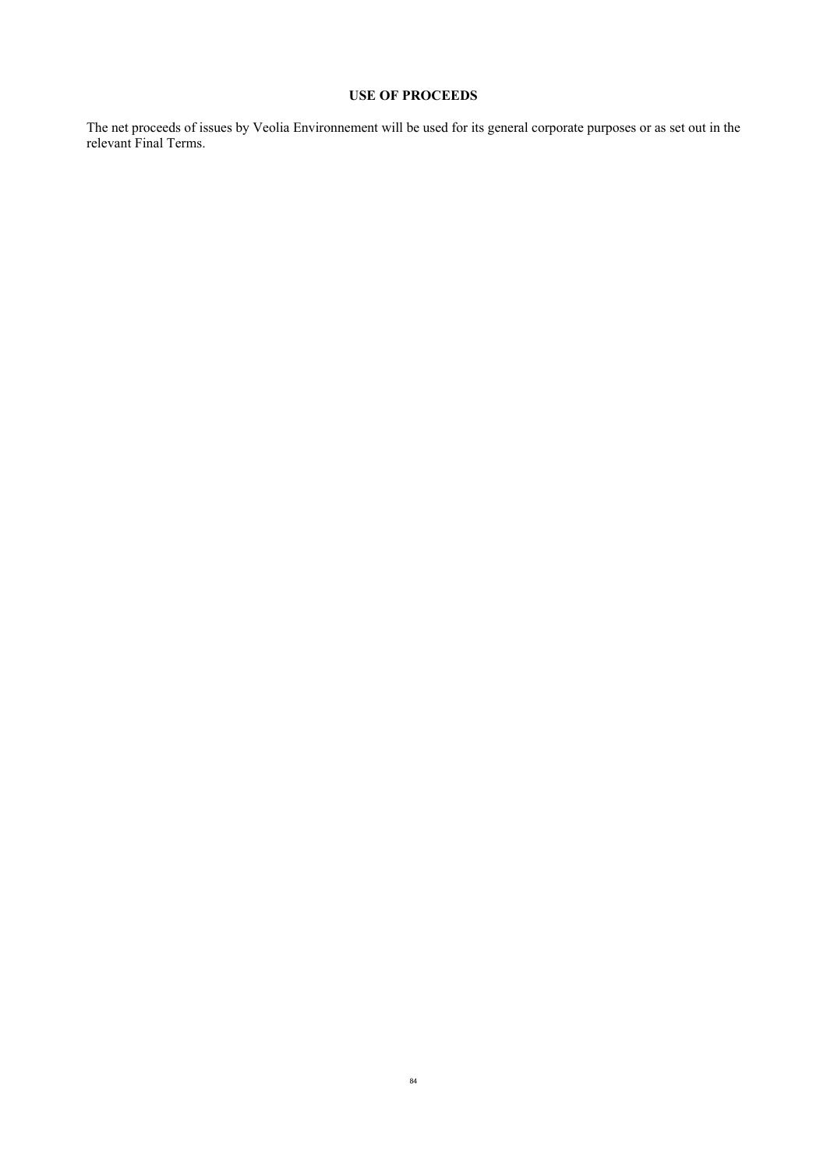# **USE OF PROCEEDS**

The net proceeds of issues by Veolia Environnement will be used for its general corporate purposes or as set out in the relevant Final Terms.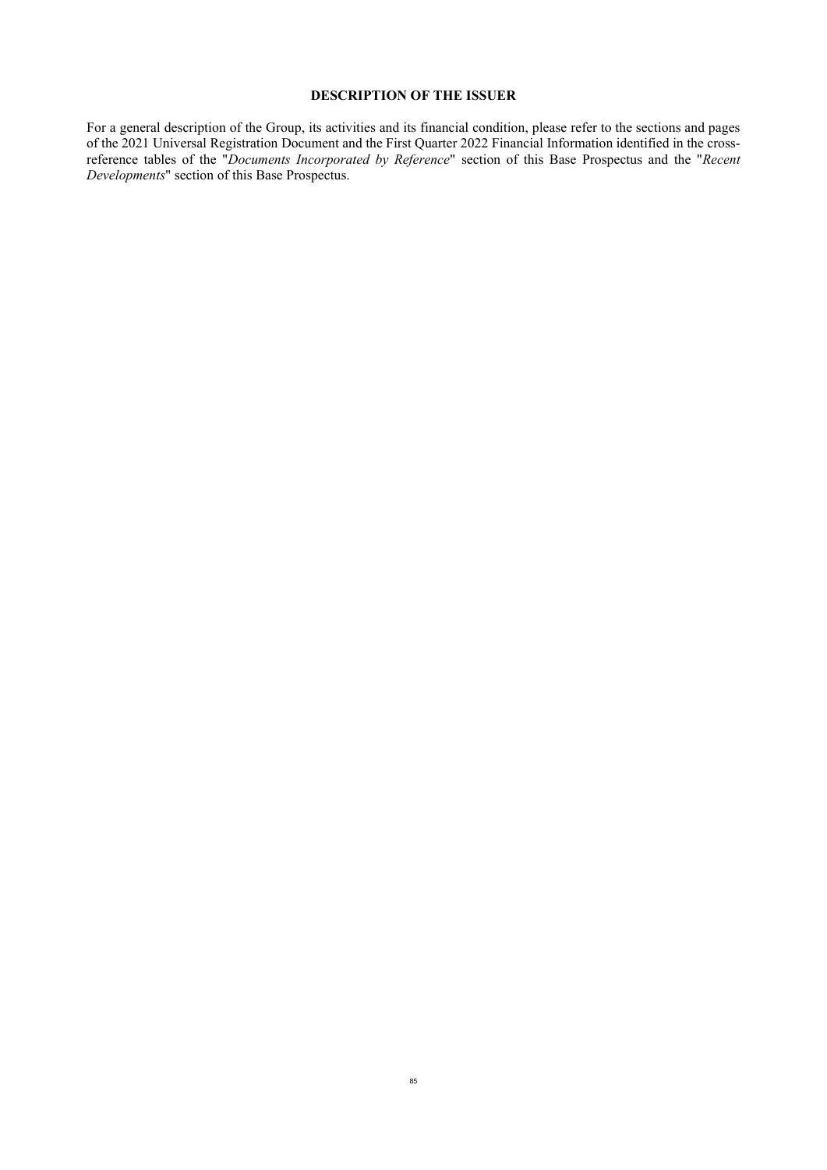### **DESCRIPTION OF THE ISSUER**

For a general description of the Group, its activities and its financial condition, please refer to the sections and pages of the 2021 Universal Registration Document and the First Quarter 2022 Financial Information identified in the crossreference tables of the "*Documents Incorporated by Reference*" section of this Base Prospectus and the "*Recent Developments*" section of this Base Prospectus.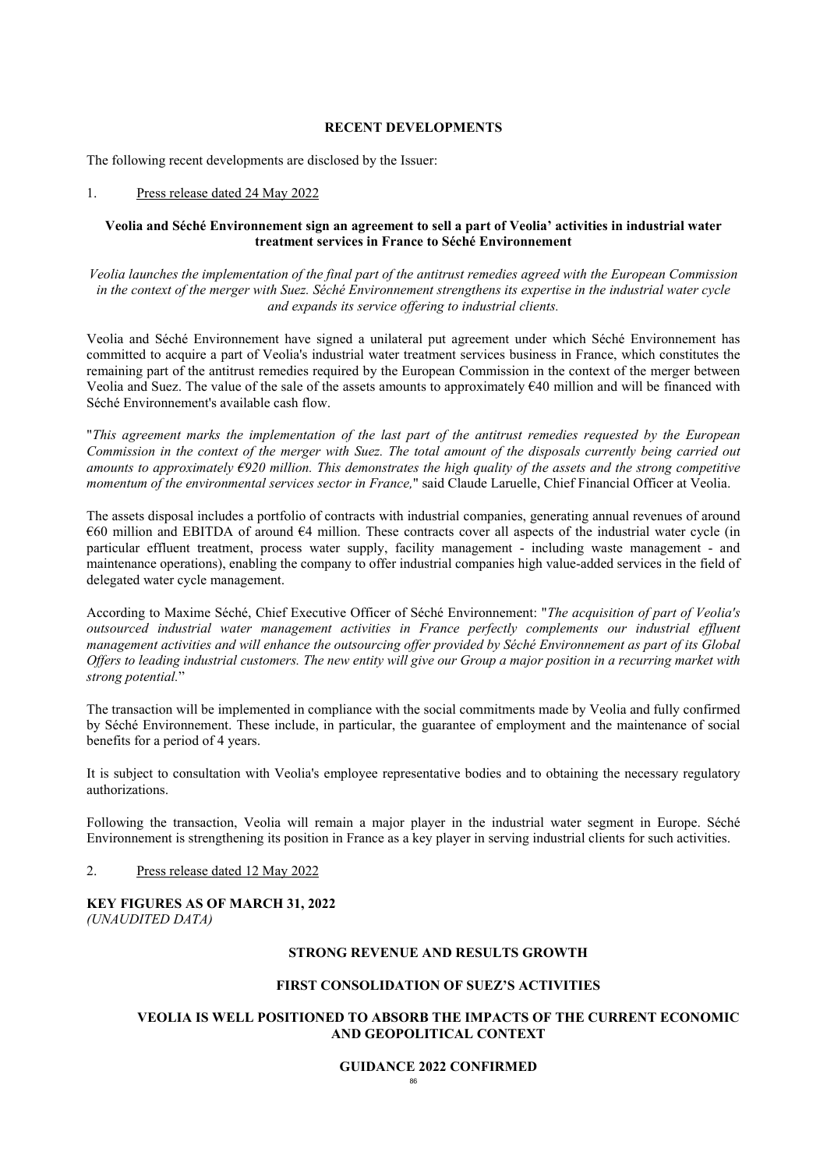#### **RECENT DEVELOPMENTS**

The following recent developments are disclosed by the Issuer:

#### 1. Press release dated 24 May 2022

### **Veolia and Séché Environnement sign an agreement to sell a part of Veolia' activities in industrial water treatment services in France to Séché Environnement**

*Veolia launches the implementation of the final part of the antitrust remedies agreed with the European Commission in the context of the merger with Suez. Séché Environnement strengthens its expertise in the industrial water cycle and expands its service offering to industrial clients.*

Veolia and Séché Environnement have signed a unilateral put agreement under which Séché Environnement has committed to acquire a part of Veolia's industrial water treatment services business in France, which constitutes the remaining part of the antitrust remedies required by the European Commission in the context of the merger between Veolia and Suez. The value of the sale of the assets amounts to approximately €40 million and will be financed with Séché Environnement's available cash flow.

"*This agreement marks the implementation of the last part of the antitrust remedies requested by the European Commission in the context of the merger with Suez. The total amount of the disposals currently being carried out amounts to approximately €920 million. This demonstrates the high quality of the assets and the strong competitive momentum of the environmental services sector in France,*" said Claude Laruelle, Chief Financial Officer at Veolia.

The assets disposal includes a portfolio of contracts with industrial companies, generating annual revenues of around €60 million and EBITDA of around €4 million. These contracts cover all aspects of the industrial water cycle (in particular effluent treatment, process water supply, facility management - including waste management - and maintenance operations), enabling the company to offer industrial companies high value-added services in the field of delegated water cycle management.

According to Maxime Séché, Chief Executive Officer of Séché Environnement: "*The acquisition of part of Veolia's outsourced industrial water management activities in France perfectly complements our industrial effluent management activities and will enhance the outsourcing offer provided by Séché Environnement as part of its Global Offers to leading industrial customers. The new entity will give our Group a major position in a recurring market with strong potential.*"

The transaction will be implemented in compliance with the social commitments made by Veolia and fully confirmed by Séché Environnement. These include, in particular, the guarantee of employment and the maintenance of social benefits for a period of 4 years.

It is subject to consultation with Veolia's employee representative bodies and to obtaining the necessary regulatory authorizations.

Following the transaction, Veolia will remain a major player in the industrial water segment in Europe. Séché Environnement is strengthening its position in France as a key player in serving industrial clients for such activities.

#### 2. Press release dated 12 May 2022

#### **KEY FIGURES AS OF MARCH 31, 2022** *(UNAUDITED DATA)*

### **STRONG REVENUE AND RESULTS GROWTH**

### **FIRST CONSOLIDATION OF SUEZ'S ACTIVITIES**

### **VEOLIA IS WELL POSITIONED TO ABSORB THE IMPACTS OF THE CURRENT ECONOMIC AND GEOPOLITICAL CONTEXT**

#### **GUIDANCE 2022 CONFIRMED**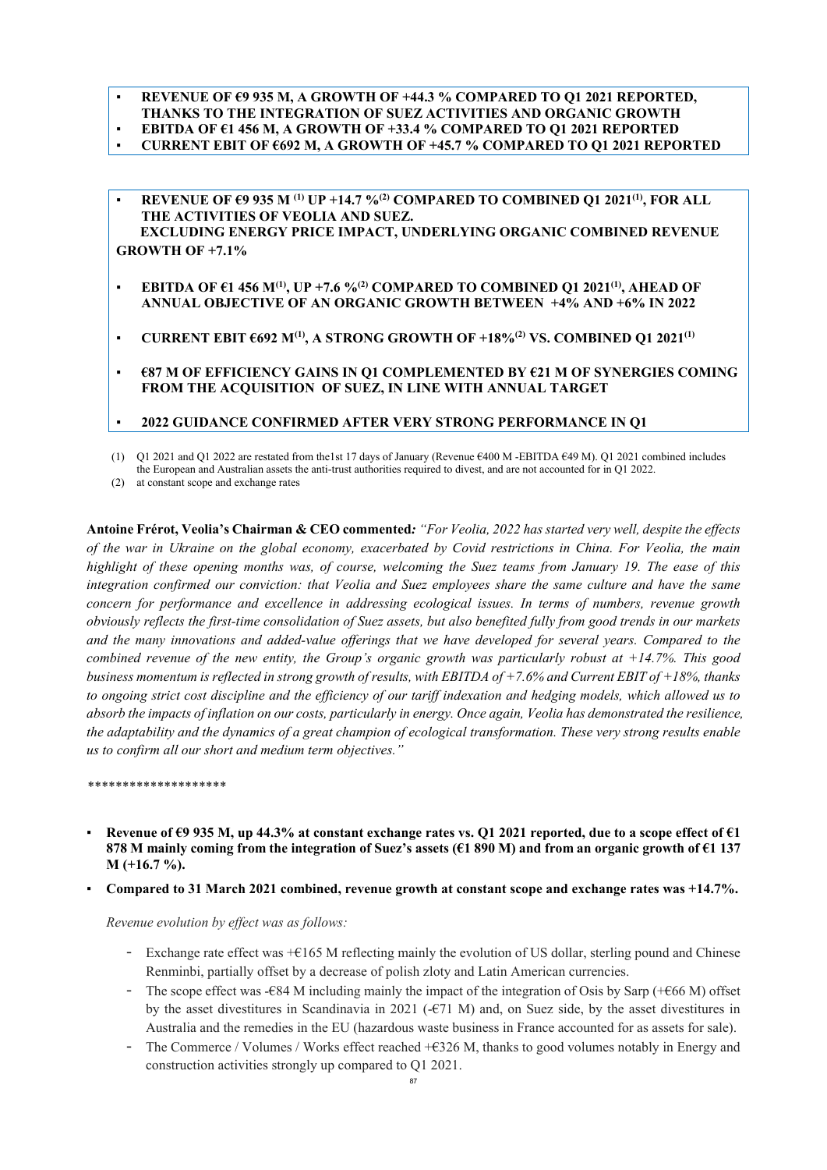### ▪ **REVENUE OF €9 935 M, A GROWTH OF +44.3 % COMPARED TO Q1 2021 REPORTED, THANKS TO THE INTEGRATION OF SUEZ ACTIVITIES AND ORGANIC GROWTH** ▪ **EBITDA OF €1 456 M, A GROWTH OF +33.4 % COMPARED TO Q1 2021 REPORTED**

- **CURRENT EBIT OF €692 M, A GROWTH OF +45.7 % COMPARED TO Q1 2021 REPORTED**
- **REVENUE OF €9 935 M (1) UP +14.7 %(2) COMPARED TO COMBINED Q1 2021(1), FOR ALL THE ACTIVITIES OF VEOLIA AND SUEZ. EXCLUDING ENERGY PRICE IMPACT, UNDERLYING ORGANIC COMBINED REVENUE GROWTH OF +7.1%**
- **EBITDA OF €1 456 M(1), UP +7.6 %(2) COMPARED TO COMBINED Q1 2021(1), AHEAD OF ANNUAL OBJECTIVE OF AN ORGANIC GROWTH BETWEEN +4% AND +6% IN 2022**
- **CURRENT EBIT €692 M(1), A STRONG GROWTH OF +18%(2) VS. COMBINED Q1 2021(1)**
- **€87 M OF EFFICIENCY GAINS IN Q1 COMPLEMENTED BY €21 M OF SYNERGIES COMING FROM THE ACQUISITION OF SUEZ, IN LINE WITH ANNUAL TARGET**

### ▪ **2022 GUIDANCE CONFIRMED AFTER VERY STRONG PERFORMANCE IN Q1**

(1) Q1 2021 and Q1 2022 are restated from the1st 17 days of January (Revenue €400 M -EBITDA €49 M). Q1 2021 combined includes the European and Australian assets the anti-trust authorities required to divest, and are not accounted for in Q1 2022.

(2) at constant scope and exchange rates

**Antoine Frérot, Veolia's Chairman & CEO commented***: "For Veolia, 2022 has started very well, despite the effects of the war in Ukraine on the global economy, exacerbated by Covid restrictions in China. For Veolia, the main highlight of these opening months was, of course, welcoming the Suez teams from January 19. The ease of this integration confirmed our conviction: that Veolia and Suez employees share the same culture and have the same concern for performance and excellence in addressing ecological issues. In terms of numbers, revenue growth obviously reflects the first-time consolidation of Suez assets, but also benefited fully from good trends in our markets and the many innovations and added-value offerings that we have developed for several years. Compared to the combined revenue of the new entity, the Group's organic growth was particularly robust at +14.7%. This good business momentum is reflected in strong growth of results, with EBITDA of +7.6% and Current EBIT of +18%, thanks to ongoing strict cost discipline and the efficiency of our tariff indexation and hedging models, which allowed us to absorb the impacts of inflation on our costs, particularly in energy. Once again, Veolia has demonstrated the resilience, the adaptability and the dynamics of a great champion of ecological transformation. These very strong results enable us to confirm all our short and medium term objectives."*

*\*\*\*\*\*\*\*\*\*\*\*\*\*\*\*\*\*\*\*\**

- Revenue of €9 935 M, up 44.3% at constant exchange rates vs. Q1 2021 reported, due to a scope effect of €1 **878 M mainly coming from the integration of Suez's assets (€1 890 M) and from an organic growth of €1 137 M (+16.7 %).**
- Compared to 31 March 2021 combined, revenue growth at constant scope and exchange rates was +14.7%.

### *Revenue evolution by effect was as follows:*

- Exchange rate effect was +€165 M reflecting mainly the evolution of US dollar, sterling pound and Chinese Renminbi, partially offset by a decrease of polish zloty and Latin American currencies.
- The scope effect was -€84 M including mainly the impact of the integration of Osis by Sarp (+€66 M) offset by the asset divestitures in Scandinavia in 2021 (-€71 M) and, on Suez side, by the asset divestitures in Australia and the remedies in the EU (hazardous waste business in France accounted for as assets for sale).
- The Commerce / Volumes / Works effect reached  $+$  €326 M, thanks to good volumes notably in Energy and construction activities strongly up compared to Q1 2021.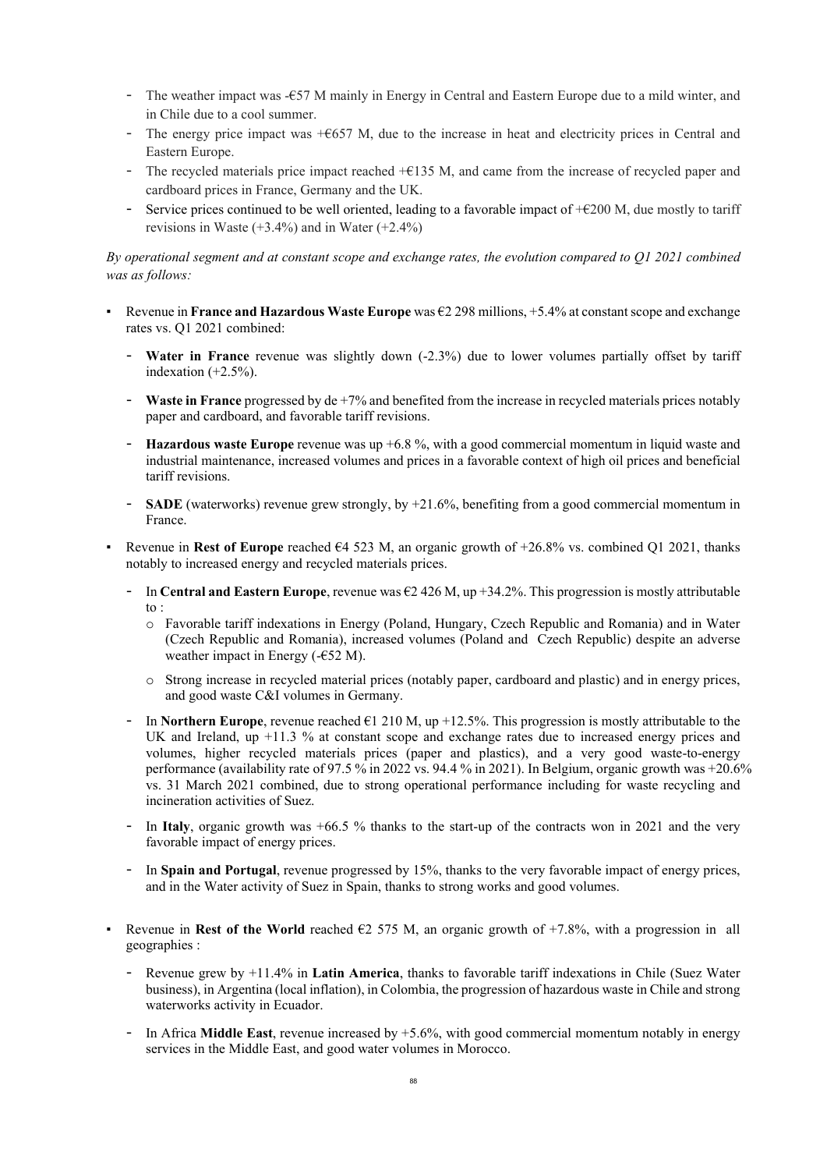- The weather impact was -€57 M mainly in Energy in Central and Eastern Europe due to a mild winter, and in Chile due to a cool summer.
- The energy price impact was +€657 M, due to the increase in heat and electricity prices in Central and Eastern Europe.
- The recycled materials price impact reached +€135 M, and came from the increase of recycled paper and cardboard prices in France, Germany and the UK.
- Service prices continued to be well oriented, leading to a favorable impact of +€200 M, due mostly to tariff revisions in Waste  $(+3.4\%)$  and in Water  $(+2.4\%)$

*By operational segment and at constant scope and exchange rates, the evolution compared to Q1 2021 combined was as follows:*

- Revenue in **France and Hazardous Waste Europe** was €2 298 millions, +5.4% at constant scope and exchange rates vs. Q1 2021 combined:
	- **Water in France** revenue was slightly down (-2.3%) due to lower volumes partially offset by tariff indexation (+2.5%).
	- **Waste in France** progressed by de +7% and benefited from the increase in recycled materials prices notably paper and cardboard, and favorable tariff revisions.
	- **Hazardous waste Europe** revenue was up +6.8 %, with a good commercial momentum in liquid waste and industrial maintenance, increased volumes and prices in a favorable context of high oil prices and beneficial tariff revisions.
	- **SADE** (waterworks) revenue grew strongly, by +21.6%, benefiting from a good commercial momentum in France.
- Revenue in **Rest of Europe** reached €4 523 M, an organic growth of +26.8% vs. combined Q1 2021, thanks notably to increased energy and recycled materials prices.
	- In **Central and Eastern Europe**, revenue was €2 426 M, up +34.2%. This progression is mostly attributable to :
		- o Favorable tariff indexations in Energy (Poland, Hungary, Czech Republic and Romania) and in Water (Czech Republic and Romania), increased volumes (Poland and Czech Republic) despite an adverse weather impact in Energy  $(-652 \text{ M})$ .
		- o Strong increase in recycled material prices (notably paper, cardboard and plastic) and in energy prices, and good waste C&I volumes in Germany.
	- In **Northern Europe**, revenue reached €1 210 M, up +12.5%. This progression is mostly attributable to the UK and Ireland, up +11.3 % at constant scope and exchange rates due to increased energy prices and volumes, higher recycled materials prices (paper and plastics), and a very good waste-to-energy performance (availability rate of 97.5 % in 2022 vs. 94.4 % in 2021). In Belgium, organic growth was +20.6% vs. 31 March 2021 combined, due to strong operational performance including for waste recycling and incineration activities of Suez.
	- In Italy, organic growth was +66.5 % thanks to the start-up of the contracts won in 2021 and the very favorable impact of energy prices.
	- In **Spain and Portugal**, revenue progressed by 15%, thanks to the very favorable impact of energy prices, and in the Water activity of Suez in Spain, thanks to strong works and good volumes.
- **•** Revenue in **Rest of the World** reached  $\epsilon$ 2 575 M, an organic growth of +7.8%, with a progression in all geographies :
	- Revenue grew by +11.4% in **Latin America**, thanks to favorable tariff indexations in Chile (Suez Water business), in Argentina (local inflation), in Colombia, the progression of hazardous waste in Chile and strong waterworks activity in Ecuador.
	- In Africa **Middle East**, revenue increased by +5.6%, with good commercial momentum notably in energy services in the Middle East, and good water volumes in Morocco.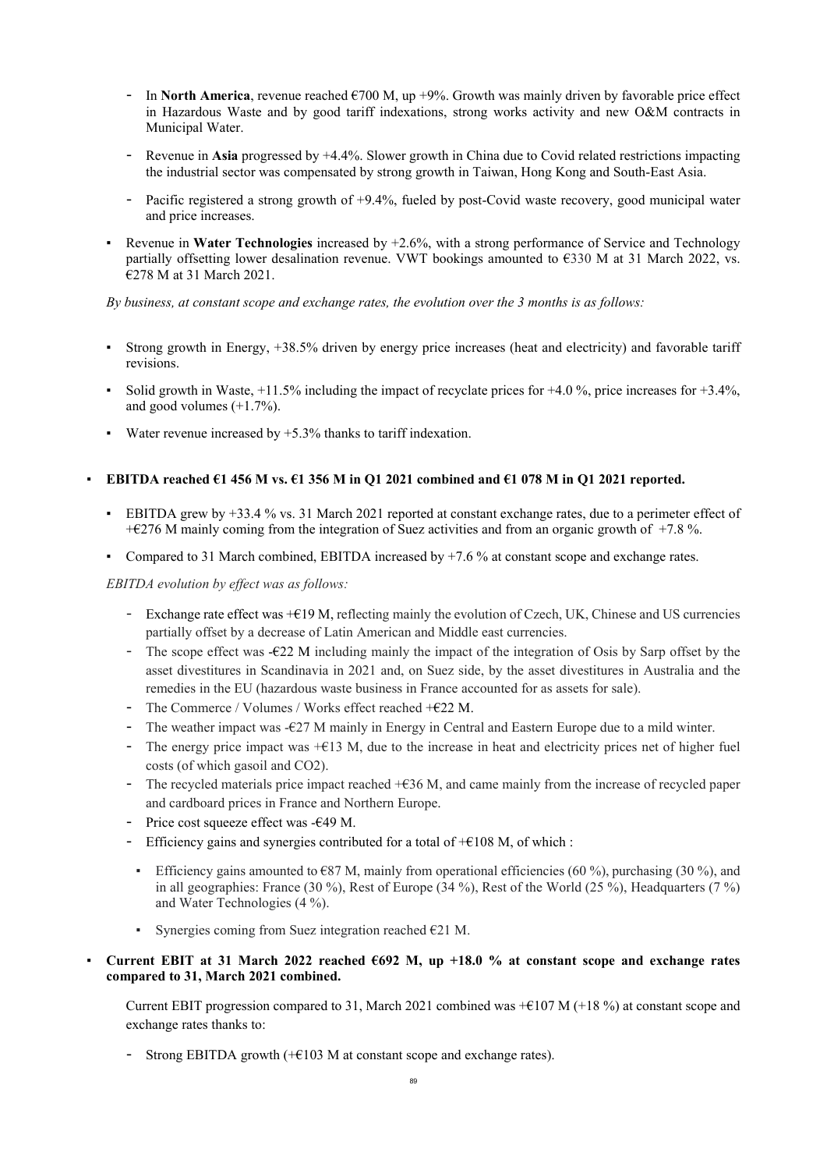- In **North America**, revenue reached €700 M, up +9%. Growth was mainly driven by favorable price effect in Hazardous Waste and by good tariff indexations, strong works activity and new O&M contracts in Municipal Water.
- Revenue in **Asia** progressed by  $+4.4\%$ . Slower growth in China due to Covid related restrictions impacting the industrial sector was compensated by strong growth in Taiwan, Hong Kong and South-East Asia.
- Pacific registered a strong growth of +9.4%, fueled by post-Covid waste recovery, good municipal water and price increases.
- Revenue in **Water Technologies** increased by +2.6%, with a strong performance of Service and Technology partially offsetting lower desalination revenue. VWT bookings amounted to €330 M at 31 March 2022, vs. €278 M at 31 March 2021.

*By business, at constant scope and exchange rates, the evolution over the 3 months is as follows:*

- Strong growth in Energy,  $+38.5\%$  driven by energy price increases (heat and electricity) and favorable tariff revisions.
- Solid growth in Waste,  $+11.5\%$  including the impact of recyclate prices for  $+4.0\%$ , price increases for  $+3.4\%$ . and good volumes  $(+1.7\%)$ .
- Water revenue increased by  $+5.3\%$  thanks to tariff indexation.

### **EBITDA reached**  $\epsilon$ **1 456 M vs.**  $\epsilon$ **1 356 M in Q1 2021 combined and**  $\epsilon$ **1 078 M in Q1 2021 reported.**

- EBITDA grew by +33.4 % vs. 31 March 2021 reported at constant exchange rates, due to a perimeter effect of +€276 M mainly coming from the integration of Suez activities and from an organic growth of +7.8 %.
- Compared to 31 March combined, EBITDA increased by +7.6 % at constant scope and exchange rates.

*EBITDA evolution by effect was as follows:* 

- Exchange rate effect was +€19 M, reflecting mainly the evolution of Czech, UK, Chinese and US currencies partially offset by a decrease of Latin American and Middle east currencies.
- The scope effect was -€22 M including mainly the impact of the integration of Osis by Sarp offset by the asset divestitures in Scandinavia in 2021 and, on Suez side, by the asset divestitures in Australia and the remedies in the EU (hazardous waste business in France accounted for as assets for sale).
- The Commerce / Volumes / Works effect reached  $+E22$  M.
- The weather impact was -€27 M mainly in Energy in Central and Eastern Europe due to a mild winter.
- The energy price impact was  $+C13$  M, due to the increase in heat and electricity prices net of higher fuel costs (of which gasoil and CO2).
- The recycled materials price impact reached +€36 M, and came mainly from the increase of recycled paper and cardboard prices in France and Northern Europe.
- Price cost squeeze effect was -€49 M.
- Efficiency gains and synergies contributed for a total of  $+£108$  M, of which :
- Efficiency gains amounted to  $687$  M, mainly from operational efficiencies (60 %), purchasing (30 %), and in all geographies: France (30 %), Rest of Europe (34 %), Rest of the World (25 %), Headquarters (7 %) and Water Technologies (4 %).
- **•** Synergies coming from Suez integration reached  $E21$  M.

### Current EBIT at 31 March 2022 reached  $602$  M, up  $+18.0$  % at constant scope and exchange rates **compared to 31, March 2021 combined.**

Current EBIT progression compared to 31, March 2021 combined was  $+$  €107 M (+18 %) at constant scope and exchange rates thanks to:

- Strong EBITDA growth  $(+\epsilon)$ 103 M at constant scope and exchange rates).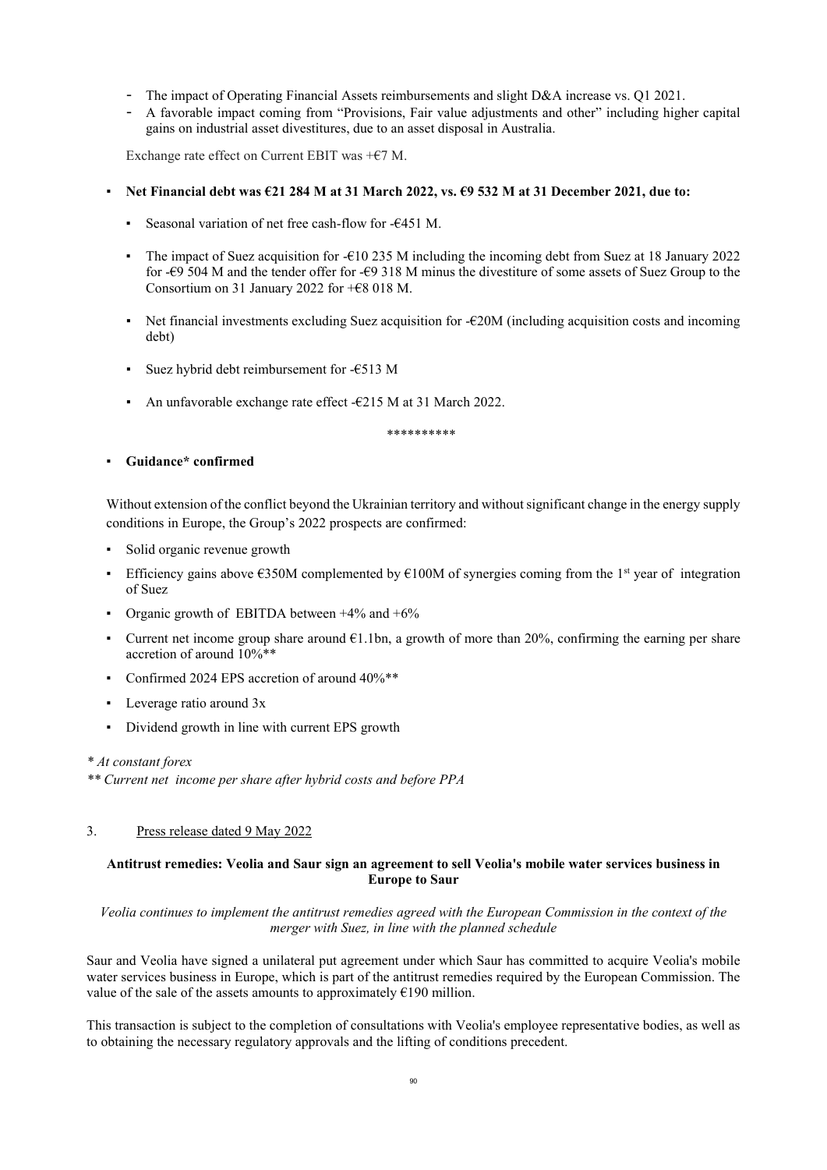- The impact of Operating Financial Assets reimbursements and slight D&A increase vs. Q1 2021.
- A favorable impact coming from "Provisions, Fair value adjustments and other" including higher capital gains on industrial asset divestitures, due to an asset disposal in Australia.

Exchange rate effect on Current EBIT was  $+$   $\epsilon$ 7 M.

- Net Financial debt was €21 284 M at 31 March 2022, vs. €9 532 M at 31 December 2021, due to:
	- Seasonal variation of net free cash-flow for -€451 M.
	- The impact of Suez acquisition for -€10 235 M including the incoming debt from Suez at 18 January 2022 for -€9 504 M and the tender offer for -€9 318 M minus the divestiture of some assets of Suez Group to the Consortium on 31 January 2022 for +€8 018 M.
	- EXECUTE: Net financial investments excluding Suez acquisition for  $-\epsilon$ 20M (including acquisition costs and incoming debt)
	- Suez hybrid debt reimbursement for - $€513$  M
	- An unfavorable exchange rate effect  $-6215$  M at 31 March 2022.

\*\*\*\*\*\*\*\*\*\*

#### ▪ **Guidance\* confirmed**

Without extension of the conflict beyond the Ukrainian territory and without significant change in the energy supply conditions in Europe, the Group's 2022 prospects are confirmed:

- Solid organic revenue growth
- Efficiency gains above  $\epsilon$ 350M complemented by  $\epsilon$ 100M of synergies coming from the 1<sup>st</sup> year of integration of Suez
- Organic growth of EBITDA between  $+4\%$  and  $+6\%$
- Current net income group share around  $E1.1$ bn, a growth of more than 20%, confirming the earning per share accretion of around 10%\*\*
- Confirmed 2024 EPS accretion of around  $40\%$ <sup>\*\*</sup>
- Leverage ratio around  $3x$
- Dividend growth in line with current EPS growth

#### *\* At constant forex*

*\*\* Current net income per share after hybrid costs and before PPA*

### 3. Press release dated 9 May 2022

#### **Antitrust remedies: Veolia and Saur sign an agreement to sell Veolia's mobile water services business in Europe to Saur**

*Veolia continues to implement the antitrust remedies agreed with the European Commission in the context of the merger with Suez, in line with the planned schedule*

Saur and Veolia have signed a unilateral put agreement under which Saur has committed to acquire Veolia's mobile water services business in Europe, which is part of the antitrust remedies required by the European Commission. The value of the sale of the assets amounts to approximately  $\epsilon$ 190 million.

This transaction is subject to the completion of consultations with Veolia's employee representative bodies, as well as to obtaining the necessary regulatory approvals and the lifting of conditions precedent.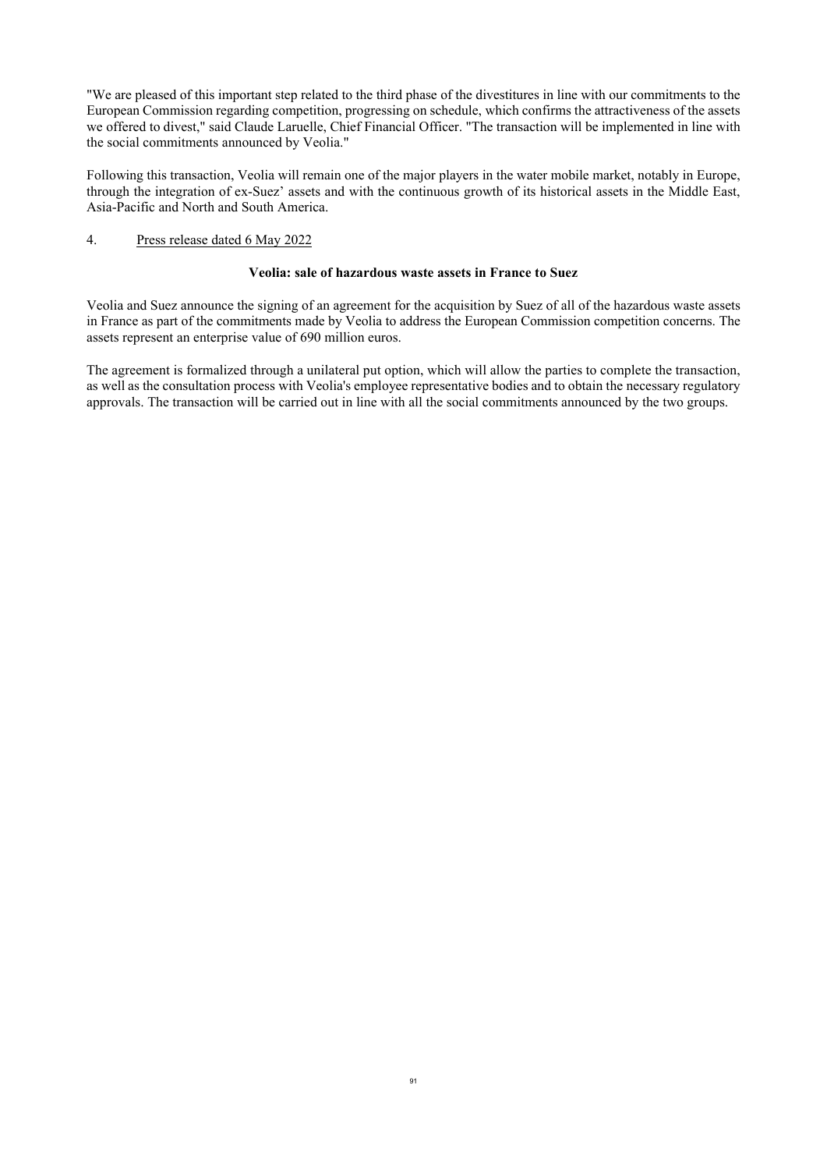"We are pleased of this important step related to the third phase of the divestitures in line with our commitments to the European Commission regarding competition, progressing on schedule, which confirms the attractiveness of the assets we offered to divest," said Claude Laruelle, Chief Financial Officer. "The transaction will be implemented in line with the social commitments announced by Veolia."

Following this transaction, Veolia will remain one of the major players in the water mobile market, notably in Europe, through the integration of ex-Suez' assets and with the continuous growth of its historical assets in the Middle East, Asia-Pacific and North and South America.

### 4. Press release dated 6 May 2022

### **Veolia: sale of hazardous waste assets in France to Suez**

Veolia and Suez announce the signing of an agreement for the acquisition by Suez of all of the hazardous waste assets in France as part of the commitments made by Veolia to address the European Commission competition concerns. The assets represent an enterprise value of 690 million euros.

The agreement is formalized through a unilateral put option, which will allow the parties to complete the transaction, as well as the consultation process with Veolia's employee representative bodies and to obtain the necessary regulatory approvals. The transaction will be carried out in line with all the social commitments announced by the two groups.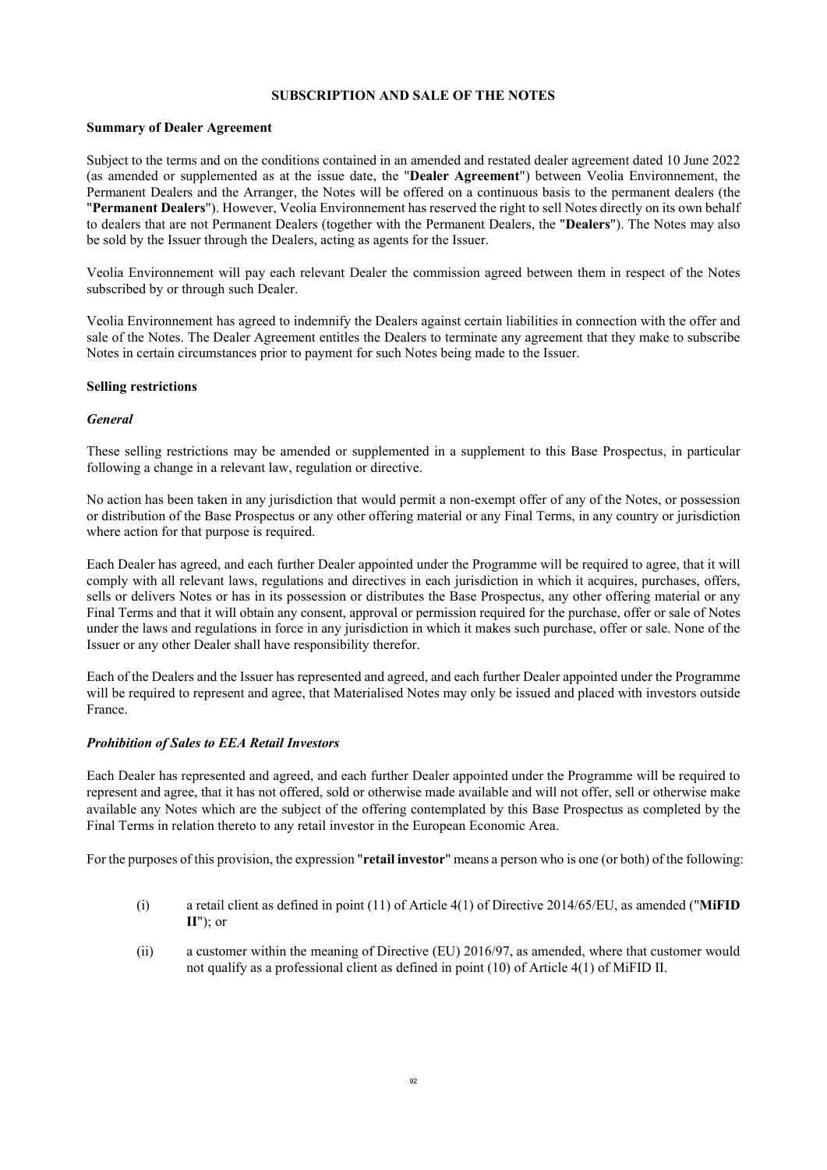#### **SUBSCRIPTION AND SALE OF THE NOTES**

#### **Summary of Dealer Agreement**

Subject to the terms and on the conditions contained in an amended and restated dealer agreement dated 10 June 2022 (as amended or supplemented as at the issue date, the "**Dealer Agreement**") between Veolia Environnement, the Permanent Dealers and the Arranger, the Notes will be offered on a continuous basis to the permanent dealers (the "**Permanent Dealers**"). However, Veolia Environnement has reserved the right to sell Notes directly on its own behalf to dealers that are not Permanent Dealers (together with the Permanent Dealers, the "**Dealers**"). The Notes may also be sold by the Issuer through the Dealers, acting as agents for the Issuer.

Veolia Environnement will pay each relevant Dealer the commission agreed between them in respect of the Notes subscribed by or through such Dealer.

Veolia Environnement has agreed to indemnify the Dealers against certain liabilities in connection with the offer and sale of the Notes. The Dealer Agreement entitles the Dealers to terminate any agreement that they make to subscribe Notes in certain circumstances prior to payment for such Notes being made to the Issuer.

#### **Selling restrictions**

#### *General*

These selling restrictions may be amended or supplemented in a supplement to this Base Prospectus, in particular following a change in a relevant law, regulation or directive.

No action has been taken in any jurisdiction that would permit a non-exempt offer of any of the Notes, or possession or distribution of the Base Prospectus or any other offering material or any Final Terms, in any country or jurisdiction where action for that purpose is required.

Each Dealer has agreed, and each further Dealer appointed under the Programme will be required to agree, that it will comply with all relevant laws, regulations and directives in each jurisdiction in which it acquires, purchases, offers, sells or delivers Notes or has in its possession or distributes the Base Prospectus, any other offering material or any Final Terms and that it will obtain any consent, approval or permission required for the purchase, offer or sale of Notes under the laws and regulations in force in any jurisdiction in which it makes such purchase, offer or sale. None of the Issuer or any other Dealer shall have responsibility therefor.

Each of the Dealers and the Issuer has represented and agreed, and each further Dealer appointed under the Programme will be required to represent and agree, that Materialised Notes may only be issued and placed with investors outside France.

### *Prohibition of Sales to EEA Retail Investors*

Each Dealer has represented and agreed, and each further Dealer appointed under the Programme will be required to represent and agree, that it has not offered, sold or otherwise made available and will not offer, sell or otherwise make available any Notes which are the subject of the offering contemplated by this Base Prospectus as completed by the Final Terms in relation thereto to any retail investor in the European Economic Area.

For the purposes of this provision, the expression "**retail investor**" means a person who is one (or both) of the following:

- (i) a retail client as defined in point (11) of Article 4(1) of Directive 2014/65/EU, as amended ("**MiFID II**"); or
- (ii) a customer within the meaning of Directive (EU) 2016/97, as amended, where that customer would not qualify as a professional client as defined in point (10) of Article 4(1) of MiFID II.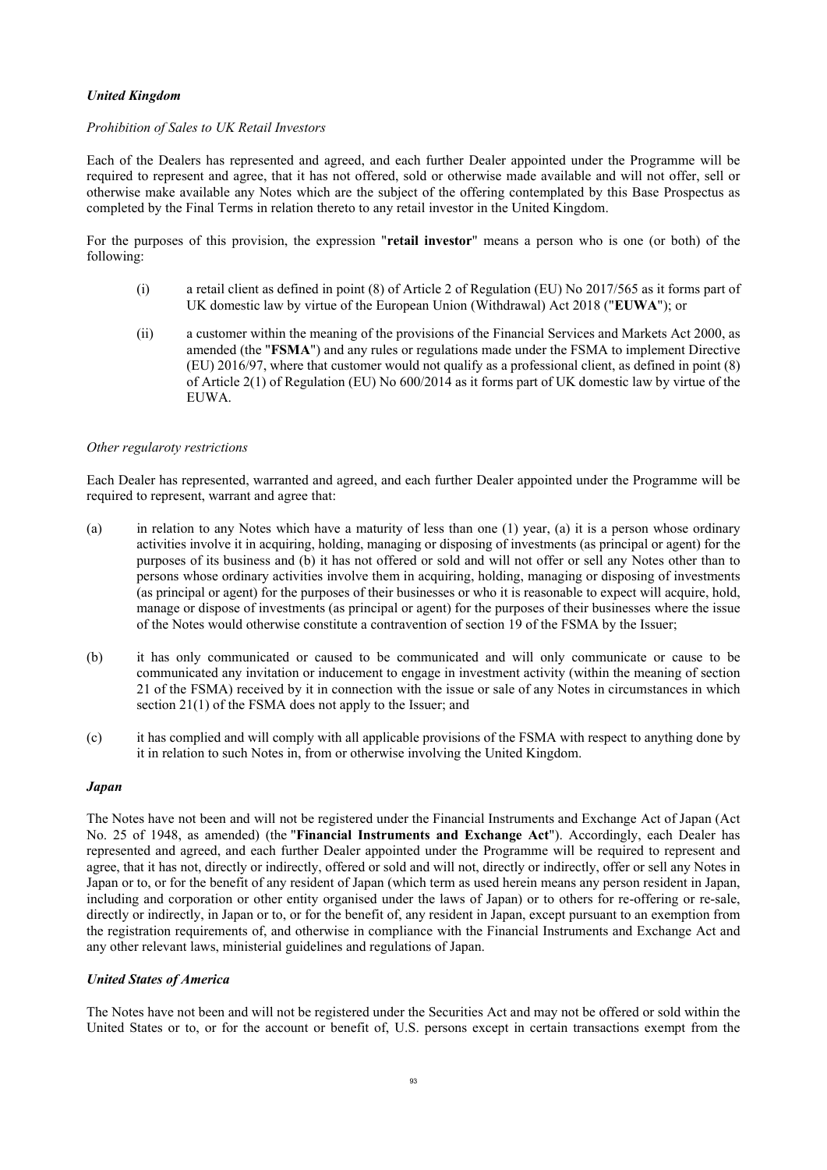### *United Kingdom*

#### *Prohibition of Sales to UK Retail Investors*

Each of the Dealers has represented and agreed, and each further Dealer appointed under the Programme will be required to represent and agree, that it has not offered, sold or otherwise made available and will not offer, sell or otherwise make available any Notes which are the subject of the offering contemplated by this Base Prospectus as completed by the Final Terms in relation thereto to any retail investor in the United Kingdom.

For the purposes of this provision, the expression "**retail investor**" means a person who is one (or both) of the following:

- (i) a retail client as defined in point (8) of Article 2 of Regulation (EU) No 2017/565 as it forms part of UK domestic law by virtue of the European Union (Withdrawal) Act 2018 ("**EUWA**"); or
- (ii) a customer within the meaning of the provisions of the Financial Services and Markets Act 2000, as amended (the "**FSMA**") and any rules or regulations made under the FSMA to implement Directive (EU) 2016/97, where that customer would not qualify as a professional client, as defined in point (8) of Article 2(1) of Regulation (EU) No 600/2014 as it forms part of UK domestic law by virtue of the EUWA.

#### *Other regularoty restrictions*

Each Dealer has represented, warranted and agreed, and each further Dealer appointed under the Programme will be required to represent, warrant and agree that:

- (a) in relation to any Notes which have a maturity of less than one (1) year, (a) it is a person whose ordinary activities involve it in acquiring, holding, managing or disposing of investments (as principal or agent) for the purposes of its business and (b) it has not offered or sold and will not offer or sell any Notes other than to persons whose ordinary activities involve them in acquiring, holding, managing or disposing of investments (as principal or agent) for the purposes of their businesses or who it is reasonable to expect will acquire, hold, manage or dispose of investments (as principal or agent) for the purposes of their businesses where the issue of the Notes would otherwise constitute a contravention of section 19 of the FSMA by the Issuer;
- (b) it has only communicated or caused to be communicated and will only communicate or cause to be communicated any invitation or inducement to engage in investment activity (within the meaning of section 21 of the FSMA) received by it in connection with the issue or sale of any Notes in circumstances in which section 21(1) of the FSMA does not apply to the Issuer; and
- (c) it has complied and will comply with all applicable provisions of the FSMA with respect to anything done by it in relation to such Notes in, from or otherwise involving the United Kingdom.

#### *Japan*

The Notes have not been and will not be registered under the Financial Instruments and Exchange Act of Japan (Act No. 25 of 1948, as amended) (the "**Financial Instruments and Exchange Act**"). Accordingly, each Dealer has represented and agreed, and each further Dealer appointed under the Programme will be required to represent and agree, that it has not, directly or indirectly, offered or sold and will not, directly or indirectly, offer or sell any Notes in Japan or to, or for the benefit of any resident of Japan (which term as used herein means any person resident in Japan, including and corporation or other entity organised under the laws of Japan) or to others for re-offering or re-sale, directly or indirectly, in Japan or to, or for the benefit of, any resident in Japan, except pursuant to an exemption from the registration requirements of, and otherwise in compliance with the Financial Instruments and Exchange Act and any other relevant laws, ministerial guidelines and regulations of Japan.

### *United States of America*

The Notes have not been and will not be registered under the Securities Act and may not be offered or sold within the United States or to, or for the account or benefit of, U.S. persons except in certain transactions exempt from the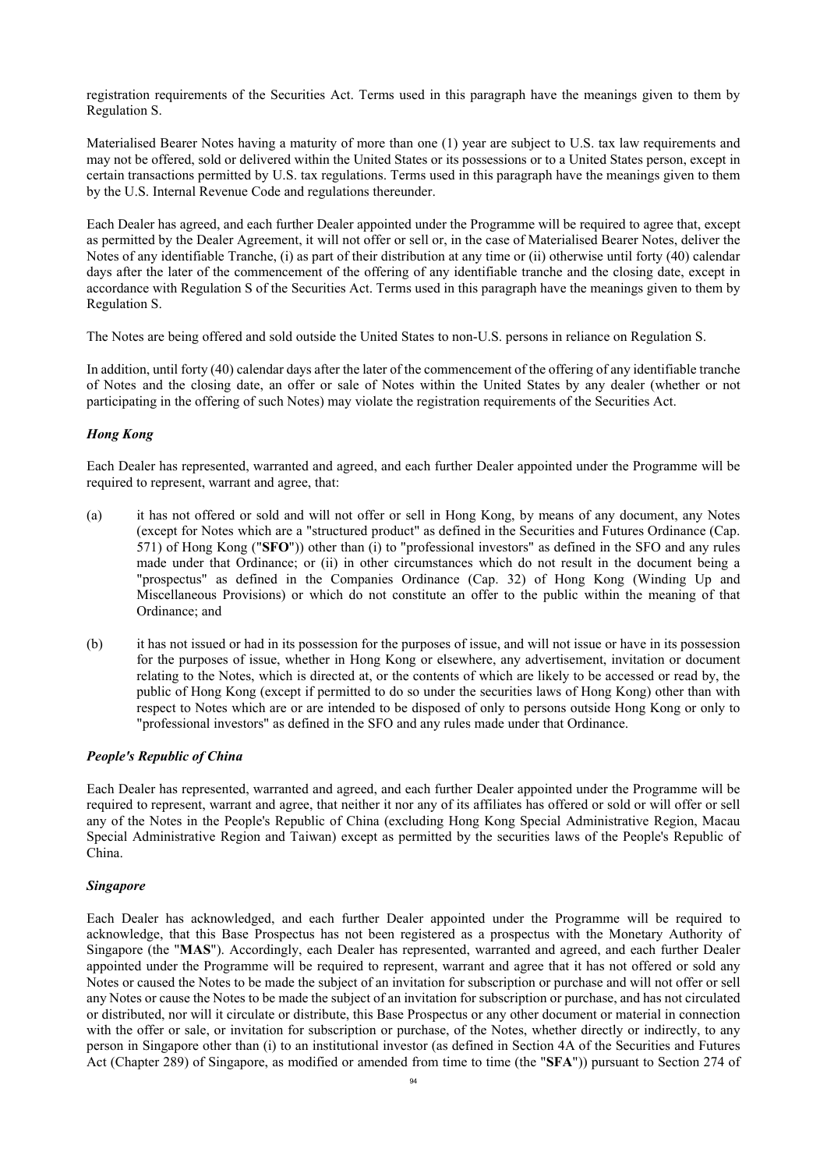registration requirements of the Securities Act. Terms used in this paragraph have the meanings given to them by Regulation S.

Materialised Bearer Notes having a maturity of more than one (1) year are subject to U.S. tax law requirements and may not be offered, sold or delivered within the United States or its possessions or to a United States person, except in certain transactions permitted by U.S. tax regulations. Terms used in this paragraph have the meanings given to them by the U.S. Internal Revenue Code and regulations thereunder.

Each Dealer has agreed, and each further Dealer appointed under the Programme will be required to agree that, except as permitted by the Dealer Agreement, it will not offer or sell or, in the case of Materialised Bearer Notes, deliver the Notes of any identifiable Tranche, (i) as part of their distribution at any time or (ii) otherwise until forty (40) calendar days after the later of the commencement of the offering of any identifiable tranche and the closing date, except in accordance with Regulation S of the Securities Act. Terms used in this paragraph have the meanings given to them by Regulation S.

The Notes are being offered and sold outside the United States to non-U.S. persons in reliance on Regulation S.

In addition, until forty (40) calendar days after the later of the commencement of the offering of any identifiable tranche of Notes and the closing date, an offer or sale of Notes within the United States by any dealer (whether or not participating in the offering of such Notes) may violate the registration requirements of the Securities Act.

### *Hong Kong*

Each Dealer has represented, warranted and agreed, and each further Dealer appointed under the Programme will be required to represent, warrant and agree, that:

- (a) it has not offered or sold and will not offer or sell in Hong Kong, by means of any document, any Notes (except for Notes which are a "structured product" as defined in the Securities and Futures Ordinance (Cap. 571) of Hong Kong ("**SFO**")) other than (i) to "professional investors" as defined in the SFO and any rules made under that Ordinance; or (ii) in other circumstances which do not result in the document being a "prospectus" as defined in the Companies Ordinance (Cap. 32) of Hong Kong (Winding Up and Miscellaneous Provisions) or which do not constitute an offer to the public within the meaning of that Ordinance; and
- (b) it has not issued or had in its possession for the purposes of issue, and will not issue or have in its possession for the purposes of issue, whether in Hong Kong or elsewhere, any advertisement, invitation or document relating to the Notes, which is directed at, or the contents of which are likely to be accessed or read by, the public of Hong Kong (except if permitted to do so under the securities laws of Hong Kong) other than with respect to Notes which are or are intended to be disposed of only to persons outside Hong Kong or only to "professional investors" as defined in the SFO and any rules made under that Ordinance.

### *People's Republic of China*

Each Dealer has represented, warranted and agreed, and each further Dealer appointed under the Programme will be required to represent, warrant and agree, that neither it nor any of its affiliates has offered or sold or will offer or sell any of the Notes in the People's Republic of China (excluding Hong Kong Special Administrative Region, Macau Special Administrative Region and Taiwan) except as permitted by the securities laws of the People's Republic of China.

### *Singapore*

Each Dealer has acknowledged, and each further Dealer appointed under the Programme will be required to acknowledge, that this Base Prospectus has not been registered as a prospectus with the Monetary Authority of Singapore (the "**MAS**"). Accordingly, each Dealer has represented, warranted and agreed, and each further Dealer appointed under the Programme will be required to represent, warrant and agree that it has not offered or sold any Notes or caused the Notes to be made the subject of an invitation for subscription or purchase and will not offer or sell any Notes or cause the Notes to be made the subject of an invitation for subscription or purchase, and has not circulated or distributed, nor will it circulate or distribute, this Base Prospectus or any other document or material in connection with the offer or sale, or invitation for subscription or purchase, of the Notes, whether directly or indirectly, to any person in Singapore other than (i) to an institutional investor (as defined in Section 4A of the Securities and Futures Act (Chapter 289) of Singapore, as modified or amended from time to time (the "**SFA**")) pursuant to Section 274 of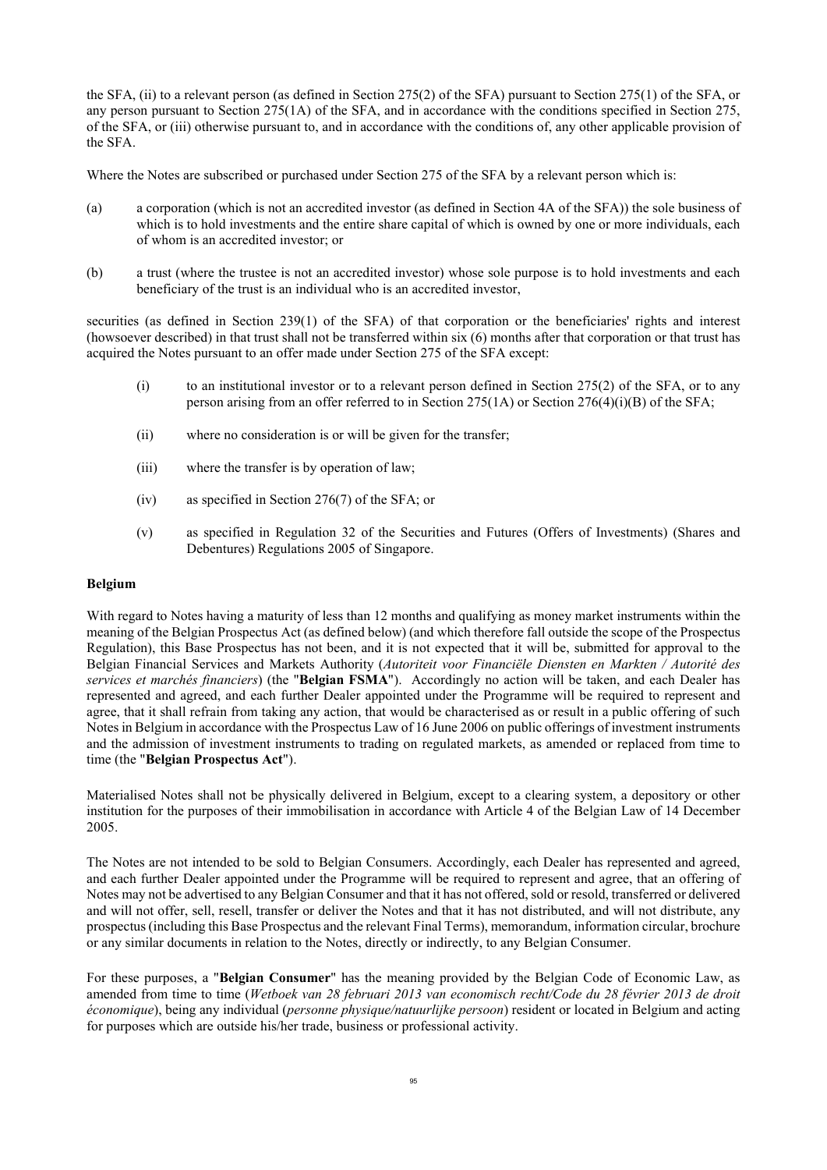the SFA, (ii) to a relevant person (as defined in Section 275(2) of the SFA) pursuant to Section 275(1) of the SFA, or any person pursuant to Section 275(1A) of the SFA, and in accordance with the conditions specified in Section 275, of the SFA, or (iii) otherwise pursuant to, and in accordance with the conditions of, any other applicable provision of the SFA.

Where the Notes are subscribed or purchased under Section 275 of the SFA by a relevant person which is:

- (a) a corporation (which is not an accredited investor (as defined in Section 4A of the SFA)) the sole business of which is to hold investments and the entire share capital of which is owned by one or more individuals, each of whom is an accredited investor; or
- (b) a trust (where the trustee is not an accredited investor) whose sole purpose is to hold investments and each beneficiary of the trust is an individual who is an accredited investor,

securities (as defined in Section 239(1) of the SFA) of that corporation or the beneficiaries' rights and interest (howsoever described) in that trust shall not be transferred within six (6) months after that corporation or that trust has acquired the Notes pursuant to an offer made under Section 275 of the SFA except:

- (i) to an institutional investor or to a relevant person defined in Section 275(2) of the SFA, or to any person arising from an offer referred to in Section 275(1A) or Section 276(4)(i)(B) of the SFA;
- (ii) where no consideration is or will be given for the transfer;
- (iii) where the transfer is by operation of law;
- (iv) as specified in Section 276(7) of the SFA; or
- (v) as specified in Regulation 32 of the Securities and Futures (Offers of Investments) (Shares and Debentures) Regulations 2005 of Singapore.

#### **Belgium**

With regard to Notes having a maturity of less than 12 months and qualifying as money market instruments within the meaning of the Belgian Prospectus Act (as defined below) (and which therefore fall outside the scope of the Prospectus Regulation), this Base Prospectus has not been, and it is not expected that it will be, submitted for approval to the Belgian Financial Services and Markets Authority (*Autoriteit voor Financiële Diensten en Markten / Autorité des services et marchés financiers*) (the "**Belgian FSMA**"). Accordingly no action will be taken, and each Dealer has represented and agreed, and each further Dealer appointed under the Programme will be required to represent and agree, that it shall refrain from taking any action, that would be characterised as or result in a public offering of such Notes in Belgium in accordance with the Prospectus Law of 16 June 2006 on public offerings of investment instruments and the admission of investment instruments to trading on regulated markets, as amended or replaced from time to time (the "**Belgian Prospectus Act**").

Materialised Notes shall not be physically delivered in Belgium, except to a clearing system, a depository or other institution for the purposes of their immobilisation in accordance with Article 4 of the Belgian Law of 14 December 2005.

The Notes are not intended to be sold to Belgian Consumers. Accordingly, each Dealer has represented and agreed, and each further Dealer appointed under the Programme will be required to represent and agree, that an offering of Notes may not be advertised to any Belgian Consumer and that it has not offered, sold or resold, transferred or delivered and will not offer, sell, resell, transfer or deliver the Notes and that it has not distributed, and will not distribute, any prospectus (including this Base Prospectus and the relevant Final Terms), memorandum, information circular, brochure or any similar documents in relation to the Notes, directly or indirectly, to any Belgian Consumer.

For these purposes, a "**Belgian Consumer**" has the meaning provided by the Belgian Code of Economic Law, as amended from time to time (*Wetboek van 28 februari 2013 van economisch recht/Code du 28 février 2013 de droit économique*), being any individual (*personne physique/natuurlijke persoon*) resident or located in Belgium and acting for purposes which are outside his/her trade, business or professional activity.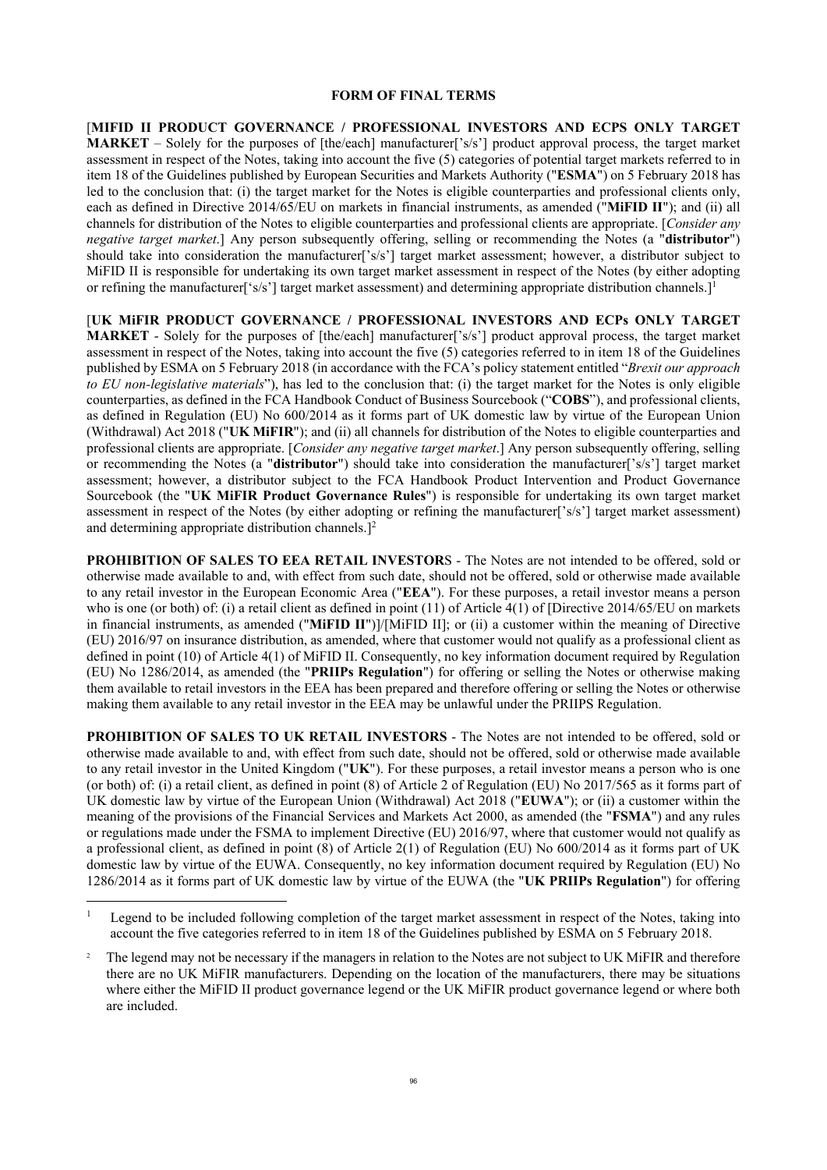#### **FORM OF FINAL TERMS**

[**MIFID II PRODUCT GOVERNANCE / PROFESSIONAL INVESTORS AND ECPS ONLY TARGET MARKET** – Solely for the purposes of [the/each] manufacturer['s/s'] product approval process, the target market assessment in respect of the Notes, taking into account the five (5) categories of potential target markets referred to in item 18 of the Guidelines published by European Securities and Markets Authority ("**ESMA**") on 5 February 2018 has led to the conclusion that: (i) the target market for the Notes is eligible counterparties and professional clients only, each as defined in Directive 2014/65/EU on markets in financial instruments, as amended ("**MiFID II**"); and (ii) all channels for distribution of the Notes to eligible counterparties and professional clients are appropriate. [*Consider any negative target market*.] Any person subsequently offering, selling or recommending the Notes (a "**distributor**") should take into consideration the manufacturer['s/s'] target market assessment; however, a distributor subject to MiFID II is responsible for undertaking its own target market assessment in respect of the Notes (by either adopting or refining the manufacturer<sup>['s/s'</sup>] target market assessment) and determining appropriate distribution channels.<sup>]1</sup>

[**UK MiFIR PRODUCT GOVERNANCE / PROFESSIONAL INVESTORS AND ECPs ONLY TARGET MARKET** - Solely for the purposes of [the/each] manufacturer['s/s'] product approval process, the target market assessment in respect of the Notes, taking into account the five (5) categories referred to in item 18 of the Guidelines published by ESMA on 5 February 2018 (in accordance with the FCA's policy statement entitled "*Brexit our approach to EU non-legislative materials*"), has led to the conclusion that: (i) the target market for the Notes is only eligible counterparties, as defined in the FCA Handbook Conduct of Business Sourcebook ("**COBS**"), and professional clients, as defined in Regulation (EU) No 600/2014 as it forms part of UK domestic law by virtue of the European Union (Withdrawal) Act 2018 ("**UK MiFIR**"); and (ii) all channels for distribution of the Notes to eligible counterparties and professional clients are appropriate. [*Consider any negative target market*.] Any person subsequently offering, selling or recommending the Notes (a "**distributor**") should take into consideration the manufacturer['s/s'] target market assessment; however, a distributor subject to the FCA Handbook Product Intervention and Product Governance Sourcebook (the "**UK MiFIR Product Governance Rules**") is responsible for undertaking its own target market assessment in respect of the Notes (by either adopting or refining the manufacturer['s/s'] target market assessment) and determining appropriate distribution channels.]<sup>2</sup>

**PROHIBITION OF SALES TO EEA RETAIL INVESTOR**S - The Notes are not intended to be offered, sold or otherwise made available to and, with effect from such date, should not be offered, sold or otherwise made available to any retail investor in the European Economic Area ("**EEA**"). For these purposes, a retail investor means a person who is one (or both) of: (i) a retail client as defined in point  $(11)$  of Article 4(1) of [Directive 2014/65/EU on markets in financial instruments, as amended ("**MiFID II**")]/[MiFID II]; or (ii) a customer within the meaning of Directive (EU) 2016/97 on insurance distribution, as amended, where that customer would not qualify as a professional client as defined in point (10) of Article 4(1) of MiFID II. Consequently, no key information document required by Regulation (EU) No 1286/2014, as amended (the "**PRIIPs Regulation**") for offering or selling the Notes or otherwise making them available to retail investors in the EEA has been prepared and therefore offering or selling the Notes or otherwise making them available to any retail investor in the EEA may be unlawful under the PRIIPS Regulation.

**PROHIBITION OF SALES TO UK RETAIL INVESTORS** - The Notes are not intended to be offered, sold or otherwise made available to and, with effect from such date, should not be offered, sold or otherwise made available to any retail investor in the United Kingdom ("**UK**"). For these purposes, a retail investor means a person who is one (or both) of: (i) a retail client, as defined in point (8) of Article 2 of Regulation (EU) No 2017/565 as it forms part of UK domestic law by virtue of the European Union (Withdrawal) Act 2018 ("**EUWA**"); or (ii) a customer within the meaning of the provisions of the Financial Services and Markets Act 2000, as amended (the "**FSMA**") and any rules or regulations made under the FSMA to implement Directive (EU) 2016/97, where that customer would not qualify as a professional client, as defined in point (8) of Article 2(1) of Regulation (EU) No 600/2014 as it forms part of UK domestic law by virtue of the EUWA. Consequently, no key information document required by Regulation (EU) No 1286/2014 as it forms part of UK domestic law by virtue of the EUWA (the "**UK PRIIPs Regulation**") for offering

<sup>1</sup> Legend to be included following completion of the target market assessment in respect of the Notes, taking into account the five categories referred to in item 18 of the Guidelines published by ESMA on 5 February 2018.

<sup>2</sup> The legend may not be necessary if the managers in relation to the Notes are not subject to UK MiFIR and therefore there are no UK MiFIR manufacturers. Depending on the location of the manufacturers, there may be situations where either the MiFID II product governance legend or the UK MiFIR product governance legend or where both are included.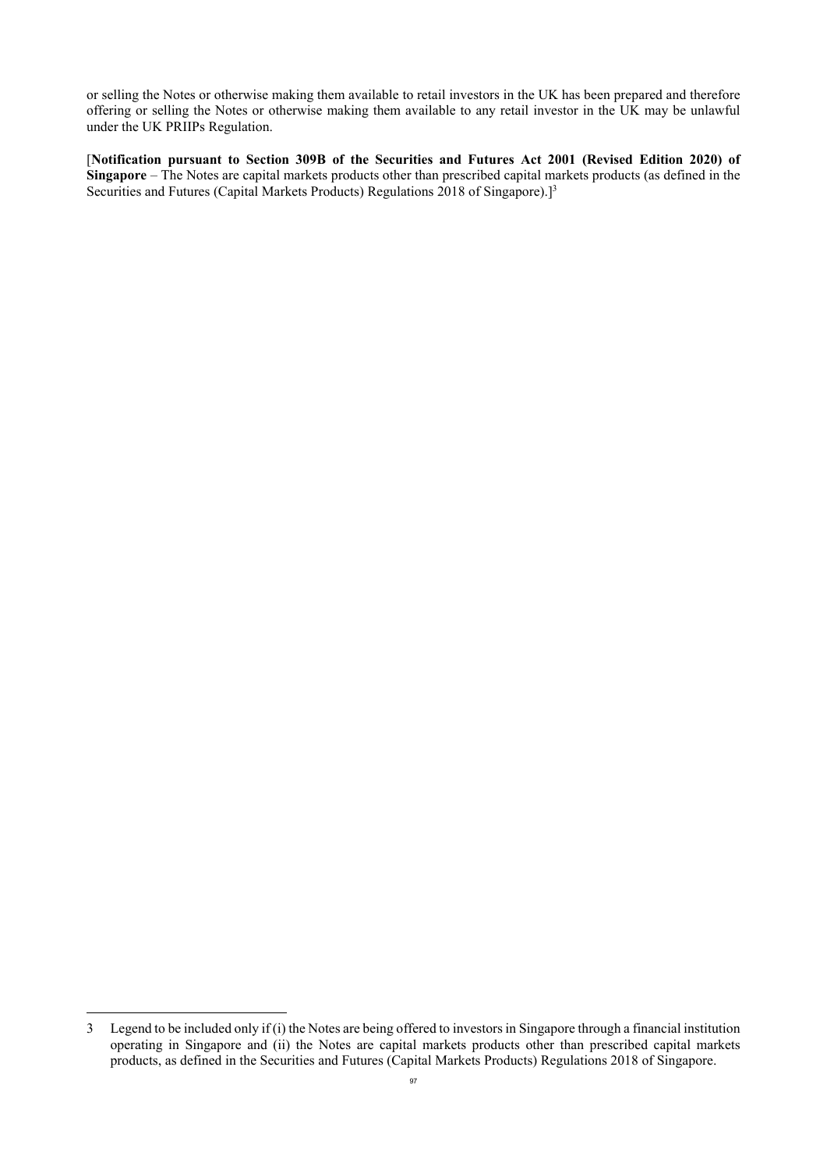or selling the Notes or otherwise making them available to retail investors in the UK has been prepared and therefore offering or selling the Notes or otherwise making them available to any retail investor in the UK may be unlawful under the UK PRIIPs Regulation.

[**Notification pursuant to Section 309B of the Securities and Futures Act 2001 (Revised Edition 2020) of Singapore** – The Notes are capital markets products other than prescribed capital markets products (as defined in the Securities and Futures (Capital Markets Products) Regulations 2018 of Singapore).<sup>[3</sup>

<sup>3</sup> Legend to be included only if (i) the Notes are being offered to investors in Singapore through a financial institution operating in Singapore and (ii) the Notes are capital markets products other than prescribed capital markets products, as defined in the Securities and Futures (Capital Markets Products) Regulations 2018 of Singapore.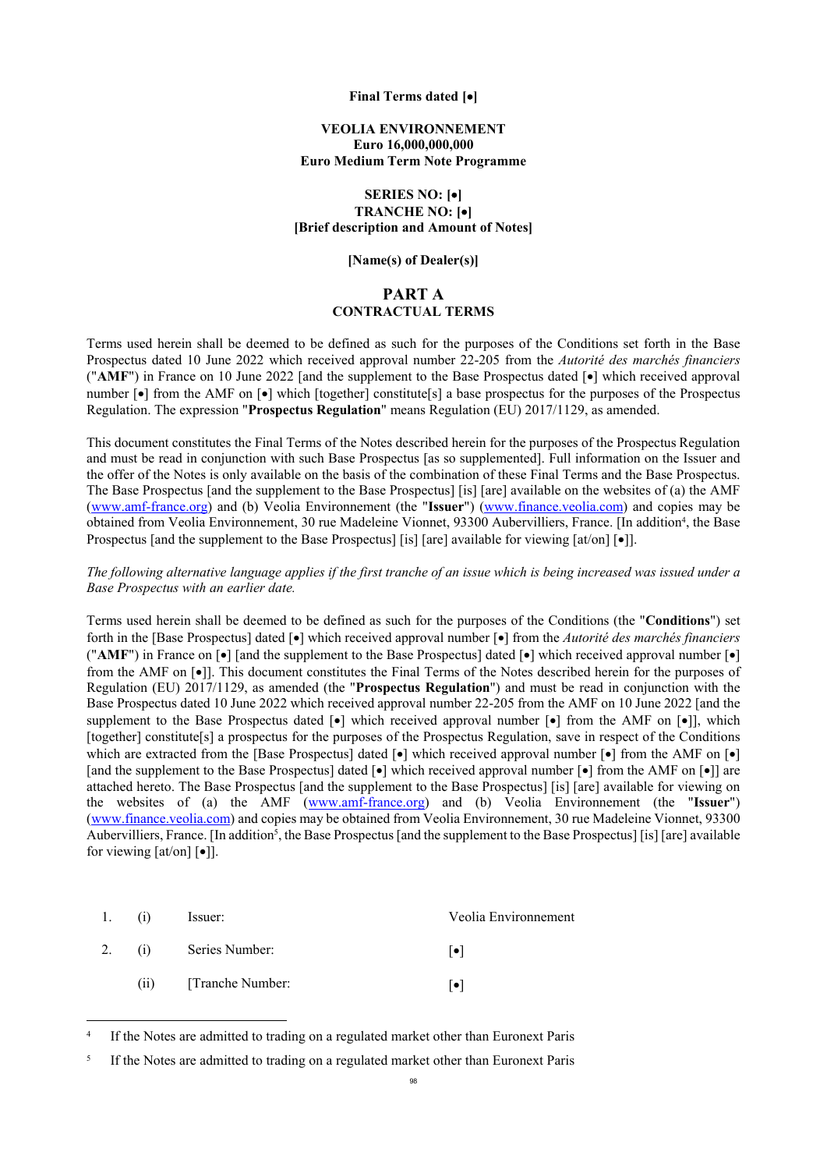#### **Final Terms dated []**

#### **VEOLIA ENVIRONNEMENT Euro 16,000,000,000 Euro Medium Term Note Programme**

#### **SERIES NO: [] TRANCHE NO: [] [Brief description and Amount of Notes]**

#### **[Name(s) of Dealer(s)]**

### **PART A CONTRACTUAL TERMS**

Terms used herein shall be deemed to be defined as such for the purposes of the Conditions set forth in the Base Prospectus dated 10 June 2022 which received approval number 22-205 from the *Autorité des marchés financiers* ("AMF") in France on 10 June 2022 [and the supplement to the Base Prospectus dated  $\lceil \bullet \rceil$  which received approval number  $\lceil \bullet \rceil$  from the AMF on  $\lceil \bullet \rceil$  which [together] constitute[s] a base prospectus for the purposes of the Prospectus Regulation. The expression "**Prospectus Regulation**" means Regulation (EU) 2017/1129, as amended.

This document constitutes the Final Terms of the Notes described herein for the purposes of the Prospectus Regulation and must be read in conjunction with such Base Prospectus [as so supplemented]. Full information on the Issuer and the offer of the Notes is only available on the basis of the combination of these Final Terms and the Base Prospectus. The Base Prospectus [and the supplement to the Base Prospectus] [is] [are] available on the websites of (a) the AMF ([www.amf-france.org\)](https://www.amf-france.org/fr) and (b) Veolia Environnement (the "**Issuer**") ([www.finance.veolia.com\)](http://www.veolia.com/) and copies may be obtained from Veolia Environnement, 30 rue Madeleine Vionnet, 93300 Aubervilliers, France. [In addition<sup>4</sup>, the Base Prospectus [and the supplement to the Base Prospectus] [is] [are] available for viewing  $[at/on] [\bullet]$ ].

*The following alternative language applies if the first tranche of an issue which is being increased was issued under a Base Prospectus with an earlier date.*

Terms used herein shall be deemed to be defined as such for the purposes of the Conditions (the "**Conditions**") set forth in the [Base Prospectus] dated [ $\bullet$ ] which received approval number [ $\bullet$ ] from the *Autorité des marchés financiers* ("AMF") in France on  $\lceil \bullet \rceil$  [and the supplement to the Base Prospectus] dated  $\lceil \bullet \rceil$  which received approval number  $\lceil \bullet \rceil$ from the AMF on  $\lceil \bullet \rceil$ . This document constitutes the Final Terms of the Notes described herein for the purposes of Regulation (EU) 2017/1129, as amended (the "**Prospectus Regulation**") and must be read in conjunction with the Base Prospectus dated 10 June 2022 which received approval number 22-205 from the AMF on 10 June 2022 [and the supplement to the Base Prospectus dated  $\lceil \bullet \rceil$  which received approval number  $\lceil \bullet \rceil$  from the AMF on  $\lceil \bullet \rceil$ ], which [together] constitute[s] a prospectus for the purposes of the Prospectus Regulation, save in respect of the Conditions which are extracted from the [Base Prospectus] dated  $\lceil \cdot \rceil$  which received approval number  $\lceil \cdot \rceil$  from the AMF on  $\lceil \cdot \rceil$ [and the supplement to the Base Prospectus] dated  $\lceil \cdot \cdot \rceil$  which received approval number  $\lceil \cdot \cdot \rceil$  from the AMF on  $\lceil \cdot \cdot \rceil$ ] are attached hereto. The Base Prospectus [and the supplement to the Base Prospectus] [is] [are] available for viewing on the websites of (a) the AMF ([www.amf-france.org\)](https://www.amf-france.org/fr) and (b) Veolia Environnement (the "**Issuer**") ([www.finance.veolia.com\)](http://www.veolia.com/) and copies may be obtained from Veolia Environnement, 30 rue Madeleine Vionnet, 93300 Aubervilliers, France. [In addition<sup>5</sup>, the Base Prospectus [and the supplement to the Base Prospectus] [is] [are] available for viewing  $[at/on]$   $\lceil \bullet \rceil$ .

| 1. (i) | Issuer:               | Veolia Environnement |
|--------|-----------------------|----------------------|
|        | 2. (i) Series Number: | $  \bullet  $        |
| (ii)   | [Tranche Number:      | l۰l                  |

<sup>4</sup> If the Notes are admitted to trading on a regulated market other than Euronext Paris

<sup>5</sup> If the Notes are admitted to trading on a regulated market other than Euronext Paris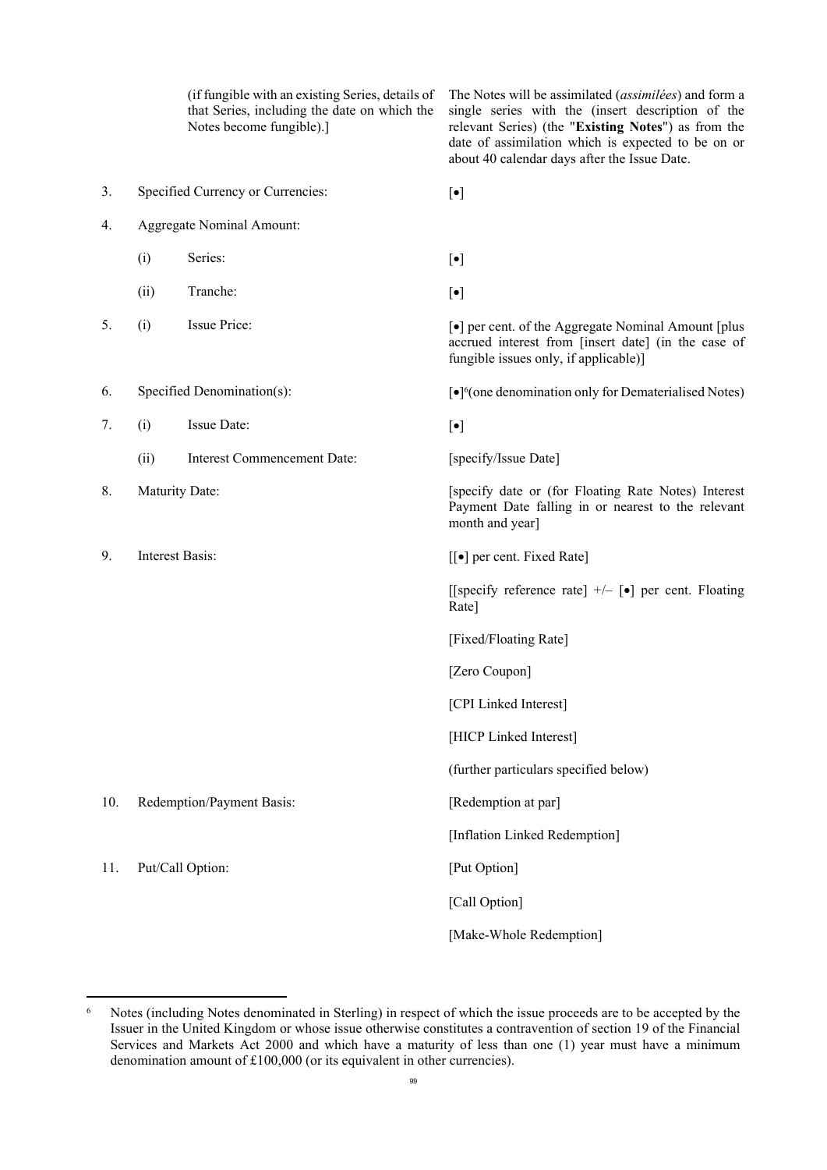(if fungible with an existing Series, details of that Series, including the date on which the Notes become fungible).] The Notes will be assimilated (*assimilées*) and form a single series with the (insert description of the relevant Series) (the "**Existing Notes**") as from the date of assimilation which is expected to be on or about 40 calendar days after the Issue Date. 3. Specified Currency or Currencies:  $\lceil \bullet \rceil$ 4. Aggregate Nominal Amount:  $(i)$  Series:  $[\bullet]$ (ii) Tranche:  $\lceil \bullet \rceil$ 5. (i) Issue Price:  $\lceil \bullet \rceil$  per cent. of the Aggregate Nominal Amount [plus accrued interest from [insert date] (in the case of fungible issues only, if applicable)] 6. Specified Denomination(s): 6 (one denomination only for Dematerialised Notes) 7. (i) Issue Date:  $\lceil \bullet \rceil$ (ii) Interest Commencement Date: [specify/Issue Date] 8. Maturity Date: **[Specify date or (for Floating Rate Notes)** Interest Payment Date falling in or nearest to the relevant month and year] 9. Interest Basis: [[ $\bullet$ ] per cent. Fixed Rate] [[specify reference rate]  $+/-$  [ $\bullet$ ] per cent. Floating Rate] [Fixed/Floating Rate] [Zero Coupon] [CPI Linked Interest] [HICP Linked Interest] (further particulars specified below) 10. Redemption/Payment Basis: [Redemption at par] [Inflation Linked Redemption] 11. Put/Call Option: [Put Option] [Call Option] [Make-Whole Redemption]

<sup>6</sup> Notes (including Notes denominated in Sterling) in respect of which the issue proceeds are to be accepted by the Issuer in the United Kingdom or whose issue otherwise constitutes a contravention of section 19 of the Financial Services and Markets Act 2000 and which have a maturity of less than one (1) year must have a minimum denomination amount of £100,000 (or its equivalent in other currencies).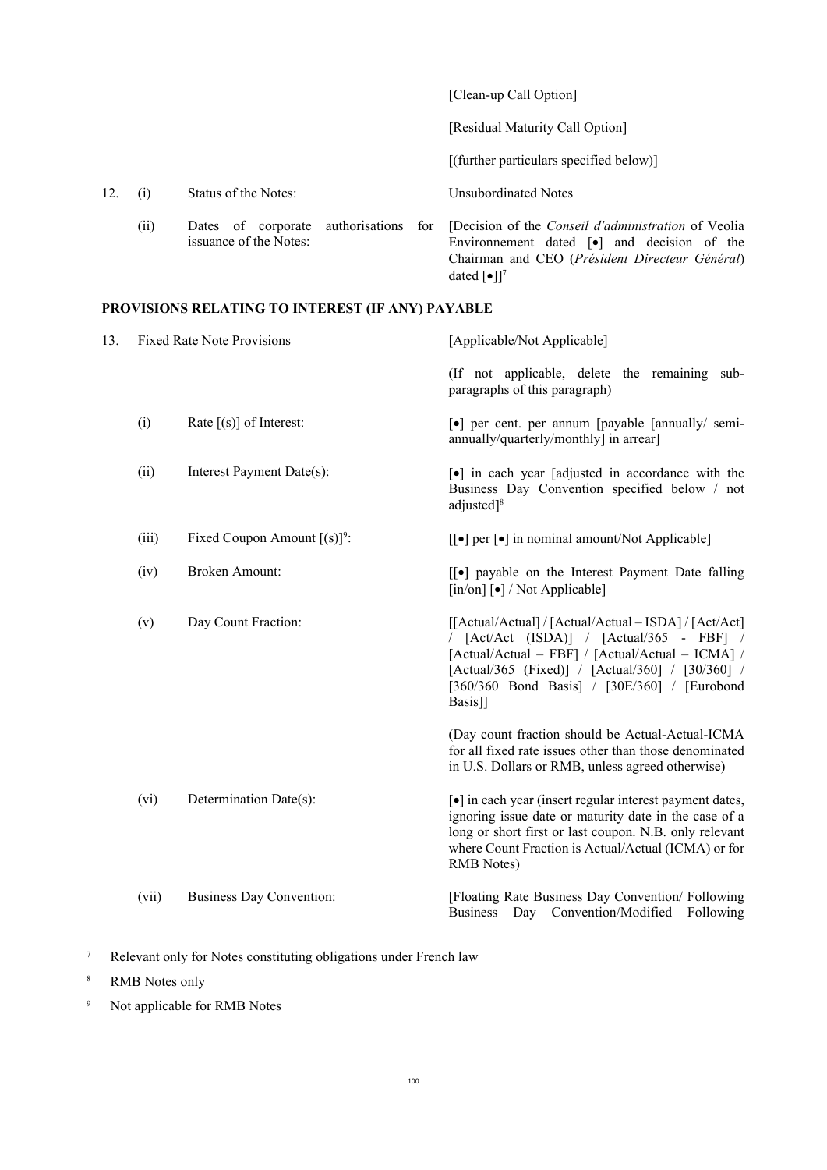|     |      |                                                                 | [Clean-up Call Option]                                                                                                                                                                                                        |
|-----|------|-----------------------------------------------------------------|-------------------------------------------------------------------------------------------------------------------------------------------------------------------------------------------------------------------------------|
|     |      |                                                                 | [Residual Maturity Call Option]                                                                                                                                                                                               |
|     |      |                                                                 | $[$ (further particulars specified below) $]$                                                                                                                                                                                 |
| 12. | (1)  | Status of the Notes:                                            | Unsubordinated Notes                                                                                                                                                                                                          |
|     | (ii) | Dates of corporate authorisations for<br>issuance of the Notes: | [Decision of the <i>Conseil d'administration</i> of Veolia<br>Environmement dated $\lceil \bullet \rceil$ and decision of the<br>Chairman and CEO (Président Directeur Général)<br>dated $\lceil \bullet \rceil$ <sup>7</sup> |

# **PROVISIONS RELATING TO INTEREST (IF ANY) PAYABLE**

| 13. | <b>Fixed Rate Note Provisions</b> |                                 | [Applicable/Not Applicable]                                                                                                                                                                                                                                           |  |
|-----|-----------------------------------|---------------------------------|-----------------------------------------------------------------------------------------------------------------------------------------------------------------------------------------------------------------------------------------------------------------------|--|
|     |                                   |                                 | (If not applicable, delete the remaining sub-<br>paragraphs of this paragraph)                                                                                                                                                                                        |  |
|     | (i)                               | Rate $[(s)]$ of Interest:       | [•] per cent. per annum [payable [annually/ semi-<br>annually/quarterly/monthly] in arrear]                                                                                                                                                                           |  |
|     | (ii)                              | Interest Payment Date(s):       | [•] in each year [adjusted in accordance with the<br>Business Day Convention specified below / not<br>adjusted] <sup>8</sup>                                                                                                                                          |  |
|     | (iii)                             | Fixed Coupon Amount $[(s)]^9$ : | $\lceil \cdot \rceil$ per $\lceil \cdot \rceil$ in nominal amount/Not Applicable]                                                                                                                                                                                     |  |
|     | (iv)                              | <b>Broken Amount:</b>           | [[•] payable on the Interest Payment Date falling<br>$\lceil \text{in}/\text{on} \rceil$   $\cdot$   $\lceil \text{Not Applied} \rceil$                                                                                                                               |  |
|     | (v)                               | Day Count Fraction:             | [[Actual/Actual] / [Actual/Actual - ISDA] / [Act/Act]<br>/ [Act/Act (ISDA)] / [Actual/365 - FBF] /<br>[Actual/Actual - FBF] / [Actual/Actual - ICMA] /<br>[Actual/365 (Fixed)] / [Actual/360] / [30/360] /<br>[360/360 Bond Basis] / [30E/360] / [Eurobond<br>Basis]] |  |
|     |                                   |                                 | (Day count fraction should be Actual-Actual-ICMA<br>for all fixed rate issues other than those denominated<br>in U.S. Dollars or RMB, unless agreed otherwise)                                                                                                        |  |
|     | (vi)                              | Determination Date(s):          | [•] in each year (insert regular interest payment dates,<br>ignoring issue date or maturity date in the case of a<br>long or short first or last coupon. N.B. only relevant<br>where Count Fraction is Actual/Actual (ICMA) or for<br><b>RMB</b> Notes)               |  |
|     | (vii)                             | <b>Business Day Convention:</b> | [Floating Rate Business Day Convention/ Following<br>Business Day Convention/Modified Following                                                                                                                                                                       |  |

<sup>7</sup> Relevant only for Notes constituting obligations under French law

<sup>8</sup> RMB Notes only

<sup>9</sup> Not applicable for RMB Notes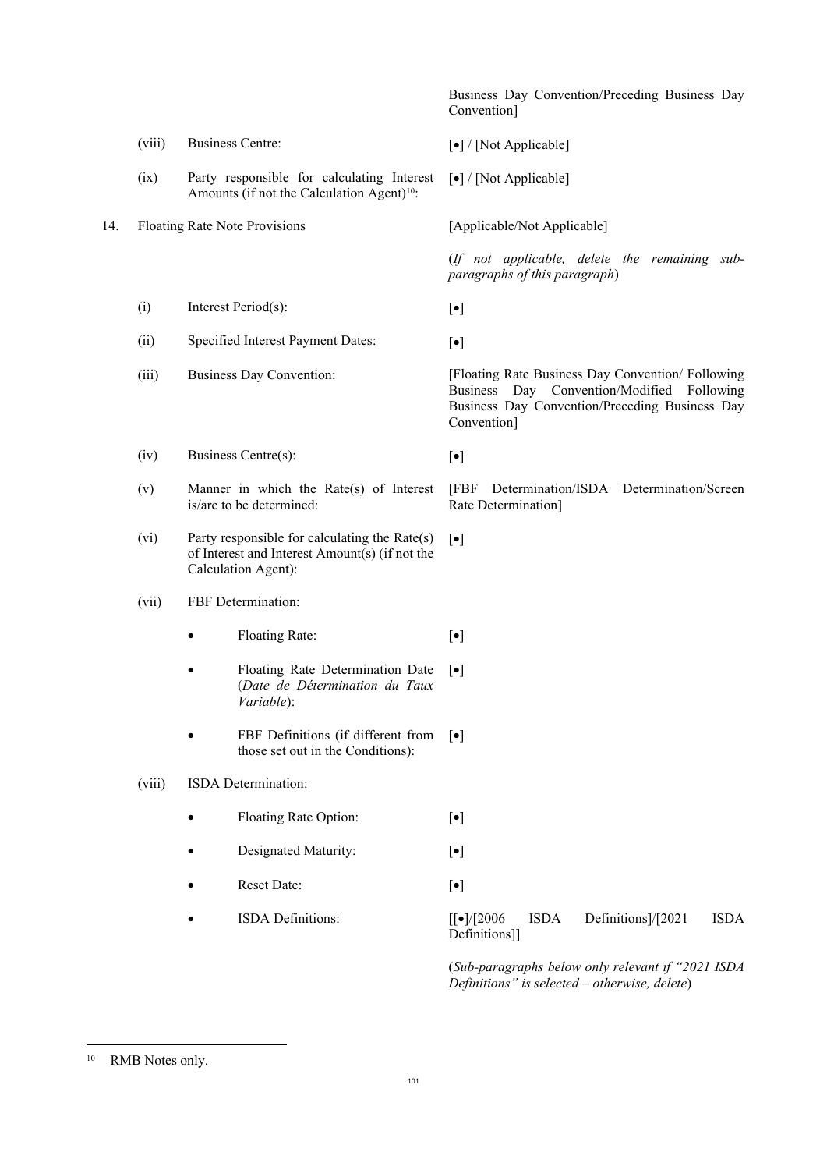|     |        |                                                                                                                           | Business Day Convention/Preceding Business Day<br>Convention]                                                                                                    |
|-----|--------|---------------------------------------------------------------------------------------------------------------------------|------------------------------------------------------------------------------------------------------------------------------------------------------------------|
|     | (viii) | <b>Business Centre:</b>                                                                                                   | [•] / [Not Applicable]                                                                                                                                           |
|     | (ix)   | Party responsible for calculating Interest<br>Amounts (if not the Calculation Agent) <sup>10</sup> :                      | [•] / [Not Applicable]                                                                                                                                           |
| 14. |        | Floating Rate Note Provisions                                                                                             | [Applicable/Not Applicable]                                                                                                                                      |
|     |        |                                                                                                                           | (If not applicable, delete the remaining sub-<br>paragraphs of this paragraph)                                                                                   |
|     | (i)    | Interest Period(s):                                                                                                       | $[\bullet]$                                                                                                                                                      |
|     | (ii)   | Specified Interest Payment Dates:                                                                                         | $[\bullet]$                                                                                                                                                      |
|     | (iii)  | Business Day Convention:                                                                                                  | [Floating Rate Business Day Convention/ Following<br>Business Day Convention/Modified Following<br>Business Day Convention/Preceding Business Day<br>Convention] |
|     | (iv)   | Business Centre(s):                                                                                                       | $[\bullet]$                                                                                                                                                      |
|     | (v)    | Manner in which the Rate(s) of Interest<br>is/are to be determined:                                                       | [FBF<br>Determination/ISDA Determination/Screen<br>Rate Determination]                                                                                           |
|     | (vi)   | Party responsible for calculating the Rate $(s)$<br>of Interest and Interest Amount(s) (if not the<br>Calculation Agent): | $[\bullet]$                                                                                                                                                      |
|     | (vii)  | FBF Determination:                                                                                                        |                                                                                                                                                                  |
|     |        | Floating Rate:                                                                                                            | $[\bullet]$                                                                                                                                                      |
|     |        | Floating Rate Determination Date<br>$\bullet$<br>(Date de Détermination du Taux<br>Variable):                             | $[\bullet]$                                                                                                                                                      |
|     |        | FBF Definitions (if different from<br>those set out in the Conditions):                                                   | $\lceil \bullet \rceil$                                                                                                                                          |
|     | (viii) | ISDA Determination:                                                                                                       |                                                                                                                                                                  |
|     |        | Floating Rate Option:                                                                                                     | $[\bullet]$                                                                                                                                                      |
|     |        | Designated Maturity:                                                                                                      | $[\bullet]$                                                                                                                                                      |
|     |        | Reset Date:                                                                                                               | $[\bullet]$                                                                                                                                                      |
|     |        | ISDA Definitions:                                                                                                         | <b>ISDA</b><br>Definitions]/[2021<br><b>ISDA</b><br>$[[\bullet]/[2006]$<br>Definitions]]                                                                         |
|     |        |                                                                                                                           | (Sub-paragraphs below only relevant if "2021 ISDA                                                                                                                |

*Definitions" is selected – otherwise, delete*)

 $10\,$ RMB Notes only.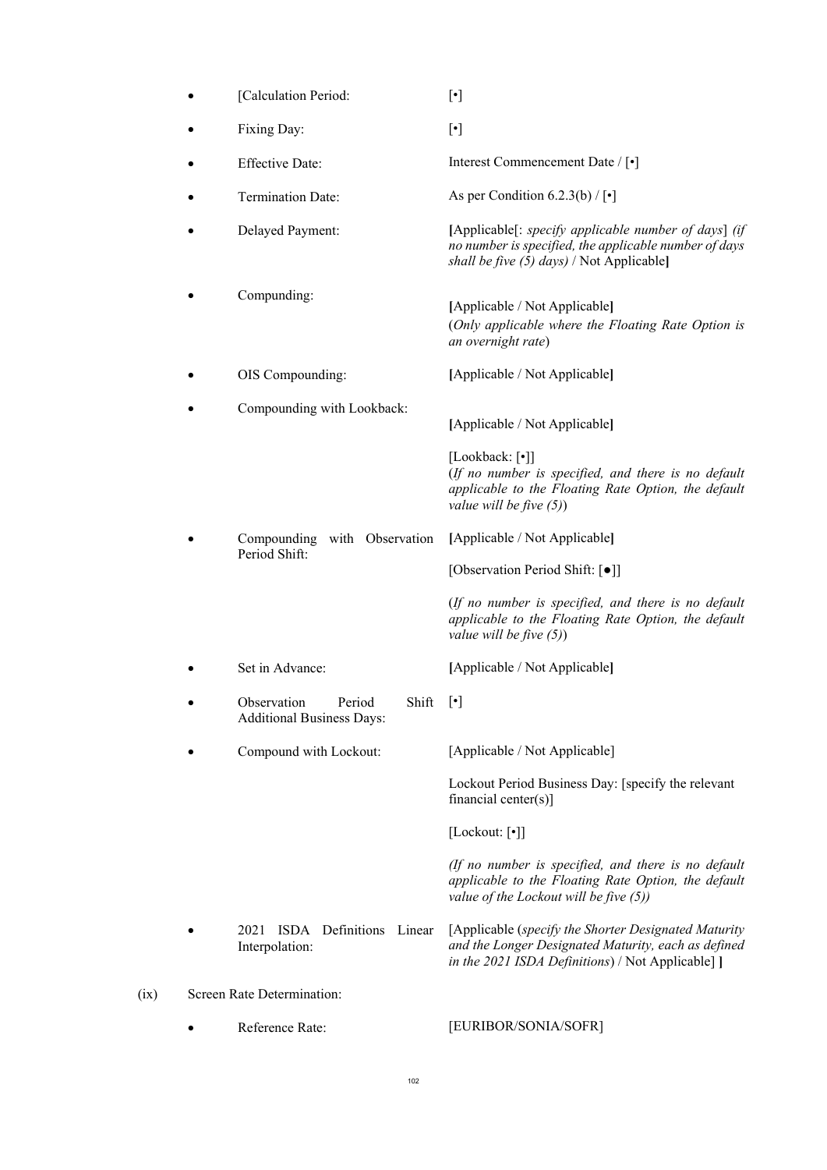| [Calculation Period:                                               | $[\cdot]$                                                                                                                                                        |  |
|--------------------------------------------------------------------|------------------------------------------------------------------------------------------------------------------------------------------------------------------|--|
| Fixing Day:                                                        | $[\cdot]$                                                                                                                                                        |  |
| <b>Effective Date:</b>                                             | Interest Commencement Date / [•]                                                                                                                                 |  |
| Termination Date:                                                  | As per Condition 6.2.3(b) / $[\cdot]$                                                                                                                            |  |
| Delayed Payment:                                                   | [Applicable[: specify applicable number of days] (if<br>no number is specified, the applicable number of days<br>shall be five (5) days) / Not Applicable]       |  |
| Compunding:                                                        | [Applicable / Not Applicable]<br>(Only applicable where the Floating Rate Option is<br>an overnight rate)                                                        |  |
| OIS Compounding:                                                   | [Applicable / Not Applicable]                                                                                                                                    |  |
| Compounding with Lookback:                                         | [Applicable / Not Applicable]                                                                                                                                    |  |
|                                                                    | [Lookback: [•]]<br>(If no number is specified, and there is no default<br>applicable to the Floating Rate Option, the default<br>value will be five $(5)$ )      |  |
| Compounding with Observation<br>Period Shift:                      | [Applicable / Not Applicable]                                                                                                                                    |  |
|                                                                    | [Observation Period Shift: [.]                                                                                                                                   |  |
|                                                                    | (If no number is specified, and there is no default<br>applicable to the Floating Rate Option, the default<br>value will be five $(5)$ )                         |  |
| Set in Advance:                                                    | [Applicable / Not Applicable]                                                                                                                                    |  |
| Observation<br>Period<br>Shift<br><b>Additional Business Days:</b> | $[\cdot]$                                                                                                                                                        |  |
| Compound with Lockout:                                             | [Applicable / Not Applicable]                                                                                                                                    |  |
|                                                                    | Lockout Period Business Day: [specify the relevant<br>financial center(s)]                                                                                       |  |
|                                                                    | [Lockout: [•]]                                                                                                                                                   |  |
|                                                                    | (If no number is specified, and there is no default<br>applicable to the Floating Rate Option, the default<br>value of the Lockout will be five (5))             |  |
| Definitions Linear<br>2021<br><b>ISDA</b><br>Interpolation:        | [Applicable (specify the Shorter Designated Maturity<br>and the Longer Designated Maturity, each as defined<br>in the 2021 ISDA Definitions) / Not Applicable] ] |  |
| Screen Rate Determination:                                         |                                                                                                                                                                  |  |
| Reference Rate:                                                    | [EURIBOR/SONIA/SOFR]                                                                                                                                             |  |

102

 $(ix)$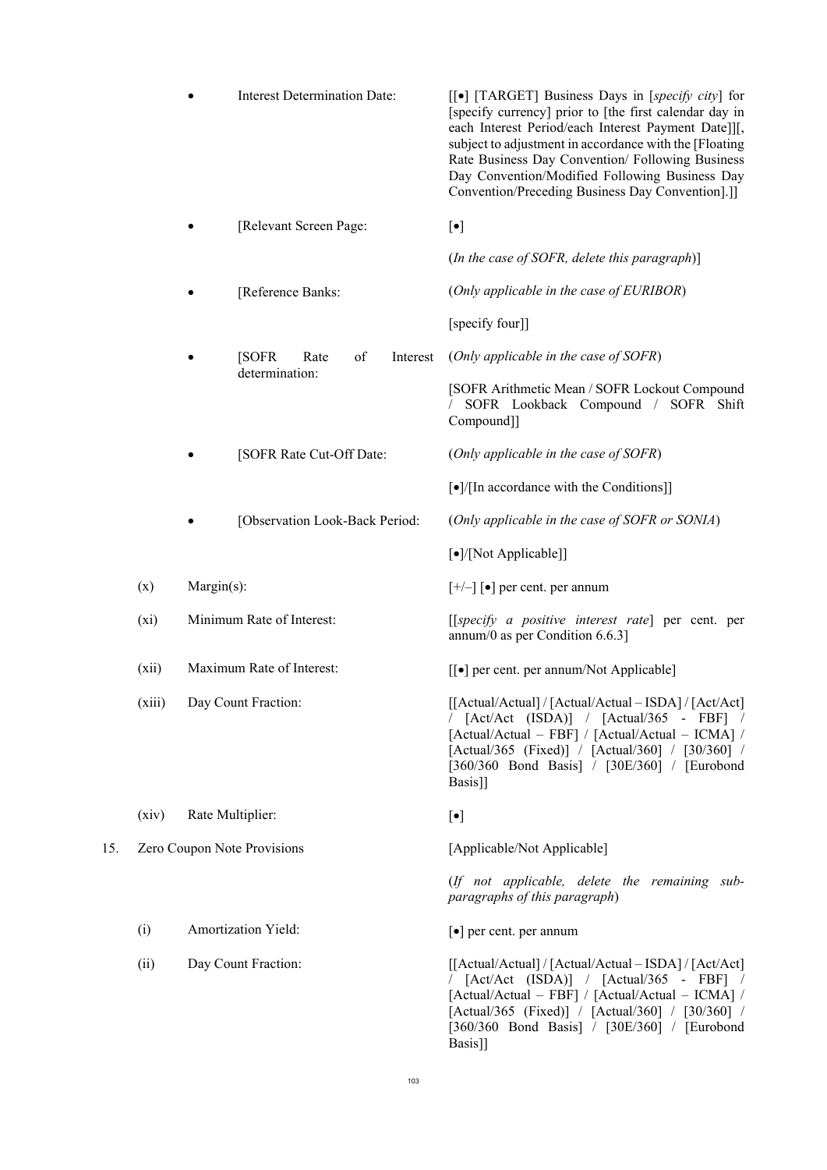|     |                                                                                                             | <b>Interest Determination Date:</b> |                                  | [[•] [TARGET] Business Days in [specify city] for<br>[specify currency] prior to [the first calendar day in<br>each Interest Period/each Interest Payment Date]][,<br>subject to adjustment in accordance with the [Floating<br>Rate Business Day Convention/ Following Business<br>Day Convention/Modified Following Business Day<br>Convention/Preceding Business Day Convention].]] |
|-----|-------------------------------------------------------------------------------------------------------------|-------------------------------------|----------------------------------|----------------------------------------------------------------------------------------------------------------------------------------------------------------------------------------------------------------------------------------------------------------------------------------------------------------------------------------------------------------------------------------|
|     | [Relevant Screen Page:                                                                                      |                                     |                                  | $[\bullet]$                                                                                                                                                                                                                                                                                                                                                                            |
|     |                                                                                                             |                                     |                                  | (In the case of SOFR, delete this paragraph)]                                                                                                                                                                                                                                                                                                                                          |
|     |                                                                                                             |                                     | [Reference Banks:                | (Only applicable in the case of EURIBOR)                                                                                                                                                                                                                                                                                                                                               |
|     |                                                                                                             |                                     |                                  | [specify four]]                                                                                                                                                                                                                                                                                                                                                                        |
|     |                                                                                                             |                                     | [SOFR]<br>of<br>Rate<br>Interest | (Only applicable in the case of SOFR)                                                                                                                                                                                                                                                                                                                                                  |
|     |                                                                                                             |                                     | determination:                   | [SOFR Arithmetic Mean / SOFR Lockout Compound<br>SOFR Lookback Compound / SOFR Shift<br>Compound]]                                                                                                                                                                                                                                                                                     |
|     |                                                                                                             |                                     | [SOFR Rate Cut-Off Date:         | (Only applicable in the case of SOFR)                                                                                                                                                                                                                                                                                                                                                  |
|     |                                                                                                             |                                     |                                  | $\lceil \bullet \rceil / \lceil \text{In accordance with the Conditions} \rceil$                                                                                                                                                                                                                                                                                                       |
|     |                                                                                                             |                                     | [Observation Look-Back Period:   | (Only applicable in the case of SOFR or SONIA)                                                                                                                                                                                                                                                                                                                                         |
|     |                                                                                                             |                                     |                                  | [•]/[Not Applicable]]                                                                                                                                                                                                                                                                                                                                                                  |
|     | (x)                                                                                                         | Margin(s):                          |                                  | $[+/]-$ ] [ $\bullet$ ] per cent. per annum                                                                                                                                                                                                                                                                                                                                            |
|     | Minimum Rate of Interest:<br>$(x_i)$<br>Maximum Rate of Interest:<br>(xii)<br>(xiii)<br>Day Count Fraction: |                                     |                                  | [[specify a positive interest rate] per cent. per<br>annum/0 as per Condition $6.6.3$ ]                                                                                                                                                                                                                                                                                                |
|     |                                                                                                             |                                     |                                  | [[ $\bullet$ ] per cent. per annum/Not Applicable]                                                                                                                                                                                                                                                                                                                                     |
|     |                                                                                                             |                                     |                                  | [[Actual/Actual] / [Actual/Actual - ISDA] / [Act/Act]<br>/ $[\text{Act/Act} \quad (\text{ISDA})]$ / $[\text{Actual/365 - FBF}]$ /<br>[Actual/Actual – FBF] / [Actual/Actual – ICMA] /<br>[Actual/365 (Fixed)] / [Actual/360] / [30/360] /<br>[360/360 Bond Basis] / [30E/360] / [Eurobond<br>Basis]]                                                                                   |
|     | (xiv)                                                                                                       | Rate Multiplier:                    |                                  | $[\bullet]$                                                                                                                                                                                                                                                                                                                                                                            |
| 15. |                                                                                                             |                                     | Zero Coupon Note Provisions      | [Applicable/Not Applicable]                                                                                                                                                                                                                                                                                                                                                            |
|     |                                                                                                             |                                     |                                  | (If not applicable, delete the remaining sub-<br>paragraphs of this paragraph)                                                                                                                                                                                                                                                                                                         |
|     | (i)                                                                                                         |                                     | <b>Amortization Yield:</b>       | $\lceil \bullet \rceil$ per cent. per annum                                                                                                                                                                                                                                                                                                                                            |
|     | (ii)                                                                                                        |                                     | Day Count Fraction:              | [[Actual/Actual] / [Actual/Actual - ISDA] / [Act/Act]<br>$// [Act/Act (ISDA)] / [Actual/365 - FBF] /$<br>[Actual/Actual - FBF] / [Actual/Actual - ICMA] /<br>[Actual/365 (Fixed)] / [Actual/360] / [30/360] /<br>[360/360 Bond Basis] / [30E/360] / [Eurobond<br>Basis]]                                                                                                               |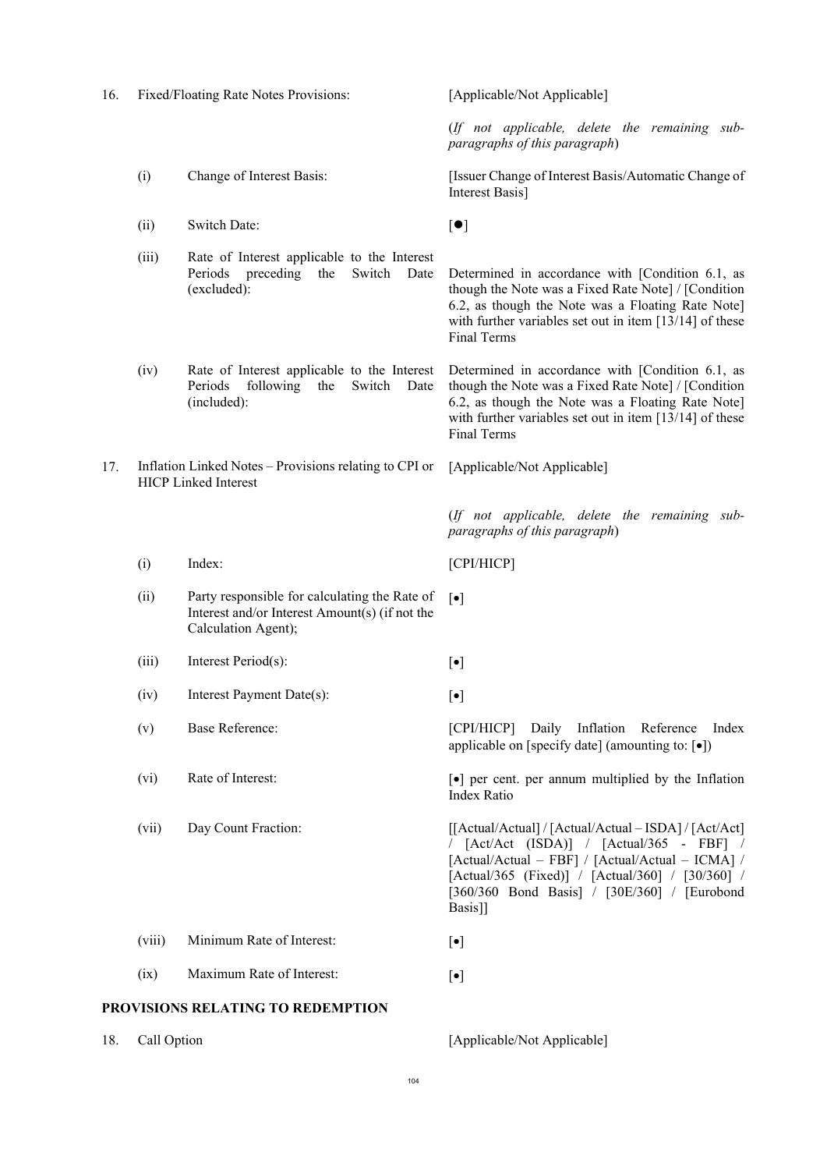| 16. |                                                                                       | Fixed/Floating Rate Notes Provisions:                                                                                  | [Applicable/Not Applicable]                                                                                                                                                                                                                                           |
|-----|---------------------------------------------------------------------------------------|------------------------------------------------------------------------------------------------------------------------|-----------------------------------------------------------------------------------------------------------------------------------------------------------------------------------------------------------------------------------------------------------------------|
|     |                                                                                       |                                                                                                                        | (If not applicable, delete the remaining sub-<br>paragraphs of this paragraph)                                                                                                                                                                                        |
|     | (i)                                                                                   | Change of Interest Basis:                                                                                              | [Issuer Change of Interest Basis/Automatic Change of<br>Interest Basis]                                                                                                                                                                                               |
|     | (ii)                                                                                  | Switch Date:                                                                                                           | [•]                                                                                                                                                                                                                                                                   |
|     | (iii)                                                                                 | Rate of Interest applicable to the Interest<br>Periods<br>preceding<br>Switch<br>the<br>Date<br>(excluded):            | Determined in accordance with [Condition 6.1, as<br>though the Note was a Fixed Rate Note] / [Condition<br>6.2, as though the Note was a Floating Rate Note]<br>with further variables set out in item $[13/14]$ of these<br>Final Terms                              |
|     | (iv)                                                                                  | Rate of Interest applicable to the Interest<br>Periods<br>following<br>the<br>Switch<br>Date<br>(included):            | Determined in accordance with [Condition 6.1, as<br>though the Note was a Fixed Rate Note] / [Condition<br>6.2, as though the Note was a Floating Rate Note]<br>with further variables set out in item $[13/14]$ of these<br>Final Terms                              |
| 17. | Inflation Linked Notes – Provisions relating to CPI or<br><b>HICP Linked Interest</b> |                                                                                                                        | [Applicable/Not Applicable]                                                                                                                                                                                                                                           |
|     |                                                                                       |                                                                                                                        | (If not applicable, delete the remaining sub-<br>paragraphs of this paragraph)                                                                                                                                                                                        |
|     | (i)                                                                                   | Index:                                                                                                                 | [CPI/HICP]                                                                                                                                                                                                                                                            |
|     | (ii)                                                                                  | Party responsible for calculating the Rate of<br>Interest and/or Interest Amount(s) (if not the<br>Calculation Agent); | $[\bullet]$                                                                                                                                                                                                                                                           |
|     | (iii)                                                                                 | Interest Period(s):                                                                                                    | $[\bullet]$                                                                                                                                                                                                                                                           |
|     | (iv)                                                                                  | Interest Payment Date(s):                                                                                              | $[\bullet]$                                                                                                                                                                                                                                                           |
|     | (v)                                                                                   | <b>Base Reference:</b>                                                                                                 | [CPI/HICP] Daily Inflation Reference Index<br>applicable on [specify date] (amounting to: $\lceil \bullet \rceil$ )                                                                                                                                                   |
|     | (vi)                                                                                  | Rate of Interest:                                                                                                      | $\lceil \bullet \rceil$ per cent. per annum multiplied by the Inflation<br>Index Ratio                                                                                                                                                                                |
|     | (vii)                                                                                 | Day Count Fraction:                                                                                                    | [[Actual/Actual] / [Actual/Actual - ISDA] / [Act/Act]<br>/ [Act/Act (ISDA)] / [Actual/365 - FBF] /<br>[Actual/Actual - FBF] / [Actual/Actual - ICMA] /<br>[Actual/365 (Fixed)] / [Actual/360] / [30/360] /<br>[360/360 Bond Basis] / [30E/360] / [Eurobond<br>Basis]] |
|     | (viii)                                                                                | Minimum Rate of Interest:                                                                                              | $[\bullet]$                                                                                                                                                                                                                                                           |
|     | (ix)                                                                                  | Maximum Rate of Interest:                                                                                              | $[\bullet]$                                                                                                                                                                                                                                                           |
|     |                                                                                       | PROVISIONS RELATING TO REDEMPTION                                                                                      |                                                                                                                                                                                                                                                                       |

18. Call Option [Applicable/Not Applicable]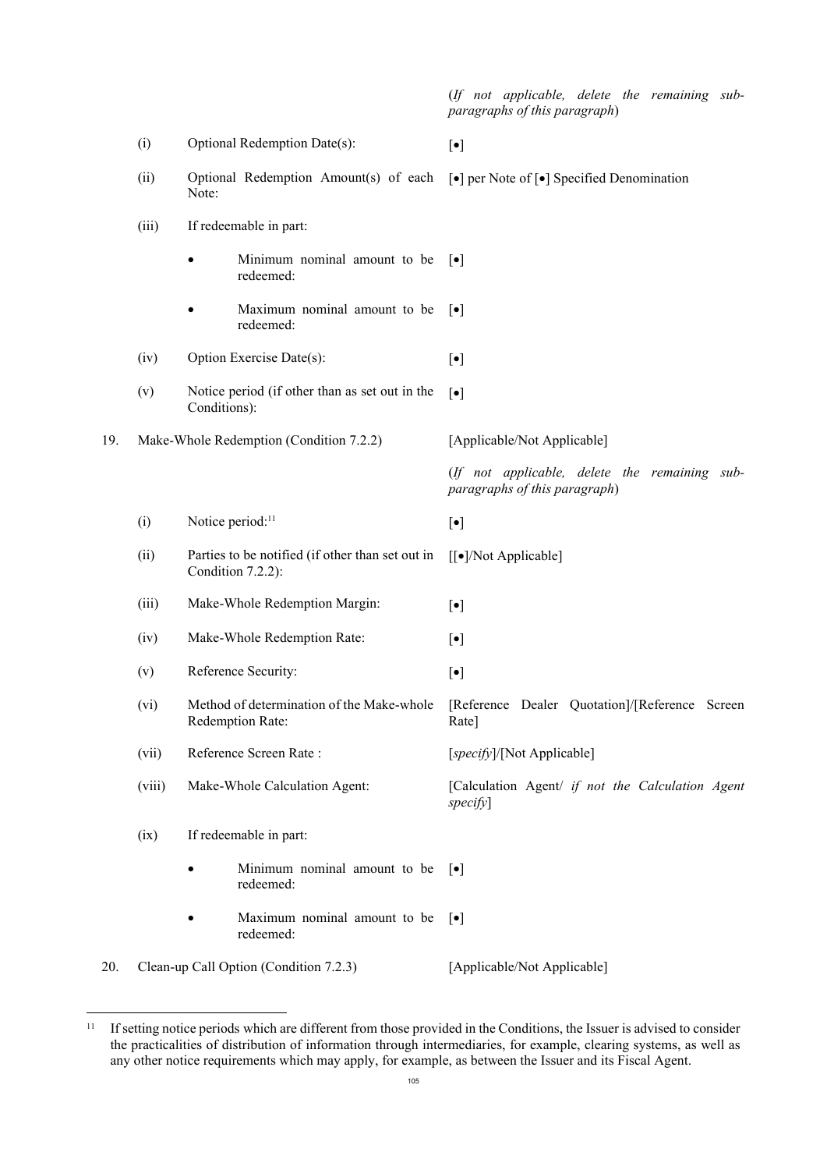(*If not applicable, delete the remaining subparagraphs of this paragraph*)

|     | (i)                                    | Optional Redemption Date(s):                                          | $[\bullet]$                                                                    |  |  |
|-----|----------------------------------------|-----------------------------------------------------------------------|--------------------------------------------------------------------------------|--|--|
|     | (ii)                                   | Optional Redemption Amount(s) of each<br>Note:                        | [ $\bullet$ ] per Note of [ $\bullet$ ] Specified Denomination                 |  |  |
|     | (iii)                                  | If redeemable in part:                                                |                                                                                |  |  |
|     |                                        | Minimum nominal amount to be<br>$\bullet$<br>redeemed:                | $\lceil \bullet \rceil$                                                        |  |  |
|     |                                        | Maximum nominal amount to be<br>redeemed:                             | $\lceil \bullet \rceil$                                                        |  |  |
|     | (iv)                                   | Option Exercise Date(s):                                              | $[\bullet]$                                                                    |  |  |
|     | (v)                                    | Notice period (if other than as set out in the<br>Conditions):        | $[\bullet]$                                                                    |  |  |
| 19. |                                        | Make-Whole Redemption (Condition 7.2.2)                               | [Applicable/Not Applicable]                                                    |  |  |
|     |                                        |                                                                       | (If not applicable, delete the remaining sub-<br>paragraphs of this paragraph) |  |  |
|     | (i)                                    | Notice period: <sup>11</sup>                                          | $[\bullet]$                                                                    |  |  |
|     | (ii)                                   | Parties to be notified (if other than set out in<br>Condition 7.2.2): | [[ $\bullet$ ]/Not Applicable]                                                 |  |  |
|     | (iii)                                  | Make-Whole Redemption Margin:                                         | $[\bullet]$                                                                    |  |  |
|     | (iv)                                   | Make-Whole Redemption Rate:                                           | $[\bullet]$                                                                    |  |  |
|     | (v)                                    | Reference Security:                                                   | $[\bullet]$                                                                    |  |  |
|     | (vi)                                   | Method of determination of the Make-whole<br>Redemption Rate:         | [Reference Dealer Quotation]/[Reference Screen<br>Rate]                        |  |  |
|     | (vii)                                  | Reference Screen Rate:                                                | [specify]/[Not Applicable]                                                     |  |  |
|     | (viii)                                 | Make-Whole Calculation Agent:                                         | [Calculation Agent/ if not the Calculation Agent<br>specify]                   |  |  |
|     | (ix)                                   | If redeemable in part:                                                |                                                                                |  |  |
|     |                                        | Minimum nominal amount to be<br>٠<br>redeemed:                        | $\lceil \bullet \rceil$                                                        |  |  |
|     |                                        | Maximum nominal amount to be<br>redeemed:                             | $\lceil \bullet \rceil$                                                        |  |  |
| 20. | Clean-up Call Option (Condition 7.2.3) |                                                                       | [Applicable/Not Applicable]                                                    |  |  |

 $11\,$ <sup>11</sup> If setting notice periods which are different from those provided in the Conditions, the Issuer is advised to consider the practicalities of distribution of information through intermediaries, for example, clearing systems, as well as any other notice requirements which may apply, for example, as between the Issuer and its Fiscal Agent.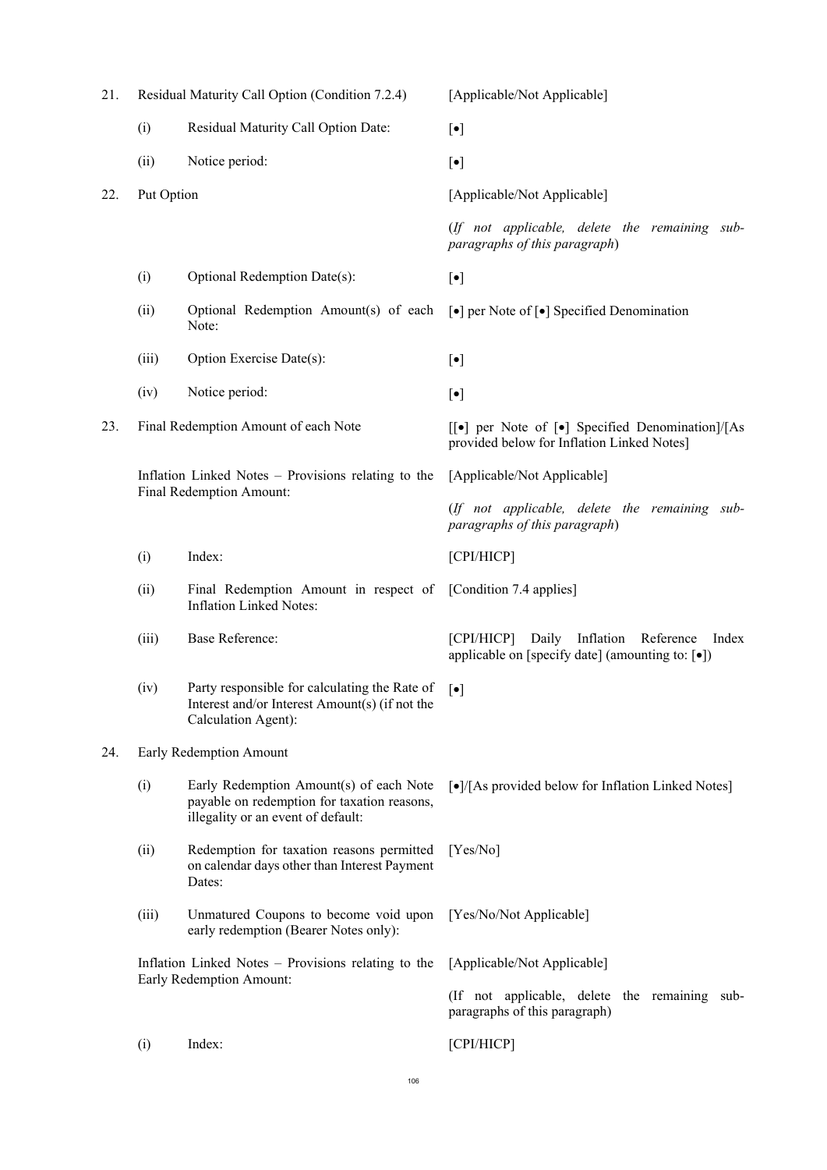| 21. |                                                                                                                                     | Residual Maturity Call Option (Condition 7.2.4)                                                                        | [Applicable/Not Applicable]                                                                       |  |
|-----|-------------------------------------------------------------------------------------------------------------------------------------|------------------------------------------------------------------------------------------------------------------------|---------------------------------------------------------------------------------------------------|--|
|     | (i)                                                                                                                                 | Residual Maturity Call Option Date:                                                                                    | $[\bullet]$                                                                                       |  |
|     | (ii)                                                                                                                                | Notice period:                                                                                                         | $[\bullet]$                                                                                       |  |
| 22. | Put Option                                                                                                                          |                                                                                                                        | [Applicable/Not Applicable]                                                                       |  |
|     |                                                                                                                                     |                                                                                                                        | (If not applicable, delete the remaining sub-<br>paragraphs of this paragraph)                    |  |
|     | (i)                                                                                                                                 | Optional Redemption Date(s):                                                                                           | $[\bullet]$                                                                                       |  |
|     | (ii)                                                                                                                                | Optional Redemption Amount(s) of each<br>Note:                                                                         | $\lceil \bullet \rceil$ per Note of $\lceil \bullet \rceil$ Specified Denomination                |  |
|     | (iii)                                                                                                                               | Option Exercise Date(s):                                                                                               | $[\bullet]$                                                                                       |  |
|     | (iv)                                                                                                                                | Notice period:                                                                                                         | $[\bullet]$                                                                                       |  |
| 23. | Final Redemption Amount of each Note                                                                                                |                                                                                                                        | [[•] per Note of [•] Specified Denomination]/[As<br>provided below for Inflation Linked Notes]    |  |
|     | Inflation Linked Notes - Provisions relating to the<br>Final Redemption Amount:                                                     |                                                                                                                        | [Applicable/Not Applicable]                                                                       |  |
|     |                                                                                                                                     |                                                                                                                        | (If not applicable, delete the remaining sub-<br>paragraphs of this paragraph)                    |  |
|     | (i)                                                                                                                                 | Index:                                                                                                                 | [CPI/HICP]                                                                                        |  |
|     | (ii)                                                                                                                                | Final Redemption Amount in respect of [Condition 7.4 applies]<br><b>Inflation Linked Notes:</b>                        |                                                                                                   |  |
|     | (iii)                                                                                                                               | <b>Base Reference:</b>                                                                                                 | [CPI/HICP] Daily Inflation Reference<br>Index<br>applicable on [specify date] (amounting to: [•]) |  |
|     | (iv)                                                                                                                                | Party responsible for calculating the Rate of<br>Interest and/or Interest Amount(s) (if not the<br>Calculation Agent): | $\lceil \bullet \rceil$                                                                           |  |
| 24. |                                                                                                                                     | Early Redemption Amount                                                                                                |                                                                                                   |  |
|     | (i)<br>Early Redemption Amount(s) of each Note<br>payable on redemption for taxation reasons,<br>illegality or an event of default: |                                                                                                                        | [•]/[As provided below for Inflation Linked Notes]                                                |  |
|     | (ii)                                                                                                                                | Redemption for taxation reasons permitted<br>on calendar days other than Interest Payment<br>Dates:                    | [Yes/No]                                                                                          |  |
|     | (iii)                                                                                                                               | Unmatured Coupons to become void upon<br>early redemption (Bearer Notes only):                                         | [Yes/No/Not Applicable]                                                                           |  |
|     |                                                                                                                                     | Inflation Linked Notes - Provisions relating to the                                                                    | [Applicable/Not Applicable]                                                                       |  |
|     |                                                                                                                                     | Early Redemption Amount:                                                                                               | (If not applicable, delete the remaining sub-<br>paragraphs of this paragraph)                    |  |
|     | Index:<br>(i)                                                                                                                       |                                                                                                                        | [CPI/HICP]                                                                                        |  |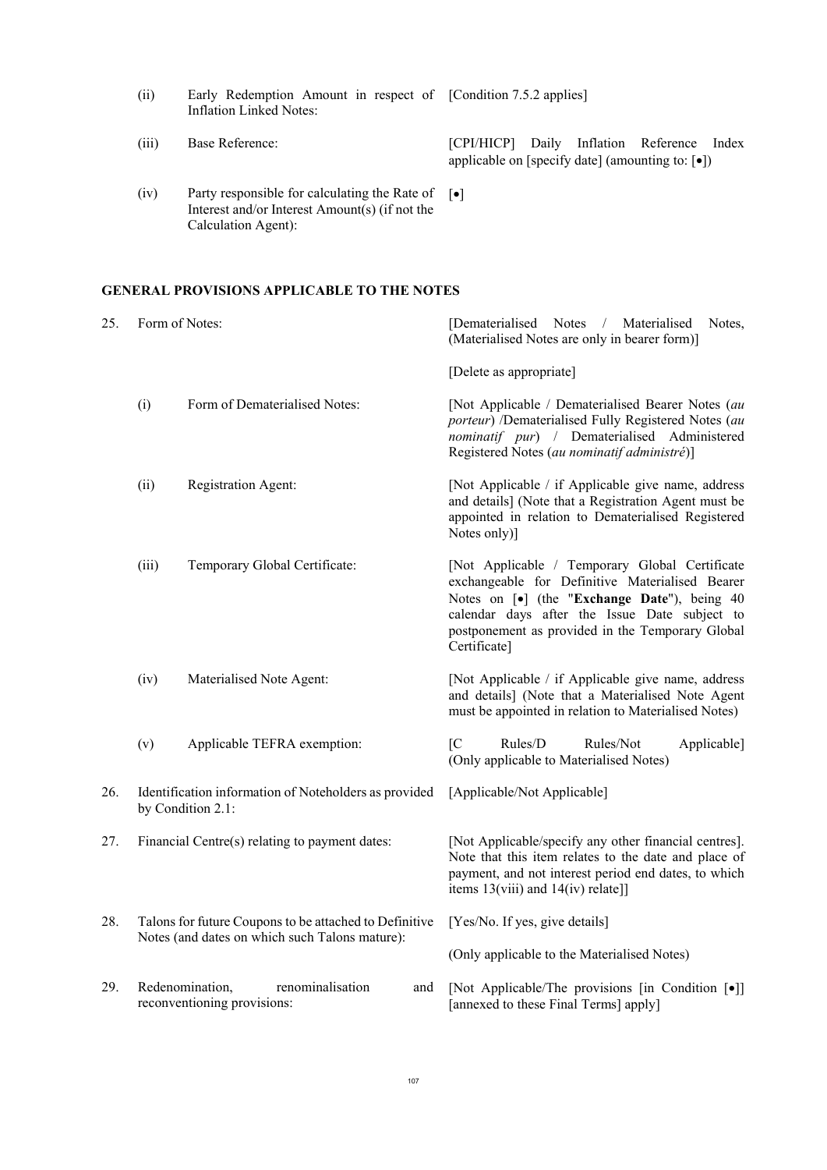| (ii) |                         |  |  | Early Redemption Amount in respect of [Condition 7.5.2 applies] |
|------|-------------------------|--|--|-----------------------------------------------------------------|
|      | Inflation Linked Notes: |  |  |                                                                 |

- (iii) Base Reference: [CPI/HICP] Daily Inflation Reference Index applicable on [specify date] (amounting to:  $[•]$ )
- (iv) Party responsible for calculating the Rate of Interest and/or Interest Amount(s) (if not the Calculation Agent):  $\lceil \bullet \rceil$

# **GENERAL PROVISIONS APPLICABLE TO THE NOTES**

| 25. |                                                                                                                                                   | Form of Notes:                                                             | Materialised<br>[Dematerialised Notes /<br>Notes,<br>(Materialised Notes are only in bearer form)]                                                                                                                                                                     |  |  |
|-----|---------------------------------------------------------------------------------------------------------------------------------------------------|----------------------------------------------------------------------------|------------------------------------------------------------------------------------------------------------------------------------------------------------------------------------------------------------------------------------------------------------------------|--|--|
|     |                                                                                                                                                   |                                                                            | [Delete as appropriate]                                                                                                                                                                                                                                                |  |  |
|     | Form of Dematerialised Notes:<br>(i)<br>(ii)<br>Registration Agent:<br>(iii)<br>Temporary Global Certificate:<br>(iv)<br>Materialised Note Agent: |                                                                            | [Not Applicable / Dematerialised Bearer Notes (au<br>porteur) /Dematerialised Fully Registered Notes (au<br>nominatif pur) / Dematerialised Administered<br>Registered Notes (au nominatif administré)]                                                                |  |  |
|     |                                                                                                                                                   |                                                                            | [Not Applicable / if Applicable give name, address<br>and details] (Note that a Registration Agent must be<br>appointed in relation to Dematerialised Registered<br>Notes only)]                                                                                       |  |  |
|     |                                                                                                                                                   |                                                                            | [Not Applicable / Temporary Global Certificate<br>exchangeable for Definitive Materialised Bearer<br>Notes on [•] (the "Exchange Date"), being 40<br>calendar days after the Issue Date subject to<br>postponement as provided in the Temporary Global<br>Certificate] |  |  |
|     |                                                                                                                                                   |                                                                            | [Not Applicable / if Applicable give name, address<br>and details] (Note that a Materialised Note Agent<br>must be appointed in relation to Materialised Notes)                                                                                                        |  |  |
|     | (v)                                                                                                                                               | Applicable TEFRA exemption:                                                | $\overline{C}$<br>Rules/D<br>Rules/Not<br>Applicable]<br>(Only applicable to Materialised Notes)                                                                                                                                                                       |  |  |
| 26. |                                                                                                                                                   | Identification information of Noteholders as provided<br>by Condition 2.1: | [Applicable/Not Applicable]                                                                                                                                                                                                                                            |  |  |
| 27. |                                                                                                                                                   | Financial Centre(s) relating to payment dates:                             | [Not Applicable/specify any other financial centres].<br>Note that this item relates to the date and place of<br>payment, and not interest period end dates, to which<br>items $13(viii)$ and $14(iv)$ relate]]                                                        |  |  |
| 28. |                                                                                                                                                   | Talons for future Coupons to be attached to Definitive                     | [Yes/No. If yes, give details]                                                                                                                                                                                                                                         |  |  |
|     |                                                                                                                                                   | Notes (and dates on which such Talons mature):                             | (Only applicable to the Materialised Notes)                                                                                                                                                                                                                            |  |  |
| 29. |                                                                                                                                                   | Redenomination,<br>renominalisation<br>and<br>reconventioning provisions:  | [Not Applicable/The provisions [in Condition [.]]<br>[annexed to these Final Terms] apply]                                                                                                                                                                             |  |  |
|     |                                                                                                                                                   |                                                                            |                                                                                                                                                                                                                                                                        |  |  |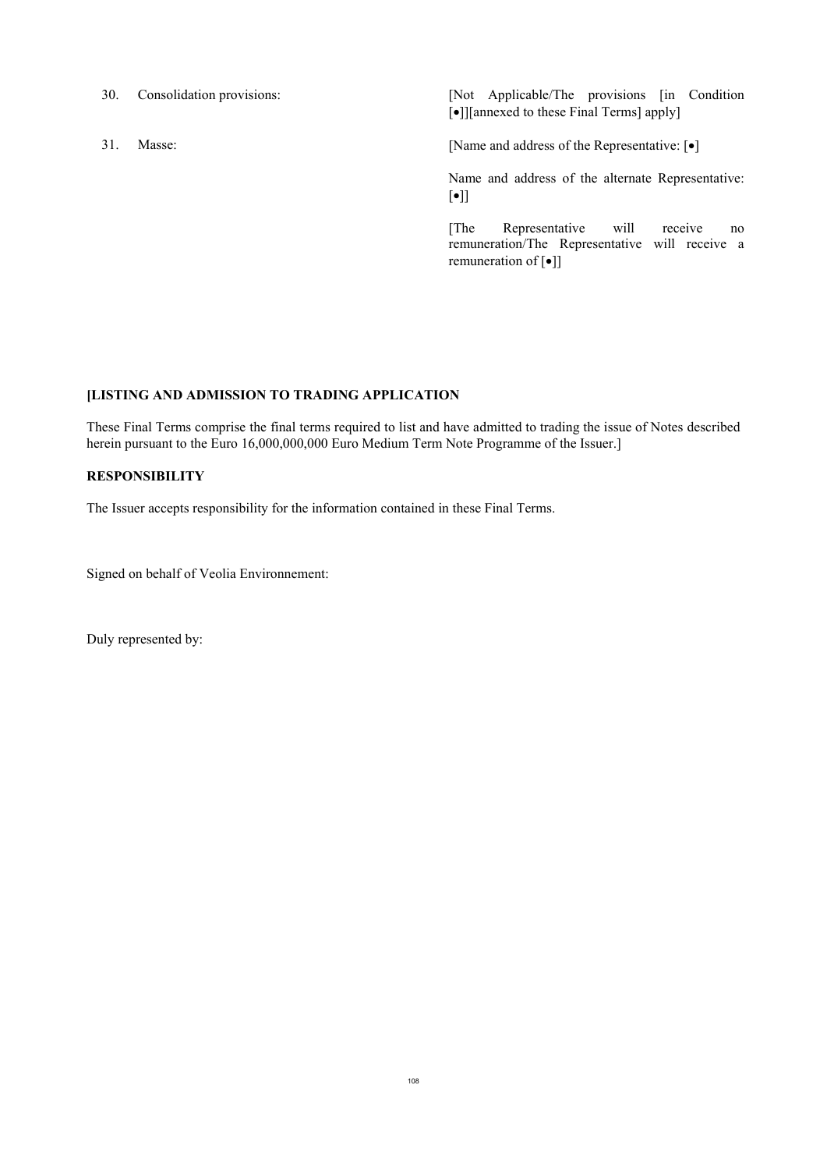- 
- 

30. Consolidation provisions: [Not Applicable/The provisions [in Condition [ $\bullet$ ]][annexed to these Final Terms] apply]

31. Masse: [ $\bullet$ ] [Name and address of the Representative: [ $\bullet$ ]

Name and address of the alternate Representative:  $[\bullet]]$ 

[The Representative will receive no remuneration/The Representative will receive a remuneration of  $[\bullet]$ ]

### **[LISTING AND ADMISSION TO TRADING APPLICATION**

These Final Terms comprise the final terms required to list and have admitted to trading the issue of Notes described herein pursuant to the Euro 16,000,000,000 Euro Medium Term Note Programme of the Issuer.]

### **RESPONSIBILITY**

The Issuer accepts responsibility for the information contained in these Final Terms.

Signed on behalf of Veolia Environnement:

Duly represented by: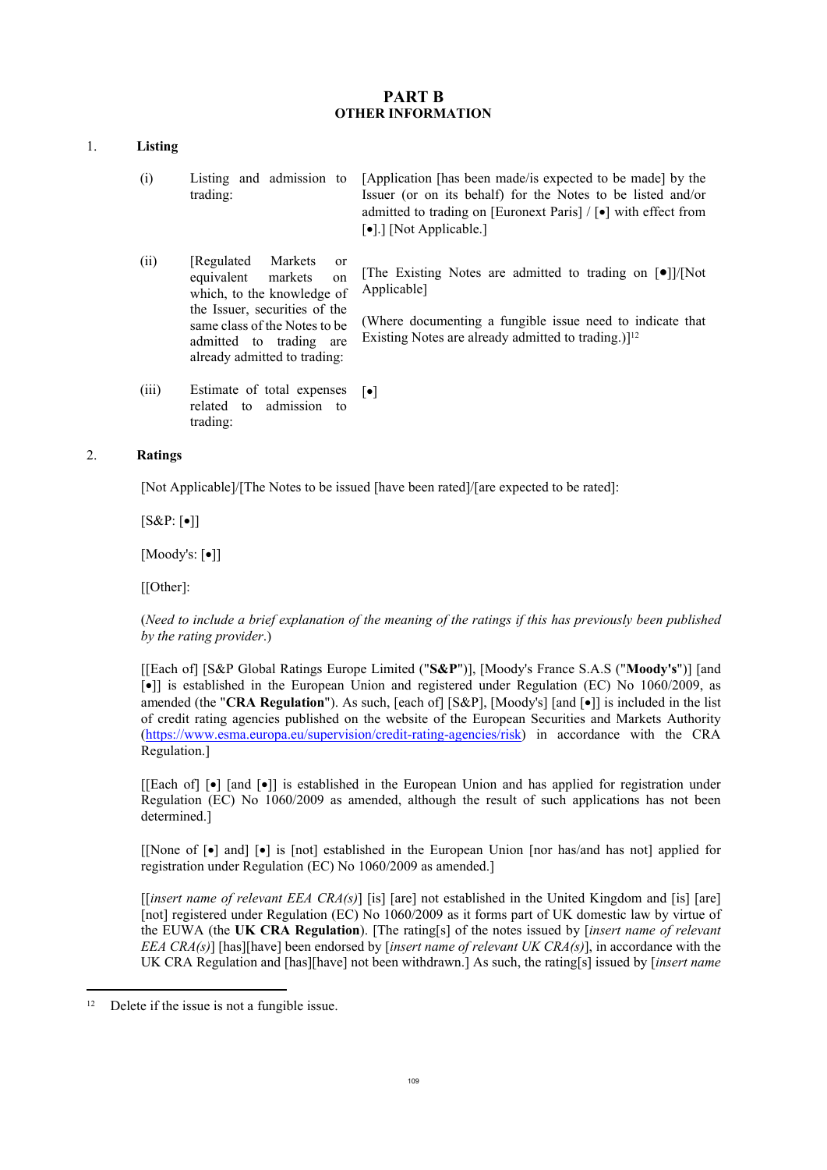# **PART B OTHER INFORMATION**

# 1. **Listing**

- (i) Listing and admission to trading: [Application [has been made/is expected to be made] by the Issuer (or on its behalf) for the Notes to be listed and/or admitted to trading on [Euronext Paris]  $/$  [ $\bullet$ ] with effect from [ $\bullet$ ].] [Not Applicable.]
- (ii) [Regulated Markets or equivalent markets on which, to the knowledge of the Issuer, securities of the same class of the Notes to be [The Existing Notes are admitted to trading on  $[0]$ ]/[Not] Applicable]
	- admitted to trading are (Where documenting a fungible issue need to indicate that Existing Notes are already admitted to trading.)<sup>[12</sup>
- (iii) Estimate of total expenses related to admission to trading:  $\lceil \bullet \rceil$

already admitted to trading:

# 2. **Ratings**

[Not Applicable]/[The Notes to be issued [have been rated]/[are expected to be rated]:

 $[S&P:[\bullet]]$ 

 $[Moody's: [\bullet]]$ 

[[Other]:

(*Need to include a brief explanation of the meaning of the ratings if this has previously been published by the rating provider*.)

[[Each of] [S&P Global Ratings Europe Limited ("**S&P**")], [Moody's France S.A.S ("**Moody's**")] [and []] is established in the European Union and registered under Regulation (EC) No 1060/2009, as amended (the "**CRA Regulation**"). As such, [each of] [S&P], [Moody's] [and  $\lceil \cdot \cdot \rceil$ ] is included in the list of credit rating agencies published on the website of the European Securities and Markets Authority (<https://www.esma.europa.eu/supervision/credit-rating-agencies/risk>) in accordance with the CRA Regulation.]

[[Each of]  $\lceil \bullet \rceil$  [and  $\lceil \bullet \rceil$ ] is established in the European Union and has applied for registration under Regulation (EC) No 1060/2009 as amended, although the result of such applications has not been determined.]

[[None of  $\lceil \cdot \rceil$  and]  $\lceil \cdot \rceil$  is [not] established in the European Union [nor has/and has not] applied for registration under Regulation (EC) No 1060/2009 as amended.]

[[*insert name of relevant EEA CRA(s)*] [is] [are] not established in the United Kingdom and [is] [are] [not] registered under Regulation (EC) No 1060/2009 as it forms part of UK domestic law by virtue of the EUWA (the **UK CRA Regulation**). [The rating[s] of the notes issued by [*insert name of relevant EEA CRA(s)*] [has][have] been endorsed by [*insert name of relevant UK CRA(s)*], in accordance with the UK CRA Regulation and [has][have] not been withdrawn.] As such, the rating[s] issued by [*insert name* 

 $\overline{a}$ 

<sup>&</sup>lt;sup>12</sup> Delete if the issue is not a fungible issue.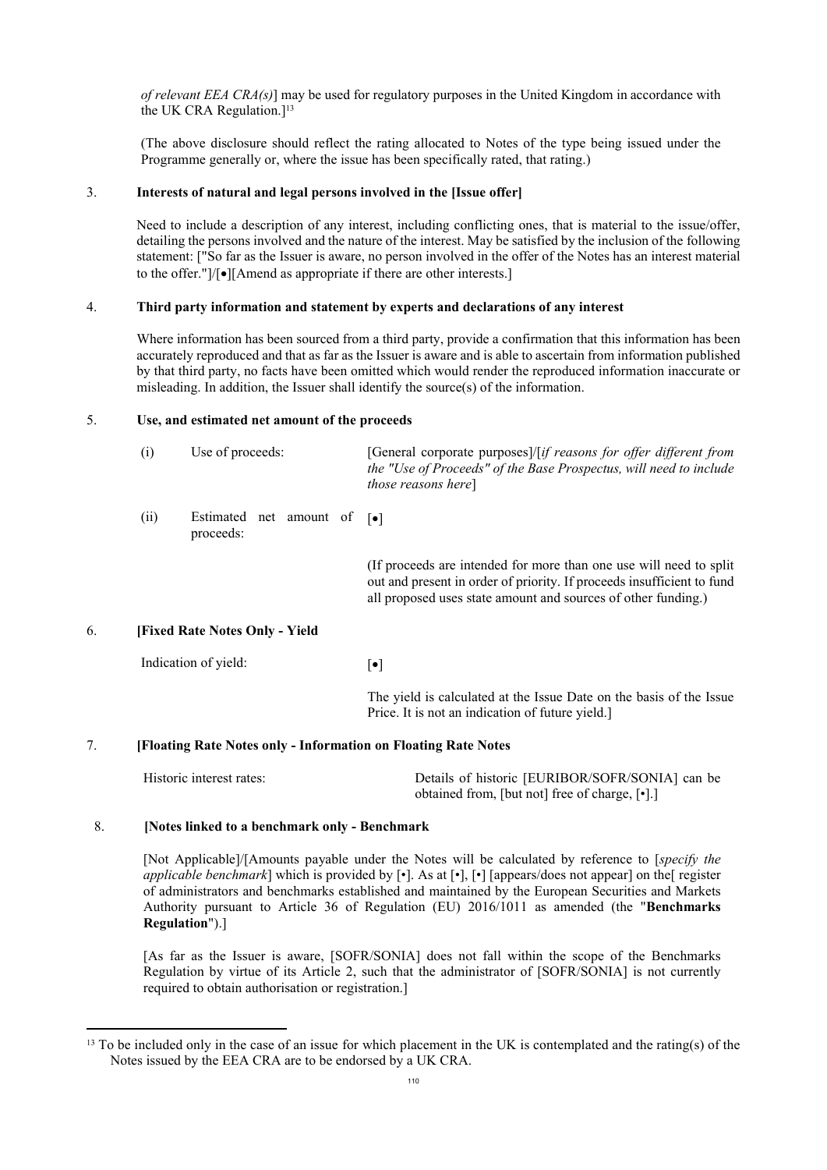*of relevant EEA CRA(s)*] may be used for regulatory purposes in the United Kingdom in accordance with the UK CRA Regulation.<sup>[13</sup>]

(The above disclosure should reflect the rating allocated to Notes of the type being issued under the Programme generally or, where the issue has been specifically rated, that rating.)

#### 3. **Interests of natural and legal persons involved in the [Issue offer]**

Need to include a description of any interest, including conflicting ones, that is material to the issue/offer, detailing the persons involved and the nature of the interest. May be satisfied by the inclusion of the following statement: ["So far as the Issuer is aware, no person involved in the offer of the Notes has an interest material to the offer." $]/\lceil\bullet\rceil$ [Amend as appropriate if there are other interests.]

# 4. **Third party information and statement by experts and declarations of any interest**

Where information has been sourced from a third party, provide a confirmation that this information has been accurately reproduced and that as far as the Issuer is aware and is able to ascertain from information published by that third party, no facts have been omitted which would render the reproduced information inaccurate or misleading. In addition, the Issuer shall identify the source(s) of the information.

#### 5. **Use, and estimated net amount of the proceeds**

|    | (i)                                   | Use of proceeds:                                             | [General corporate purposes]/[if reasons for offer different from<br>the "Use of Proceeds" of the Base Prospectus, will need to include<br><i>those reasons here</i> ]                                         |  |  |  |
|----|---------------------------------------|--------------------------------------------------------------|----------------------------------------------------------------------------------------------------------------------------------------------------------------------------------------------------------------|--|--|--|
|    | (ii)                                  | Estimated net amount of $\lceil \bullet \rceil$<br>proceeds: |                                                                                                                                                                                                                |  |  |  |
|    |                                       |                                                              | (If proceeds are intended for more than one use will need to split)<br>out and present in order of priority. If proceeds insufficient to fund<br>all proposed uses state amount and sources of other funding.) |  |  |  |
| 6. | <b>[Fixed Rate Notes Only - Yield</b> |                                                              |                                                                                                                                                                                                                |  |  |  |
|    | Indication of yield:                  |                                                              | $[\bullet]$                                                                                                                                                                                                    |  |  |  |
|    |                                       |                                                              | The yield is calculated at the Issue Date on the basis of the Issue<br>Price. It is not an indication of future yield.]                                                                                        |  |  |  |
|    |                                       | Elgeting Date Notes only Information on Floating Date Notes  |                                                                                                                                                                                                                |  |  |  |

# 7. **[Floating Rate Notes only - Information on Floating Rate Notes**

| Historic interest rates: | Details of historic [EURIBOR/SOFR/SONIA] can be |
|--------------------------|-------------------------------------------------|
|                          | obtained from, [but not] free of charge, [•].]  |

#### 8. **[Notes linked to a benchmark only - Benchmark**

 $\overline{a}$ 

[Not Applicable]/[Amounts payable under the Notes will be calculated by reference to [*specify the applicable benchmark*] which is provided by [•]. As at [•], [•] [appears/does not appear] on the[ register of administrators and benchmarks established and maintained by the European Securities and Markets Authority pursuant to Article 36 of Regulation (EU) 2016/1011 as amended (the "**Benchmarks Regulation**").]

[As far as the Issuer is aware, [SOFR/SONIA] does not fall within the scope of the Benchmarks Regulation by virtue of its Article 2, such that the administrator of [SOFR/SONIA] is not currently required to obtain authorisation or registration.]

<sup>&</sup>lt;sup>13</sup> To be included only in the case of an issue for which placement in the UK is contemplated and the rating(s) of the Notes issued by the EEA CRA are to be endorsed by a UK CRA.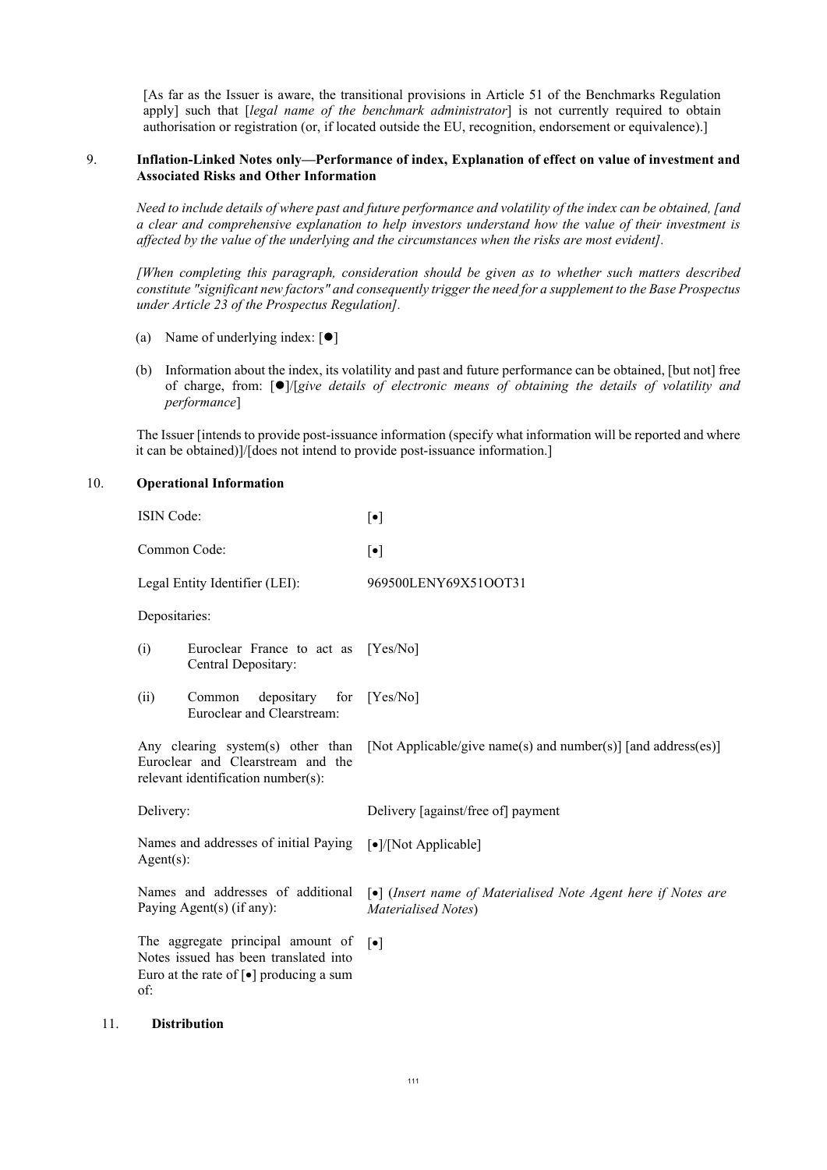[As far as the Issuer is aware, the transitional provisions in Article 51 of the Benchmarks Regulation apply] such that [*legal name of the benchmark administrator*] is not currently required to obtain authorisation or registration (or, if located outside the EU, recognition, endorsement or equivalence).]

#### 9. **Inflation-Linked Notes only—Performance of index, Explanation of effect on value of investment and Associated Risks and Other Information**

*Need to include details of where past and future performance and volatility of the index can be obtained, [and a clear and comprehensive explanation to help investors understand how the value of their investment is affected by the value of the underlying and the circumstances when the risks are most evident].*

*[When completing this paragraph, consideration should be given as to whether such matters described constitute "significant new factors" and consequently trigger the need for a supplement to the Base Prospectus under Article 23 of the Prospectus Regulation].*

- (a) Name of underlying index:  $[①]$
- (b) Information about the index, its volatility and past and future performance can be obtained, [but not] free of charge, from: []/[*give details of electronic means of obtaining the details of volatility and performance*]

The Issuer [intends to provide post-issuance information (specify what information will be reported and where it can be obtained)]/[does not intend to provide post-issuance information.]

# 10. **Operational Information**

| <b>ISIN</b> Code:                                                                                                                                |  | $[\bullet]$                                                                                              |
|--------------------------------------------------------------------------------------------------------------------------------------------------|--|----------------------------------------------------------------------------------------------------------|
| Common Code:                                                                                                                                     |  | $[\bullet]$                                                                                              |
| Legal Entity Identifier (LEI):                                                                                                                   |  | 969500LENY69X51OOT31                                                                                     |
| Depositaries:                                                                                                                                    |  |                                                                                                          |
| Euroclear France to act as [Yes/No]<br>(i)<br>Central Depositary:                                                                                |  |                                                                                                          |
| depositary for [Yes/No]<br>(ii)<br>Common<br>Euroclear and Clearstream:                                                                          |  |                                                                                                          |
| Any clearing system(s) other than<br>Euroclear and Clearstream and the<br>relevant identification number(s):                                     |  | [Not Applicable/give name(s) and number(s)] [and address(es)]                                            |
| Delivery:                                                                                                                                        |  | Delivery [against/free of] payment                                                                       |
| Names and addresses of initial Paying [.]/[Not Applicable]<br>$Agent(s)$ :                                                                       |  |                                                                                                          |
| Names and addresses of additional<br>Paying Agent(s) (if any):                                                                                   |  | $\lceil \bullet \rceil$ (Insert name of Materialised Note Agent here if Notes are<br>Materialised Notes) |
| The aggregate principal amount of<br>Notes issued has been translated into<br>Euro at the rate of $\lceil \bullet \rceil$ producing a sum<br>of: |  | $\lceil \bullet \rceil$                                                                                  |

#### 11. **Distribution**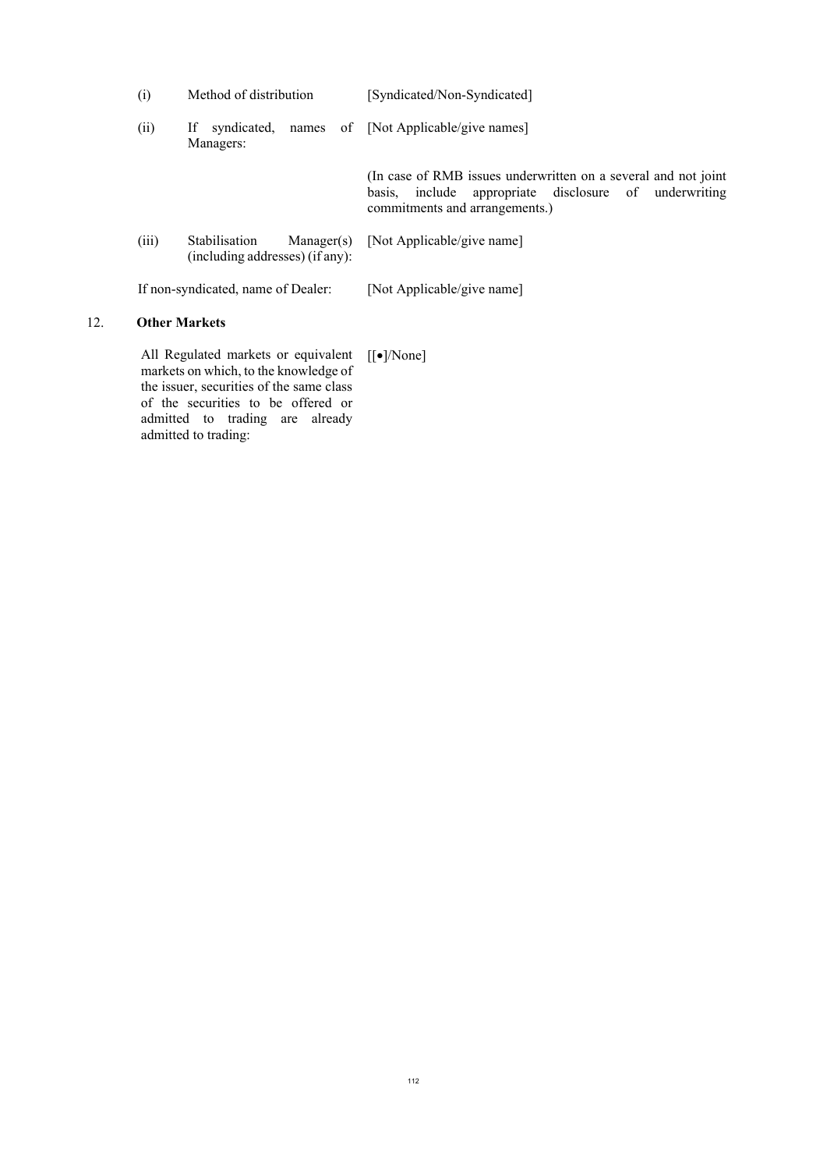| (i)   | Method of distribution                                                                 | [Syndicated/Non-Syndicated]                                                                                                                               |
|-------|----------------------------------------------------------------------------------------|-----------------------------------------------------------------------------------------------------------------------------------------------------------|
| (ii)  | ΙfΓ<br>Managers:                                                                       | syndicated, names of [Not Applicable/give names]                                                                                                          |
|       |                                                                                        | (In case of RMB issues underwritten on a several and not joint<br>basis, include appropriate disclosure of underwriting<br>commitments and arrangements.) |
| (iii) | Stabilisation<br>(including addresses) (if any):                                       | $Manager(s)$ [Not Applicable/give name]                                                                                                                   |
|       | If non-syndicated, name of Dealer:                                                     | [Not Applicable/give name]                                                                                                                                |
|       | <b>Other Markets</b>                                                                   |                                                                                                                                                           |
|       | All Regulated markets or equivalent [[•]/None]<br>markets on which to the knowledge of |                                                                                                                                                           |

markets on which, to the knowledge of the issuer, securities of the same class of the securities to be offered or admitted to trading are already admitted to trading:

12. **Other Markets**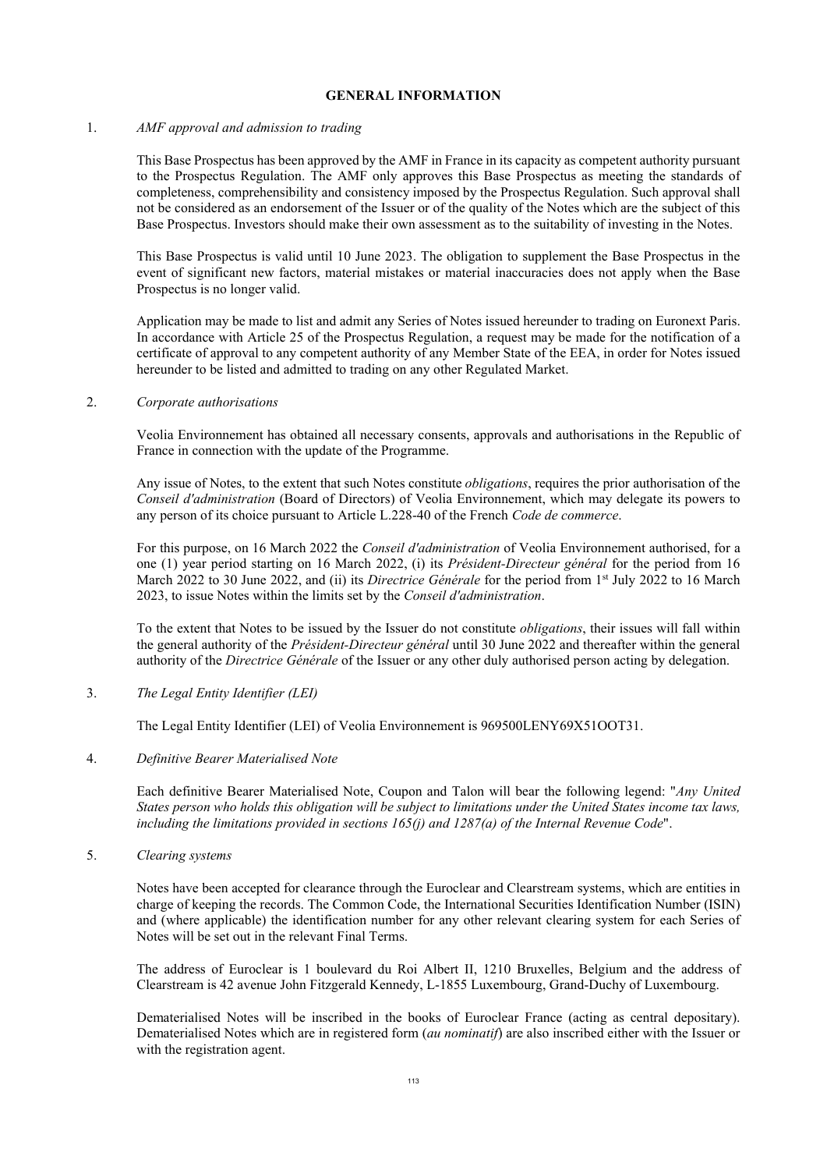## **GENERAL INFORMATION**

#### 1. *AMF approval and admission to trading*

This Base Prospectus has been approved by the AMF in France in its capacity as competent authority pursuant to the Prospectus Regulation. The AMF only approves this Base Prospectus as meeting the standards of completeness, comprehensibility and consistency imposed by the Prospectus Regulation. Such approval shall not be considered as an endorsement of the Issuer or of the quality of the Notes which are the subject of this Base Prospectus. Investors should make their own assessment as to the suitability of investing in the Notes.

This Base Prospectus is valid until 10 June 2023. The obligation to supplement the Base Prospectus in the event of significant new factors, material mistakes or material inaccuracies does not apply when the Base Prospectus is no longer valid.

Application may be made to list and admit any Series of Notes issued hereunder to trading on Euronext Paris. In accordance with Article 25 of the Prospectus Regulation, a request may be made for the notification of a certificate of approval to any competent authority of any Member State of the EEA, in order for Notes issued hereunder to be listed and admitted to trading on any other Regulated Market.

#### 2. *Corporate authorisations*

Veolia Environnement has obtained all necessary consents, approvals and authorisations in the Republic of France in connection with the update of the Programme.

Any issue of Notes, to the extent that such Notes constitute *obligations*, requires the prior authorisation of the *Conseil d'administration* (Board of Directors) of Veolia Environnement, which may delegate its powers to any person of its choice pursuant to Article L.228-40 of the French *Code de commerce*.

For this purpose, on 16 March 2022 the *Conseil d'administration* of Veolia Environnement authorised, for a one (1) year period starting on 16 March 2022, (i) its *Président-Directeur général* for the period from 16 March 2022 to 30 June 2022, and (ii) its *Directrice Générale* for the period from 1<sup>st</sup> July 2022 to 16 March 2023, to issue Notes within the limits set by the *Conseil d'administration*.

To the extent that Notes to be issued by the Issuer do not constitute *obligations*, their issues will fall within the general authority of the *Président-Directeur général* until 30 June 2022 and thereafter within the general authority of the *Directrice Générale* of the Issuer or any other duly authorised person acting by delegation.

3. *The Legal Entity Identifier (LEI)*

The Legal Entity Identifier (LEI) of Veolia Environnement is 969500LENY69X51OOT31.

4. *Definitive Bearer Materialised Note*

Each definitive Bearer Materialised Note, Coupon and Talon will bear the following legend: "*Any United States person who holds this obligation will be subject to limitations under the United States income tax laws, including the limitations provided in sections 165(j) and 1287(a) of the Internal Revenue Code*".

5. *Clearing systems*

Notes have been accepted for clearance through the Euroclear and Clearstream systems, which are entities in charge of keeping the records. The Common Code, the International Securities Identification Number (ISIN) and (where applicable) the identification number for any other relevant clearing system for each Series of Notes will be set out in the relevant Final Terms.

The address of Euroclear is 1 boulevard du Roi Albert II, 1210 Bruxelles, Belgium and the address of Clearstream is 42 avenue John Fitzgerald Kennedy, L-1855 Luxembourg, Grand-Duchy of Luxembourg.

Dematerialised Notes will be inscribed in the books of Euroclear France (acting as central depositary). Dematerialised Notes which are in registered form (*au nominatif*) are also inscribed either with the Issuer or with the registration agent.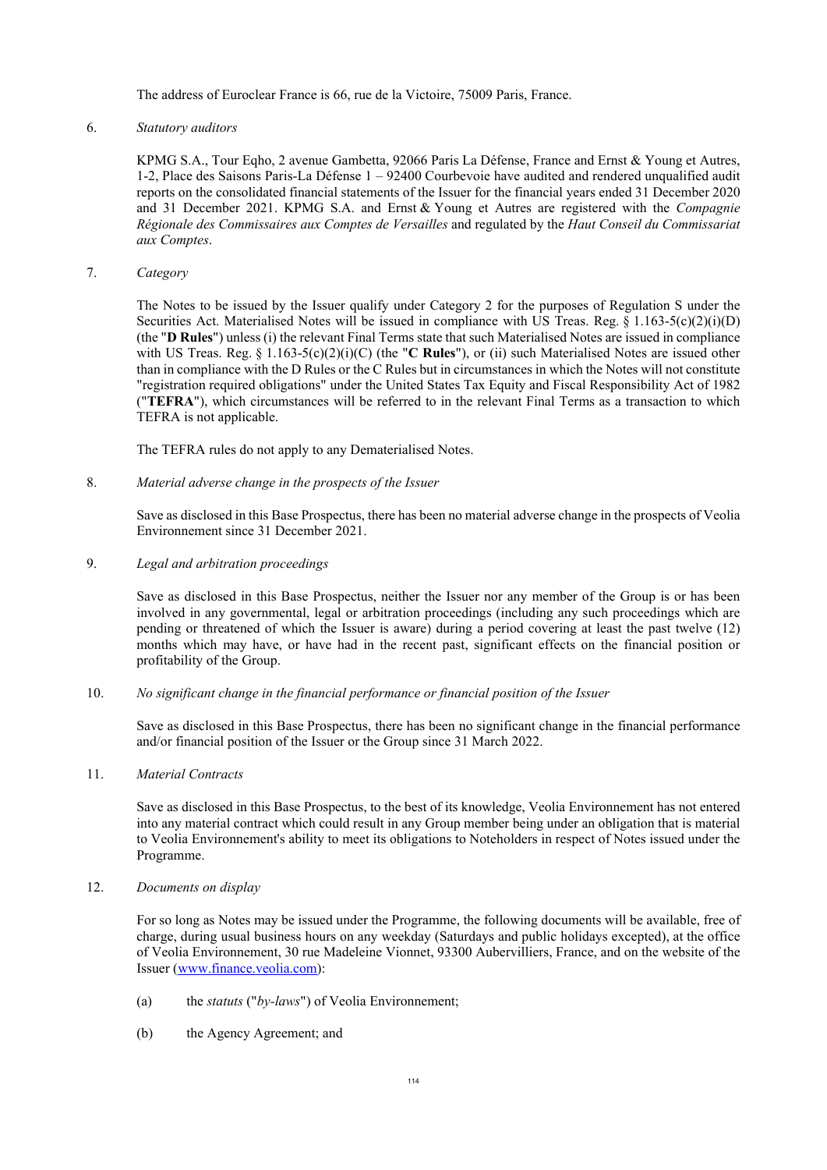The address of Euroclear France is 66, rue de la Victoire, 75009 Paris, France.

# 6. *Statutory auditors*

KPMG S.A., Tour Eqho, 2 avenue Gambetta, 92066 Paris La Défense, France and Ernst & Young et Autres, 1-2, Place des Saisons Paris-La Défense 1 – 92400 Courbevoie have audited and rendered unqualified audit reports on the consolidated financial statements of the Issuer for the financial years ended 31 December 2020 and 31 December 2021. KPMG S.A. and Ernst & Young et Autres are registered with the *Compagnie Régionale des Commissaires aux Comptes de Versailles* and regulated by the *Haut Conseil du Commissariat aux Comptes*.

7. *Category*

The Notes to be issued by the Issuer qualify under Category 2 for the purposes of Regulation S under the Securities Act. Materialised Notes will be issued in compliance with US Treas. Reg.  $\S 1.163-5(c)(2)(i)(D)$ (the "**D Rules**") unless (i) the relevant Final Terms state that such Materialised Notes are issued in compliance with US Treas. Reg. § 1.163-5(c)(2)(i)(C) (the "**C Rules**"), or (ii) such Materialised Notes are issued other than in compliance with the D Rules or the C Rules but in circumstances in which the Notes will not constitute "registration required obligations" under the United States Tax Equity and Fiscal Responsibility Act of 1982 ("**TEFRA**"), which circumstances will be referred to in the relevant Final Terms as a transaction to which TEFRA is not applicable.

The TEFRA rules do not apply to any Dematerialised Notes.

8. *Material adverse change in the prospects of the Issuer*

Save as disclosed in this Base Prospectus, there has been no material adverse change in the prospects of Veolia Environnement since 31 December 2021.

9. *Legal and arbitration proceedings*

Save as disclosed in this Base Prospectus, neither the Issuer nor any member of the Group is or has been involved in any governmental, legal or arbitration proceedings (including any such proceedings which are pending or threatened of which the Issuer is aware) during a period covering at least the past twelve (12) months which may have, or have had in the recent past, significant effects on the financial position or profitability of the Group.

# 10. *No significant change in the financial performance or financial position of the Issuer*

Save as disclosed in this Base Prospectus, there has been no significant change in the financial performance and/or financial position of the Issuer or the Group since 31 March 2022.

# 11. *Material Contracts*

Save as disclosed in this Base Prospectus, to the best of its knowledge, Veolia Environnement has not entered into any material contract which could result in any Group member being under an obligation that is material to Veolia Environnement's ability to meet its obligations to Noteholders in respect of Notes issued under the Programme.

# 12. *Documents on display*

For so long as Notes may be issued under the Programme, the following documents will be available, free of charge, during usual business hours on any weekday (Saturdays and public holidays excepted), at the office of Veolia Environnement, 30 rue Madeleine Vionnet, 93300 Aubervilliers, France, and on the website of the Issuer ([www.finance.veolia.com](http://www.finance.veolia.com/)):

- (a) the *statuts* ("*by-laws*") of Veolia Environnement;
- (b) the Agency Agreement; and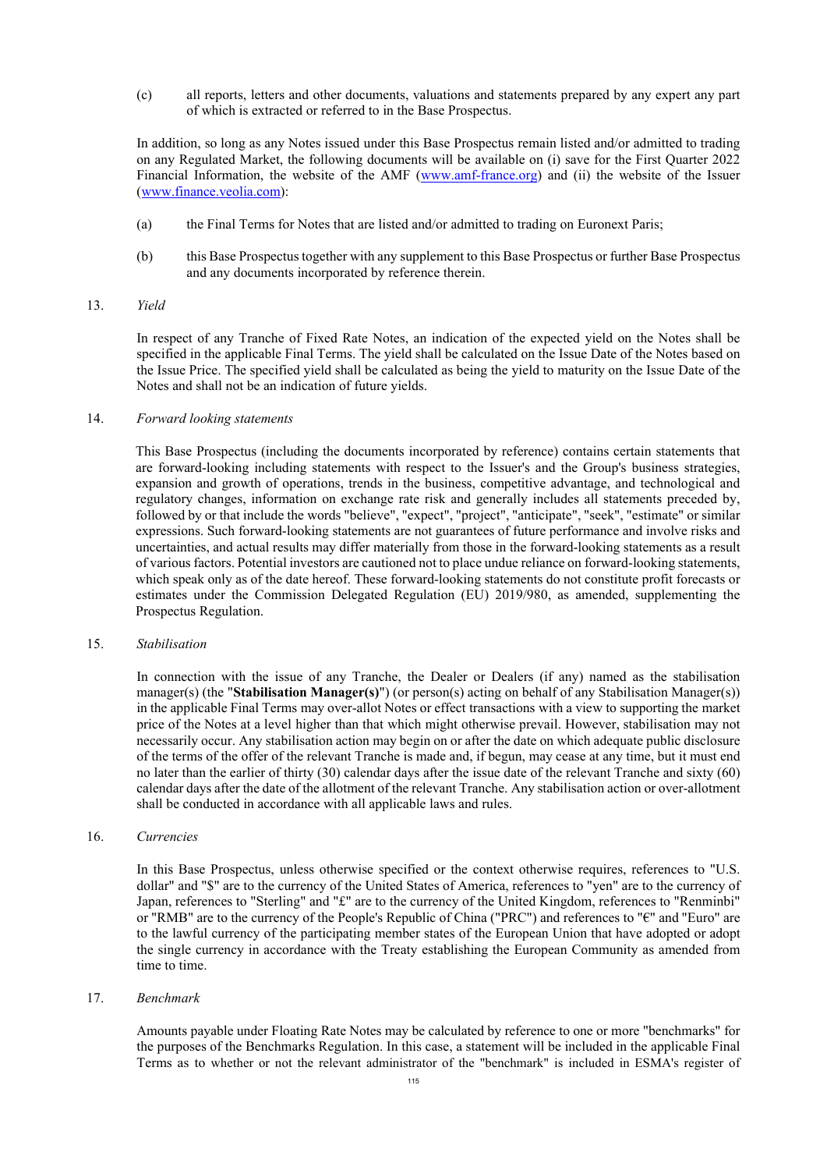(c) all reports, letters and other documents, valuations and statements prepared by any expert any part of which is extracted or referred to in the Base Prospectus.

In addition, so long as any Notes issued under this Base Prospectus remain listed and/or admitted to trading on any Regulated Market, the following documents will be available on (i) save for the First Quarter 2022 Financial Information, the website of the AMF ([www.amf-france.org\)](http://www.amf-france.org/) and (ii) the website of the Issuer ([www.finance.veolia.com\)](http://www.finance.veolia.com/):

- (a) the Final Terms for Notes that are listed and/or admitted to trading on Euronext Paris;
- (b) this Base Prospectus together with any supplement to this Base Prospectus or further Base Prospectus and any documents incorporated by reference therein.

## 13. *Yield*

In respect of any Tranche of Fixed Rate Notes, an indication of the expected yield on the Notes shall be specified in the applicable Final Terms. The yield shall be calculated on the Issue Date of the Notes based on the Issue Price. The specified yield shall be calculated as being the yield to maturity on the Issue Date of the Notes and shall not be an indication of future yields.

## 14. *Forward looking statements*

This Base Prospectus (including the documents incorporated by reference) contains certain statements that are forward-looking including statements with respect to the Issuer's and the Group's business strategies, expansion and growth of operations, trends in the business, competitive advantage, and technological and regulatory changes, information on exchange rate risk and generally includes all statements preceded by, followed by or that include the words "believe", "expect", "project", "anticipate", "seek", "estimate" or similar expressions. Such forward-looking statements are not guarantees of future performance and involve risks and uncertainties, and actual results may differ materially from those in the forward-looking statements as a result of various factors. Potential investors are cautioned not to place undue reliance on forward-looking statements, which speak only as of the date hereof. These forward-looking statements do not constitute profit forecasts or estimates under the Commission Delegated Regulation (EU) 2019/980, as amended, supplementing the Prospectus Regulation.

#### 15. *Stabilisation*

In connection with the issue of any Tranche, the Dealer or Dealers (if any) named as the stabilisation manager(s) (the "**Stabilisation Manager(s)**") (or person(s) acting on behalf of any Stabilisation Manager(s)) in the applicable Final Terms may over-allot Notes or effect transactions with a view to supporting the market price of the Notes at a level higher than that which might otherwise prevail. However, stabilisation may not necessarily occur. Any stabilisation action may begin on or after the date on which adequate public disclosure of the terms of the offer of the relevant Tranche is made and, if begun, may cease at any time, but it must end no later than the earlier of thirty (30) calendar days after the issue date of the relevant Tranche and sixty (60) calendar days after the date of the allotment of the relevant Tranche. Any stabilisation action or over-allotment shall be conducted in accordance with all applicable laws and rules.

#### 16. *Currencies*

In this Base Prospectus, unless otherwise specified or the context otherwise requires, references to "U.S. dollar" and "\$" are to the currency of the United States of America, references to "yen" are to the currency of Japan, references to "Sterling" and "£" are to the currency of the United Kingdom, references to "Renminbi" or "RMB" are to the currency of the People's Republic of China ("PRC") and references to "€" and "Euro" are to the lawful currency of the participating member states of the European Union that have adopted or adopt the single currency in accordance with the Treaty establishing the European Community as amended from time to time.

#### 17. *Benchmark*

Amounts payable under Floating Rate Notes may be calculated by reference to one or more "benchmarks" for the purposes of the Benchmarks Regulation. In this case, a statement will be included in the applicable Final Terms as to whether or not the relevant administrator of the "benchmark" is included in ESMA's register of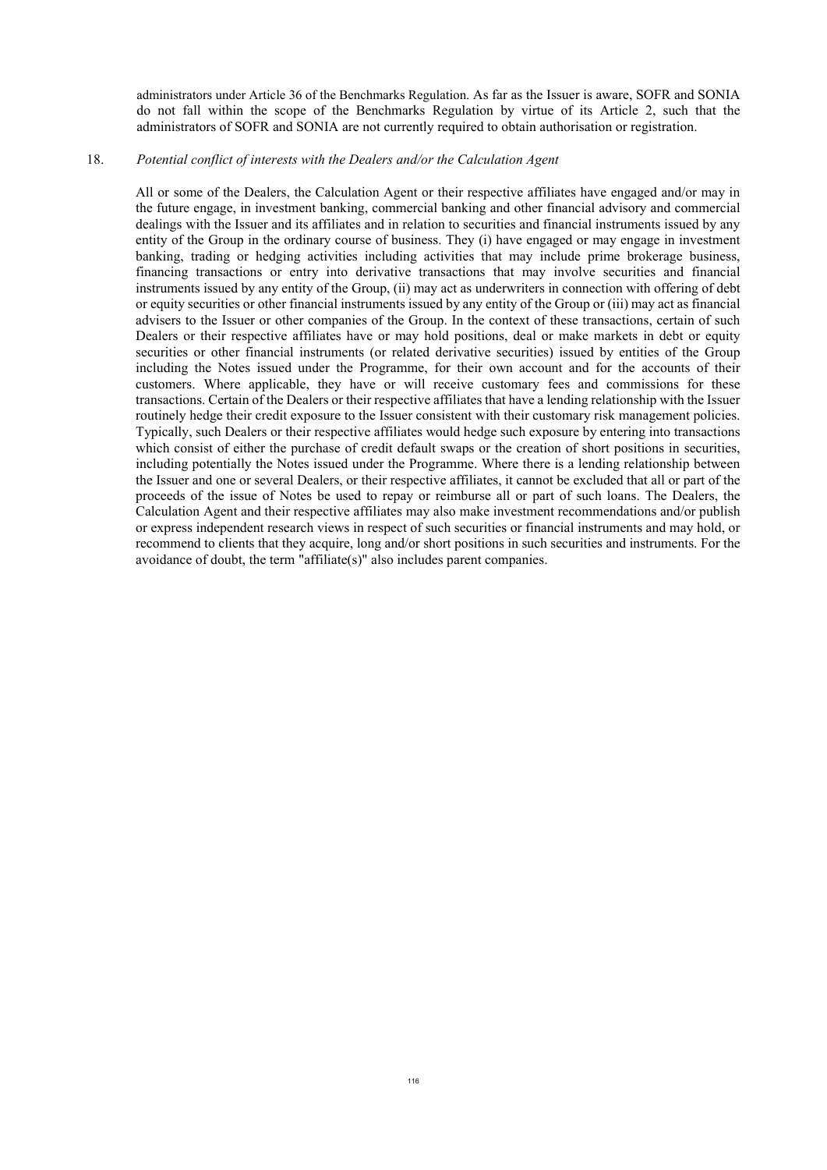administrators under Article 36 of the Benchmarks Regulation. As far as the Issuer is aware, SOFR and SONIA do not fall within the scope of the Benchmarks Regulation by virtue of its Article 2, such that the administrators of SOFR and SONIA are not currently required to obtain authorisation or registration.

#### 18. *Potential conflict of interests with the Dealers and/or the Calculation Agent*

All or some of the Dealers, the Calculation Agent or their respective affiliates have engaged and/or may in the future engage, in investment banking, commercial banking and other financial advisory and commercial dealings with the Issuer and its affiliates and in relation to securities and financial instruments issued by any entity of the Group in the ordinary course of business. They (i) have engaged or may engage in investment banking, trading or hedging activities including activities that may include prime brokerage business, financing transactions or entry into derivative transactions that may involve securities and financial instruments issued by any entity of the Group, (ii) may act as underwriters in connection with offering of debt or equity securities or other financial instruments issued by any entity of the Group or (iii) may act as financial advisers to the Issuer or other companies of the Group. In the context of these transactions, certain of such Dealers or their respective affiliates have or may hold positions, deal or make markets in debt or equity securities or other financial instruments (or related derivative securities) issued by entities of the Group including the Notes issued under the Programme, for their own account and for the accounts of their customers. Where applicable, they have or will receive customary fees and commissions for these transactions. Certain of the Dealers or their respective affiliates that have a lending relationship with the Issuer routinely hedge their credit exposure to the Issuer consistent with their customary risk management policies. Typically, such Dealers or their respective affiliates would hedge such exposure by entering into transactions which consist of either the purchase of credit default swaps or the creation of short positions in securities, including potentially the Notes issued under the Programme. Where there is a lending relationship between the Issuer and one or several Dealers, or their respective affiliates, it cannot be excluded that all or part of the proceeds of the issue of Notes be used to repay or reimburse all or part of such loans. The Dealers, the Calculation Agent and their respective affiliates may also make investment recommendations and/or publish or express independent research views in respect of such securities or financial instruments and may hold, or recommend to clients that they acquire, long and/or short positions in such securities and instruments. For the avoidance of doubt, the term "affiliate(s)" also includes parent companies.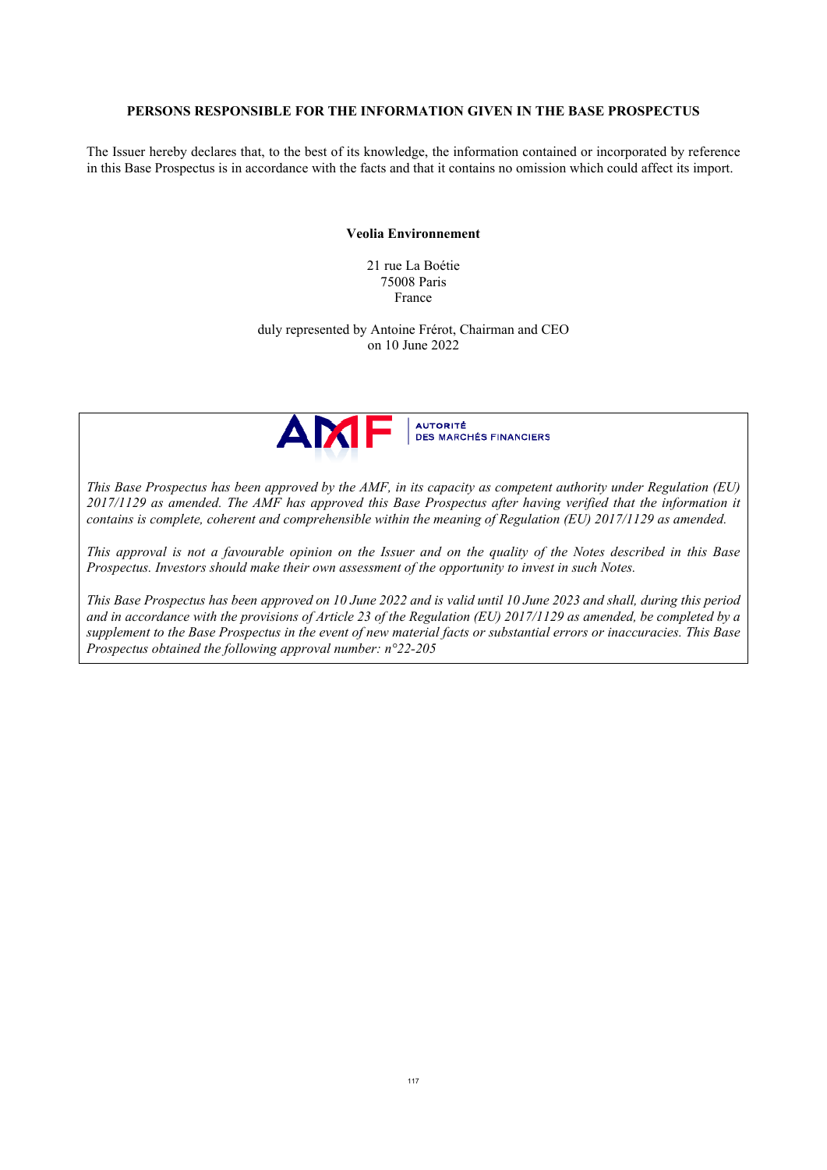#### **PERSONS RESPONSIBLE FOR THE INFORMATION GIVEN IN THE BASE PROSPECTUS**

The Issuer hereby declares that, to the best of its knowledge, the information contained or incorporated by reference in this Base Prospectus is in accordance with the facts and that it contains no omission which could affect its import.

### **Veolia Environnement**

21 rue La Boétie 75008 Paris France

duly represented by Antoine Frérot, Chairman and CEO on 10 June 2022



*This Base Prospectus has been approved by the AMF, in its capacity as competent authority under Regulation (EU) 2017/1129 as amended. The AMF has approved this Base Prospectus after having verified that the information it contains is complete, coherent and comprehensible within the meaning of Regulation (EU) 2017/1129 as amended.* 

*This approval is not a favourable opinion on the Issuer and on the quality of the Notes described in this Base Prospectus. Investors should make their own assessment of the opportunity to invest in such Notes.* 

*This Base Prospectus has been approved on 10 June 2022 and is valid until 10 June 2023 and shall, during this period and in accordance with the provisions of Article 23 of the Regulation (EU) 2017/1129 as amended, be completed by a supplement to the Base Prospectus in the event of new material facts or substantial errors or inaccuracies. This Base Prospectus obtained the following approval number: n°22-205*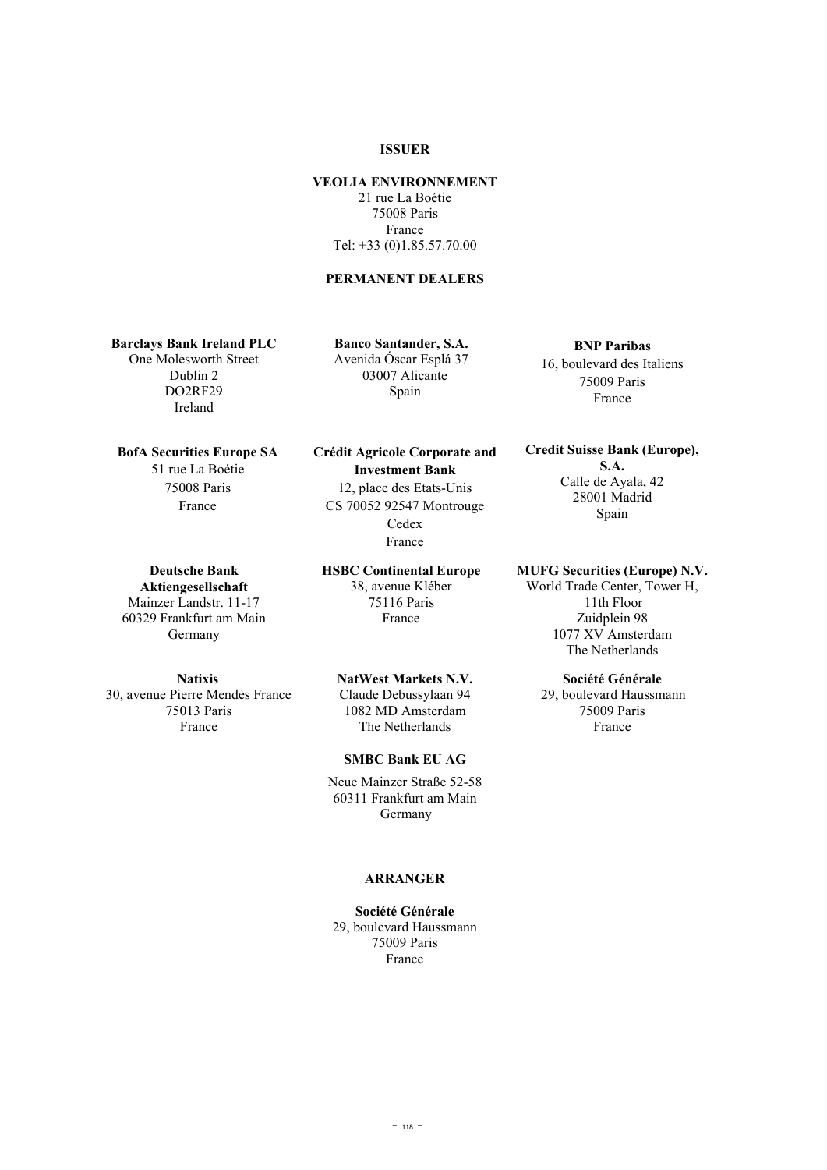# **ISSUER**

# **VEOLIA ENVIRONNEMENT**

21 rue La Boétie 75008 Paris France Tel: +33 (0)1.85.57.70.00

## **PERMANENT DEALERS**

**Barclays Bank Ireland PLC** One Molesworth Street Dublin 2

DO2RF29 Ireland

**BofA Securities Europe SA** 51 rue La Boétie 75008 Paris France

> **Deutsche Bank Aktiengesellschaft**

Mainzer Landstr. 11-17 60329 Frankfurt am Main Germany

**Natixis** 30, avenue Pierre Mendès France 75013 Paris France

**Banco Santander, S.A.** Avenida Óscar Esplá 37 03007 Alicante Spain

**Crédit Agricole Corporate and Investment Bank** 12, place des Etats-Unis CS 70052 92547 Montrouge

Cedex France

**HSBC Continental Europe** 38, avenue Kléber 75116 Paris France

#### **NatWest Markets N.V.**

Claude Debussylaan 94 1082 MD Amsterdam The Netherlands

# **SMBC Bank EU AG**

Neue Mainzer Straße 52-58 60311 Frankfurt am Main Germany

# **ARRANGER**

**Société Générale** 29, boulevard Haussmann 75009 Paris France

**BNP Paribas** 16, boulevard des Italiens 75009 Paris France

**Credit Suisse Bank (Europe), S.A.** Calle de Ayala, 42 28001 Madrid Spain

**MUFG Securities (Europe) N.V.**

World Trade Center, Tower H, 11th Floor Zuidplein 98 1077 XV Amsterdam The Netherlands

# **Société Générale**

29, boulevard Haussmann 75009 Paris France